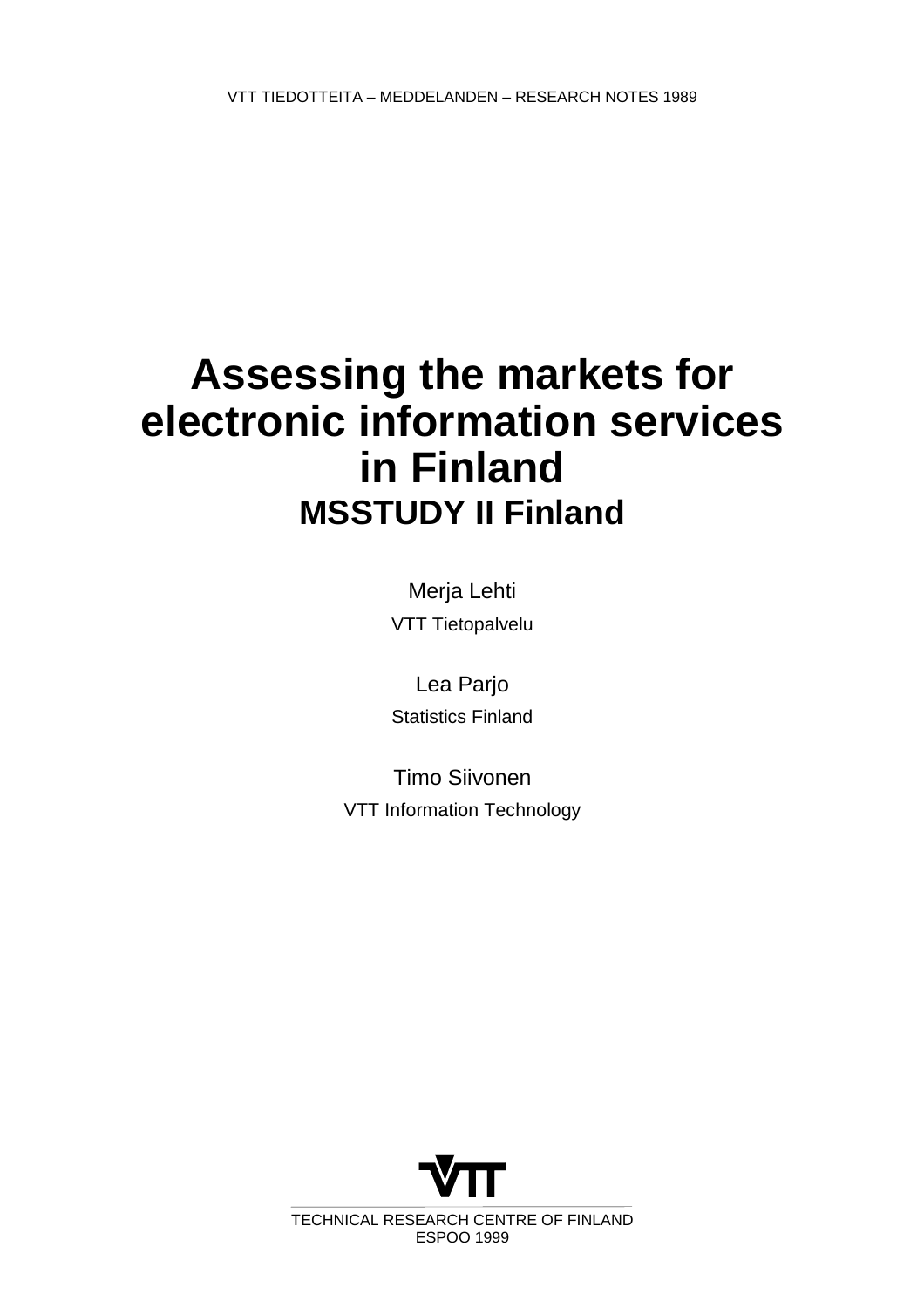# **Assessing the markets for electronic information services in Finland MSSTUDY II Finland**

Merja Lehti VTT Tietopalvelu

Lea Parjo Statistics Finland

Timo Siivonen VTT Information Technology



TECHNICAL RESEARCH CENTRE OF FINLAND ESPOO 1999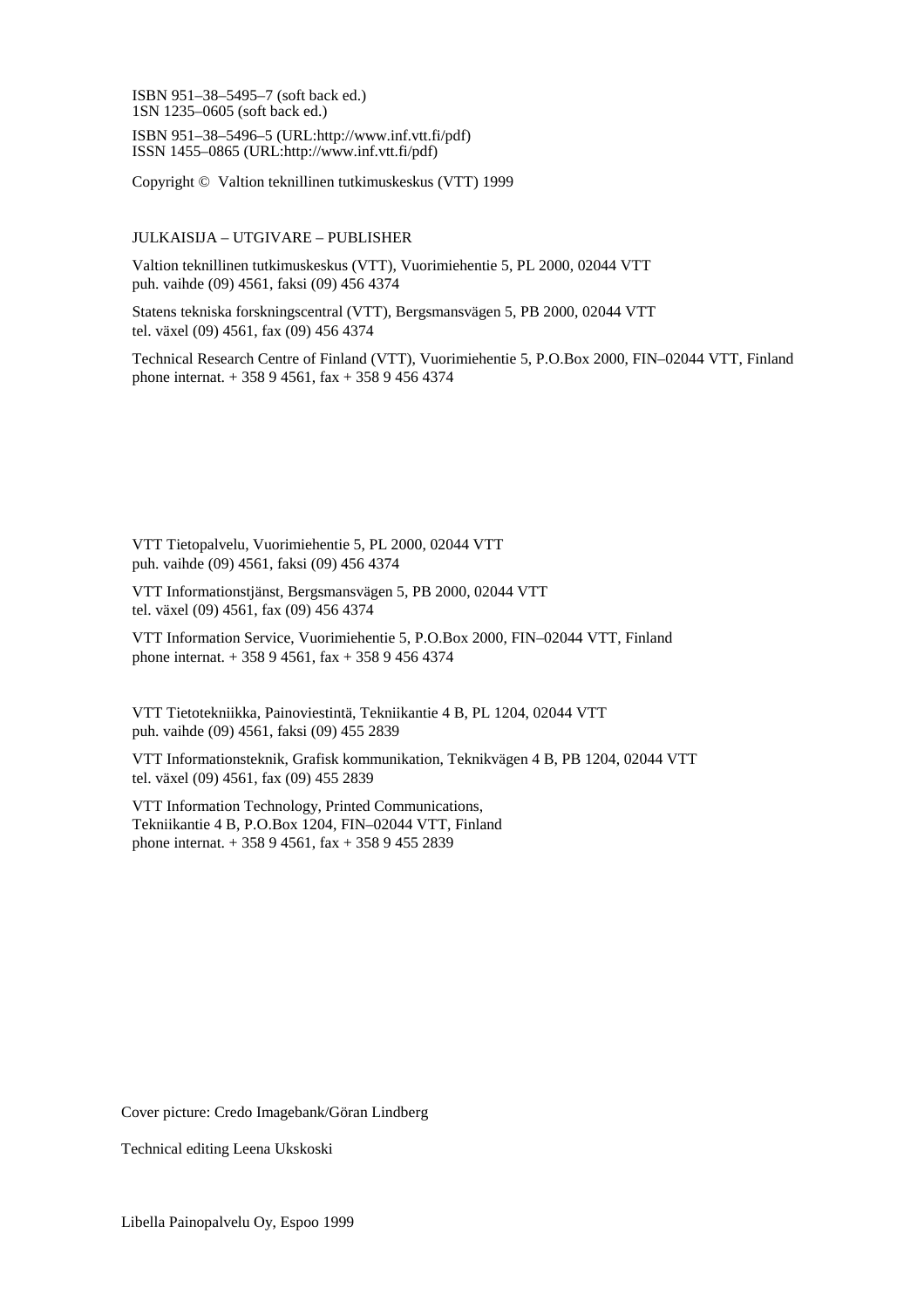ISBN 951–38–5495–7 (soft back ed.) 1SN 1235–0605 (soft back ed.)

ISBN 951–38–5496–5 (URL:http://www.inf.vtt.fi/pdf) ISSN 1455–0865 (URL:http://www.inf.vtt.fi/pdf)

Copyright © Valtion teknillinen tutkimuskeskus (VTT) 1999

#### JULKAISIJA – UTGIVARE – PUBLISHER

Valtion teknillinen tutkimuskeskus (VTT), Vuorimiehentie 5, PL 2000, 02044 VTT puh. vaihde (09) 4561, faksi (09) 456 4374

Statens tekniska forskningscentral (VTT), Bergsmansvägen 5, PB 2000, 02044 VTT tel. växel (09) 4561, fax (09) 456 4374

Technical Research Centre of Finland (VTT), Vuorimiehentie 5, P.O.Box 2000, FIN–02044 VTT, Finland phone internat. + 358 9 4561, fax + 358 9 456 4374

VTT Tietopalvelu, Vuorimiehentie 5, PL 2000, 02044 VTT puh. vaihde (09) 4561, faksi (09) 456 4374

VTT Informationstjänst, Bergsmansvägen 5, PB 2000, 02044 VTT tel. växel (09) 4561, fax (09) 456 4374

VTT Information Service, Vuorimiehentie 5, P.O.Box 2000, FIN–02044 VTT, Finland phone internat. + 358 9 4561, fax + 358 9 456 4374

VTT Tietotekniikka, Painoviestintä, Tekniikantie 4 B, PL 1204, 02044 VTT puh. vaihde (09) 4561, faksi (09) 455 2839

VTT Informationsteknik, Grafisk kommunikation, Teknikvägen 4 B, PB 1204, 02044 VTT tel. växel (09) 4561, fax (09) 455 2839

VTT Information Technology, Printed Communications, Tekniikantie 4 B, P.O.Box 1204, FIN–02044 VTT, Finland phone internat. + 358 9 4561, fax + 358 9 455 2839

Cover picture: Credo Imagebank/Göran Lindberg

Technical editing Leena Ukskoski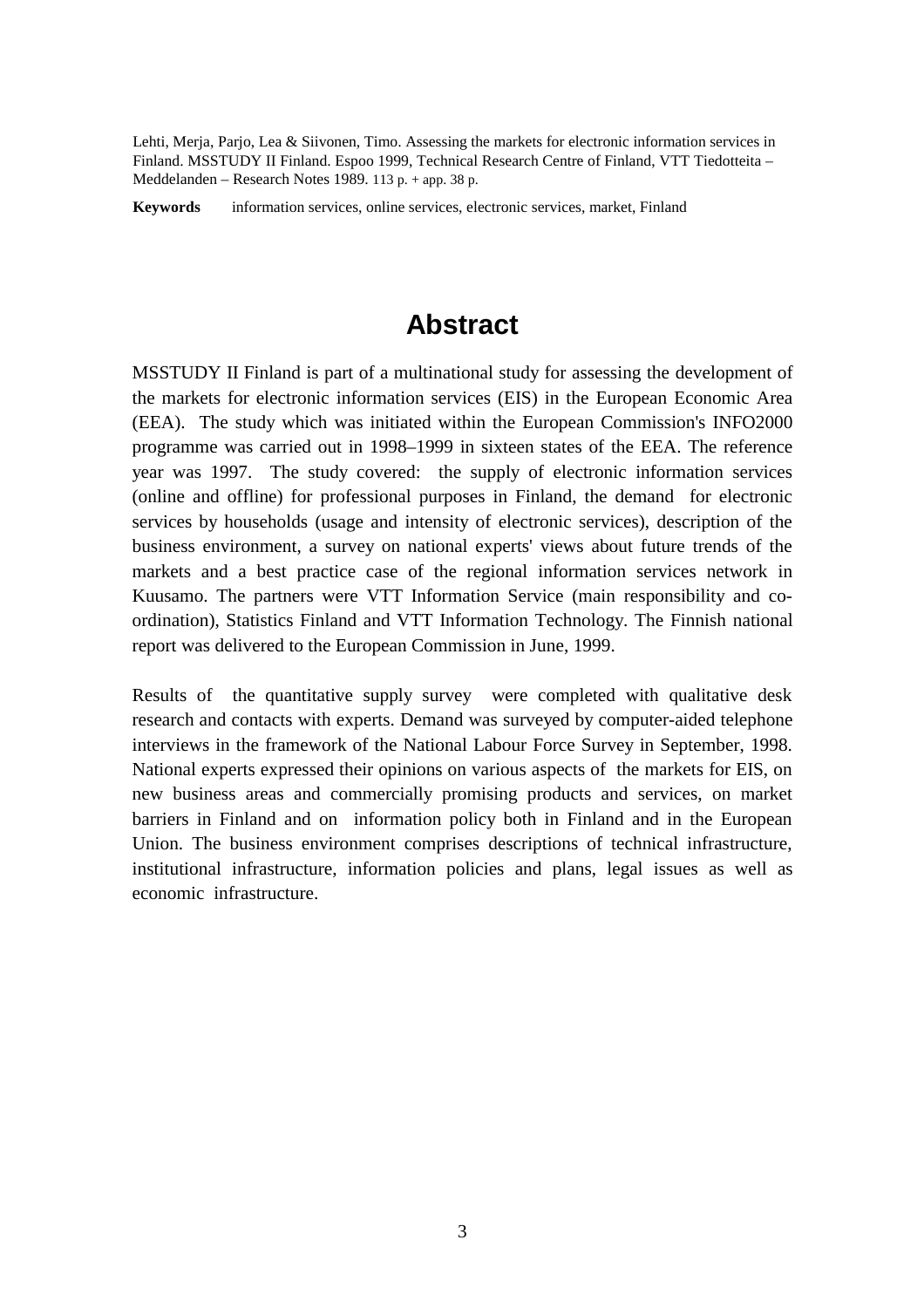Lehti, Merja, Parjo, Lea & Siivonen, Timo. Assessing the markets for electronic information services in Finland. MSSTUDY II Finland. Espoo 1999, Technical Research Centre of Finland, VTT Tiedotteita – Meddelanden – Research Notes 1989. 113 p. + app. 38 p.

**Keywords** information services, online services, electronic services, market, Finland

## **Abstract**

MSSTUDY II Finland is part of a multinational study for assessing the development of the markets for electronic information services (EIS) in the European Economic Area (EEA). The study which was initiated within the European Commission's INFO2000 programme was carried out in 1998–1999 in sixteen states of the EEA. The reference year was 1997. The study covered: the supply of electronic information services (online and offline) for professional purposes in Finland, the demand for electronic services by households (usage and intensity of electronic services), description of the business environment, a survey on national experts' views about future trends of the markets and a best practice case of the regional information services network in Kuusamo. The partners were VTT Information Service (main responsibility and coordination), Statistics Finland and VTT Information Technology. The Finnish national report was delivered to the European Commission in June, 1999.

Results of the quantitative supply survey were completed with qualitative desk research and contacts with experts. Demand was surveyed by computer-aided telephone interviews in the framework of the National Labour Force Survey in September, 1998. National experts expressed their opinions on various aspects of the markets for EIS, on new business areas and commercially promising products and services, on market barriers in Finland and on information policy both in Finland and in the European Union. The business environment comprises descriptions of technical infrastructure, institutional infrastructure, information policies and plans, legal issues as well as economic infrastructure.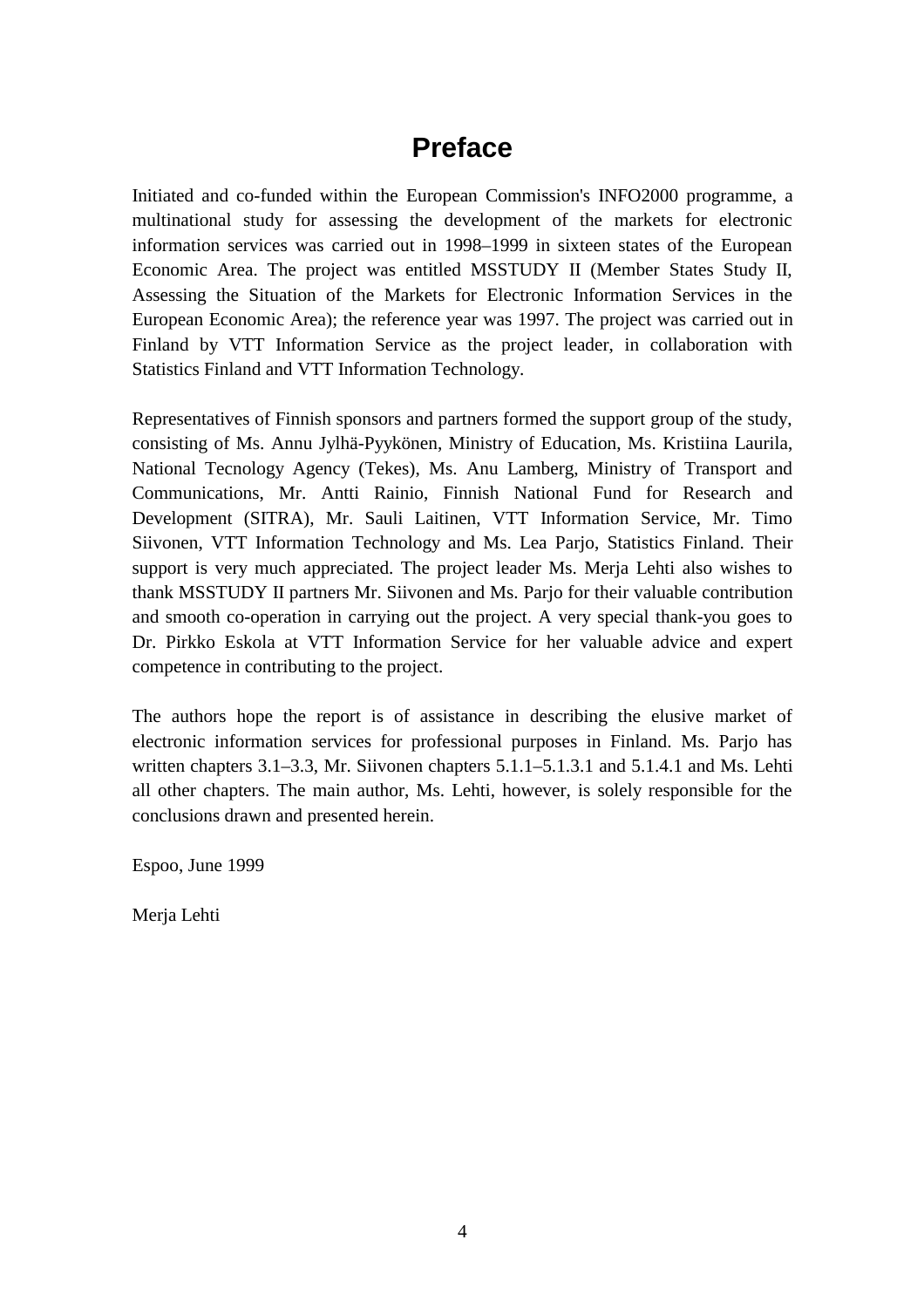## **Preface**

Initiated and co-funded within the European Commission's INFO2000 programme, a multinational study for assessing the development of the markets for electronic information services was carried out in 1998–1999 in sixteen states of the European Economic Area. The project was entitled MSSTUDY II (Member States Study II, Assessing the Situation of the Markets for Electronic Information Services in the European Economic Area); the reference year was 1997. The project was carried out in Finland by VTT Information Service as the project leader, in collaboration with Statistics Finland and VTT Information Technology.

Representatives of Finnish sponsors and partners formed the support group of the study, consisting of Ms. Annu Jylhä-Pyykönen, Ministry of Education, Ms. Kristiina Laurila, National Tecnology Agency (Tekes), Ms. Anu Lamberg, Ministry of Transport and Communications, Mr. Antti Rainio, Finnish National Fund for Research and Development (SITRA), Mr. Sauli Laitinen, VTT Information Service, Mr. Timo Siivonen, VTT Information Technology and Ms. Lea Parjo, Statistics Finland. Their support is very much appreciated. The project leader Ms. Merja Lehti also wishes to thank MSSTUDY II partners Mr. Siivonen and Ms. Parjo for their valuable contribution and smooth co-operation in carrying out the project. A very special thank-you goes to Dr. Pirkko Eskola at VTT Information Service for her valuable advice and expert competence in contributing to the project.

The authors hope the report is of assistance in describing the elusive market of electronic information services for professional purposes in Finland. Ms. Parjo has written chapters 3.1–3.3, Mr. Siivonen chapters 5.1.1–5.1.3.1 and 5.1.4.1 and Ms. Lehti all other chapters. The main author, Ms. Lehti, however, is solely responsible for the conclusions drawn and presented herein.

Espoo, June 1999

Merja Lehti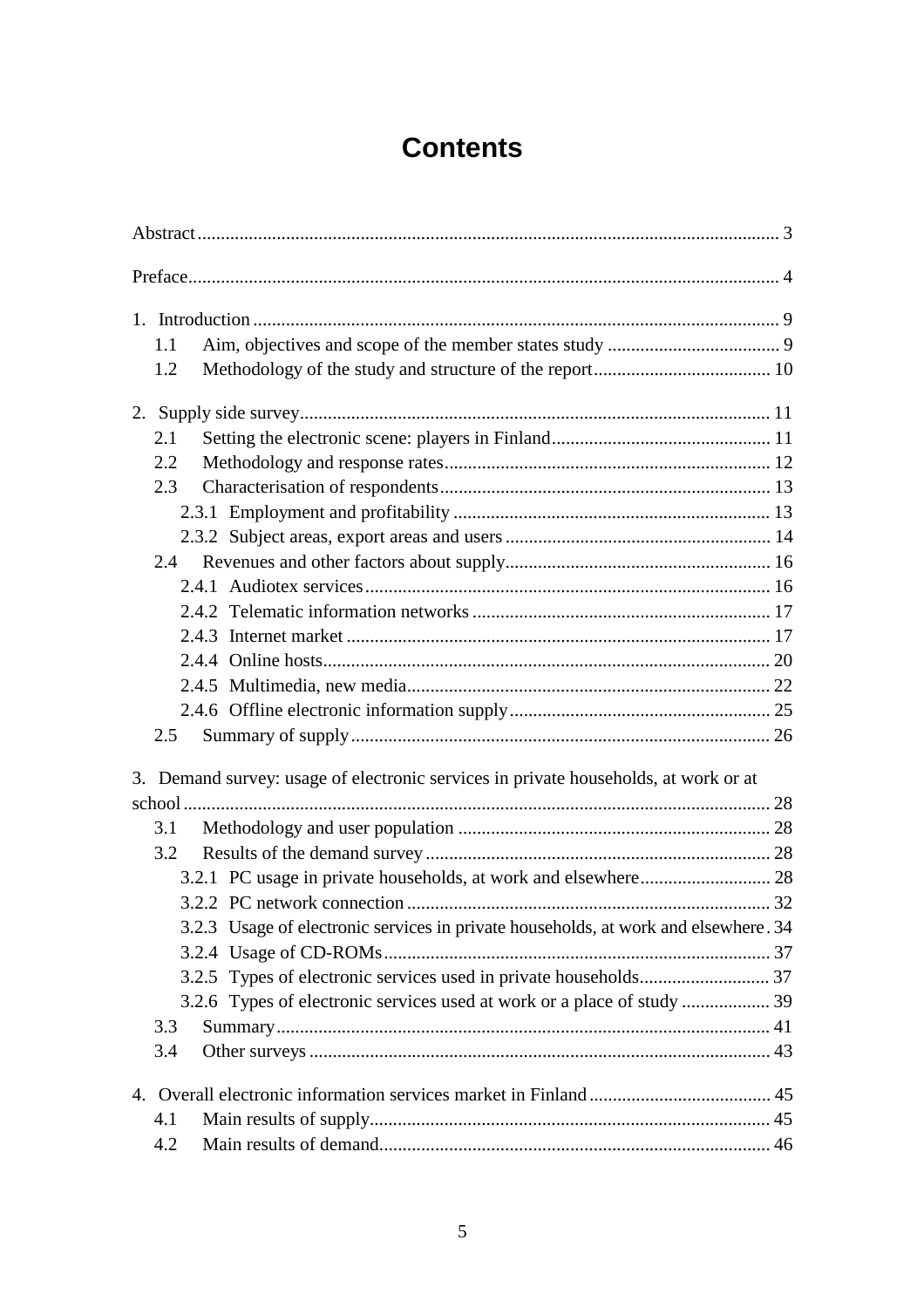## **Contents**

|    | 1.1                                                                                 |  |
|----|-------------------------------------------------------------------------------------|--|
|    | 1.2                                                                                 |  |
|    |                                                                                     |  |
|    | 2.1                                                                                 |  |
|    | 2.2                                                                                 |  |
|    | 2.3                                                                                 |  |
|    |                                                                                     |  |
|    |                                                                                     |  |
|    | 2.4                                                                                 |  |
|    |                                                                                     |  |
|    |                                                                                     |  |
|    |                                                                                     |  |
|    |                                                                                     |  |
|    |                                                                                     |  |
|    |                                                                                     |  |
|    | 2.5                                                                                 |  |
|    | 3. Demand survey: usage of electronic services in private households, at work or at |  |
|    |                                                                                     |  |
|    | 3.1                                                                                 |  |
|    | 3.2                                                                                 |  |
|    |                                                                                     |  |
|    |                                                                                     |  |
|    | 3.2.3 Usage of electronic services in private households, at work and elsewhere. 34 |  |
|    |                                                                                     |  |
|    |                                                                                     |  |
|    | 3.2.6 Types of electronic services used at work or a place of study  39             |  |
|    | 3.3                                                                                 |  |
|    | 3.4                                                                                 |  |
| 4. |                                                                                     |  |
|    | 4.1                                                                                 |  |
|    | 4.2                                                                                 |  |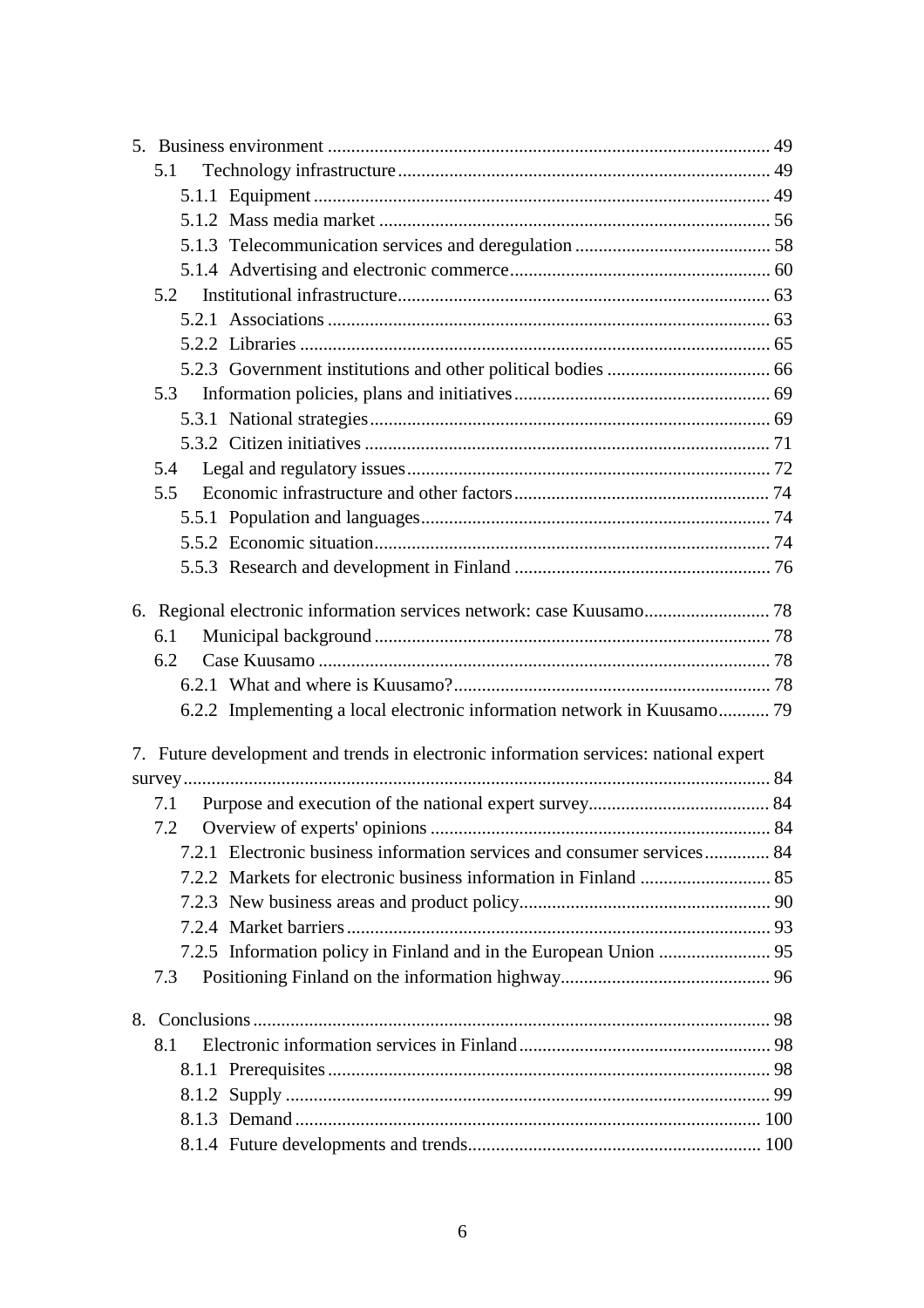| 5.1                                                                                  |  |
|--------------------------------------------------------------------------------------|--|
|                                                                                      |  |
|                                                                                      |  |
|                                                                                      |  |
|                                                                                      |  |
| 5.2                                                                                  |  |
|                                                                                      |  |
|                                                                                      |  |
|                                                                                      |  |
| 5.3                                                                                  |  |
|                                                                                      |  |
|                                                                                      |  |
| 5.4                                                                                  |  |
| 5.5                                                                                  |  |
|                                                                                      |  |
|                                                                                      |  |
|                                                                                      |  |
|                                                                                      |  |
|                                                                                      |  |
| 6.1                                                                                  |  |
| 6.2                                                                                  |  |
|                                                                                      |  |
| 6.2.2 Implementing a local electronic information network in Kuusamo 79              |  |
| 7. Future development and trends in electronic information services: national expert |  |
|                                                                                      |  |
| 7.1                                                                                  |  |
|                                                                                      |  |
| 7.2.1 Electronic business information services and consumer services 84              |  |
|                                                                                      |  |
|                                                                                      |  |
|                                                                                      |  |
|                                                                                      |  |
| 7.3                                                                                  |  |
|                                                                                      |  |
| 8.1                                                                                  |  |
|                                                                                      |  |
|                                                                                      |  |
|                                                                                      |  |
|                                                                                      |  |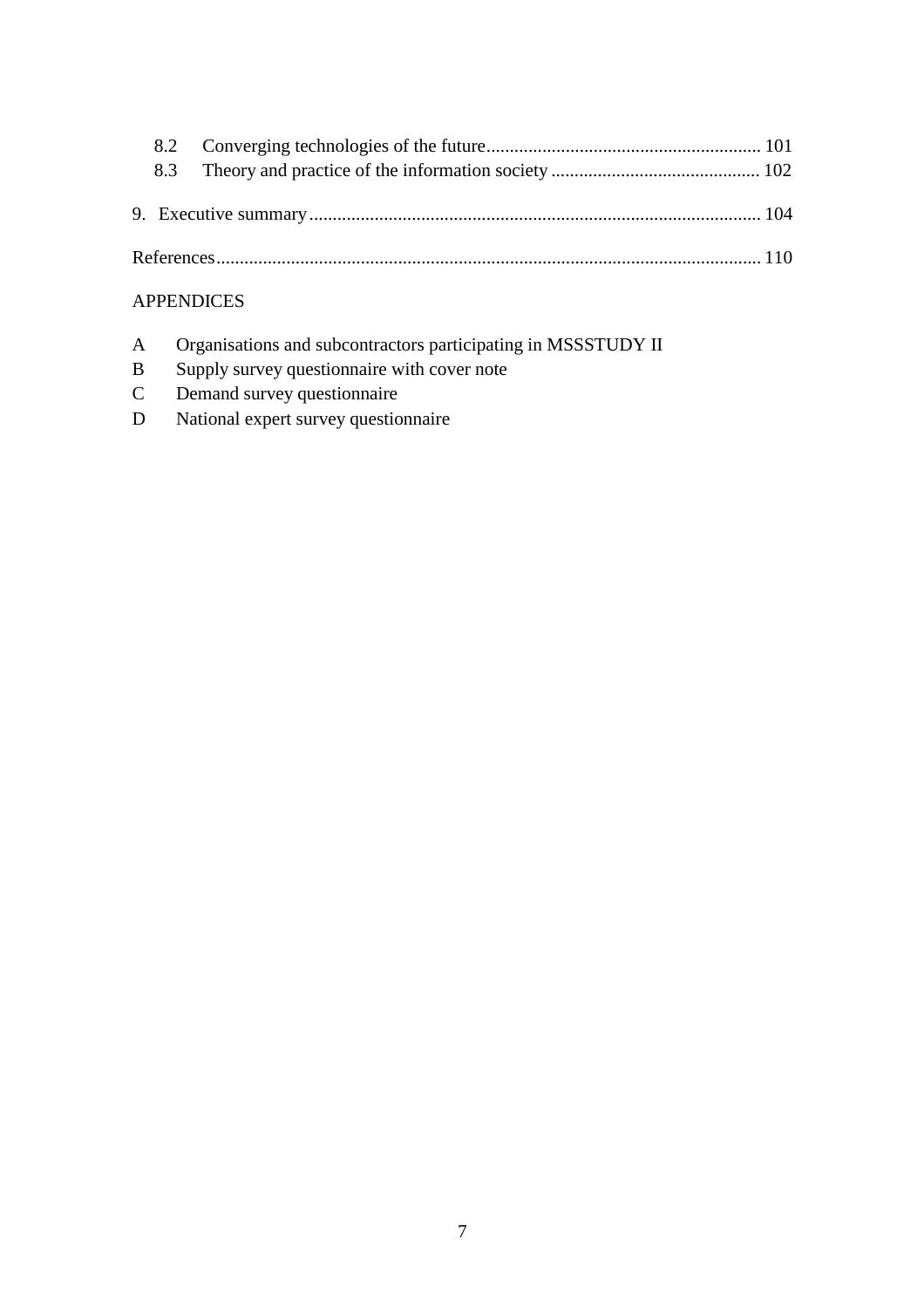## APPENDICES

- A Organisations and subcontractors participating in MSSSTUDY II
- B Supply survey questionnaire with cover note
- C Demand survey questionnaire
- D National expert survey questionnaire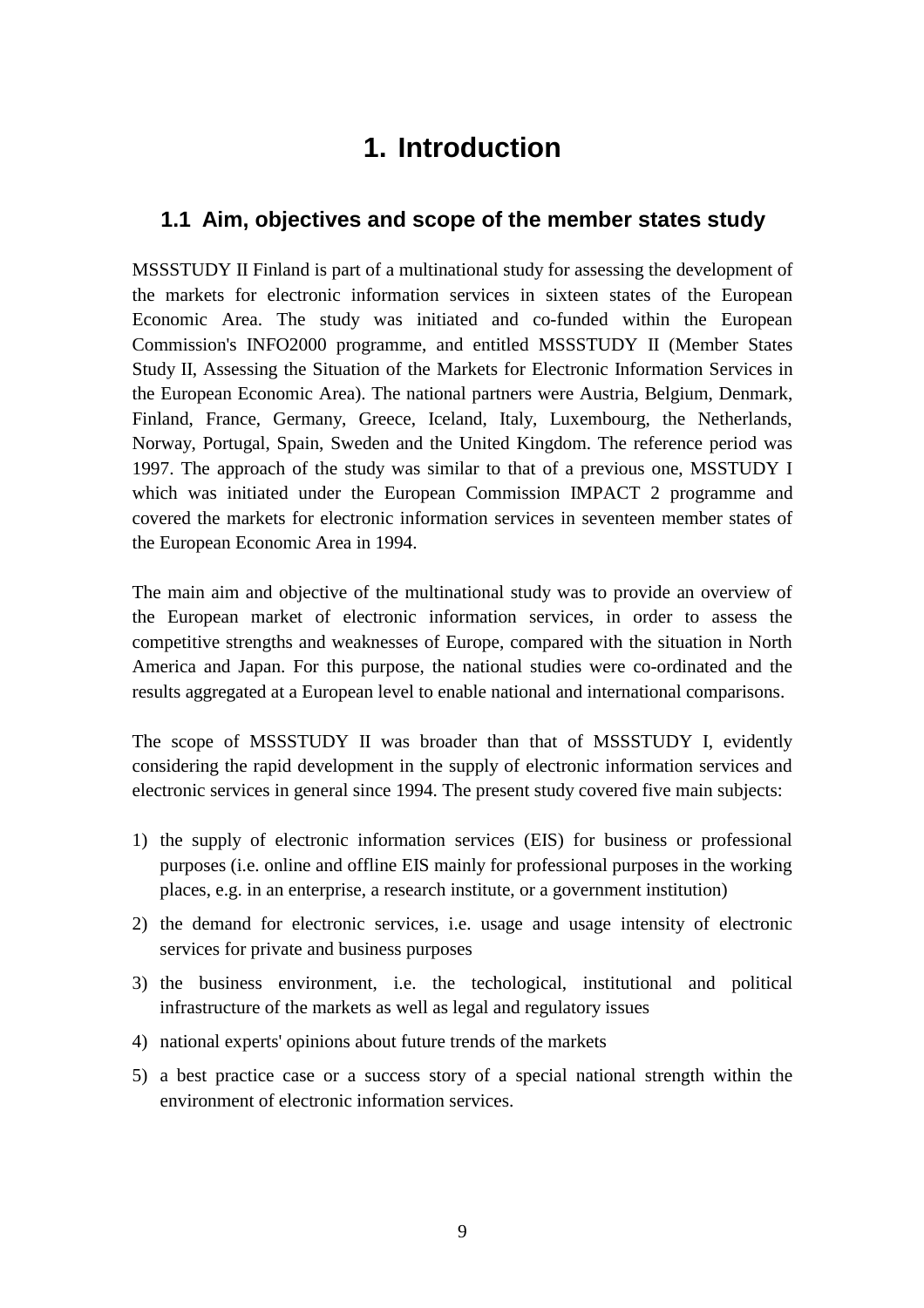## **1. Introduction**

## **1.1 Aim, objectives and scope of the member states study**

MSSSTUDY II Finland is part of a multinational study for assessing the development of the markets for electronic information services in sixteen states of the European Economic Area. The study was initiated and co-funded within the European Commission's INFO2000 programme, and entitled MSSSTUDY II (Member States Study II, Assessing the Situation of the Markets for Electronic Information Services in the European Economic Area). The national partners were Austria, Belgium, Denmark, Finland, France, Germany, Greece, Iceland, Italy, Luxembourg, the Netherlands, Norway, Portugal, Spain, Sweden and the United Kingdom. The reference period was 1997. The approach of the study was similar to that of a previous one, MSSTUDY I which was initiated under the European Commission IMPACT 2 programme and covered the markets for electronic information services in seventeen member states of the European Economic Area in 1994.

The main aim and objective of the multinational study was to provide an overview of the European market of electronic information services, in order to assess the competitive strengths and weaknesses of Europe, compared with the situation in North America and Japan. For this purpose, the national studies were co-ordinated and the results aggregated at a European level to enable national and international comparisons.

The scope of MSSSTUDY II was broader than that of MSSSTUDY I, evidently considering the rapid development in the supply of electronic information services and electronic services in general since 1994. The present study covered five main subjects:

- 1) the supply of electronic information services (EIS) for business or professional purposes (i.e. online and offline EIS mainly for professional purposes in the working places, e.g. in an enterprise, a research institute, or a government institution)
- 2) the demand for electronic services, i.e. usage and usage intensity of electronic services for private and business purposes
- 3) the business environment, i.e. the techological, institutional and political infrastructure of the markets as well as legal and regulatory issues
- 4) national experts' opinions about future trends of the markets
- 5) a best practice case or a success story of a special national strength within the environment of electronic information services.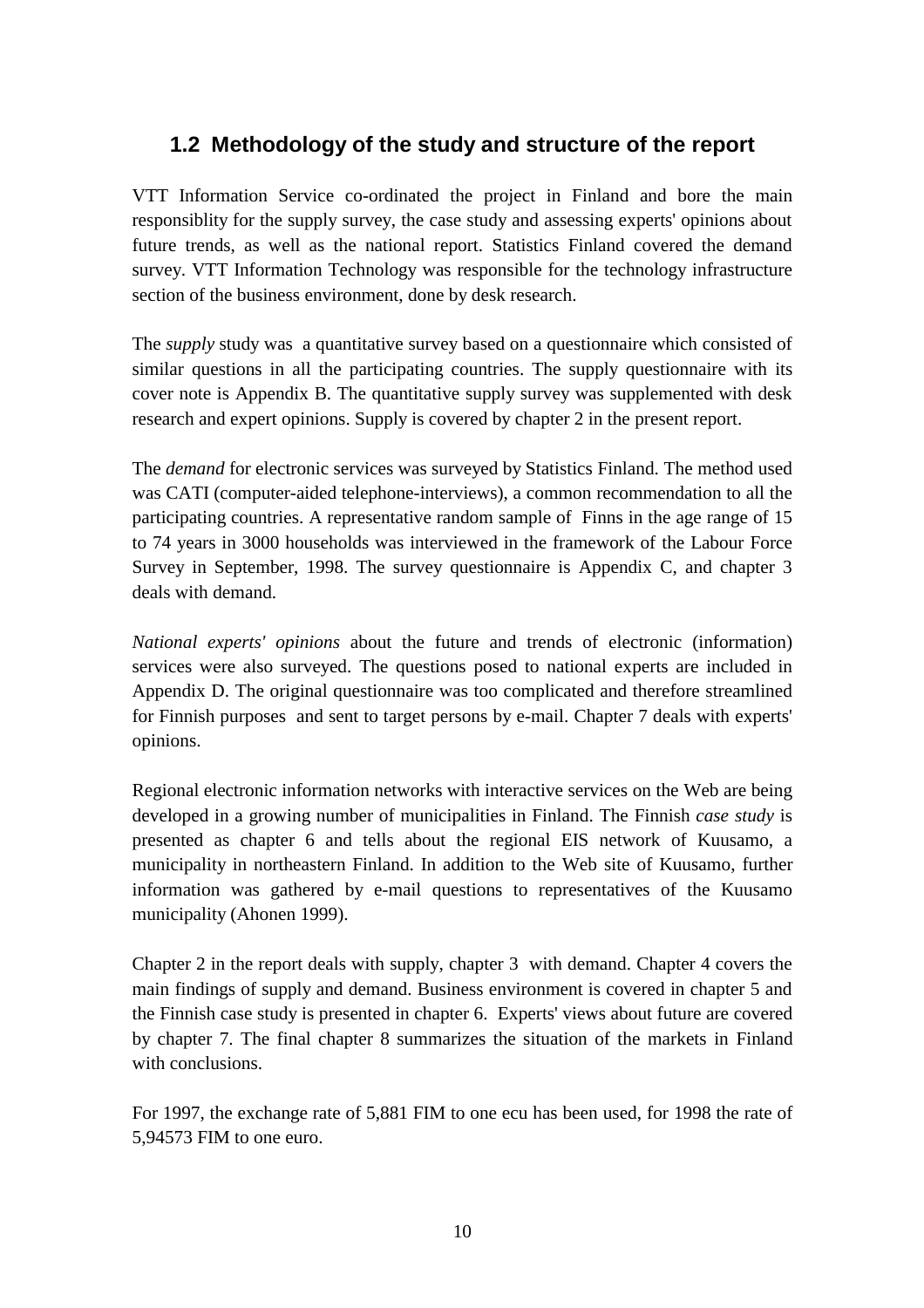## **1.2 Methodology of the study and structure of the report**

VTT Information Service co-ordinated the project in Finland and bore the main responsiblity for the supply survey, the case study and assessing experts' opinions about future trends, as well as the national report. Statistics Finland covered the demand survey. VTT Information Technology was responsible for the technology infrastructure section of the business environment, done by desk research.

The *supply* study was a quantitative survey based on a questionnaire which consisted of similar questions in all the participating countries. The supply questionnaire with its cover note is Appendix B. The quantitative supply survey was supplemented with desk research and expert opinions. Supply is covered by chapter 2 in the present report.

The *demand* for electronic services was surveyed by Statistics Finland. The method used was CATI (computer-aided telephone-interviews), a common recommendation to all the participating countries. A representative random sample of Finns in the age range of 15 to 74 years in 3000 households was interviewed in the framework of the Labour Force Survey in September, 1998. The survey questionnaire is Appendix C, and chapter 3 deals with demand.

*National experts' opinions* about the future and trends of electronic (information) services were also surveyed. The questions posed to national experts are included in Appendix D. The original questionnaire was too complicated and therefore streamlined for Finnish purposes and sent to target persons by e-mail. Chapter 7 deals with experts' opinions.

Regional electronic information networks with interactive services on the Web are being developed in a growing number of municipalities in Finland. The Finnish *case study* is presented as chapter 6 and tells about the regional EIS network of Kuusamo, a municipality in northeastern Finland. In addition to the Web site of Kuusamo, further information was gathered by e-mail questions to representatives of the Kuusamo municipality (Ahonen 1999).

Chapter 2 in the report deals with supply, chapter 3 with demand. Chapter 4 covers the main findings of supply and demand. Business environment is covered in chapter 5 and the Finnish case study is presented in chapter 6. Experts' views about future are covered by chapter 7. The final chapter 8 summarizes the situation of the markets in Finland with conclusions.

For 1997, the exchange rate of 5,881 FIM to one ecu has been used, for 1998 the rate of 5,94573 FIM to one euro.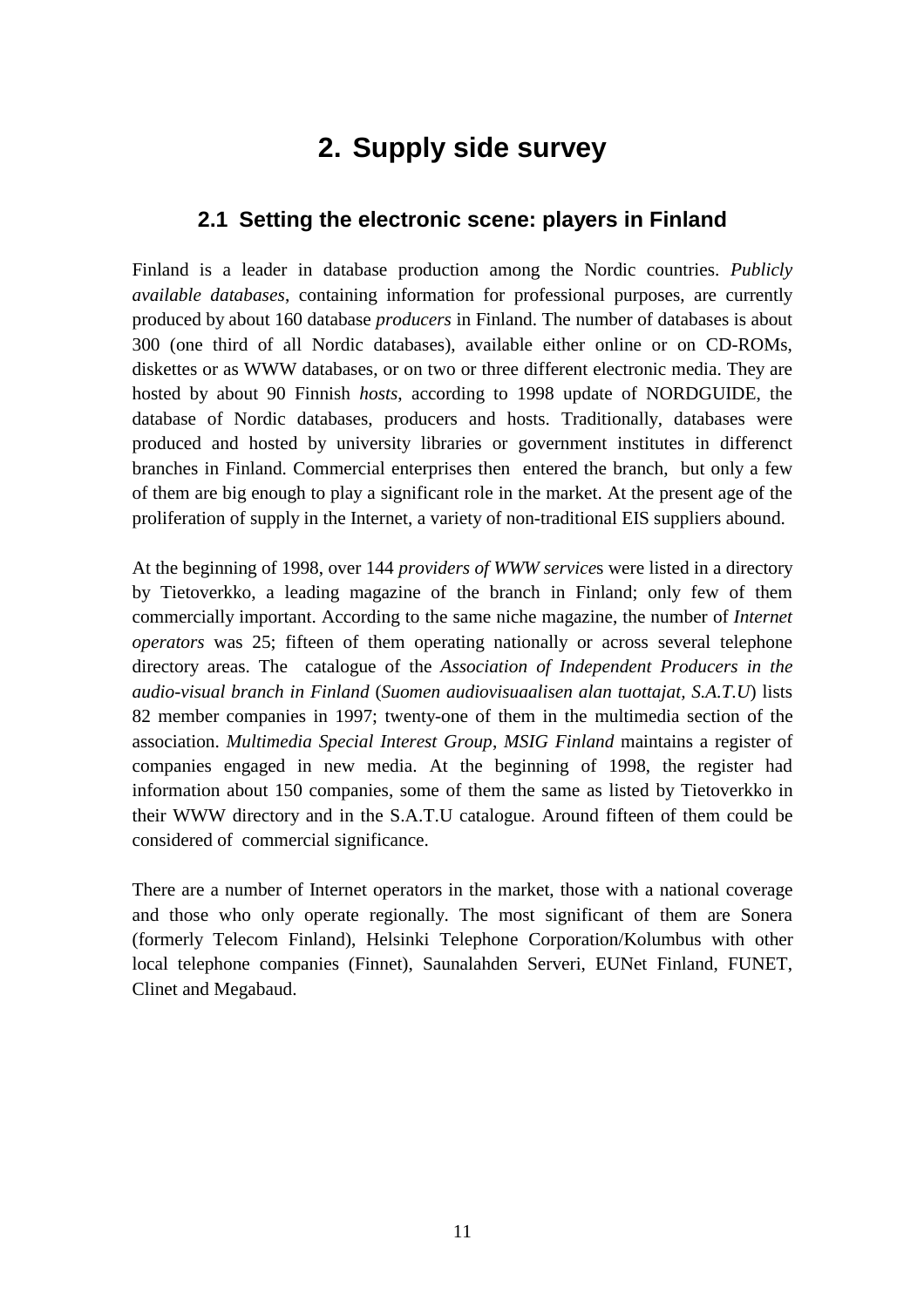## **2. Supply side survey**

## **2.1 Setting the electronic scene: players in Finland**

Finland is a leader in database production among the Nordic countries. *Publicly available databases*, containing information for professional purposes, are currently produced by about 160 database *producers* in Finland. The number of databases is about 300 (one third of all Nordic databases), available either online or on CD-ROMs, diskettes or as WWW databases, or on two or three different electronic media. They are hosted by about 90 Finnish *hosts*, according to 1998 update of NORDGUIDE, the database of Nordic databases, producers and hosts. Traditionally, databases were produced and hosted by university libraries or government institutes in differenct branches in Finland. Commercial enterprises then entered the branch, but only a few of them are big enough to play a significant role in the market. At the present age of the proliferation of supply in the Internet, a variety of non-traditional EIS suppliers abound.

At the beginning of 1998, over 144 *providers of WWW service*s were listed in a directory by Tietoverkko, a leading magazine of the branch in Finland; only few of them commercially important. According to the same niche magazine, the number of *Internet operators* was 25; fifteen of them operating nationally or across several telephone directory areas. The catalogue of the *Association of Independent Producers in the audio-visual branch in Finland* (*Suomen audiovisuaalisen alan tuottajat, S.A.T.U*) lists 82 member companies in 1997; twenty-one of them in the multimedia section of the association. *Multimedia Special Interest Group*, *MSIG Finland* maintains a register of companies engaged in new media. At the beginning of 1998, the register had information about 150 companies, some of them the same as listed by Tietoverkko in their WWW directory and in the S.A.T.U catalogue. Around fifteen of them could be considered of commercial significance.

There are a number of Internet operators in the market, those with a national coverage and those who only operate regionally. The most significant of them are Sonera (formerly Telecom Finland), Helsinki Telephone Corporation/Kolumbus with other local telephone companies (Finnet), Saunalahden Serveri, EUNet Finland, FUNET, Clinet and Megabaud.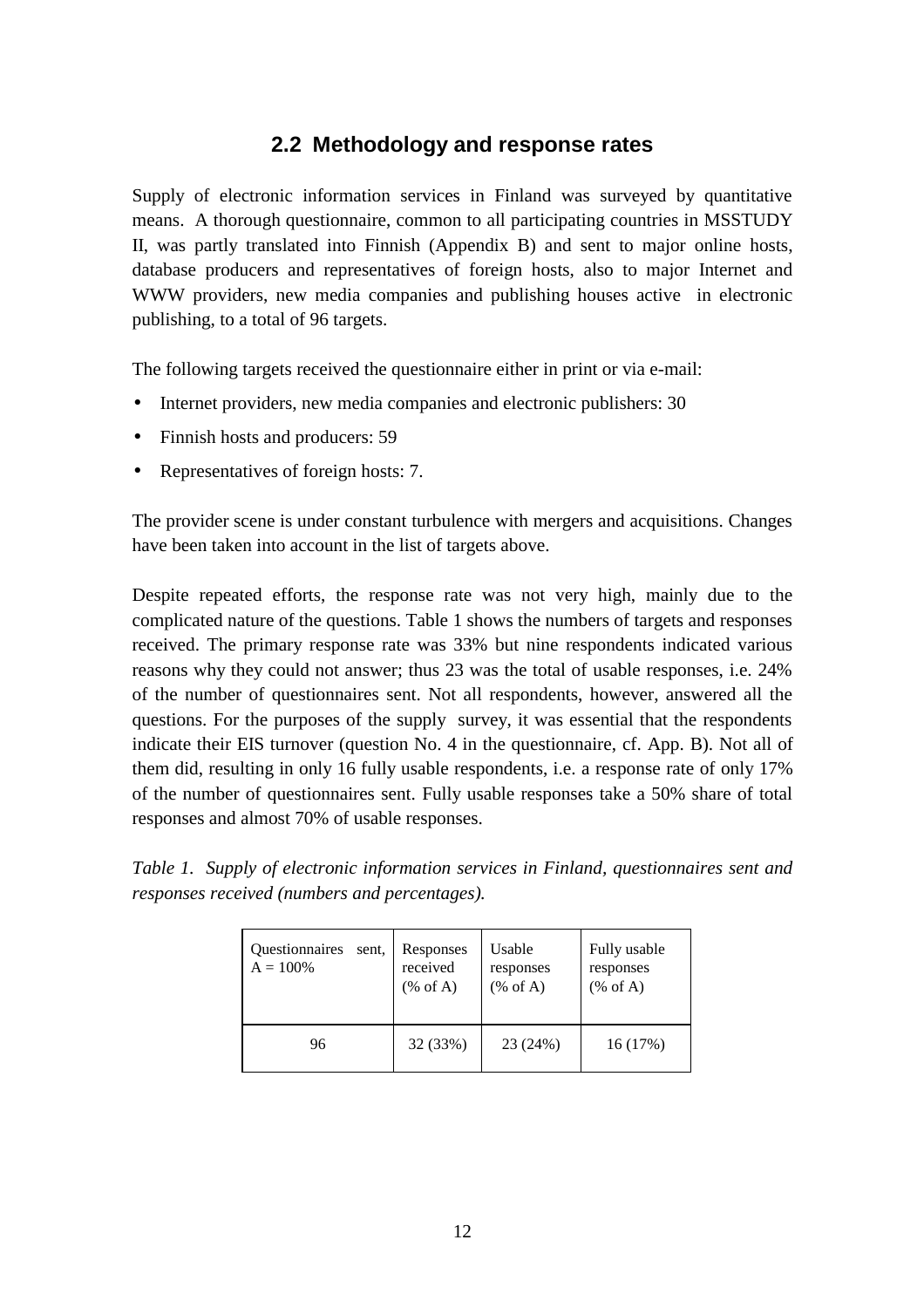## **2.2 Methodology and response rates**

Supply of electronic information services in Finland was surveyed by quantitative means. A thorough questionnaire, common to all participating countries in MSSTUDY II, was partly translated into Finnish (Appendix B) and sent to major online hosts, database producers and representatives of foreign hosts, also to major Internet and WWW providers, new media companies and publishing houses active in electronic publishing, to a total of 96 targets.

The following targets received the questionnaire either in print or via e-mail:

- Internet providers, new media companies and electronic publishers: 30
- Finnish hosts and producers: 59
- Representatives of foreign hosts: 7.

The provider scene is under constant turbulence with mergers and acquisitions. Changes have been taken into account in the list of targets above.

Despite repeated efforts, the response rate was not very high, mainly due to the complicated nature of the questions. Table 1 shows the numbers of targets and responses received. The primary response rate was 33% but nine respondents indicated various reasons why they could not answer; thus 23 was the total of usable responses, i.e. 24% of the number of questionnaires sent. Not all respondents, however, answered all the questions. For the purposes of the supply survey, it was essential that the respondents indicate their EIS turnover (question No. 4 in the questionnaire, cf. App. B). Not all of them did, resulting in only 16 fully usable respondents, i.e. a response rate of only 17% of the number of questionnaires sent. Fully usable responses take a 50% share of total responses and almost 70% of usable responses.

*Table 1. Supply of electronic information services in Finland, questionnaires sent and responses received (numbers and percentages).*

| Questionnaires | Responses     | Usable           | Fully usable     |
|----------------|---------------|------------------|------------------|
| sent.          | received      | responses        | responses        |
| $A = 100\%$    | $(% A)$ of A) | $(% A)$ (% of A) | $(% A)$ (% of A) |
| 96             | 32 (33%)      | 23 (24%)         | 16(17%)          |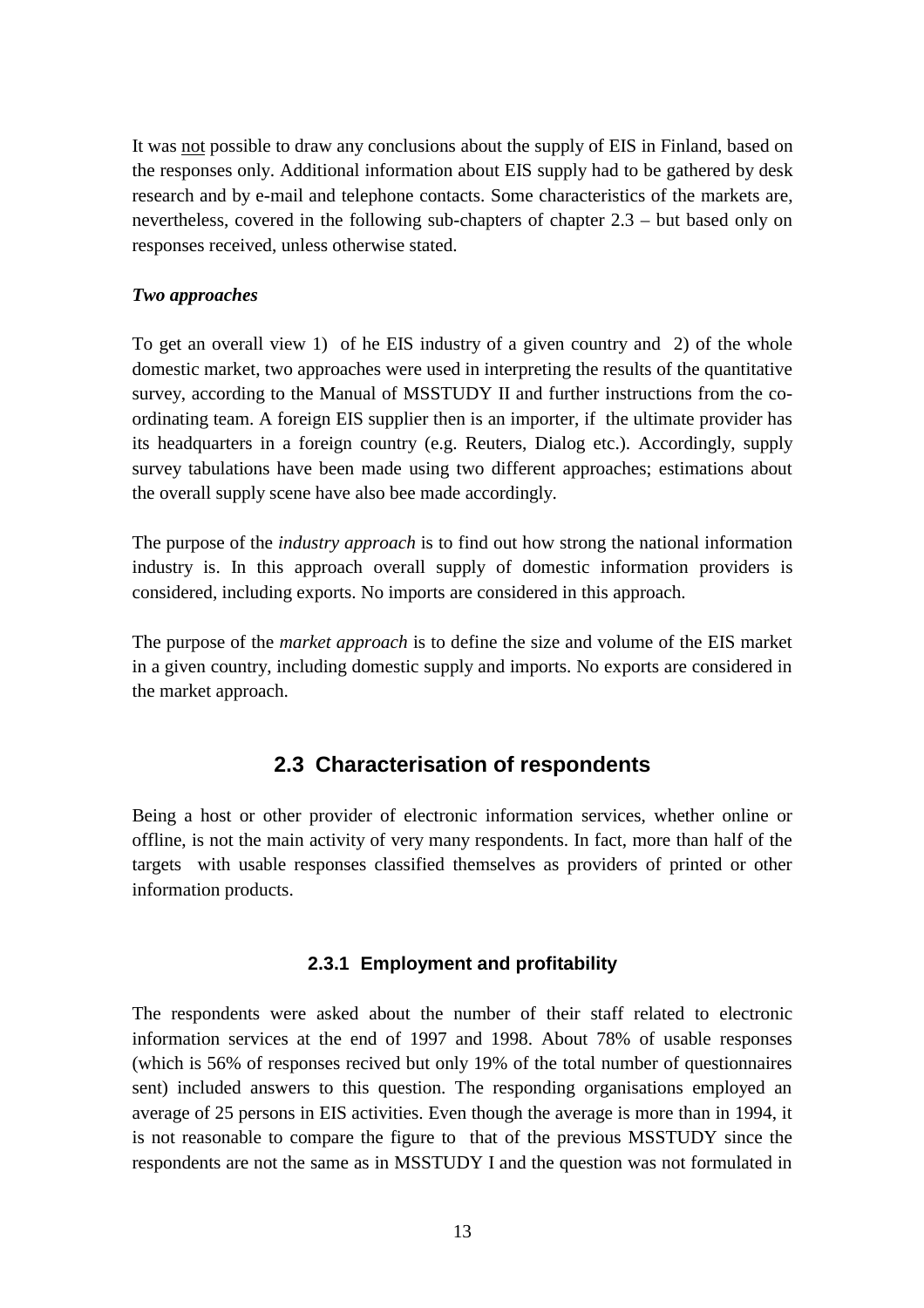It was not possible to draw any conclusions about the supply of EIS in Finland, based on the responses only. Additional information about EIS supply had to be gathered by desk research and by e-mail and telephone contacts. Some characteristics of the markets are, nevertheless, covered in the following sub-chapters of chapter 2.3 – but based only on responses received, unless otherwise stated.

#### *Two approaches*

To get an overall view 1) of he EIS industry of a given country and 2) of the whole domestic market, two approaches were used in interpreting the results of the quantitative survey, according to the Manual of MSSTUDY II and further instructions from the coordinating team. A foreign EIS supplier then is an importer, if the ultimate provider has its headquarters in a foreign country (e.g. Reuters, Dialog etc.). Accordingly, supply survey tabulations have been made using two different approaches; estimations about the overall supply scene have also bee made accordingly.

The purpose of the *industry approach* is to find out how strong the national information industry is. In this approach overall supply of domestic information providers is considered, including exports. No imports are considered in this approach.

The purpose of the *market approach* is to define the size and volume of the EIS market in a given country, including domestic supply and imports. No exports are considered in the market approach.

## **2.3 Characterisation of respondents**

Being a host or other provider of electronic information services, whether online or offline, is not the main activity of very many respondents. In fact, more than half of the targets with usable responses classified themselves as providers of printed or other information products.

## **2.3.1 Employment and profitability**

The respondents were asked about the number of their staff related to electronic information services at the end of 1997 and 1998. About 78% of usable responses (which is 56% of responses recived but only 19% of the total number of questionnaires sent) included answers to this question. The responding organisations employed an average of 25 persons in EIS activities. Even though the average is more than in 1994, it is not reasonable to compare the figure to that of the previous MSSTUDY since the respondents are not the same as in MSSTUDY I and the question was not formulated in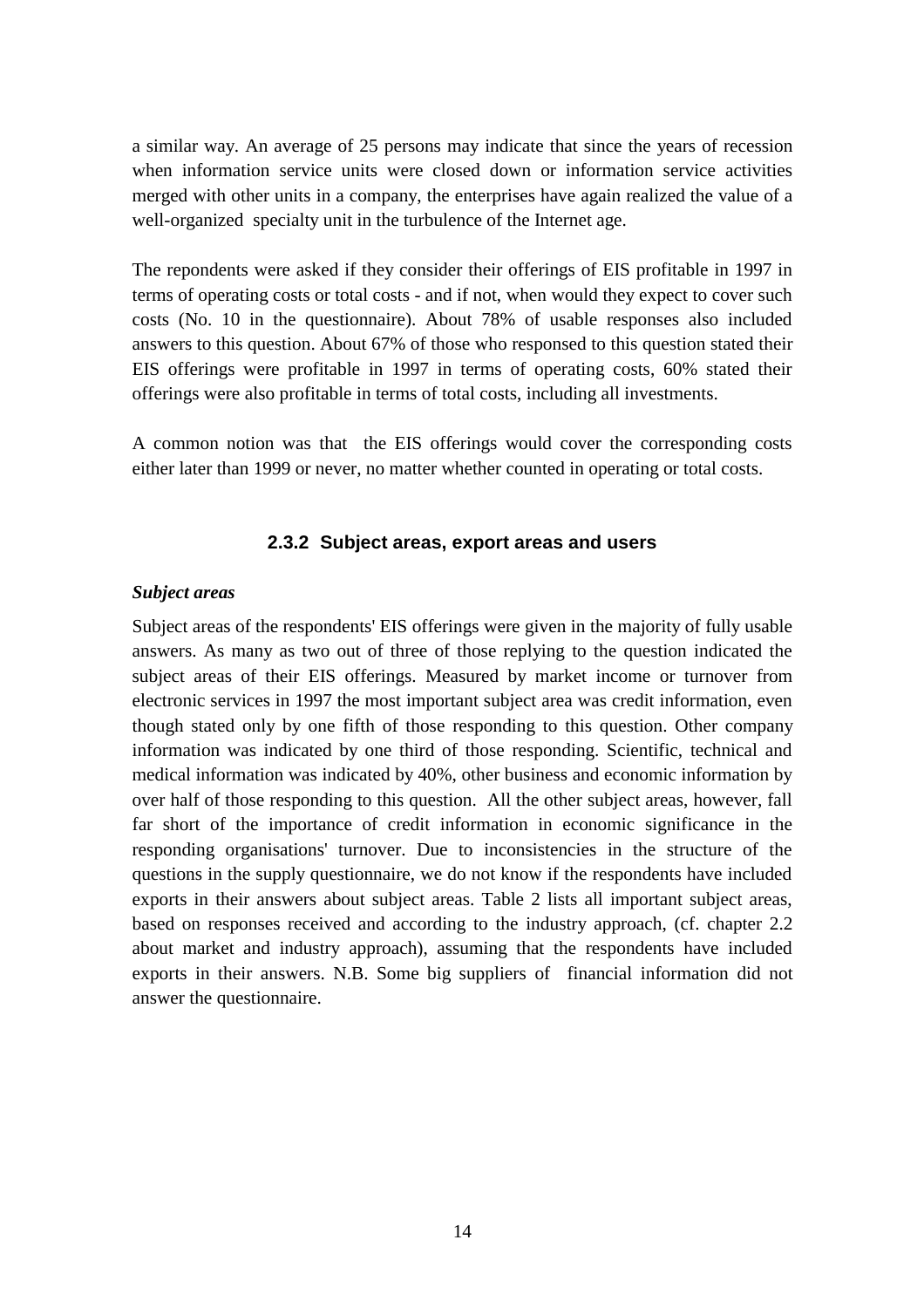a similar way. An average of 25 persons may indicate that since the years of recession when information service units were closed down or information service activities merged with other units in a company, the enterprises have again realized the value of a well-organized specialty unit in the turbulence of the Internet age.

The repondents were asked if they consider their offerings of EIS profitable in 1997 in terms of operating costs or total costs - and if not, when would they expect to cover such costs (No. 10 in the questionnaire). About 78% of usable responses also included answers to this question. About 67% of those who responsed to this question stated their EIS offerings were profitable in 1997 in terms of operating costs, 60% stated their offerings were also profitable in terms of total costs, including all investments.

A common notion was that the EIS offerings would cover the corresponding costs either later than 1999 or never, no matter whether counted in operating or total costs.

#### **2.3.2 Subject areas, export areas and users**

#### *Subject areas*

Subject areas of the respondents' EIS offerings were given in the majority of fully usable answers. As many as two out of three of those replying to the question indicated the subject areas of their EIS offerings. Measured by market income or turnover from electronic services in 1997 the most important subject area was credit information, even though stated only by one fifth of those responding to this question. Other company information was indicated by one third of those responding. Scientific, technical and medical information was indicated by 40%, other business and economic information by over half of those responding to this question. All the other subject areas, however, fall far short of the importance of credit information in economic significance in the responding organisations' turnover. Due to inconsistencies in the structure of the questions in the supply questionnaire, we do not know if the respondents have included exports in their answers about subject areas. Table 2 lists all important subject areas, based on responses received and according to the industry approach, (cf. chapter 2.2 about market and industry approach), assuming that the respondents have included exports in their answers. N.B. Some big suppliers of financial information did not answer the questionnaire.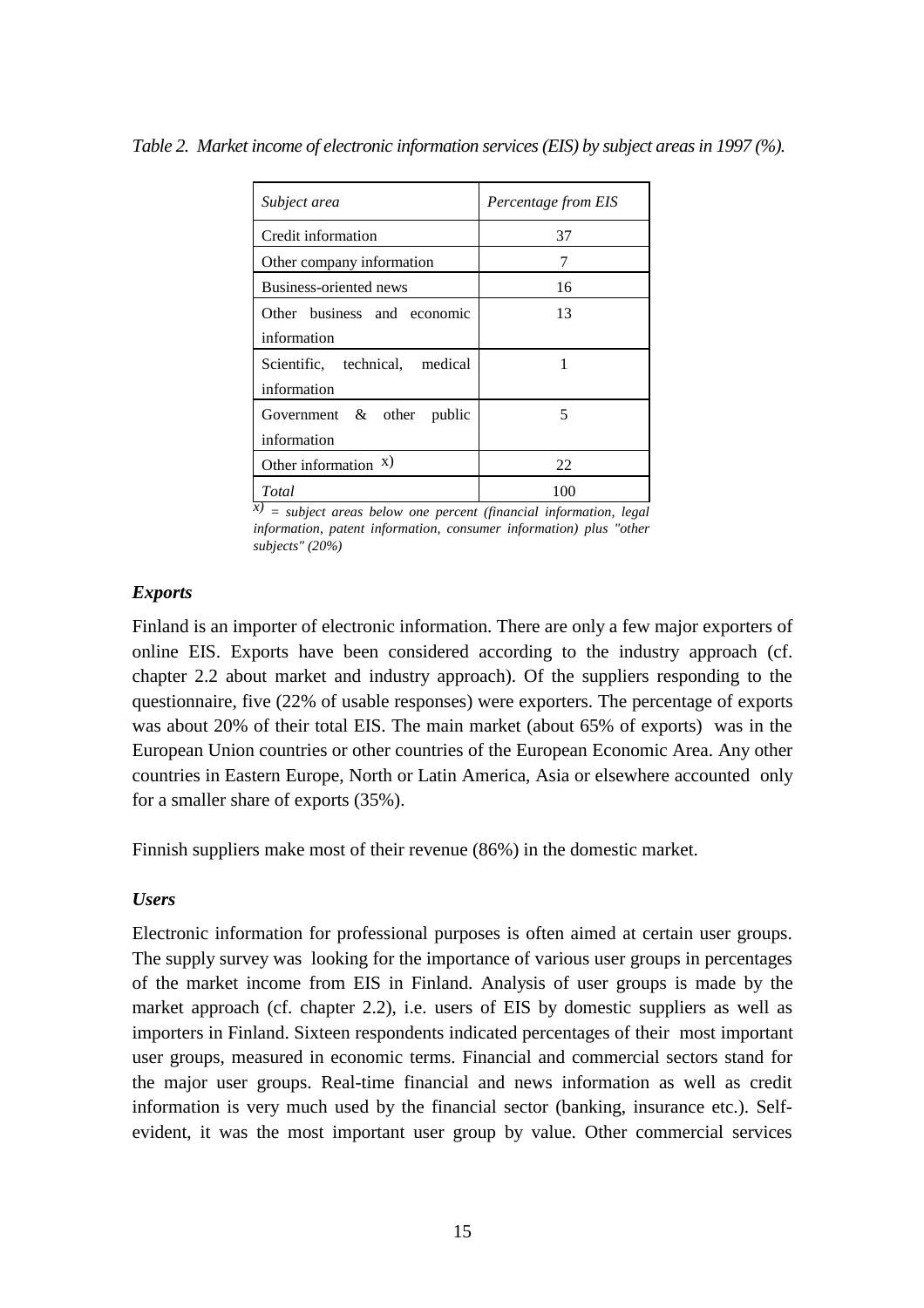| Subject area                   | Percentage from EIS |
|--------------------------------|---------------------|
| Credit information             | 37                  |
| Other company information      | 7                   |
| Business-oriented news         | 16                  |
| Other business and economic    | 13                  |
| information                    |                     |
| Scientific, technical, medical | 1                   |
| information                    |                     |
| Government $\&$ other public   | 5                   |
| information                    |                     |
| Other information $x$ )        | 22                  |
| Total                          | 100                 |

*Table 2. Market income of electronic information services (EIS) by subject areas in 1997 (%).*

*x) = subject areas below one percent (financial information, legal information, patent information, consumer information) plus "other subjects" (20%)*

#### *Exports*

Finland is an importer of electronic information. There are only a few major exporters of online EIS. Exports have been considered according to the industry approach (cf. chapter 2.2 about market and industry approach). Of the suppliers responding to the questionnaire, five (22% of usable responses) were exporters. The percentage of exports was about 20% of their total EIS. The main market (about 65% of exports) was in the European Union countries or other countries of the European Economic Area. Any other countries in Eastern Europe, North or Latin America, Asia or elsewhere accounted only for a smaller share of exports (35%).

Finnish suppliers make most of their revenue (86%) in the domestic market.

#### *Users*

Electronic information for professional purposes is often aimed at certain user groups. The supply survey was looking for the importance of various user groups in percentages of the market income from EIS in Finland. Analysis of user groups is made by the market approach (cf. chapter 2.2), i.e. users of EIS by domestic suppliers as well as importers in Finland. Sixteen respondents indicated percentages of their most important user groups, measured in economic terms. Financial and commercial sectors stand for the major user groups. Real-time financial and news information as well as credit information is very much used by the financial sector (banking, insurance etc.). Selfevident, it was the most important user group by value. Other commercial services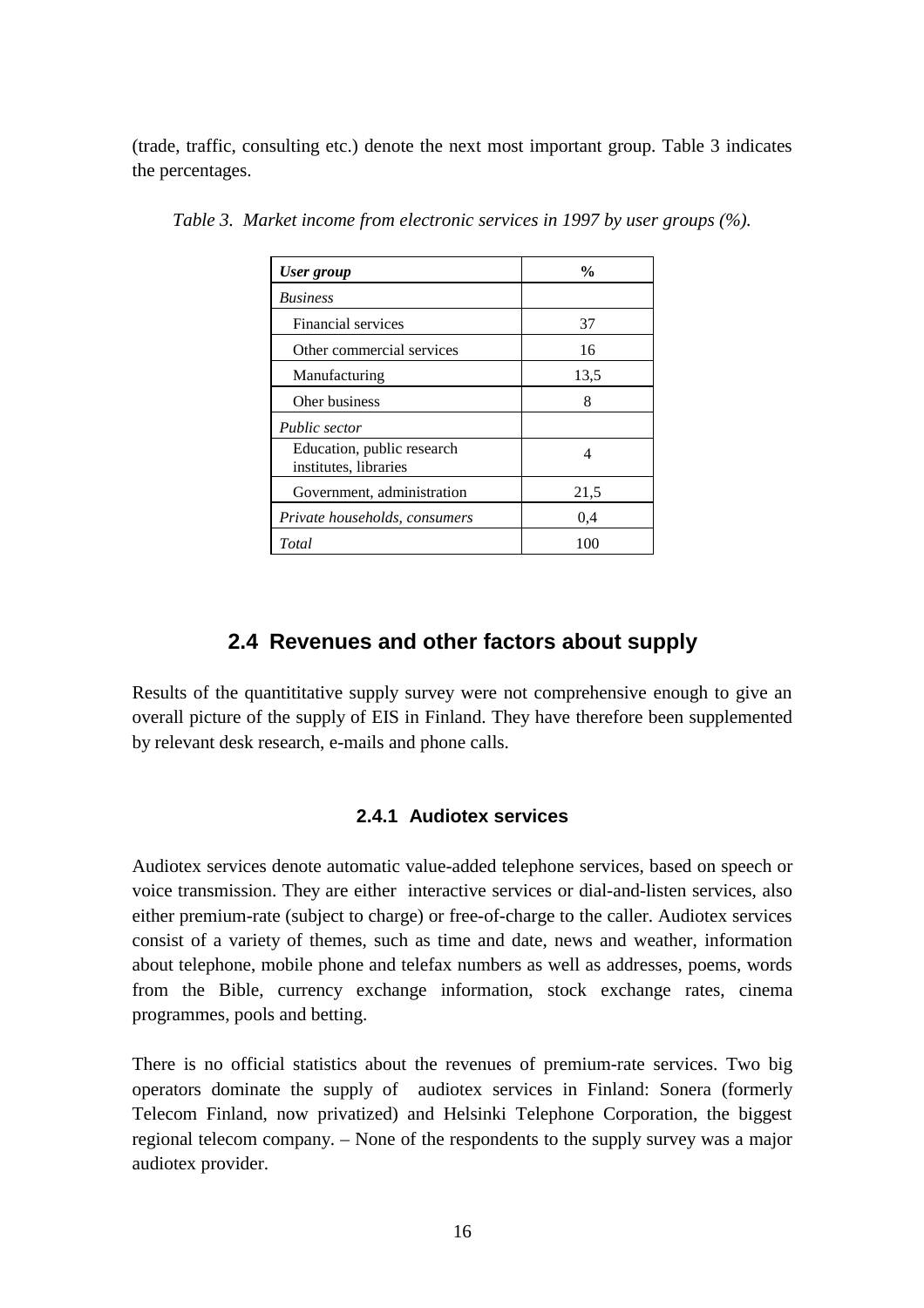(trade, traffic, consulting etc.) denote the next most important group. Table 3 indicates the percentages.

| <b>User</b> group                                   | $\frac{0}{0}$ |
|-----------------------------------------------------|---------------|
| <b>Business</b>                                     |               |
| Financial services                                  | 37            |
| Other commercial services                           | 16            |
| Manufacturing                                       | 13.5          |
| Oher business                                       | 8             |
| <b>Public</b> sector                                |               |
| Education, public research<br>institutes, libraries | 4             |
| Government, administration                          | 21,5          |
| Private households, consumers                       | 0.4           |
| Total                                               | 100           |

*Table 3. Market income from electronic services in 1997 by user groups (%).*

### **2.4 Revenues and other factors about supply**

Results of the quantititative supply survey were not comprehensive enough to give an overall picture of the supply of EIS in Finland. They have therefore been supplemented by relevant desk research, e-mails and phone calls.

#### **2.4.1 Audiotex services**

Audiotex services denote automatic value-added telephone services, based on speech or voice transmission. They are either interactive services or dial-and-listen services, also either premium-rate (subject to charge) or free-of-charge to the caller. Audiotex services consist of a variety of themes, such as time and date, news and weather, information about telephone, mobile phone and telefax numbers as well as addresses, poems, words from the Bible, currency exchange information, stock exchange rates, cinema programmes, pools and betting.

There is no official statistics about the revenues of premium-rate services. Two big operators dominate the supply of audiotex services in Finland: Sonera (formerly Telecom Finland, now privatized) and Helsinki Telephone Corporation, the biggest regional telecom company. – None of the respondents to the supply survey was a major audiotex provider.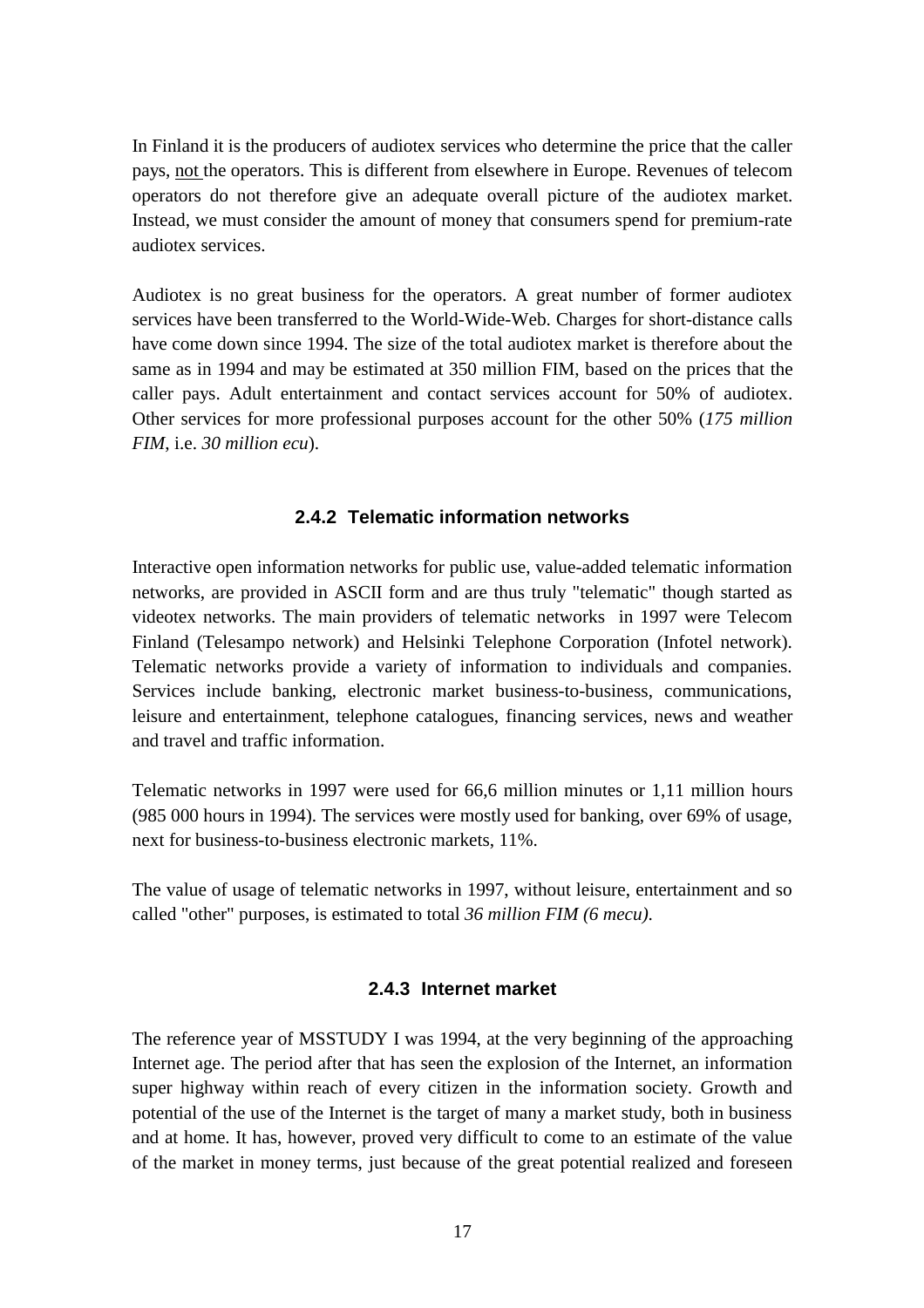In Finland it is the producers of audiotex services who determine the price that the caller pays, not the operators. This is different from elsewhere in Europe. Revenues of telecom operators do not therefore give an adequate overall picture of the audiotex market. Instead, we must consider the amount of money that consumers spend for premium-rate audiotex services.

Audiotex is no great business for the operators. A great number of former audiotex services have been transferred to the World-Wide-Web. Charges for short-distance calls have come down since 1994. The size of the total audiotex market is therefore about the same as in 1994 and may be estimated at 350 million FIM, based on the prices that the caller pays. Adult entertainment and contact services account for 50% of audiotex. Other services for more professional purposes account for the other 50% (*175 million FIM*, i.e. *30 million ecu*).

#### **2.4.2 Telematic information networks**

Interactive open information networks for public use, value-added telematic information networks, are provided in ASCII form and are thus truly "telematic" though started as videotex networks. The main providers of telematic networks in 1997 were Telecom Finland (Telesampo network) and Helsinki Telephone Corporation (Infotel network). Telematic networks provide a variety of information to individuals and companies. Services include banking, electronic market business-to-business, communications, leisure and entertainment, telephone catalogues, financing services, news and weather and travel and traffic information.

Telematic networks in 1997 were used for 66,6 million minutes or 1,11 million hours (985 000 hours in 1994). The services were mostly used for banking, over 69% of usage, next for business-to-business electronic markets, 11%.

The value of usage of telematic networks in 1997, without leisure, entertainment and so called "other" purposes, is estimated to total *36 million FIM (6 mecu)*.

#### **2.4.3 Internet market**

The reference year of MSSTUDY I was 1994, at the very beginning of the approaching Internet age. The period after that has seen the explosion of the Internet, an information super highway within reach of every citizen in the information society. Growth and potential of the use of the Internet is the target of many a market study, both in business and at home. It has, however, proved very difficult to come to an estimate of the value of the market in money terms, just because of the great potential realized and foreseen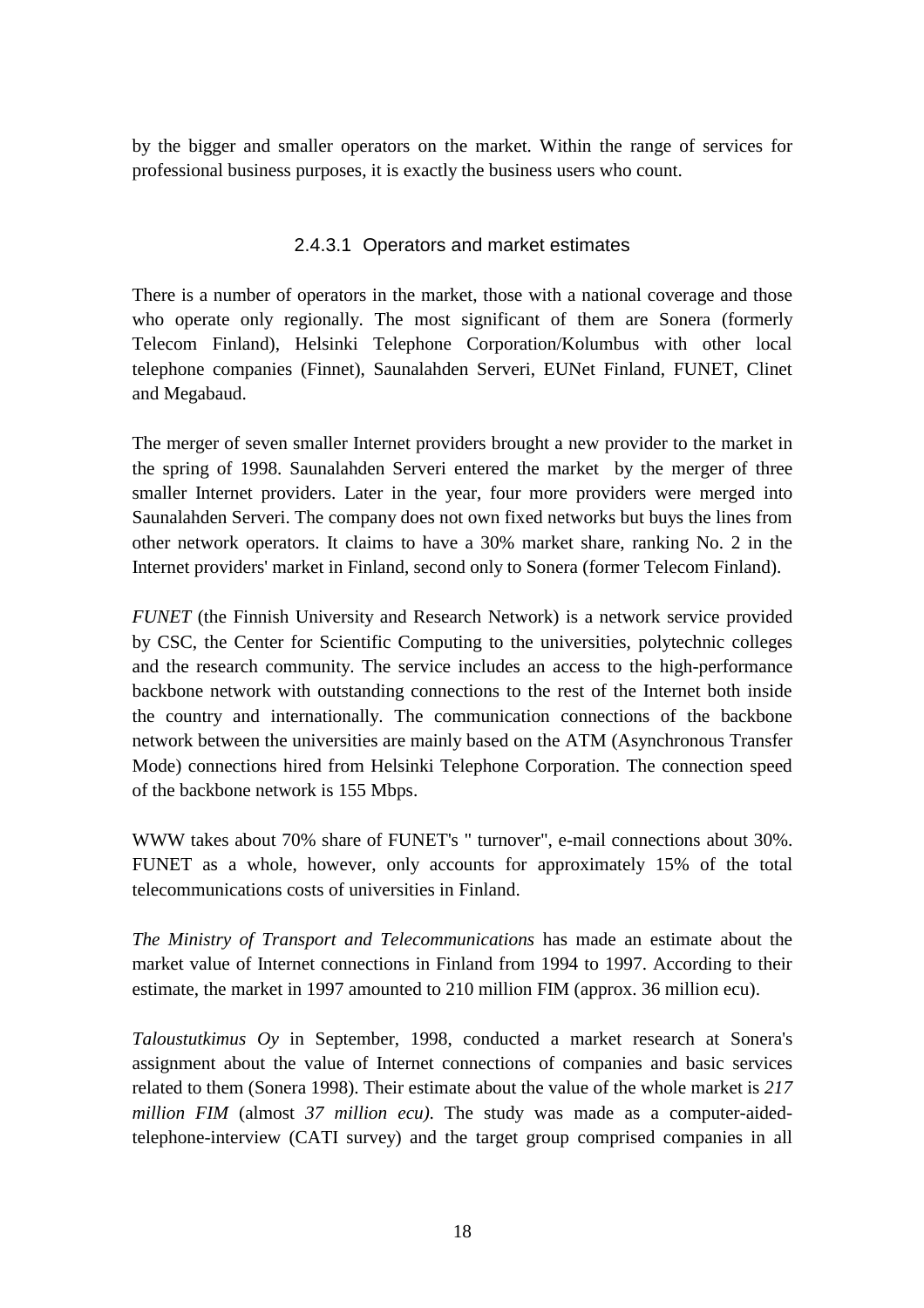by the bigger and smaller operators on the market. Within the range of services for professional business purposes, it is exactly the business users who count.

#### 2.4.3.1 Operators and market estimates

There is a number of operators in the market, those with a national coverage and those who operate only regionally. The most significant of them are Sonera (formerly Telecom Finland), Helsinki Telephone Corporation/Kolumbus with other local telephone companies (Finnet), Saunalahden Serveri, EUNet Finland, FUNET, Clinet and Megabaud.

The merger of seven smaller Internet providers brought a new provider to the market in the spring of 1998. Saunalahden Serveri entered the market by the merger of three smaller Internet providers. Later in the year, four more providers were merged into Saunalahden Serveri. The company does not own fixed networks but buys the lines from other network operators. It claims to have a 30% market share, ranking No. 2 in the Internet providers' market in Finland, second only to Sonera (former Telecom Finland).

*FUNET* (the Finnish University and Research Network) is a network service provided by CSC, the Center for Scientific Computing to the universities, polytechnic colleges and the research community. The service includes an access to the high-performance backbone network with outstanding connections to the rest of the Internet both inside the country and internationally. The communication connections of the backbone network between the universities are mainly based on the ATM (Asynchronous Transfer Mode) connections hired from Helsinki Telephone Corporation. The connection speed of the backbone network is 155 Mbps.

WWW takes about 70% share of FUNET's " turnover", e-mail connections about 30%. FUNET as a whole, however, only accounts for approximately 15% of the total telecommunications costs of universities in Finland.

*The Ministry of Transport and Telecommunications* has made an estimate about the market value of Internet connections in Finland from 1994 to 1997. According to their estimate, the market in 1997 amounted to 210 million FIM (approx. 36 million ecu).

*Taloustutkimus Oy* in September, 1998, conducted a market research at Sonera's assignment about the value of Internet connections of companies and basic services related to them (Sonera 1998). Their estimate about the value of the whole market is *217 million FIM* (almost *37 million ecu)*. The study was made as a computer-aidedtelephone-interview (CATI survey) and the target group comprised companies in all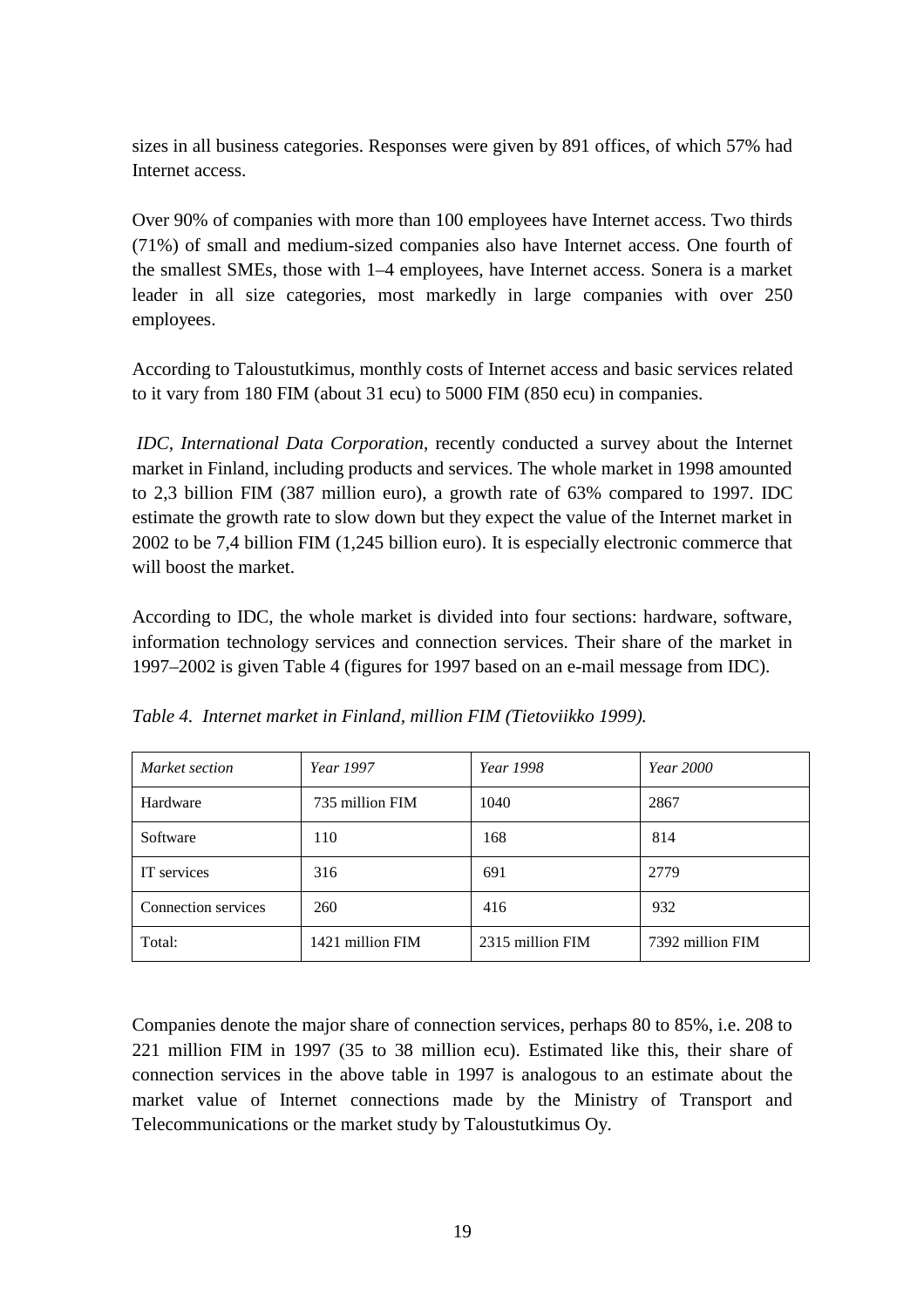sizes in all business categories. Responses were given by 891 offices, of which 57% had Internet access.

Over 90% of companies with more than 100 employees have Internet access. Two thirds (71%) of small and medium-sized companies also have Internet access. One fourth of the smallest SMEs, those with 1–4 employees, have Internet access. Sonera is a market leader in all size categories, most markedly in large companies with over 250 employees.

According to Taloustutkimus, monthly costs of Internet access and basic services related to it vary from 180 FIM (about 31 ecu) to 5000 FIM (850 ecu) in companies.

 *IDC, International Data Corporation*, recently conducted a survey about the Internet market in Finland, including products and services. The whole market in 1998 amounted to 2,3 billion FIM (387 million euro), a growth rate of 63% compared to 1997. IDC estimate the growth rate to slow down but they expect the value of the Internet market in 2002 to be 7,4 billion FIM (1,245 billion euro). It is especially electronic commerce that will boost the market.

According to IDC, the whole market is divided into four sections: hardware, software, information technology services and connection services. Their share of the market in 1997–2002 is given Table 4 (figures for 1997 based on an e-mail message from IDC).

| Market section      | Year 1997        | Year 1998        | <i>Year</i> 2000 |  |  |
|---------------------|------------------|------------------|------------------|--|--|
| Hardware            | 735 million FIM  | 1040             | 2867             |  |  |
| Software            | 110              | 168              | 814              |  |  |
| IT services         | 316              | 691              | 2779             |  |  |
| Connection services | 260              | 416              | 932              |  |  |
| Total:              | 1421 million FIM | 2315 million FIM | 7392 million FIM |  |  |

*Table 4. Internet market in Finland, million FIM (Tietoviikko 1999).*

Companies denote the major share of connection services, perhaps 80 to 85%, i.e. 208 to 221 million FIM in 1997 (35 to 38 million ecu). Estimated like this, their share of connection services in the above table in 1997 is analogous to an estimate about the market value of Internet connections made by the Ministry of Transport and Telecommunications or the market study by Taloustutkimus Oy.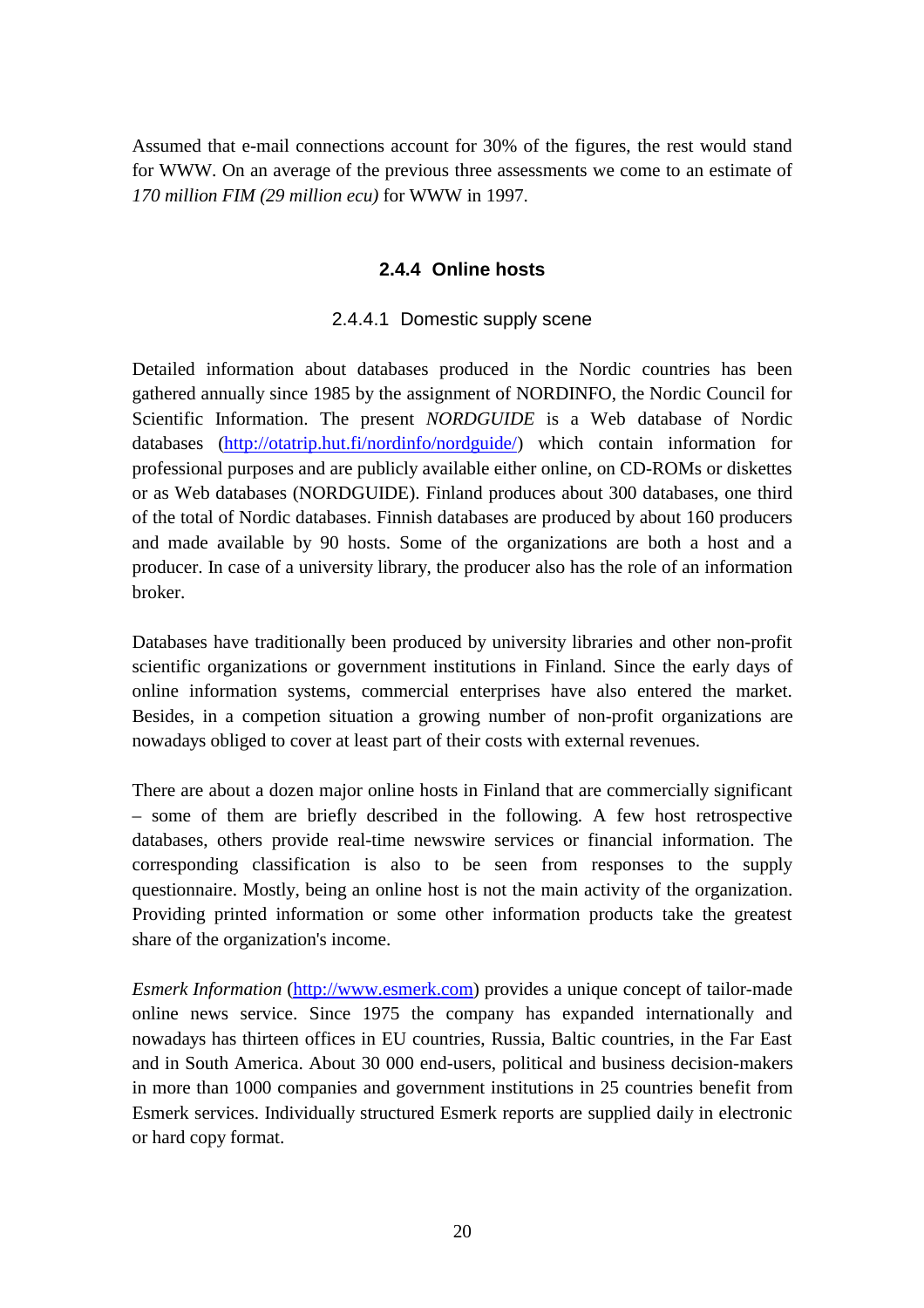Assumed that e-mail connections account for 30% of the figures, the rest would stand for WWW. On an average of the previous three assessments we come to an estimate of *170 million FIM (29 million ecu)* for WWW in 1997.

#### **2.4.4 Online hosts**

#### 2.4.4.1 Domestic supply scene

Detailed information about databases produced in the Nordic countries has been gathered annually since 1985 by the assignment of NORDINFO, the Nordic Council for Scientific Information. The present *NORDGUIDE* is a Web database of Nordic databases (http://otatrip.hut.fi/nordinfo/nordguide/) which contain information for professional purposes and are publicly available either online, on CD-ROMs or diskettes or as Web databases (NORDGUIDE). Finland produces about 300 databases, one third of the total of Nordic databases. Finnish databases are produced by about 160 producers and made available by 90 hosts. Some of the organizations are both a host and a producer. In case of a university library, the producer also has the role of an information broker.

Databases have traditionally been produced by university libraries and other non-profit scientific organizations or government institutions in Finland. Since the early days of online information systems, commercial enterprises have also entered the market. Besides, in a competion situation a growing number of non-profit organizations are nowadays obliged to cover at least part of their costs with external revenues.

There are about a dozen major online hosts in Finland that are commercially significant – some of them are briefly described in the following. A few host retrospective databases, others provide real-time newswire services or financial information. The corresponding classification is also to be seen from responses to the supply questionnaire. Mostly, being an online host is not the main activity of the organization. Providing printed information or some other information products take the greatest share of the organization's income.

*Esmerk Information* (http://www.esmerk.com) provides a unique concept of tailor-made online news service. Since 1975 the company has expanded internationally and nowadays has thirteen offices in EU countries, Russia, Baltic countries, in the Far East and in South America. About 30 000 end-users, political and business decision-makers in more than 1000 companies and government institutions in 25 countries benefit from Esmerk services. Individually structured Esmerk reports are supplied daily in electronic or hard copy format.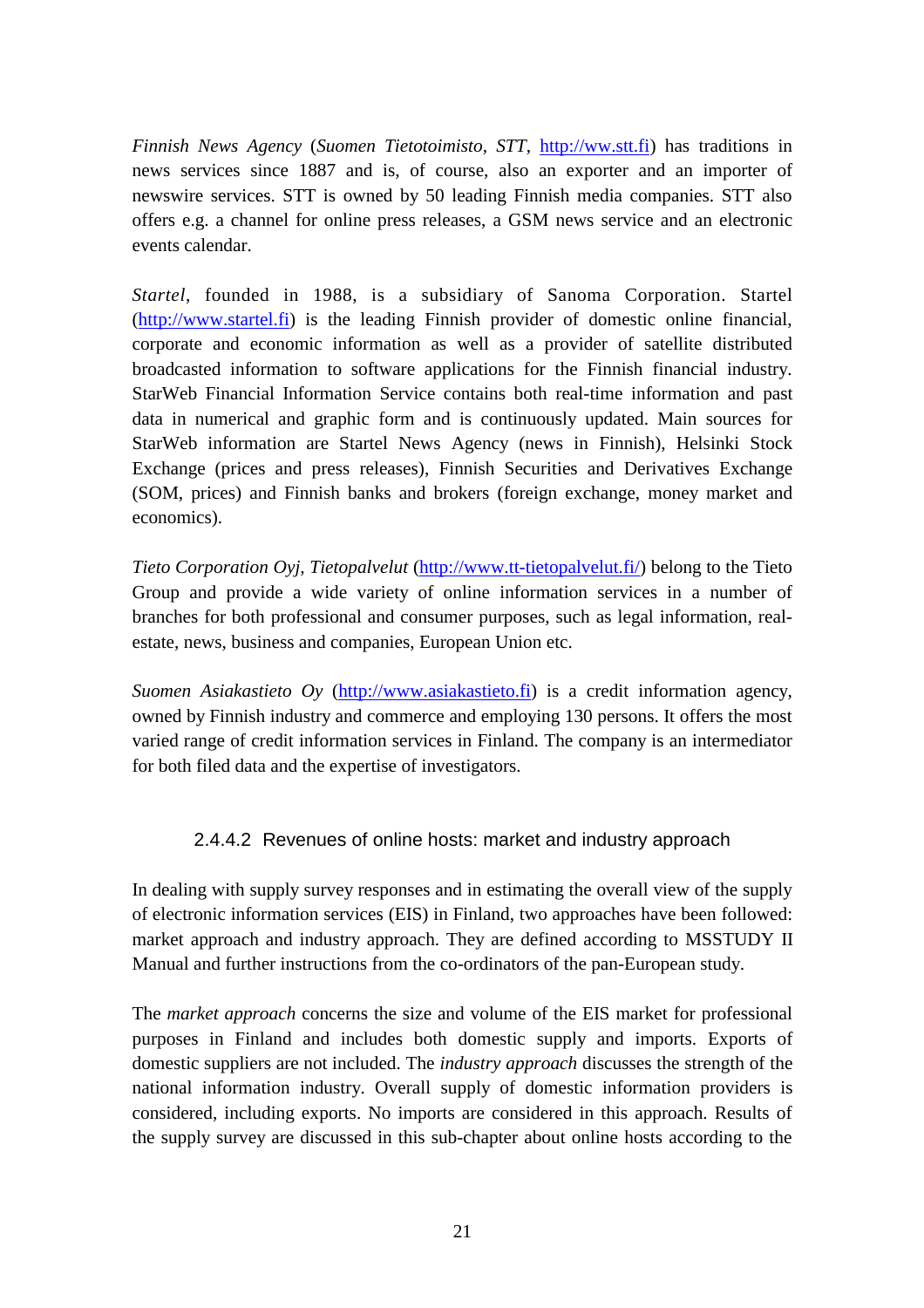*Finnish News Agency* (*Suomen Tietotoimisto, STT*, http://ww.stt.fi) has traditions in news services since 1887 and is, of course, also an exporter and an importer of newswire services. STT is owned by 50 leading Finnish media companies. STT also offers e.g. a channel for online press releases, a GSM news service and an electronic events calendar.

*Startel*, founded in 1988, is a subsidiary of Sanoma Corporation. Startel (http://www.startel.fi) is the leading Finnish provider of domestic online financial, corporate and economic information as well as a provider of satellite distributed broadcasted information to software applications for the Finnish financial industry. StarWeb Financial Information Service contains both real-time information and past data in numerical and graphic form and is continuously updated. Main sources for StarWeb information are Startel News Agency (news in Finnish), Helsinki Stock Exchange (prices and press releases), Finnish Securities and Derivatives Exchange (SOM, prices) and Finnish banks and brokers (foreign exchange, money market and economics).

*Tieto Corporation Oyj, Tietopalvelut* (http://www.tt-tietopalvelut.fi/) belong to the Tieto Group and provide a wide variety of online information services in a number of branches for both professional and consumer purposes, such as legal information, realestate, news, business and companies, European Union etc.

*Suomen Asiakastieto Oy* (http://www.asiakastieto.fi) is a credit information agency, owned by Finnish industry and commerce and employing 130 persons. It offers the most varied range of credit information services in Finland. The company is an intermediator for both filed data and the expertise of investigators.

#### 2.4.4.2 Revenues of online hosts: market and industry approach

In dealing with supply survey responses and in estimating the overall view of the supply of electronic information services (EIS) in Finland, two approaches have been followed: market approach and industry approach. They are defined according to MSSTUDY II Manual and further instructions from the co-ordinators of the pan-European study.

The *market approach* concerns the size and volume of the EIS market for professional purposes in Finland and includes both domestic supply and imports. Exports of domestic suppliers are not included. The *industry approach* discusses the strength of the national information industry. Overall supply of domestic information providers is considered, including exports. No imports are considered in this approach. Results of the supply survey are discussed in this sub-chapter about online hosts according to the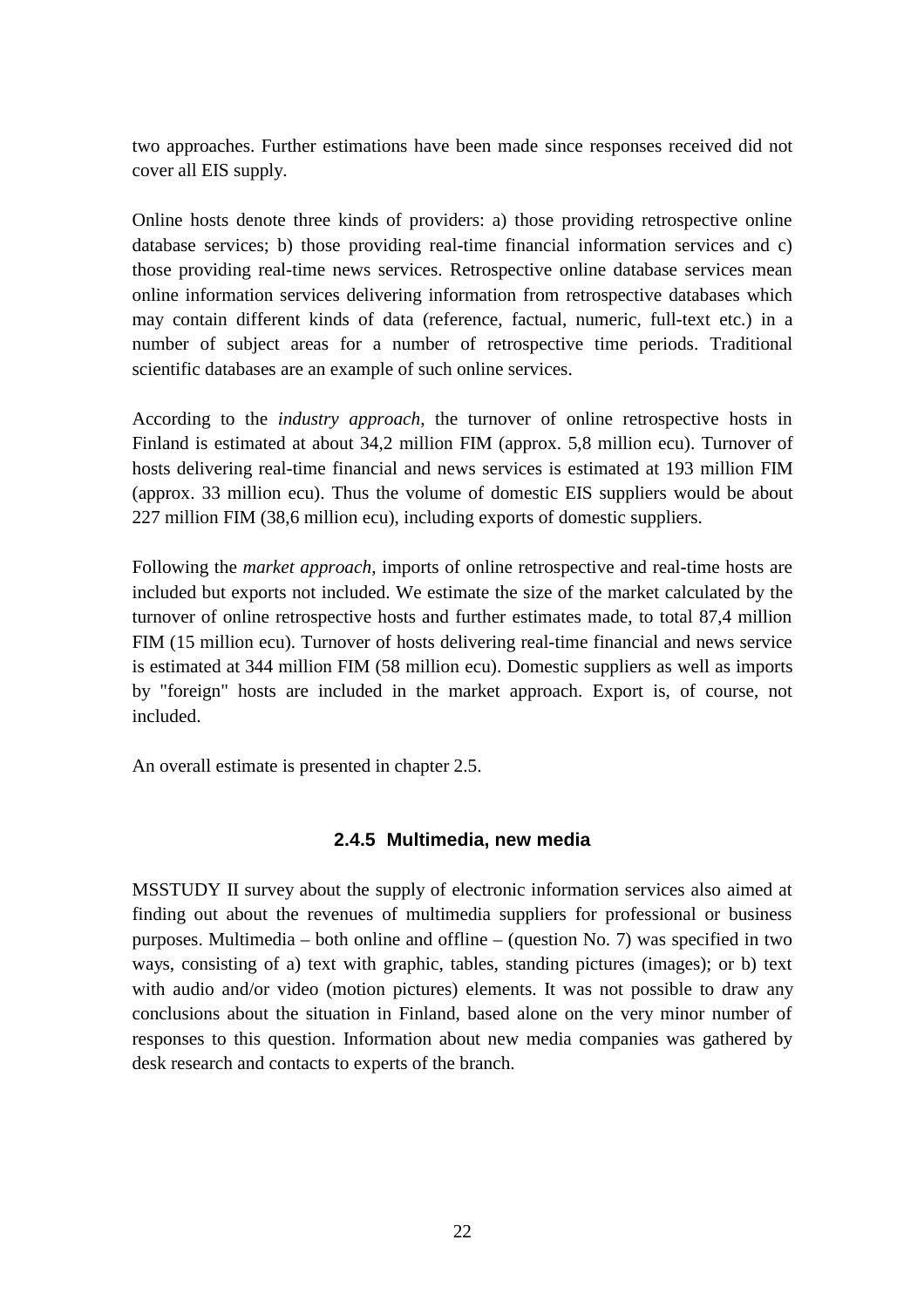two approaches. Further estimations have been made since responses received did not cover all EIS supply.

Online hosts denote three kinds of providers: a) those providing retrospective online database services; b) those providing real-time financial information services and c) those providing real-time news services. Retrospective online database services mean online information services delivering information from retrospective databases which may contain different kinds of data (reference, factual, numeric, full-text etc.) in a number of subject areas for a number of retrospective time periods. Traditional scientific databases are an example of such online services.

According to the *industry approach*, the turnover of online retrospective hosts in Finland is estimated at about 34,2 million FIM (approx. 5,8 million ecu). Turnover of hosts delivering real-time financial and news services is estimated at 193 million FIM (approx. 33 million ecu). Thus the volume of domestic EIS suppliers would be about 227 million FIM (38,6 million ecu), including exports of domestic suppliers.

Following the *market approach*, imports of online retrospective and real-time hosts are included but exports not included. We estimate the size of the market calculated by the turnover of online retrospective hosts and further estimates made, to total 87,4 million FIM (15 million ecu). Turnover of hosts delivering real-time financial and news service is estimated at 344 million FIM (58 million ecu). Domestic suppliers as well as imports by "foreign" hosts are included in the market approach. Export is, of course, not included.

An overall estimate is presented in chapter 2.5.

#### **2.4.5 Multimedia, new media**

MSSTUDY II survey about the supply of electronic information services also aimed at finding out about the revenues of multimedia suppliers for professional or business purposes. Multimedia – both online and offline – (question No. 7) was specified in two ways, consisting of a) text with graphic, tables, standing pictures (images); or b) text with audio and/or video (motion pictures) elements. It was not possible to draw any conclusions about the situation in Finland, based alone on the very minor number of responses to this question. Information about new media companies was gathered by desk research and contacts to experts of the branch.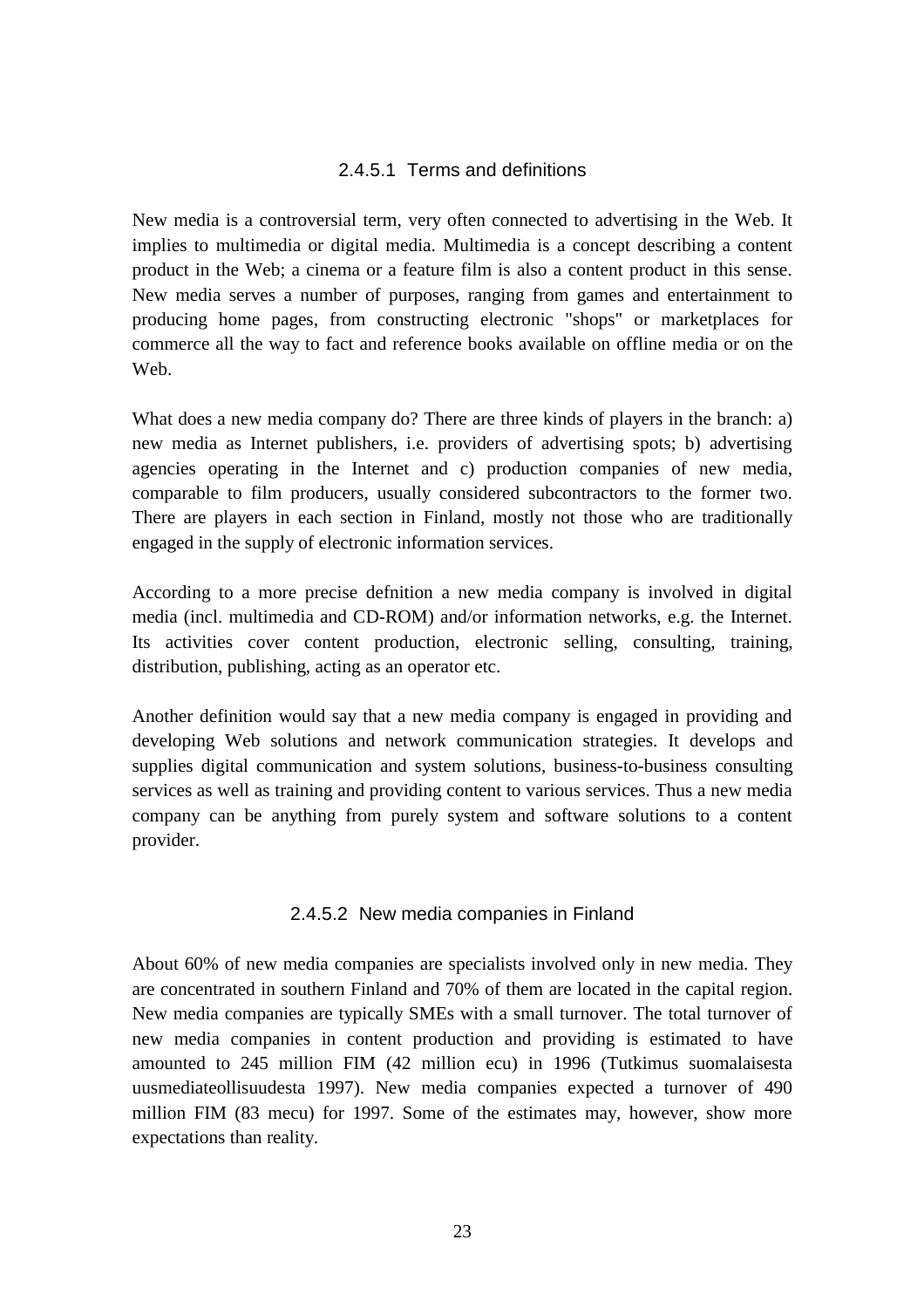#### 2.4.5.1 Terms and definitions

New media is a controversial term, very often connected to advertising in the Web. It implies to multimedia or digital media. Multimedia is a concept describing a content product in the Web; a cinema or a feature film is also a content product in this sense. New media serves a number of purposes, ranging from games and entertainment to producing home pages, from constructing electronic "shops" or marketplaces for commerce all the way to fact and reference books available on offline media or on the Web.

What does a new media company do? There are three kinds of players in the branch: a) new media as Internet publishers, i.e. providers of advertising spots; b) advertising agencies operating in the Internet and c) production companies of new media, comparable to film producers, usually considered subcontractors to the former two. There are players in each section in Finland, mostly not those who are traditionally engaged in the supply of electronic information services.

According to a more precise defnition a new media company is involved in digital media (incl. multimedia and CD-ROM) and/or information networks, e.g. the Internet. Its activities cover content production, electronic selling, consulting, training, distribution, publishing, acting as an operator etc.

Another definition would say that a new media company is engaged in providing and developing Web solutions and network communication strategies. It develops and supplies digital communication and system solutions, business-to-business consulting services as well as training and providing content to various services. Thus a new media company can be anything from purely system and software solutions to a content provider.

#### 2.4.5.2 New media companies in Finland

About 60% of new media companies are specialists involved only in new media. They are concentrated in southern Finland and 70% of them are located in the capital region. New media companies are typically SMEs with a small turnover. The total turnover of new media companies in content production and providing is estimated to have amounted to 245 million FIM (42 million ecu) in 1996 (Tutkimus suomalaisesta uusmediateollisuudesta 1997). New media companies expected a turnover of 490 million FIM (83 mecu) for 1997. Some of the estimates may, however, show more expectations than reality.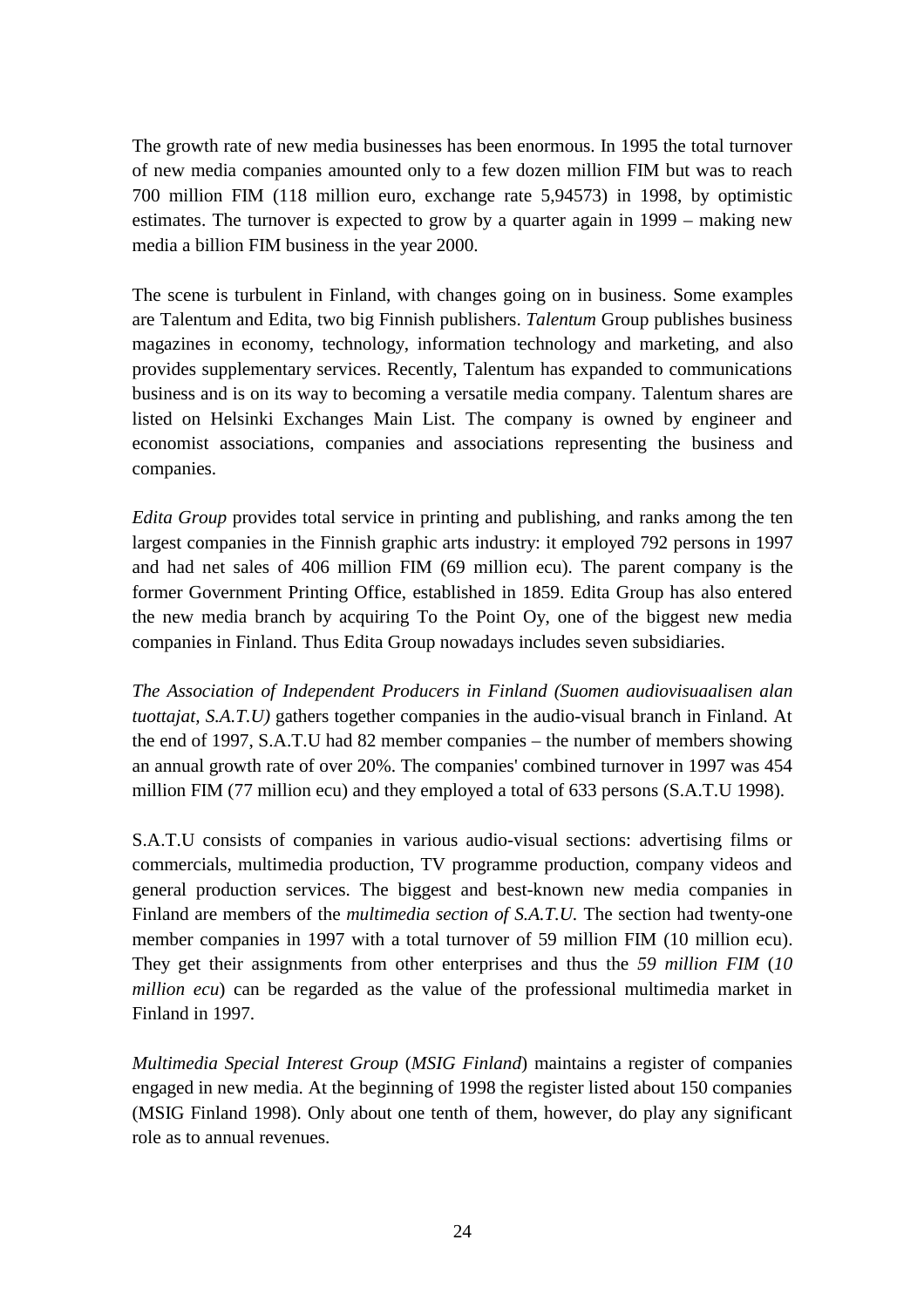The growth rate of new media businesses has been enormous. In 1995 the total turnover of new media companies amounted only to a few dozen million FIM but was to reach 700 million FIM (118 million euro, exchange rate 5,94573) in 1998, by optimistic estimates. The turnover is expected to grow by a quarter again in 1999 – making new media a billion FIM business in the year 2000.

The scene is turbulent in Finland, with changes going on in business. Some examples are Talentum and Edita, two big Finnish publishers. *Talentum* Group publishes business magazines in economy, technology, information technology and marketing, and also provides supplementary services. Recently, Talentum has expanded to communications business and is on its way to becoming a versatile media company. Talentum shares are listed on Helsinki Exchanges Main List. The company is owned by engineer and economist associations, companies and associations representing the business and companies.

*Edita Group* provides total service in printing and publishing, and ranks among the ten largest companies in the Finnish graphic arts industry: it employed 792 persons in 1997 and had net sales of 406 million FIM (69 million ecu). The parent company is the former Government Printing Office, established in 1859. Edita Group has also entered the new media branch by acquiring To the Point Oy, one of the biggest new media companies in Finland. Thus Edita Group nowadays includes seven subsidiaries.

*The Association of Independent Producers in Finland (Suomen audiovisuaalisen alan tuottajat, S.A.T.U)* gathers together companies in the audio-visual branch in Finland. At the end of 1997, S.A.T.U had 82 member companies – the number of members showing an annual growth rate of over 20%. The companies' combined turnover in 1997 was 454 million FIM (77 million ecu) and they employed a total of 633 persons (S.A.T.U 1998).

S.A.T.U consists of companies in various audio-visual sections: advertising films or commercials, multimedia production, TV programme production, company videos and general production services. The biggest and best-known new media companies in Finland are members of the *multimedia section of S.A.T.U.* The section had twenty-one member companies in 1997 with a total turnover of 59 million FIM (10 million ecu). They get their assignments from other enterprises and thus the *59 million FIM* (*10 million ecu*) can be regarded as the value of the professional multimedia market in Finland in 1997.

*Multimedia Special Interest Group* (*MSIG Finland*) maintains a register of companies engaged in new media. At the beginning of 1998 the register listed about 150 companies (MSIG Finland 1998). Only about one tenth of them, however, do play any significant role as to annual revenues.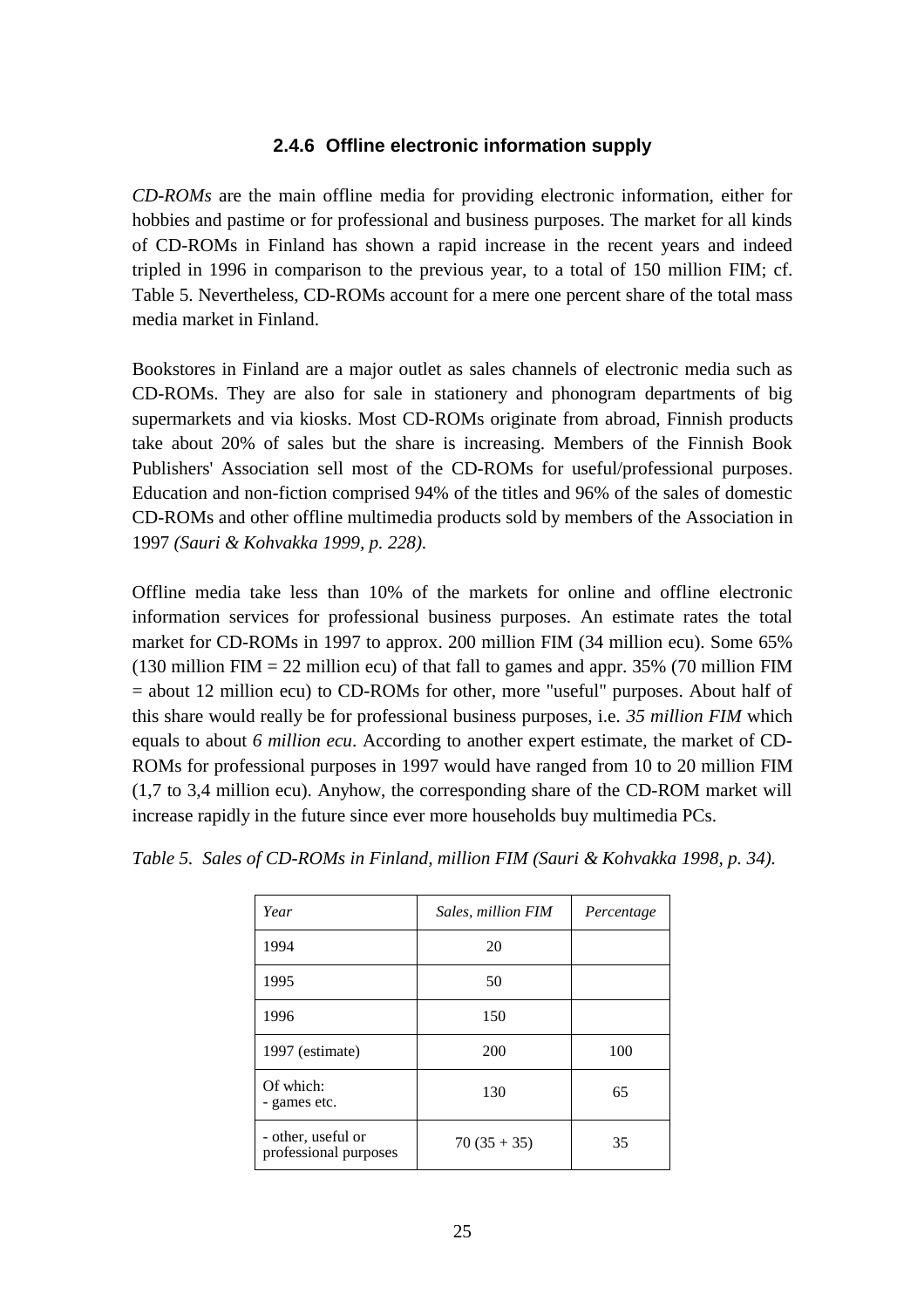#### **2.4.6 Offline electronic information supply**

*CD-ROMs* are the main offline media for providing electronic information, either for hobbies and pastime or for professional and business purposes. The market for all kinds of CD-ROMs in Finland has shown a rapid increase in the recent years and indeed tripled in 1996 in comparison to the previous year, to a total of 150 million FIM; cf. Table 5. Nevertheless, CD-ROMs account for a mere one percent share of the total mass media market in Finland.

Bookstores in Finland are a major outlet as sales channels of electronic media such as CD-ROMs. They are also for sale in stationery and phonogram departments of big supermarkets and via kiosks. Most CD-ROMs originate from abroad, Finnish products take about 20% of sales but the share is increasing. Members of the Finnish Book Publishers' Association sell most of the CD-ROMs for useful/professional purposes. Education and non-fiction comprised 94% of the titles and 96% of the sales of domestic CD-ROMs and other offline multimedia products sold by members of the Association in 1997 *(Sauri & Kohvakka 1999, p. 228)*.

Offline media take less than 10% of the markets for online and offline electronic information services for professional business purposes. An estimate rates the total market for CD-ROMs in 1997 to approx. 200 million FIM (34 million ecu). Some 65% (130 million FIM  $= 22$  million ecu) of that fall to games and appr. 35% (70 million FIM = about 12 million ecu) to CD-ROMs for other, more "useful" purposes. About half of this share would really be for professional business purposes, i.e. *35 million FIM* which equals to about *6 million ecu*. According to another expert estimate, the market of CD-ROMs for professional purposes in 1997 would have ranged from 10 to 20 million FIM (1,7 to 3,4 million ecu). Anyhow, the corresponding share of the CD-ROM market will increase rapidly in the future since ever more households buy multimedia PCs.

| Year                                        | Sales, million FIM | Percentage |
|---------------------------------------------|--------------------|------------|
| 1994                                        | 20                 |            |
| 1995                                        | 50                 |            |
| 1996                                        | 150                |            |
| 1997 (estimate)                             | 200                | 100        |
| Of which:<br>- games etc.                   | 130                | 65         |
| - other, useful or<br>professional purposes | $70(35+35)$        | 35         |

*Table 5. Sales of CD-ROMs in Finland, million FIM (Sauri & Kohvakka 1998, p. 34).*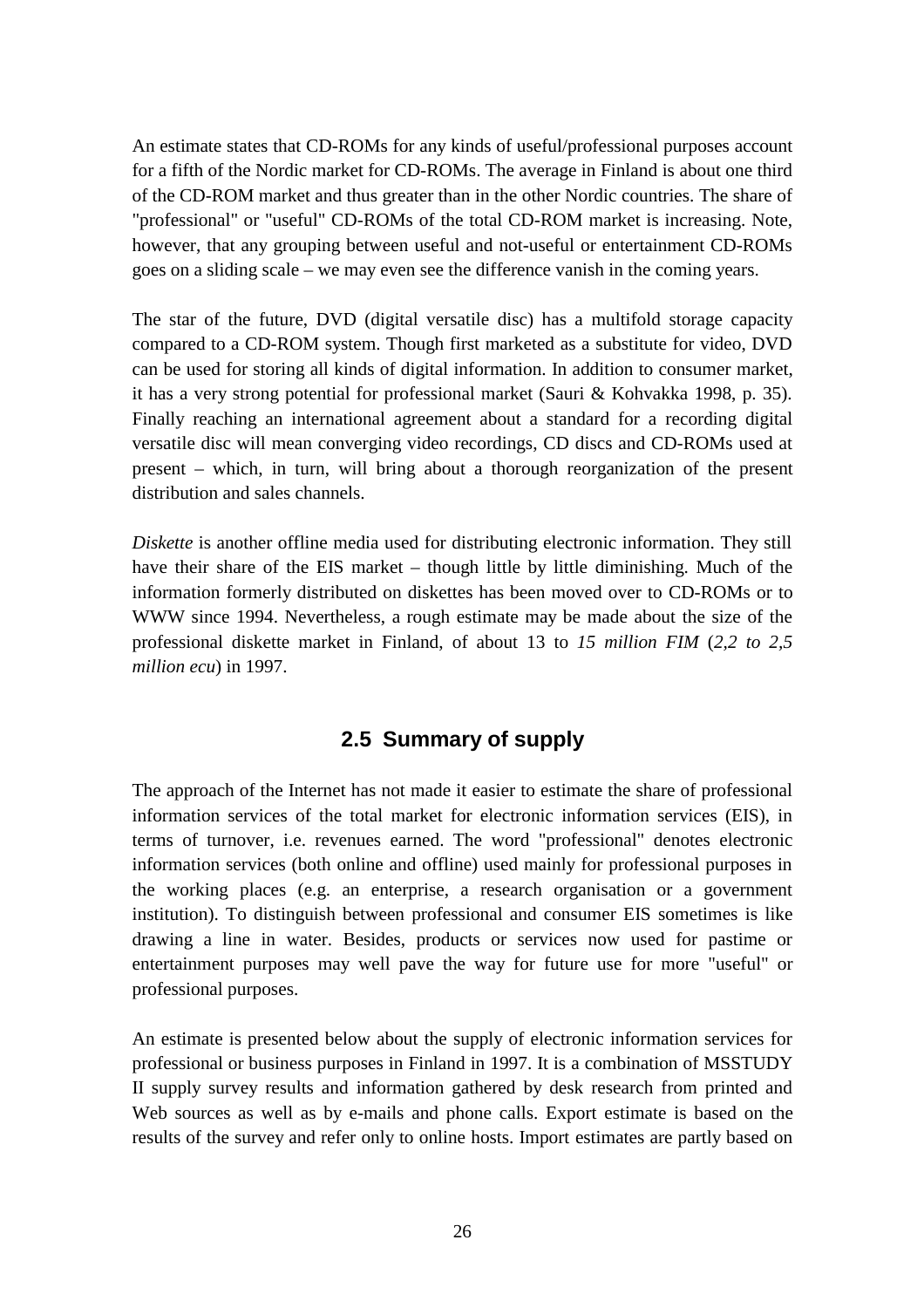An estimate states that CD-ROMs for any kinds of useful/professional purposes account for a fifth of the Nordic market for CD-ROMs. The average in Finland is about one third of the CD-ROM market and thus greater than in the other Nordic countries. The share of "professional" or "useful" CD-ROMs of the total CD-ROM market is increasing. Note, however, that any grouping between useful and not-useful or entertainment CD-ROMs goes on a sliding scale – we may even see the difference vanish in the coming years.

The star of the future, DVD (digital versatile disc) has a multifold storage capacity compared to a CD-ROM system. Though first marketed as a substitute for video, DVD can be used for storing all kinds of digital information. In addition to consumer market, it has a very strong potential for professional market (Sauri & Kohvakka 1998, p. 35). Finally reaching an international agreement about a standard for a recording digital versatile disc will mean converging video recordings, CD discs and CD-ROMs used at present – which, in turn, will bring about a thorough reorganization of the present distribution and sales channels.

*Diskette* is another offline media used for distributing electronic information. They still have their share of the EIS market – though little by little diminishing. Much of the information formerly distributed on diskettes has been moved over to CD-ROMs or to WWW since 1994. Nevertheless, a rough estimate may be made about the size of the professional diskette market in Finland, of about 13 to *15 million FIM* (*2,2 to 2,5 million ecu*) in 1997.

## **2.5 Summary of supply**

The approach of the Internet has not made it easier to estimate the share of professional information services of the total market for electronic information services (EIS), in terms of turnover, i.e. revenues earned. The word "professional" denotes electronic information services (both online and offline) used mainly for professional purposes in the working places (e.g. an enterprise, a research organisation or a government institution). To distinguish between professional and consumer EIS sometimes is like drawing a line in water. Besides, products or services now used for pastime or entertainment purposes may well pave the way for future use for more "useful" or professional purposes.

An estimate is presented below about the supply of electronic information services for professional or business purposes in Finland in 1997. It is a combination of MSSTUDY II supply survey results and information gathered by desk research from printed and Web sources as well as by e-mails and phone calls. Export estimate is based on the results of the survey and refer only to online hosts. Import estimates are partly based on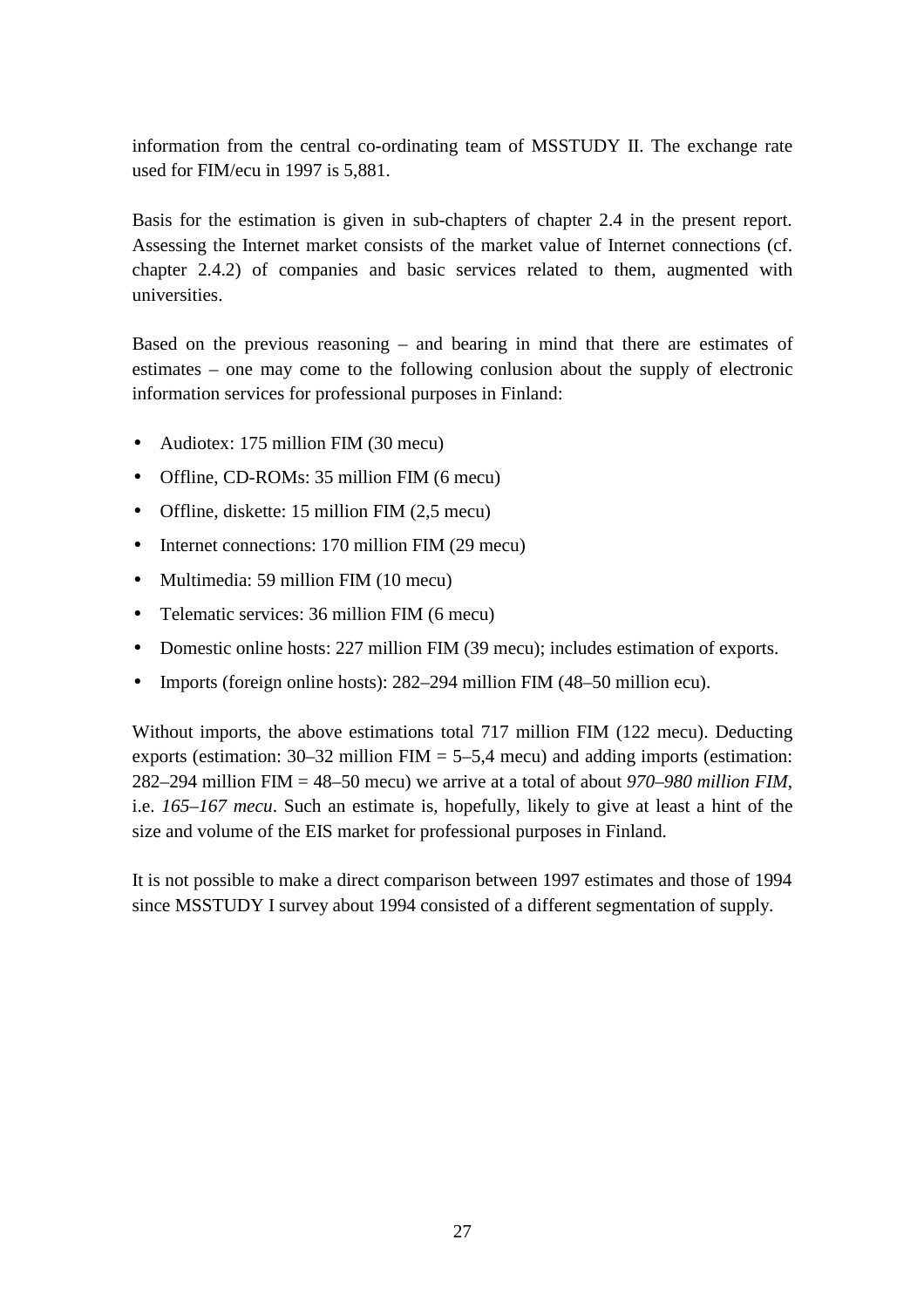information from the central co-ordinating team of MSSTUDY II. The exchange rate used for FIM/ecu in 1997 is 5,881.

Basis for the estimation is given in sub-chapters of chapter 2.4 in the present report. Assessing the Internet market consists of the market value of Internet connections (cf. chapter 2.4.2) of companies and basic services related to them, augmented with universities.

Based on the previous reasoning – and bearing in mind that there are estimates of estimates – one may come to the following conlusion about the supply of electronic information services for professional purposes in Finland:

- Audiotex: 175 million FIM (30 mecu)
- Offline, CD-ROMs: 35 million FIM (6 mecu)
- Offline, diskette: 15 million FIM (2,5 mecu)
- Internet connections: 170 million FIM (29 mecu)
- Multimedia: 59 million FIM (10 mecu)
- Telematic services: 36 million FIM (6 mecu)
- Domestic online hosts: 227 million FIM (39 mecu); includes estimation of exports.
- Imports (foreign online hosts): 282–294 million FIM (48–50 million ecu).

Without imports, the above estimations total 717 million FIM (122 mecu). Deducting exports (estimation:  $30-32$  million FIM =  $5-5.4$  mecu) and adding imports (estimation: 282–294 million FIM = 48–50 mecu) we arrive at a total of about *970–980 million FIM*, i.e. *165–167 mecu*. Such an estimate is, hopefully, likely to give at least a hint of the size and volume of the EIS market for professional purposes in Finland.

It is not possible to make a direct comparison between 1997 estimates and those of 1994 since MSSTUDY I survey about 1994 consisted of a different segmentation of supply.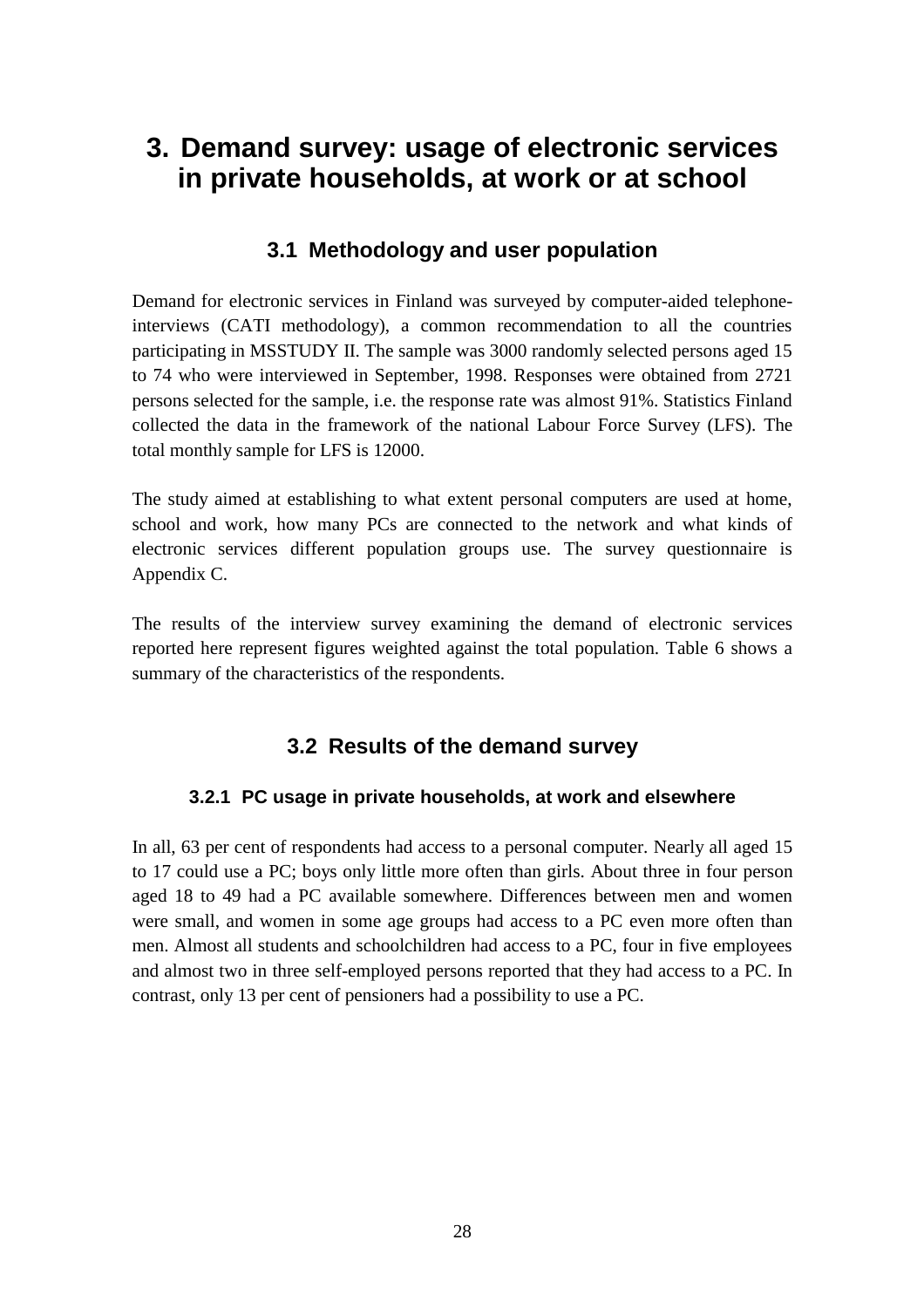## **3. Demand survey: usage of electronic services in private households, at work or at school**

## **3.1 Methodology and user population**

Demand for electronic services in Finland was surveyed by computer-aided telephoneinterviews (CATI methodology), a common recommendation to all the countries participating in MSSTUDY II. The sample was 3000 randomly selected persons aged 15 to 74 who were interviewed in September, 1998. Responses were obtained from 2721 persons selected for the sample, i.e. the response rate was almost 91%. Statistics Finland collected the data in the framework of the national Labour Force Survey (LFS). The total monthly sample for LFS is 12000.

The study aimed at establishing to what extent personal computers are used at home, school and work, how many PCs are connected to the network and what kinds of electronic services different population groups use. The survey questionnaire is Appendix C.

The results of the interview survey examining the demand of electronic services reported here represent figures weighted against the total population. Table 6 shows a summary of the characteristics of the respondents.

## **3.2 Results of the demand survey**

#### **3.2.1 PC usage in private households, at work and elsewhere**

In all, 63 per cent of respondents had access to a personal computer. Nearly all aged 15 to 17 could use a PC; boys only little more often than girls. About three in four person aged 18 to 49 had a PC available somewhere. Differences between men and women were small, and women in some age groups had access to a PC even more often than men. Almost all students and schoolchildren had access to a PC, four in five employees and almost two in three self-employed persons reported that they had access to a PC. In contrast, only 13 per cent of pensioners had a possibility to use a PC.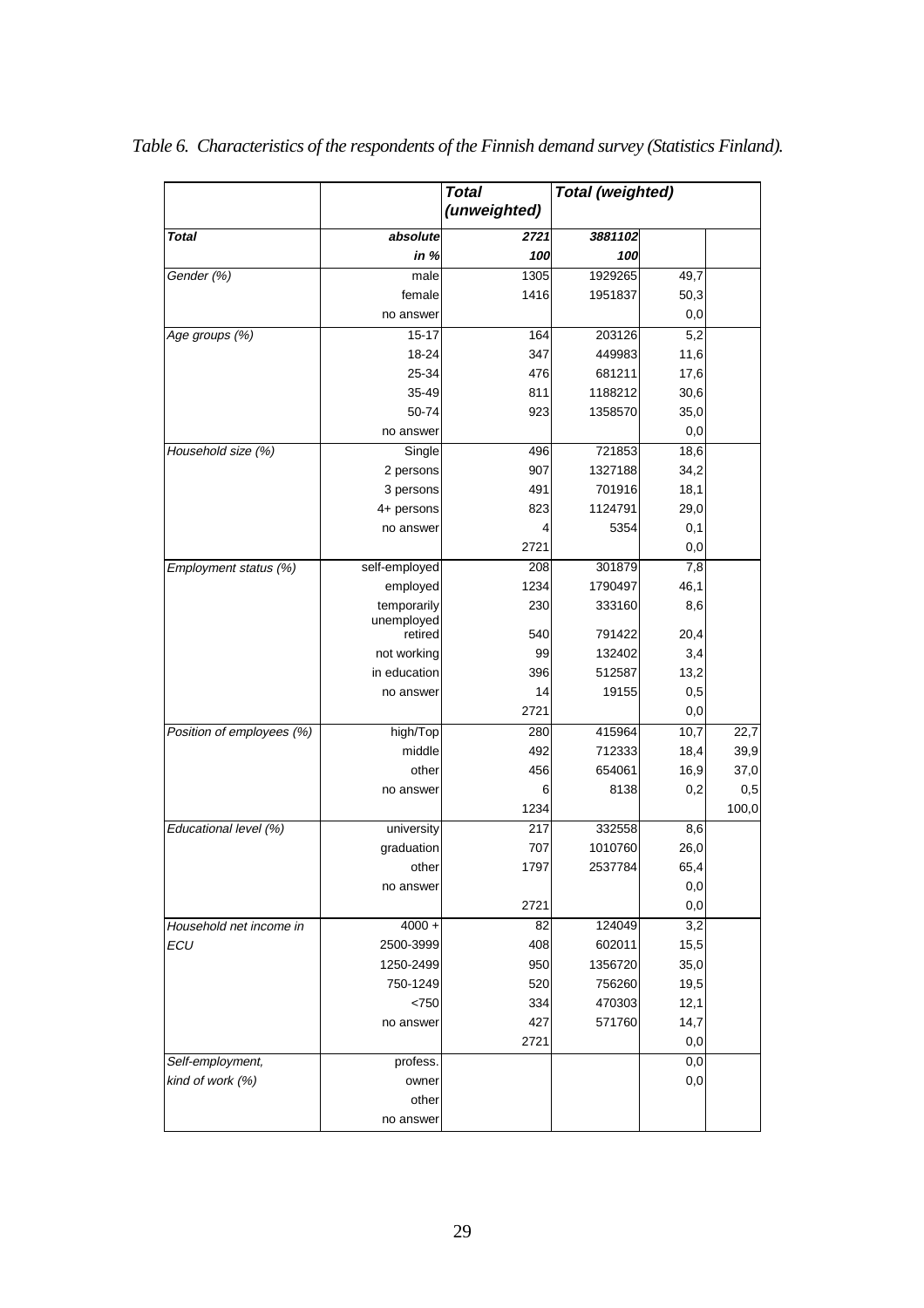|                           |                       | <b>Total</b> | <b>Total (weighted)</b> |          |       |
|---------------------------|-----------------------|--------------|-------------------------|----------|-------|
|                           |                       | (unweighted) |                         |          |       |
| <b>Total</b>              | absolute              | 2721         | 3881102                 |          |       |
|                           | in $%$                | 100          | 100                     |          |       |
| Gender (%)                | male                  | 1305         | 1929265                 | 49,7     |       |
|                           | female                | 1416         | 1951837                 | 50,3     |       |
|                           | no answer             |              |                         | 0,0      |       |
| Age groups (%)            | $15 - 17$             | 164          | 203126                  | 5,2      |       |
|                           | 18-24                 | 347          | 449983                  | 11,6     |       |
|                           | 25-34                 | 476          | 681211                  | 17,6     |       |
|                           | 35-49                 | 811          | 1188212                 | 30,6     |       |
|                           | 50-74                 | 923          | 1358570                 | 35,0     |       |
|                           | no answer             |              |                         | 0,0      |       |
| Household size (%)        | Single                | 496          | 721853                  | 18,6     |       |
|                           | 2 persons             | 907          | 1327188                 | 34,2     |       |
|                           | 3 persons             | 491          | 701916                  | 18,1     |       |
|                           | 4+ persons            | 823          | 1124791                 | 29,0     |       |
|                           | no answer             | 4            | 5354                    | 0,1      |       |
|                           |                       | 2721         |                         | 0,0      |       |
| Employment status (%)     | self-employed         | 208          | 301879                  | 7,8      |       |
|                           | employed              | 1234         | 1790497                 | 46,1     |       |
|                           | temporarily           | 230          | 333160                  | 8,6      |       |
|                           | unemployed<br>retired | 540          | 791422                  | 20,4     |       |
|                           | not working           | 99           | 132402                  | 3,4      |       |
|                           | in education          | 396          | 512587                  | 13,2     |       |
|                           | no answer             | 14           | 19155                   | 0,5      |       |
|                           |                       | 2721         |                         | $_{0,0}$ |       |
| Position of employees (%) | high/Top              | 280          | 415964                  | 10,7     | 22,7  |
|                           | middle                | 492          | 712333                  | 18,4     | 39,9  |
|                           | other                 | 456          | 654061                  | 16,9     | 37,0  |
|                           | no answer             | 6            | 8138                    | 0,2      | 0,5   |
|                           |                       | 1234         |                         |          | 100,0 |
| Educational level (%)     | university            | 217          | 332558                  | 8,6      |       |
|                           | graduation            | 707          | 1010760                 | 26,0     |       |
|                           | other                 | 1797         | 2537784                 | 65,4     |       |
|                           | no answer             |              |                         | 0,0      |       |
|                           |                       | 2721         |                         | 0,0      |       |
| Household net income in   | $4000 +$              | 82           | 124049                  | 3,2      |       |
| ECU                       | 2500-3999             | 408          | 602011                  | 15,5     |       |
|                           | 1250-2499             | 950          | 1356720                 | 35,0     |       |
|                           | 750-1249              | 520          | 756260                  | 19,5     |       |
|                           | <750                  | 334          | 470303                  | 12,1     |       |
|                           | no answer             | 427          | 571760                  | 14,7     |       |
|                           |                       | 2721         |                         | 0,0      |       |
| Self-employment,          | profess.              |              |                         | 0,0      |       |
| kind of work (%)          | owner                 |              |                         | 0,0      |       |
|                           | other                 |              |                         |          |       |
|                           | no answer             |              |                         |          |       |

*Table 6. Characteristics of the respondents of the Finnish demand survey (Statistics Finland).*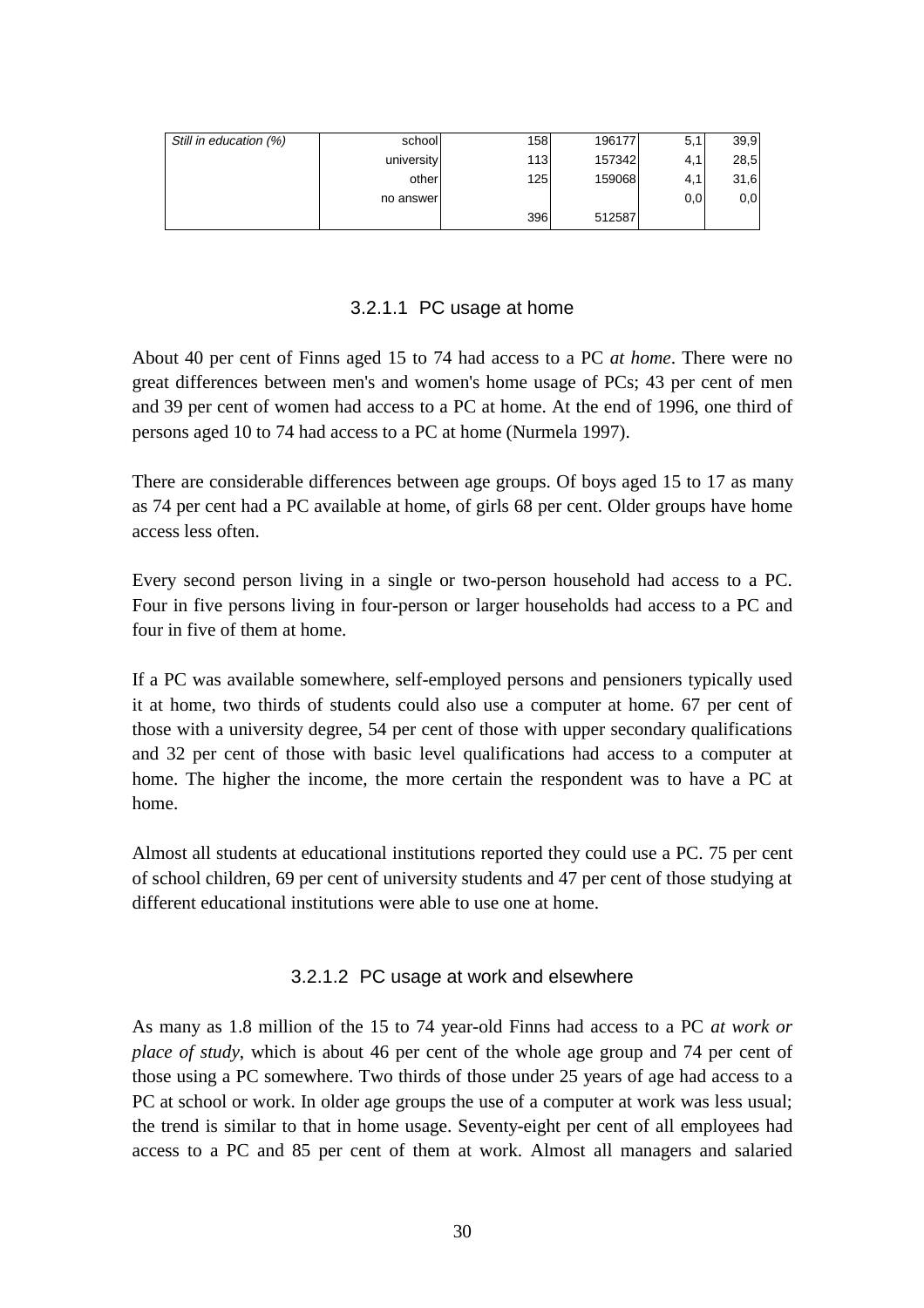| Still in education (%) | school     | 158 | 196177 | 5,1 | 39,9 |
|------------------------|------------|-----|--------|-----|------|
|                        | university | 113 | 157342 | 4,1 | 28,5 |
|                        | other      | 125 | 159068 | 4,1 | 31,6 |
|                        | no answerl |     |        | 0,0 | 0,0  |
|                        |            | 396 | 512587 |     |      |

#### 3.2.1.1 PC usage at home

About 40 per cent of Finns aged 15 to 74 had access to a PC *at home*. There were no great differences between men's and women's home usage of PCs; 43 per cent of men and 39 per cent of women had access to a PC at home. At the end of 1996, one third of persons aged 10 to 74 had access to a PC at home (Nurmela 1997).

There are considerable differences between age groups. Of boys aged 15 to 17 as many as 74 per cent had a PC available at home, of girls 68 per cent. Older groups have home access less often.

Every second person living in a single or two-person household had access to a PC. Four in five persons living in four-person or larger households had access to a PC and four in five of them at home.

If a PC was available somewhere, self-employed persons and pensioners typically used it at home, two thirds of students could also use a computer at home. 67 per cent of those with a university degree, 54 per cent of those with upper secondary qualifications and 32 per cent of those with basic level qualifications had access to a computer at home. The higher the income, the more certain the respondent was to have a PC at home.

Almost all students at educational institutions reported they could use a PC. 75 per cent of school children, 69 per cent of university students and 47 per cent of those studying at different educational institutions were able to use one at home.

#### 3.2.1.2 PC usage at work and elsewhere

As many as 1.8 million of the 15 to 74 year-old Finns had access to a PC *at work or place of study*, which is about 46 per cent of the whole age group and 74 per cent of those using a PC somewhere. Two thirds of those under 25 years of age had access to a PC at school or work. In older age groups the use of a computer at work was less usual; the trend is similar to that in home usage. Seventy-eight per cent of all employees had access to a PC and 85 per cent of them at work. Almost all managers and salaried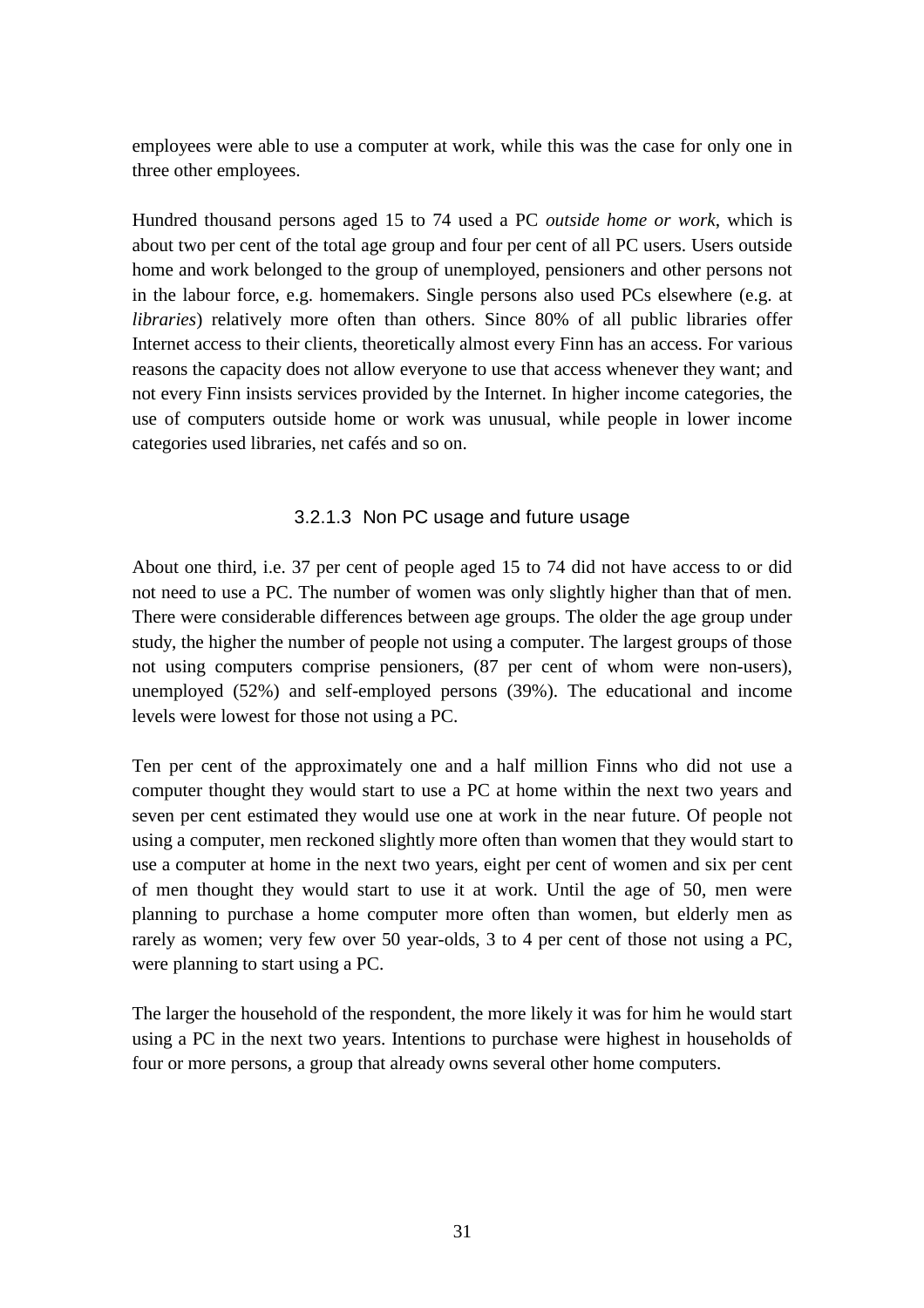employees were able to use a computer at work, while this was the case for only one in three other employees.

Hundred thousand persons aged 15 to 74 used a PC *outside home or work*, which is about two per cent of the total age group and four per cent of all PC users. Users outside home and work belonged to the group of unemployed, pensioners and other persons not in the labour force, e.g. homemakers. Single persons also used PCs elsewhere (e.g. at *libraries*) relatively more often than others. Since 80% of all public libraries offer Internet access to their clients, theoretically almost every Finn has an access. For various reasons the capacity does not allow everyone to use that access whenever they want; and not every Finn insists services provided by the Internet. In higher income categories, the use of computers outside home or work was unusual, while people in lower income categories used libraries, net cafés and so on.

#### 3.2.1.3 Non PC usage and future usage

About one third, i.e. 37 per cent of people aged 15 to 74 did not have access to or did not need to use a PC. The number of women was only slightly higher than that of men. There were considerable differences between age groups. The older the age group under study, the higher the number of people not using a computer. The largest groups of those not using computers comprise pensioners, (87 per cent of whom were non-users), unemployed (52%) and self-employed persons (39%). The educational and income levels were lowest for those not using a PC.

Ten per cent of the approximately one and a half million Finns who did not use a computer thought they would start to use a PC at home within the next two years and seven per cent estimated they would use one at work in the near future. Of people not using a computer, men reckoned slightly more often than women that they would start to use a computer at home in the next two years, eight per cent of women and six per cent of men thought they would start to use it at work. Until the age of 50, men were planning to purchase a home computer more often than women, but elderly men as rarely as women; very few over 50 year-olds, 3 to 4 per cent of those not using a PC, were planning to start using a PC.

The larger the household of the respondent, the more likely it was for him he would start using a PC in the next two years. Intentions to purchase were highest in households of four or more persons, a group that already owns several other home computers.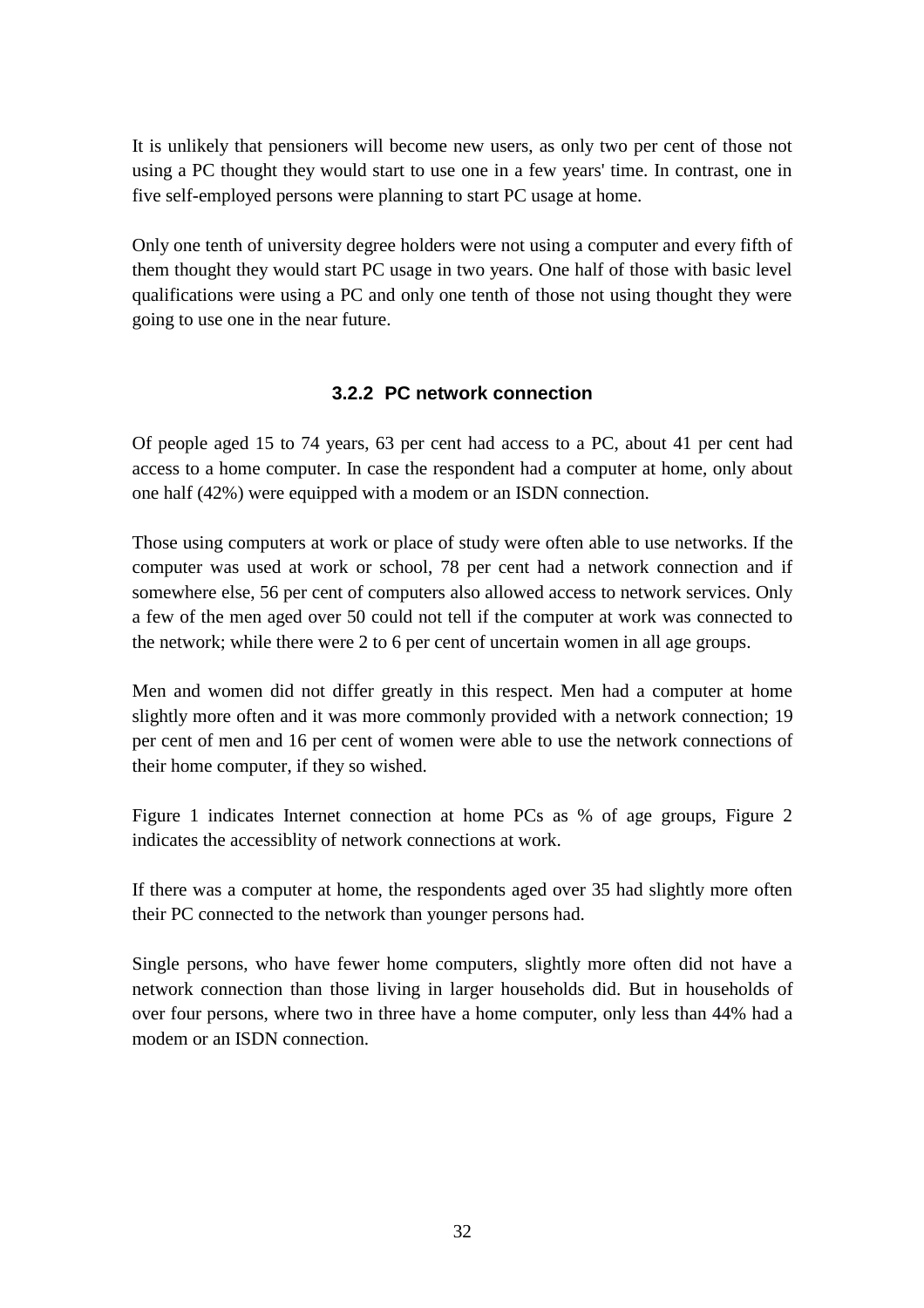It is unlikely that pensioners will become new users, as only two per cent of those not using a PC thought they would start to use one in a few years' time. In contrast, one in five self-employed persons were planning to start PC usage at home.

Only one tenth of university degree holders were not using a computer and every fifth of them thought they would start PC usage in two years. One half of those with basic level qualifications were using a PC and only one tenth of those not using thought they were going to use one in the near future.

### **3.2.2 PC network connection**

Of people aged 15 to 74 years, 63 per cent had access to a PC, about 41 per cent had access to a home computer. In case the respondent had a computer at home, only about one half (42%) were equipped with a modem or an ISDN connection.

Those using computers at work or place of study were often able to use networks. If the computer was used at work or school, 78 per cent had a network connection and if somewhere else, 56 per cent of computers also allowed access to network services. Only a few of the men aged over 50 could not tell if the computer at work was connected to the network; while there were 2 to 6 per cent of uncertain women in all age groups.

Men and women did not differ greatly in this respect. Men had a computer at home slightly more often and it was more commonly provided with a network connection; 19 per cent of men and 16 per cent of women were able to use the network connections of their home computer, if they so wished.

Figure 1 indicates Internet connection at home PCs as % of age groups, Figure 2 indicates the accessiblity of network connections at work.

If there was a computer at home, the respondents aged over 35 had slightly more often their PC connected to the network than younger persons had.

Single persons, who have fewer home computers, slightly more often did not have a network connection than those living in larger households did. But in households of over four persons, where two in three have a home computer, only less than 44% had a modem or an ISDN connection.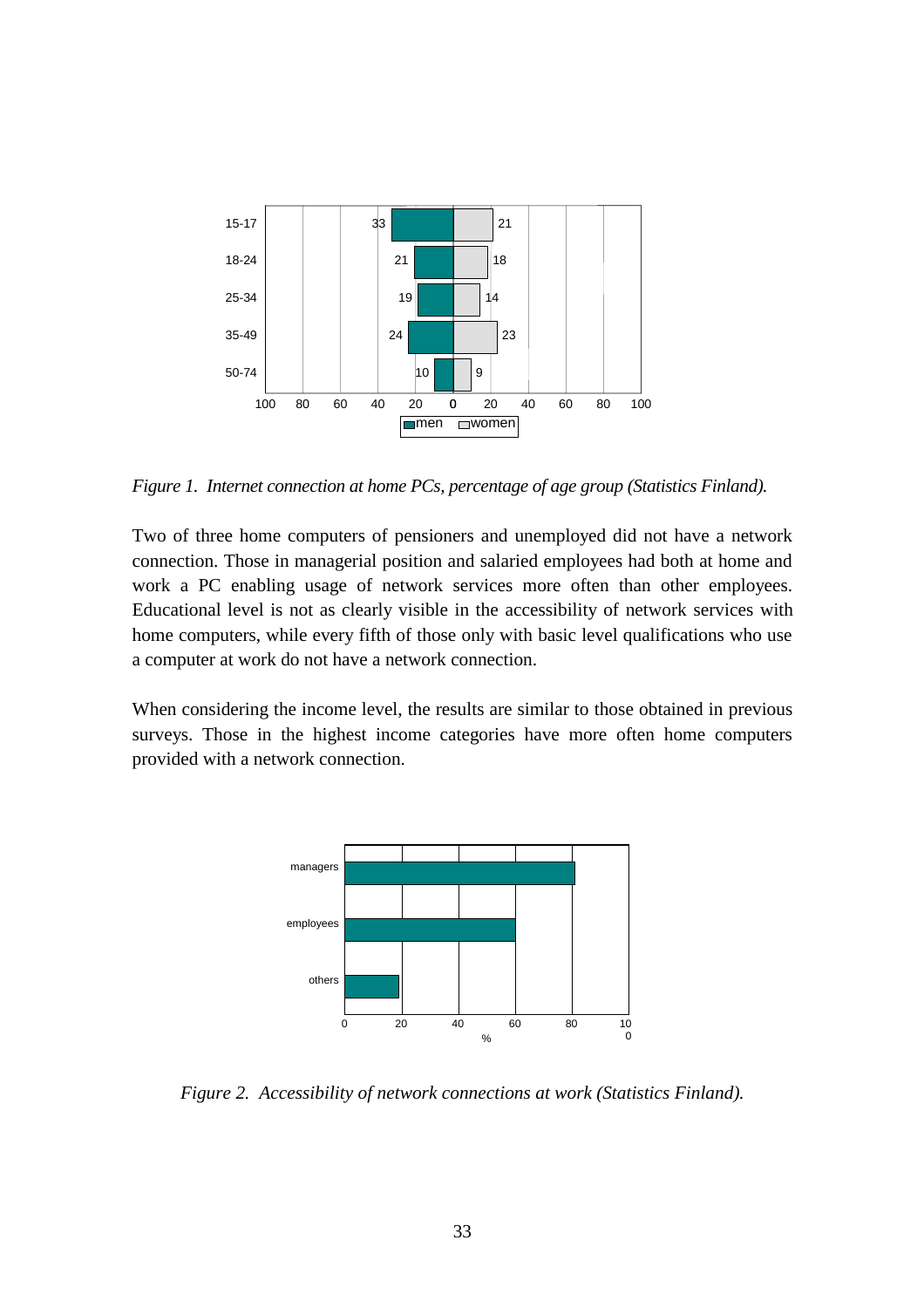

*Figure 1. Internet connection at home PCs, percentage of age group (Statistics Finland).*

Two of three home computers of pensioners and unemployed did not have a network connection. Those in managerial position and salaried employees had both at home and work a PC enabling usage of network services more often than other employees. Educational level is not as clearly visible in the accessibility of network services with home computers, while every fifth of those only with basic level qualifications who use a computer at work do not have a network connection.

When considering the income level, the results are similar to those obtained in previous surveys. Those in the highest income categories have more often home computers provided with a network connection.



*Figure 2. Accessibility of network connections at work (Statistics Finland).*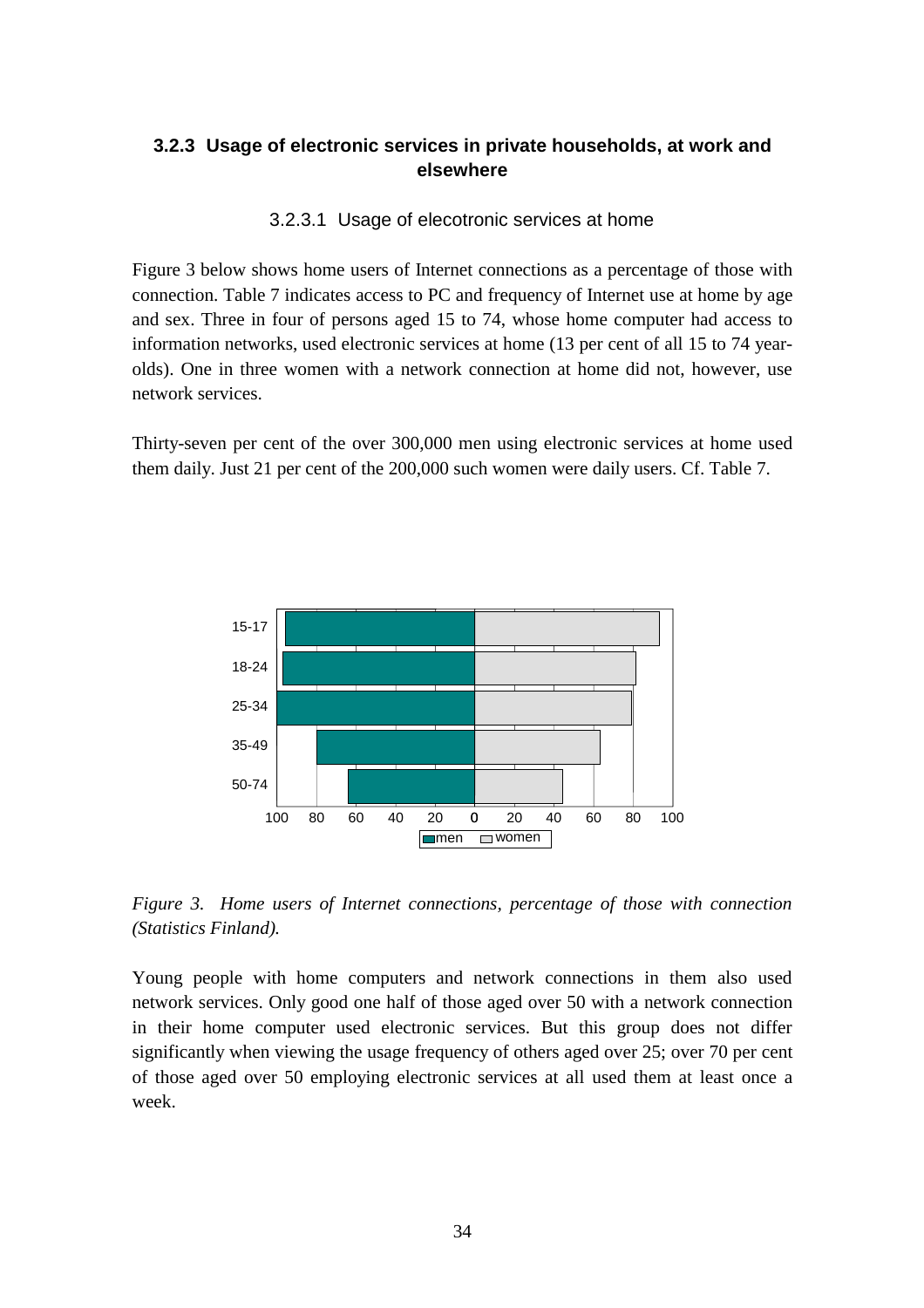### **3.2.3 Usage of electronic services in private households, at work and elsewhere**

#### 3.2.3.1 Usage of elecotronic services at home

Figure 3 below shows home users of Internet connections as a percentage of those with connection. Table 7 indicates access to PC and frequency of Internet use at home by age and sex. Three in four of persons aged 15 to 74, whose home computer had access to information networks, used electronic services at home (13 per cent of all 15 to 74 yearolds). One in three women with a network connection at home did not, however, use network services.

Thirty-seven per cent of the over 300,000 men using electronic services at home used them daily. Just 21 per cent of the 200,000 such women were daily users. Cf. Table 7.



*Figure 3. Home users of Internet connections, percentage of those with connection (Statistics Finland).*

Young people with home computers and network connections in them also used network services. Only good one half of those aged over 50 with a network connection in their home computer used electronic services. But this group does not differ significantly when viewing the usage frequency of others aged over 25; over 70 per cent of those aged over 50 employing electronic services at all used them at least once a week.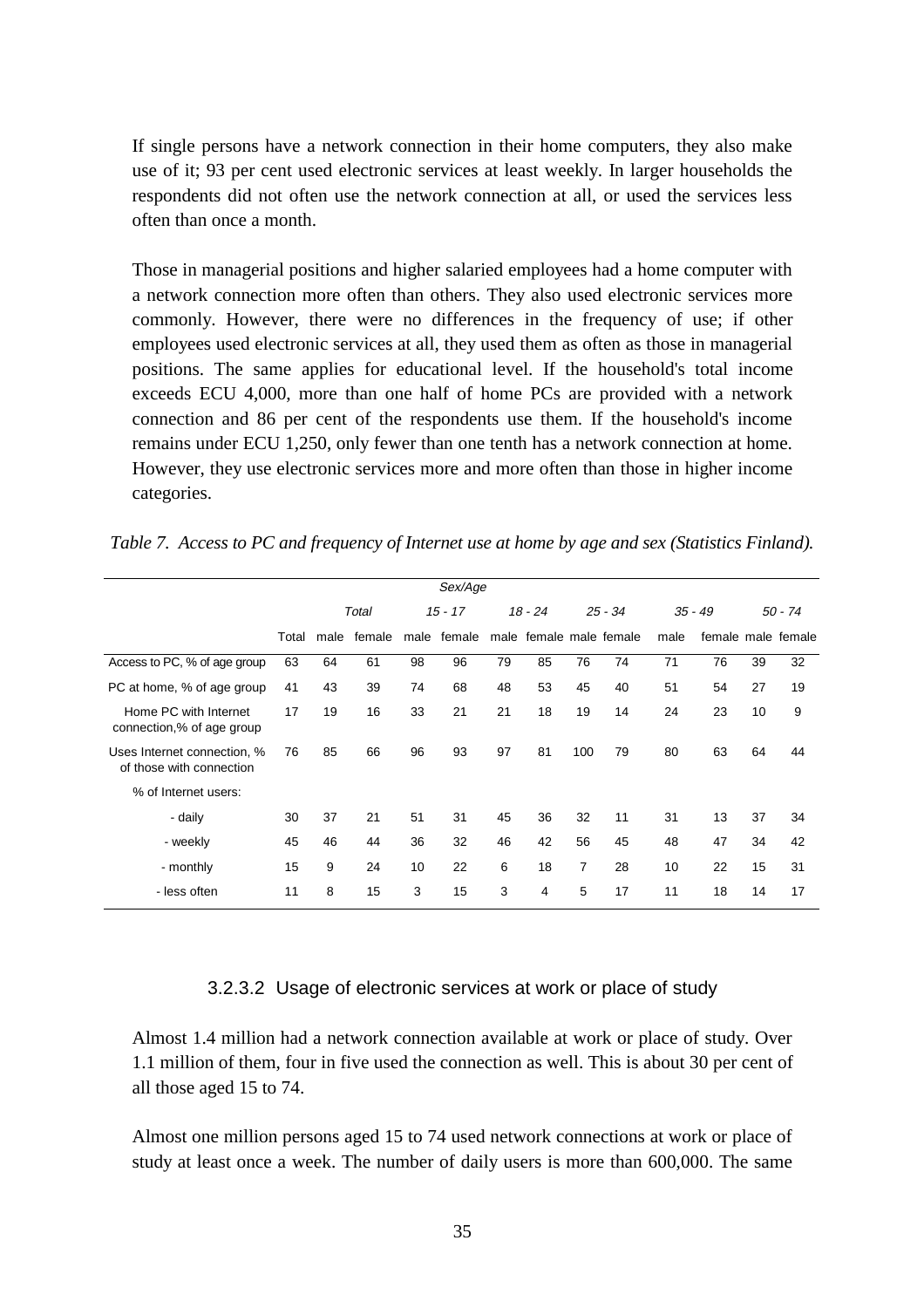If single persons have a network connection in their home computers, they also make use of it; 93 per cent used electronic services at least weekly. In larger households the respondents did not often use the network connection at all, or used the services less often than once a month.

Those in managerial positions and higher salaried employees had a home computer with a network connection more often than others. They also used electronic services more commonly. However, there were no differences in the frequency of use; if other employees used electronic services at all, they used them as often as those in managerial positions. The same applies for educational level. If the household's total income exceeds ECU 4,000, more than one half of home PCs are provided with a network connection and 86 per cent of the respondents use them. If the household's income remains under ECU 1,250, only fewer than one tenth has a network connection at home. However, they use electronic services more and more often than those in higher income categories.

*Table 7. Access to PC and frequency of Internet use at home by age and sex (Statistics Finland).*

| Sex/Age                                                 |       |       |        |      |                        |    |                         |           |    |           |    |           |                    |
|---------------------------------------------------------|-------|-------|--------|------|------------------------|----|-------------------------|-----------|----|-----------|----|-----------|--------------------|
|                                                         |       | Total |        |      | $15 - 17$<br>$18 - 24$ |    |                         | $25 - 34$ |    | $35 - 49$ |    | $50 - 74$ |                    |
|                                                         | Total | male  | female | male | female                 |    | male female male female |           |    | male      |    |           | female male female |
| Access to PC, % of age group                            | 63    | 64    | 61     | 98   | 96                     | 79 | 85                      | 76        | 74 | 71        | 76 | 39        | 32                 |
| PC at home, % of age group                              | 41    | 43    | 39     | 74   | 68                     | 48 | 53                      | 45        | 40 | 51        | 54 | 27        | 19                 |
| Home PC with Internet<br>connection,% of age group      | 17    | 19    | 16     | 33   | 21                     | 21 | 18                      | 19        | 14 | 24        | 23 | 10        | 9                  |
| Uses Internet connection, %<br>of those with connection | 76    | 85    | 66     | 96   | 93                     | 97 | 81                      | 100       | 79 | 80        | 63 | 64        | 44                 |
| % of Internet users:                                    |       |       |        |      |                        |    |                         |           |    |           |    |           |                    |
| - daily                                                 | 30    | 37    | 21     | 51   | 31                     | 45 | 36                      | 32        | 11 | 31        | 13 | 37        | 34                 |
| - weekly                                                | 45    | 46    | 44     | 36   | 32                     | 46 | 42                      | 56        | 45 | 48        | 47 | 34        | 42                 |
| - monthly                                               | 15    | 9     | 24     | 10   | 22                     | 6  | 18                      | 7         | 28 | 10        | 22 | 15        | 31                 |
| - less often                                            | 11    | 8     | 15     | 3    | 15                     | 3  | 4                       | 5         | 17 | 11        | 18 | 14        | 17                 |

#### 3.2.3.2 Usage of electronic services at work or place of study

Almost 1.4 million had a network connection available at work or place of study. Over 1.1 million of them, four in five used the connection as well. This is about 30 per cent of all those aged 15 to 74.

Almost one million persons aged 15 to 74 used network connections at work or place of study at least once a week. The number of daily users is more than 600,000. The same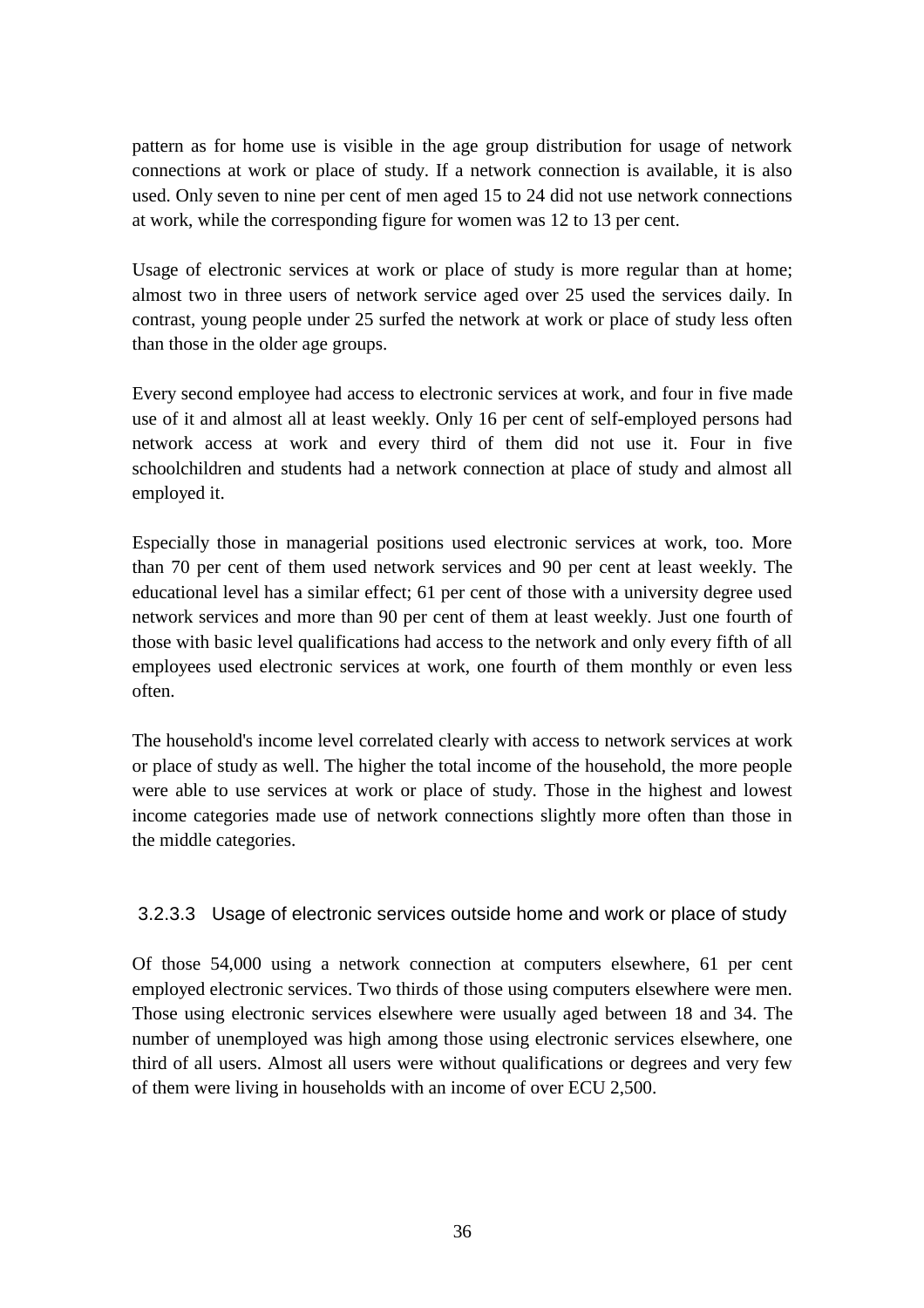pattern as for home use is visible in the age group distribution for usage of network connections at work or place of study. If a network connection is available, it is also used. Only seven to nine per cent of men aged 15 to 24 did not use network connections at work, while the corresponding figure for women was 12 to 13 per cent.

Usage of electronic services at work or place of study is more regular than at home; almost two in three users of network service aged over 25 used the services daily. In contrast, young people under 25 surfed the network at work or place of study less often than those in the older age groups.

Every second employee had access to electronic services at work, and four in five made use of it and almost all at least weekly. Only 16 per cent of self-employed persons had network access at work and every third of them did not use it. Four in five schoolchildren and students had a network connection at place of study and almost all employed it.

Especially those in managerial positions used electronic services at work, too. More than 70 per cent of them used network services and 90 per cent at least weekly. The educational level has a similar effect; 61 per cent of those with a university degree used network services and more than 90 per cent of them at least weekly. Just one fourth of those with basic level qualifications had access to the network and only every fifth of all employees used electronic services at work, one fourth of them monthly or even less often.

The household's income level correlated clearly with access to network services at work or place of study as well. The higher the total income of the household, the more people were able to use services at work or place of study. Those in the highest and lowest income categories made use of network connections slightly more often than those in the middle categories.

### 3.2.3.3 Usage of electronic services outside home and work or place of study

Of those 54,000 using a network connection at computers elsewhere, 61 per cent employed electronic services. Two thirds of those using computers elsewhere were men. Those using electronic services elsewhere were usually aged between 18 and 34. The number of unemployed was high among those using electronic services elsewhere, one third of all users. Almost all users were without qualifications or degrees and very few of them were living in households with an income of over ECU 2,500.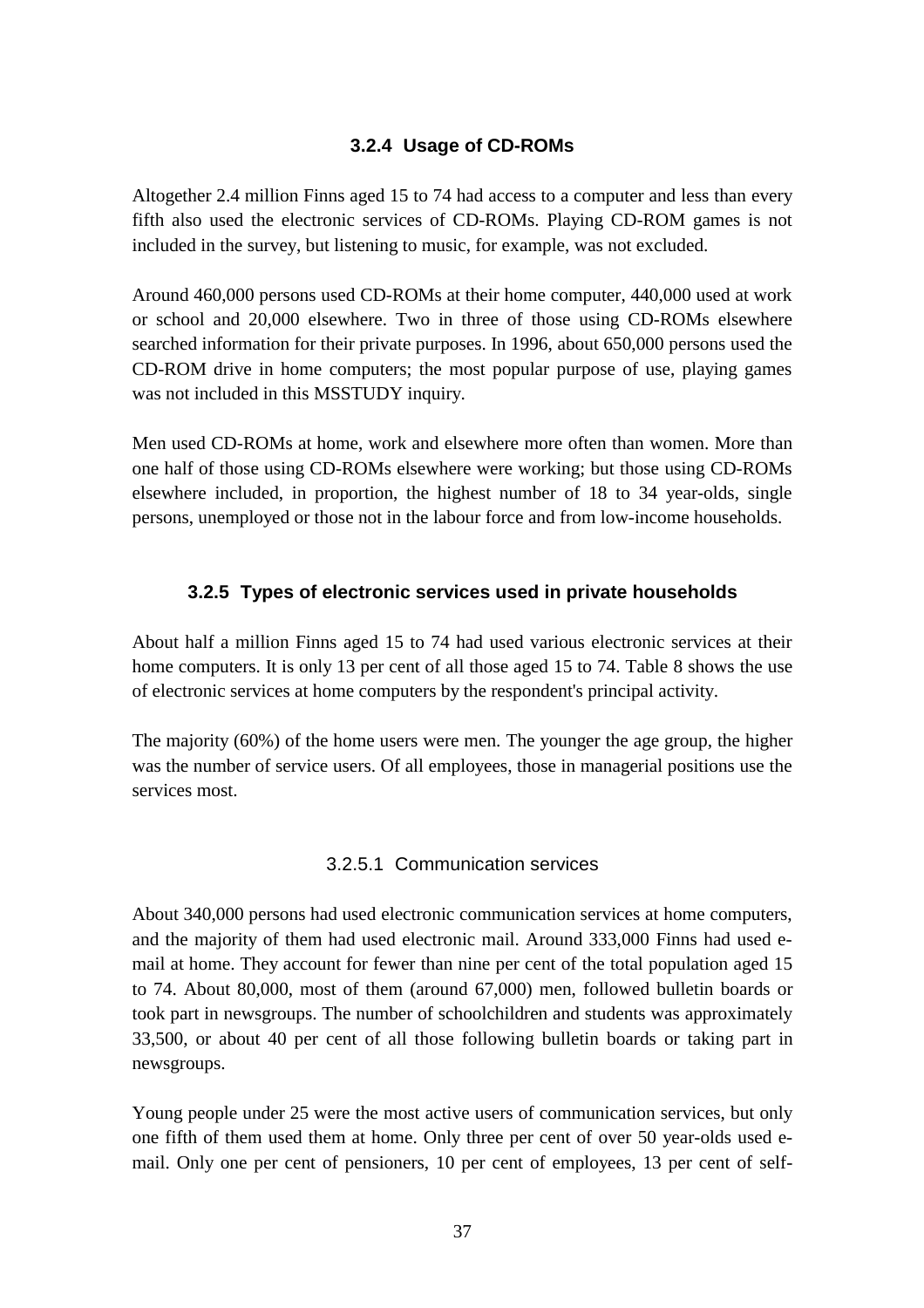#### **3.2.4 Usage of CD-ROMs**

Altogether 2.4 million Finns aged 15 to 74 had access to a computer and less than every fifth also used the electronic services of CD-ROMs. Playing CD-ROM games is not included in the survey, but listening to music, for example, was not excluded.

Around 460,000 persons used CD-ROMs at their home computer, 440,000 used at work or school and 20,000 elsewhere. Two in three of those using CD-ROMs elsewhere searched information for their private purposes. In 1996, about 650,000 persons used the CD-ROM drive in home computers; the most popular purpose of use, playing games was not included in this MSSTUDY inquiry.

Men used CD-ROMs at home, work and elsewhere more often than women. More than one half of those using CD-ROMs elsewhere were working; but those using CD-ROMs elsewhere included, in proportion, the highest number of 18 to 34 year-olds, single persons, unemployed or those not in the labour force and from low-income households.

#### **3.2.5 Types of electronic services used in private households**

About half a million Finns aged 15 to 74 had used various electronic services at their home computers. It is only 13 per cent of all those aged 15 to 74. Table 8 shows the use of electronic services at home computers by the respondent's principal activity.

The majority (60%) of the home users were men. The younger the age group, the higher was the number of service users. Of all employees, those in managerial positions use the services most.

#### 3.2.5.1 Communication services

About 340,000 persons had used electronic communication services at home computers, and the majority of them had used electronic mail. Around 333,000 Finns had used email at home. They account for fewer than nine per cent of the total population aged 15 to 74. About 80,000, most of them (around 67,000) men, followed bulletin boards or took part in newsgroups. The number of schoolchildren and students was approximately 33,500, or about 40 per cent of all those following bulletin boards or taking part in newsgroups.

Young people under 25 were the most active users of communication services, but only one fifth of them used them at home. Only three per cent of over 50 year-olds used email. Only one per cent of pensioners, 10 per cent of employees, 13 per cent of self-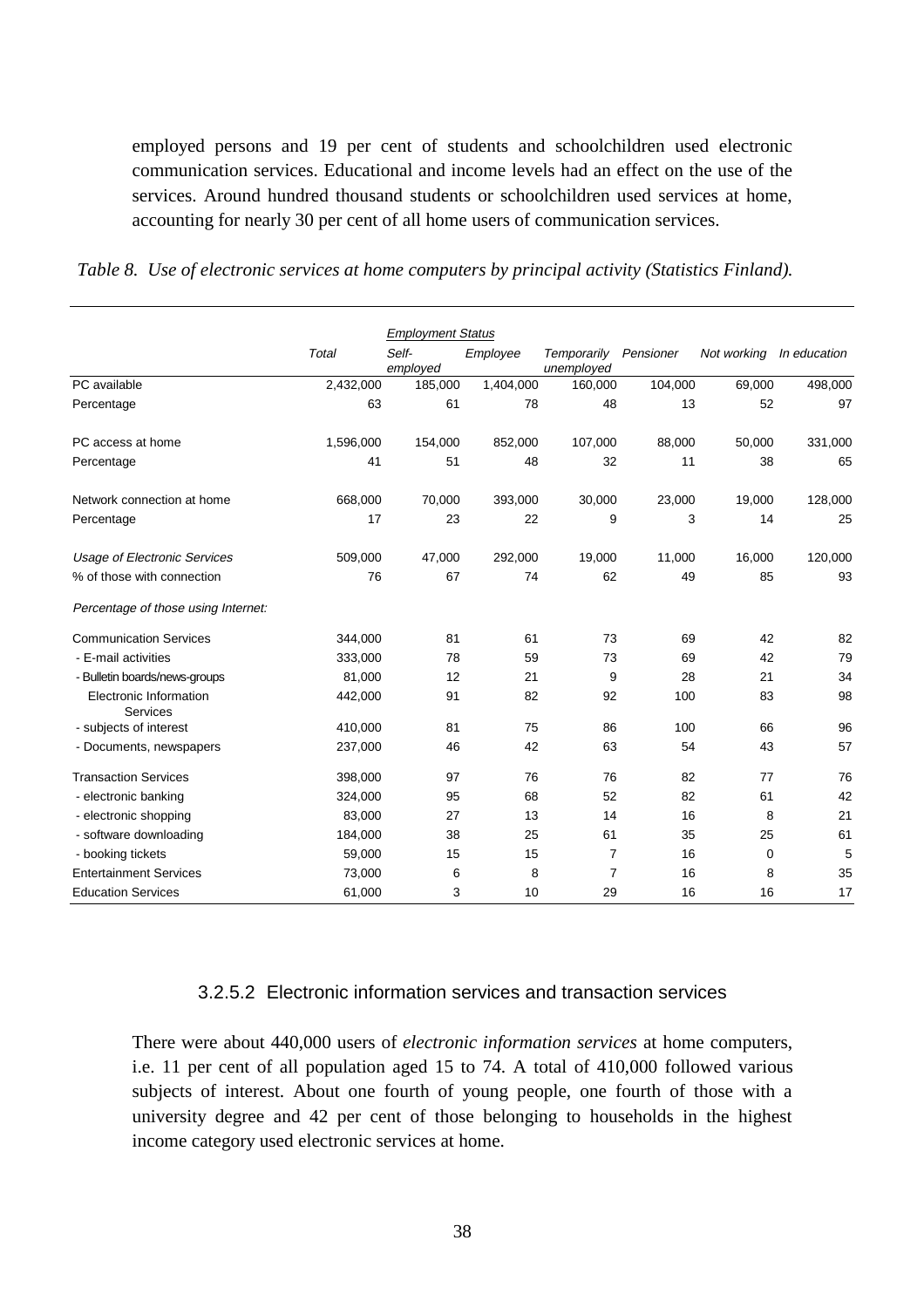employed persons and 19 per cent of students and schoolchildren used electronic communication services. Educational and income levels had an effect on the use of the services. Around hundred thousand students or schoolchildren used services at home, accounting for nearly 30 per cent of all home users of communication services.

|  |  | Table 8. Use of electronic services at home computers by principal activity (Statistics Finland). |  |  |  |
|--|--|---------------------------------------------------------------------------------------------------|--|--|--|
|  |  |                                                                                                   |  |  |  |

|                                     |           | <b>Employment Status</b> |           |                           |           |             |              |
|-------------------------------------|-----------|--------------------------|-----------|---------------------------|-----------|-------------|--------------|
|                                     | Total     | Self-<br>employed        | Employee  | Temporarily<br>unemployed | Pensioner | Not working | In education |
| PC available                        | 2,432,000 | 185,000                  | 1,404,000 | 160,000                   | 104,000   | 69,000      | 498,000      |
| Percentage                          | 63        | 61                       | 78        | 48                        | 13        | 52          | 97           |
| PC access at home                   | 1,596,000 | 154,000                  | 852,000   | 107,000                   | 88,000    | 50,000      | 331,000      |
| Percentage                          | 41        | 51                       | 48        | 32                        | 11        | 38          | 65           |
| Network connection at home          | 668,000   | 70,000                   | 393,000   | 30,000                    | 23,000    | 19,000      | 128,000      |
| Percentage                          | 17        | 23                       | 22        | 9                         | 3         | 14          | 25           |
| <b>Usage of Electronic Services</b> | 509,000   | 47,000                   | 292,000   | 19,000                    | 11,000    | 16,000      | 120,000      |
| % of those with connection          | 76        | 67                       | 74        | 62                        | 49        | 85          | 93           |
| Percentage of those using Internet: |           |                          |           |                           |           |             |              |
| <b>Communication Services</b>       | 344,000   | 81                       | 61        | 73                        | 69        | 42          | 82           |
| - E-mail activities                 | 333,000   | 78                       | 59        | 73                        | 69        | 42          | 79           |
| - Bulletin boards/news-groups       | 81,000    | 12                       | 21        | 9                         | 28        | 21          | 34           |
| Electronic Information<br>Services  | 442,000   | 91                       | 82        | 92                        | 100       | 83          | 98           |
| - subjects of interest              | 410,000   | 81                       | 75        | 86                        | 100       | 66          | 96           |
| - Documents, newspapers             | 237,000   | 46                       | 42        | 63                        | 54        | 43          | 57           |
| <b>Transaction Services</b>         | 398,000   | 97                       | 76        | 76                        | 82        | 77          | 76           |
| - electronic banking                | 324,000   | 95                       | 68        | 52                        | 82        | 61          | 42           |
| - electronic shopping               | 83,000    | 27                       | 13        | 14                        | 16        | 8           | 21           |
| - software downloading              | 184,000   | 38                       | 25        | 61                        | 35        | 25          | 61           |
| - booking tickets                   | 59,000    | 15                       | 15        | $\overline{7}$            | 16        | 0           | 5            |
| <b>Entertainment Services</b>       | 73,000    | 6                        | 8         | $\overline{7}$            | 16        | 8           | 35           |
| <b>Education Services</b>           | 61,000    | 3                        | 10        | 29                        | 16        | 16          | 17           |

#### 3.2.5.2 Electronic information services and transaction services

There were about 440,000 users of *electronic information services* at home computers, i.e. 11 per cent of all population aged 15 to 74. A total of 410,000 followed various subjects of interest. About one fourth of young people, one fourth of those with a university degree and 42 per cent of those belonging to households in the highest income category used electronic services at home.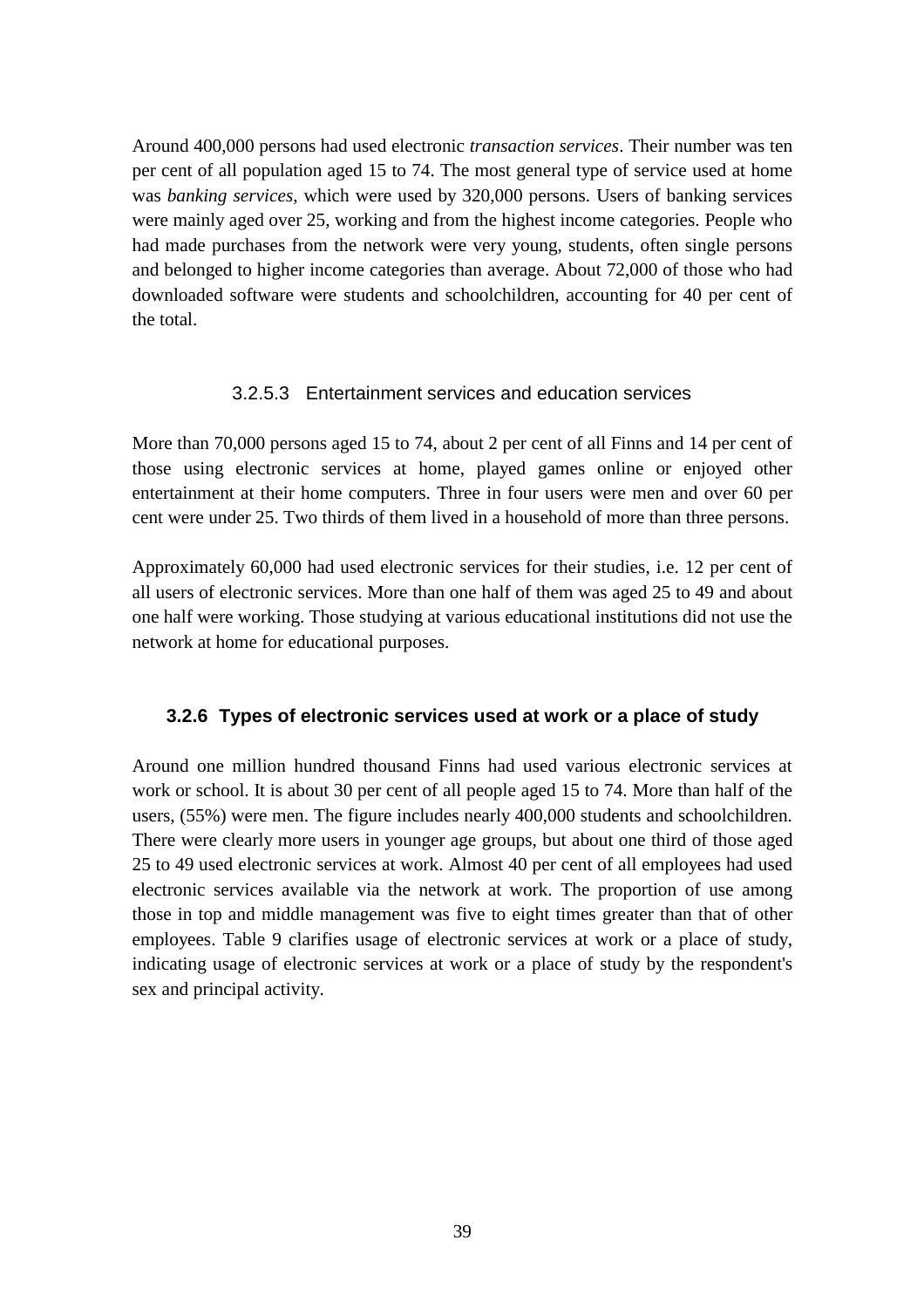Around 400,000 persons had used electronic *transaction services*. Their number was ten per cent of all population aged 15 to 74. The most general type of service used at home was *banking services*, which were used by 320,000 persons. Users of banking services were mainly aged over 25, working and from the highest income categories. People who had made purchases from the network were very young, students, often single persons and belonged to higher income categories than average. About 72,000 of those who had downloaded software were students and schoolchildren, accounting for 40 per cent of the total.

## 3.2.5.3 Entertainment services and education services

More than 70,000 persons aged 15 to 74, about 2 per cent of all Finns and 14 per cent of those using electronic services at home, played games online or enjoyed other entertainment at their home computers. Three in four users were men and over 60 per cent were under 25. Two thirds of them lived in a household of more than three persons.

Approximately 60,000 had used electronic services for their studies, i.e. 12 per cent of all users of electronic services. More than one half of them was aged 25 to 49 and about one half were working. Those studying at various educational institutions did not use the network at home for educational purposes.

# **3.2.6 Types of electronic services used at work or a place of study**

Around one million hundred thousand Finns had used various electronic services at work or school. It is about 30 per cent of all people aged 15 to 74. More than half of the users, (55%) were men. The figure includes nearly 400,000 students and schoolchildren. There were clearly more users in younger age groups, but about one third of those aged 25 to 49 used electronic services at work. Almost 40 per cent of all employees had used electronic services available via the network at work. The proportion of use among those in top and middle management was five to eight times greater than that of other employees. Table 9 clarifies usage of electronic services at work or a place of study, indicating usage of electronic services at work or a place of study by the respondent's sex and principal activity.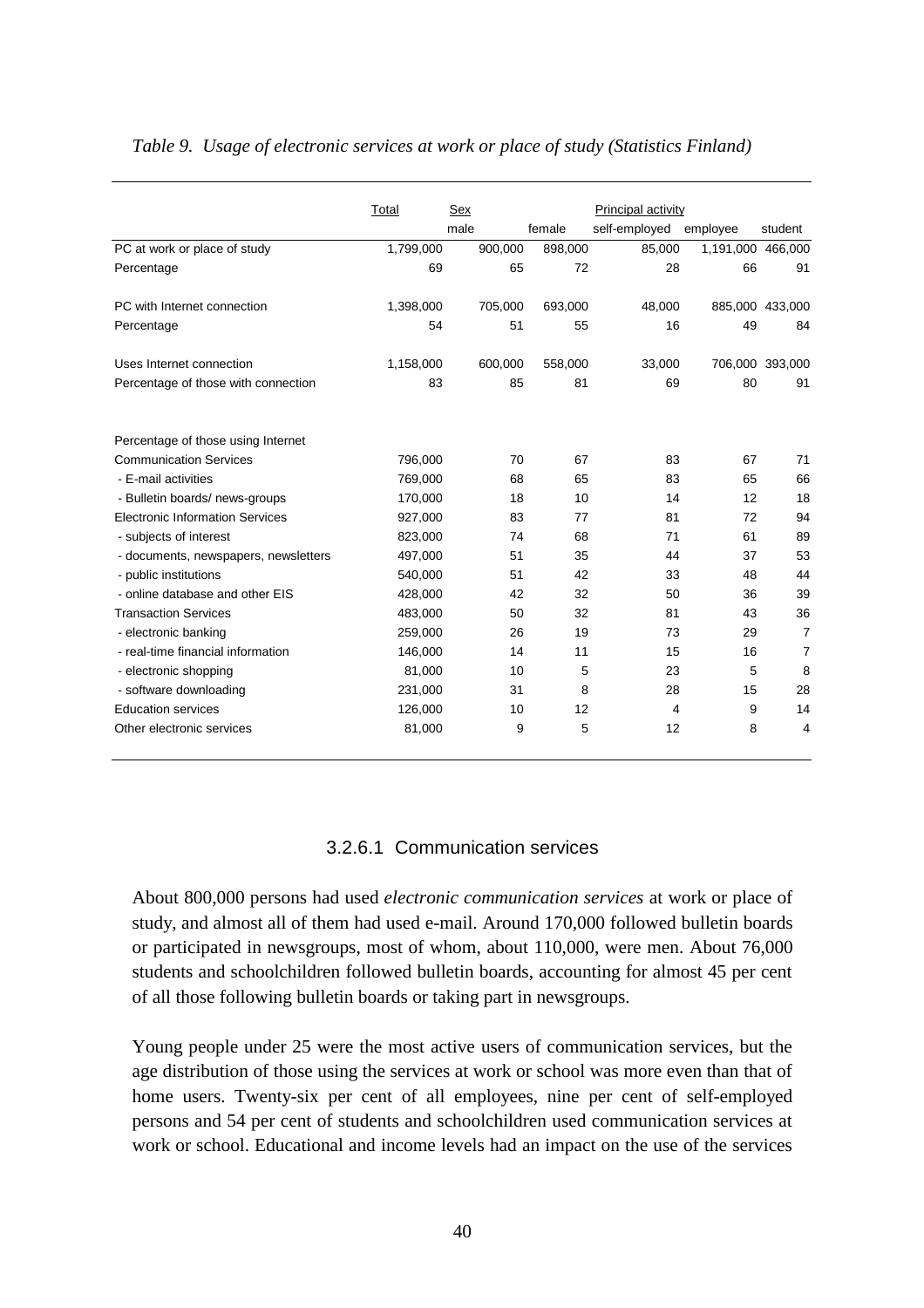|                                        | Total     | <b>Sex</b> |         |         | Principal activity |                   |                 |
|----------------------------------------|-----------|------------|---------|---------|--------------------|-------------------|-----------------|
|                                        |           | male       |         | female  | self-employed      | employee          | student         |
| PC at work or place of study           | 1,799,000 |            | 900,000 | 898,000 | 85,000             | 1,191,000 466,000 |                 |
| Percentage                             | 69        |            | 65      | 72      | 28                 | 66                | 91              |
| PC with Internet connection            | 1,398,000 |            | 705,000 | 693,000 | 48,000             |                   | 885,000 433,000 |
| Percentage                             | 54        |            | 51      | 55      | 16                 | 49                | 84              |
| Uses Internet connection               | 1,158,000 |            | 600,000 | 558,000 | 33,000             |                   | 706,000 393,000 |
| Percentage of those with connection    | 83        |            | 85      | 81      | 69                 | 80                | 91              |
| Percentage of those using Internet     |           |            |         |         |                    |                   |                 |
| <b>Communication Services</b>          | 796,000   |            | 70      | 67      | 83                 | 67                | 71              |
| - E-mail activities                    | 769.000   |            | 68      | 65      | 83                 | 65                | 66              |
| - Bulletin boards/ news-groups         | 170,000   |            | 18      | 10      | 14                 | 12                | 18              |
| <b>Electronic Information Services</b> | 927,000   |            | 83      | 77      | 81                 | 72                | 94              |
| - subjects of interest                 | 823,000   |            | 74      | 68      | 71                 | 61                | 89              |
| - documents, newspapers, newsletters   | 497,000   |            | 51      | 35      | 44                 | 37                | 53              |
| - public institutions                  | 540,000   |            | 51      | 42      | 33                 | 48                | 44              |
| - online database and other EIS        | 428,000   |            | 42      | 32      | 50                 | 36                | 39              |
| <b>Transaction Services</b>            | 483.000   |            | 50      | 32      | 81                 | 43                | 36              |
| - electronic banking                   | 259,000   |            | 26      | 19      | 73                 | 29                | $\overline{7}$  |
| - real-time financial information      | 146,000   |            | 14      | 11      | 15                 | 16                | $\overline{7}$  |
| - electronic shopping                  | 81,000    |            | 10      | 5       | 23                 | 5                 | 8               |
| - software downloading                 | 231,000   |            | 31      | 8       | 28                 | 15                | 28              |
| <b>Education services</b>              | 126,000   |            | 10      | 12      | 4                  | 9                 | 14              |
| Other electronic services              | 81,000    |            | 9       | 5       | 12                 | 8                 | 4               |

#### *Table 9. Usage of electronic services at work or place of study (Statistics Finland)*

## 3.2.6.1 Communication services

About 800,000 persons had used *electronic communication services* at work or place of study, and almost all of them had used e-mail. Around 170,000 followed bulletin boards or participated in newsgroups, most of whom, about 110,000, were men. About 76,000 students and schoolchildren followed bulletin boards, accounting for almost 45 per cent of all those following bulletin boards or taking part in newsgroups.

Young people under 25 were the most active users of communication services, but the age distribution of those using the services at work or school was more even than that of home users. Twenty-six per cent of all employees, nine per cent of self-employed persons and 54 per cent of students and schoolchildren used communication services at work or school. Educational and income levels had an impact on the use of the services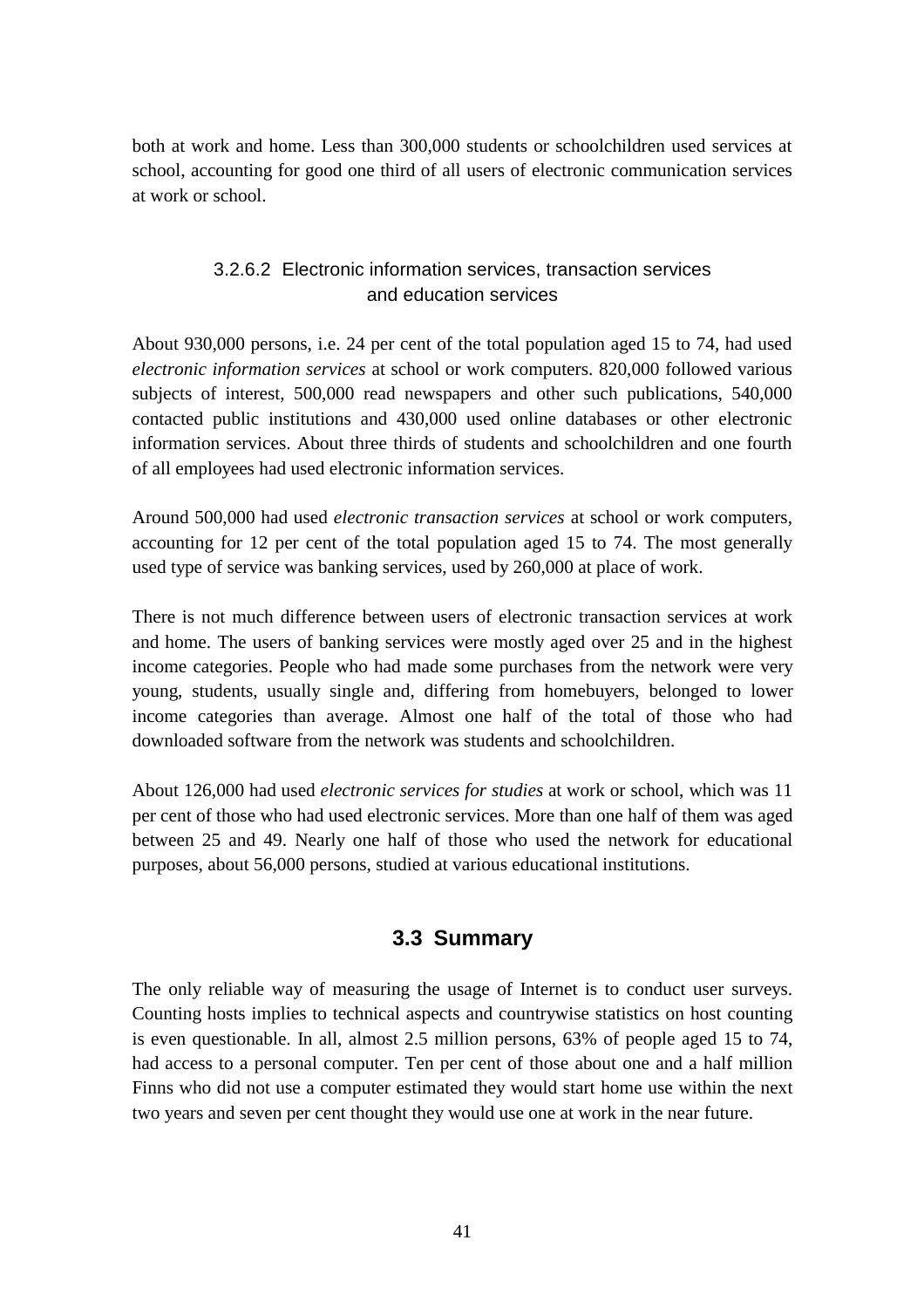both at work and home. Less than 300,000 students or schoolchildren used services at school, accounting for good one third of all users of electronic communication services at work or school.

# 3.2.6.2 Electronic information services, transaction services and education services

About 930,000 persons, i.e. 24 per cent of the total population aged 15 to 74, had used *electronic information services* at school or work computers. 820,000 followed various subjects of interest, 500,000 read newspapers and other such publications, 540,000 contacted public institutions and 430,000 used online databases or other electronic information services. About three thirds of students and schoolchildren and one fourth of all employees had used electronic information services.

Around 500,000 had used *electronic transaction services* at school or work computers, accounting for 12 per cent of the total population aged 15 to 74. The most generally used type of service was banking services, used by 260,000 at place of work.

There is not much difference between users of electronic transaction services at work and home. The users of banking services were mostly aged over 25 and in the highest income categories. People who had made some purchases from the network were very young, students, usually single and, differing from homebuyers, belonged to lower income categories than average. Almost one half of the total of those who had downloaded software from the network was students and schoolchildren.

About 126,000 had used *electronic services for studies* at work or school, which was 11 per cent of those who had used electronic services. More than one half of them was aged between 25 and 49. Nearly one half of those who used the network for educational purposes, about 56,000 persons, studied at various educational institutions.

# **3.3 Summary**

The only reliable way of measuring the usage of Internet is to conduct user surveys. Counting hosts implies to technical aspects and countrywise statistics on host counting is even questionable. In all, almost 2.5 million persons, 63% of people aged 15 to 74, had access to a personal computer. Ten per cent of those about one and a half million Finns who did not use a computer estimated they would start home use within the next two years and seven per cent thought they would use one at work in the near future.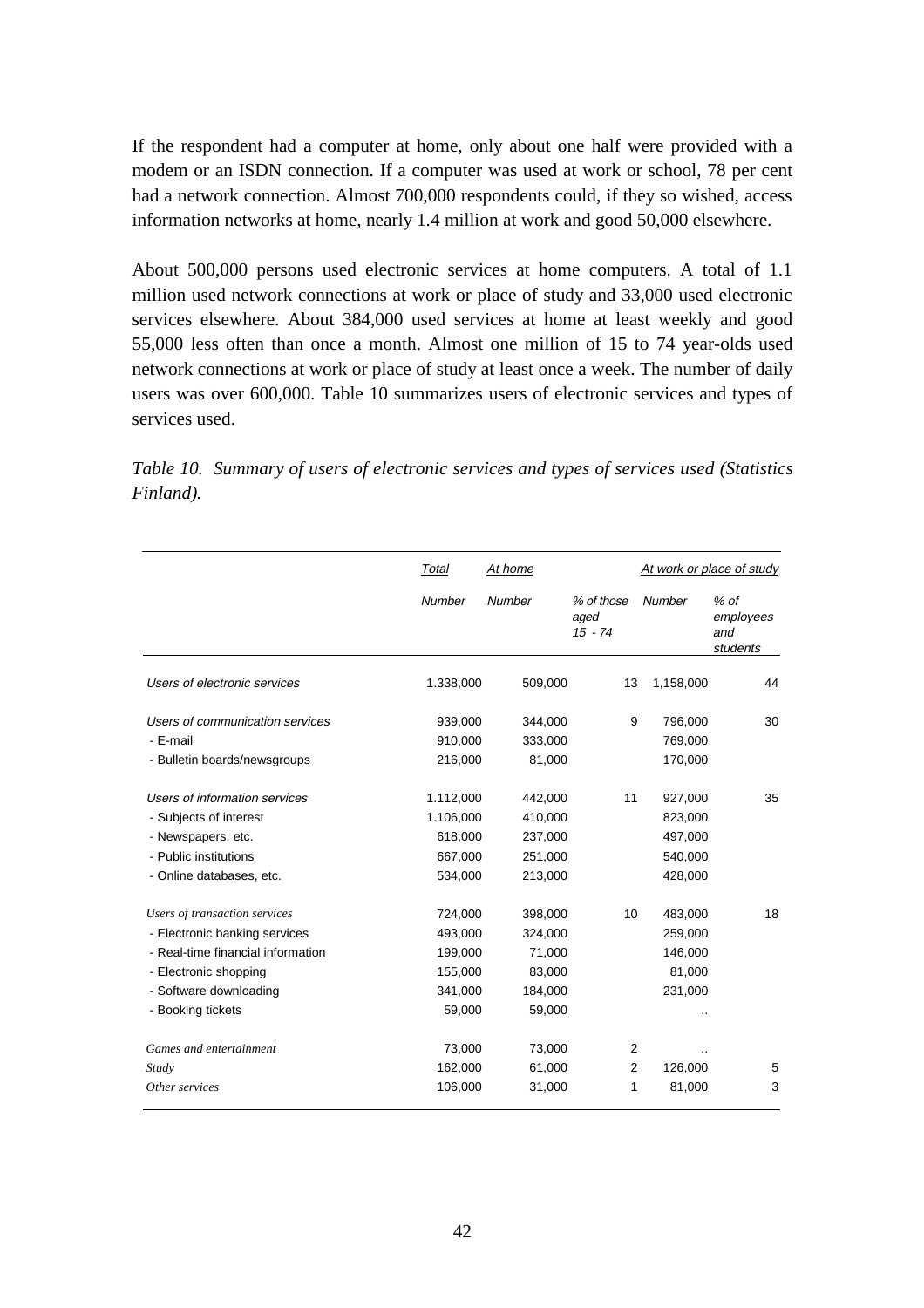If the respondent had a computer at home, only about one half were provided with a modem or an ISDN connection. If a computer was used at work or school, 78 per cent had a network connection. Almost 700,000 respondents could, if they so wished, access information networks at home, nearly 1.4 million at work and good 50,000 elsewhere.

About 500,000 persons used electronic services at home computers. A total of 1.1 million used network connections at work or place of study and 33,000 used electronic services elsewhere. About 384,000 used services at home at least weekly and good 55,000 less often than once a month. Almost one million of 15 to 74 year-olds used network connections at work or place of study at least once a week. The number of daily users was over 600,000. Table 10 summarizes users of electronic services and types of services used.

*Table 10. Summary of users of electronic services and types of services used (Statistics Finland).*

|                                                                                                                                                                             | Total                                                         | At home                                                     |                                 |                                                     | At work or place of study              |  |
|-----------------------------------------------------------------------------------------------------------------------------------------------------------------------------|---------------------------------------------------------------|-------------------------------------------------------------|---------------------------------|-----------------------------------------------------|----------------------------------------|--|
|                                                                                                                                                                             | Number                                                        | Number                                                      | % of those<br>aged<br>$15 - 74$ | <b>Number</b>                                       | $%$ of<br>employees<br>and<br>students |  |
| Users of electronic services                                                                                                                                                | 1.338,000                                                     | 509,000                                                     | 13                              | 1,158,000                                           | 44                                     |  |
| Users of communication services<br>- E-mail<br>- Bulletin boards/newsgroups                                                                                                 | 939,000<br>910,000<br>216,000                                 | 344,000<br>333,000<br>81,000                                | 9                               | 796,000<br>769,000<br>170,000                       | 30                                     |  |
| Users of information services<br>- Subjects of interest<br>- Newspapers, etc.<br>- Public institutions<br>- Online databases, etc.                                          | 1.112,000<br>1.106,000<br>618,000<br>667,000<br>534,000       | 442,000<br>410,000<br>237,000<br>251,000<br>213,000         | 11                              | 927,000<br>823,000<br>497,000<br>540,000<br>428,000 | 35                                     |  |
| Users of transaction services<br>- Electronic banking services<br>- Real-time financial information<br>- Electronic shopping<br>- Software downloading<br>- Booking tickets | 724,000<br>493,000<br>199,000<br>155,000<br>341,000<br>59,000 | 398,000<br>324,000<br>71,000<br>83,000<br>184,000<br>59,000 | 10                              | 483,000<br>259,000<br>146,000<br>81,000<br>231,000  | 18                                     |  |
| Games and entertainment<br>Study<br>Other services                                                                                                                          | 73,000<br>162,000<br>106,000                                  | 73,000<br>61,000<br>31,000                                  | 2<br>$\overline{2}$<br>1        | 126,000<br>81,000                                   | 5<br>3                                 |  |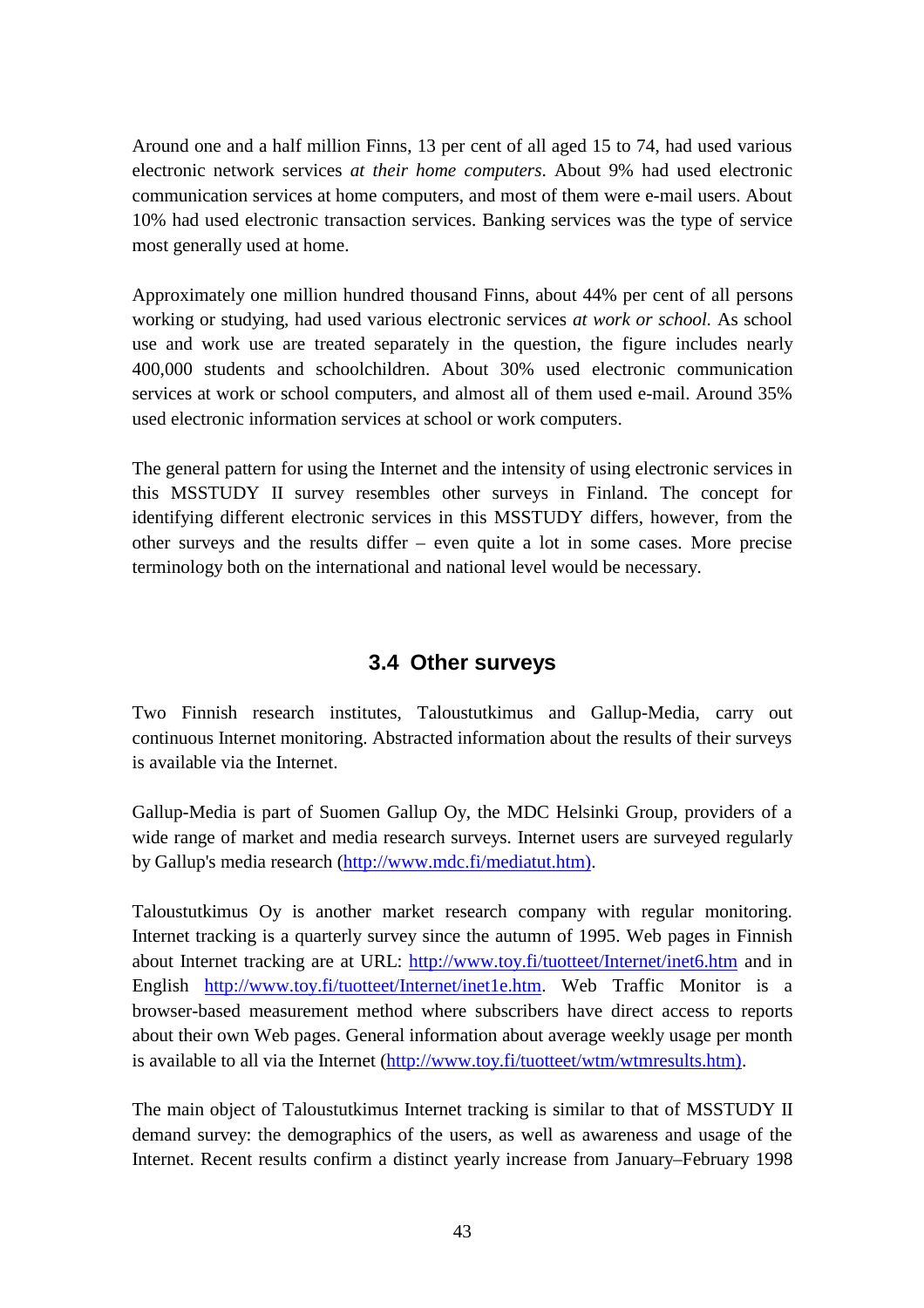Around one and a half million Finns, 13 per cent of all aged 15 to 74, had used various electronic network services *at their home computers*. About 9% had used electronic communication services at home computers, and most of them were e-mail users. About 10% had used electronic transaction services. Banking services was the type of service most generally used at home.

Approximately one million hundred thousand Finns, about 44% per cent of all persons working or studying, had used various electronic services *at work or school.* As school use and work use are treated separately in the question, the figure includes nearly 400,000 students and schoolchildren. About 30% used electronic communication services at work or school computers, and almost all of them used e-mail. Around 35% used electronic information services at school or work computers.

The general pattern for using the Internet and the intensity of using electronic services in this MSSTUDY II survey resembles other surveys in Finland. The concept for identifying different electronic services in this MSSTUDY differs, however, from the other surveys and the results differ – even quite a lot in some cases. More precise terminology both on the international and national level would be necessary.

# **3.4 Other surveys**

Two Finnish research institutes, Taloustutkimus and Gallup-Media, carry out continuous Internet monitoring. Abstracted information about the results of their surveys is available via the Internet.

Gallup-Media is part of Suomen Gallup Oy, the MDC Helsinki Group, providers of a wide range of market and media research surveys. Internet users are surveyed regularly by Gallup's media research (http://www.mdc.fi/mediatut.htm).

Taloustutkimus Oy is another market research company with regular monitoring. Internet tracking is a quarterly survey since the autumn of 1995. Web pages in Finnish about Internet tracking are at URL: http://www.toy.fi/tuotteet/Internet/inet6.htm and in English http://www.toy.fi/tuotteet/Internet/inet1e.htm. Web Traffic Monitor is a browser-based measurement method where subscribers have direct access to reports about their own Web pages. General information about average weekly usage per month is available to all via the Internet (http://www.toy.fi/tuotteet/wtm/wtmresults.htm).

The main object of Taloustutkimus Internet tracking is similar to that of MSSTUDY II demand survey: the demographics of the users, as well as awareness and usage of the Internet. Recent results confirm a distinct yearly increase from January–February 1998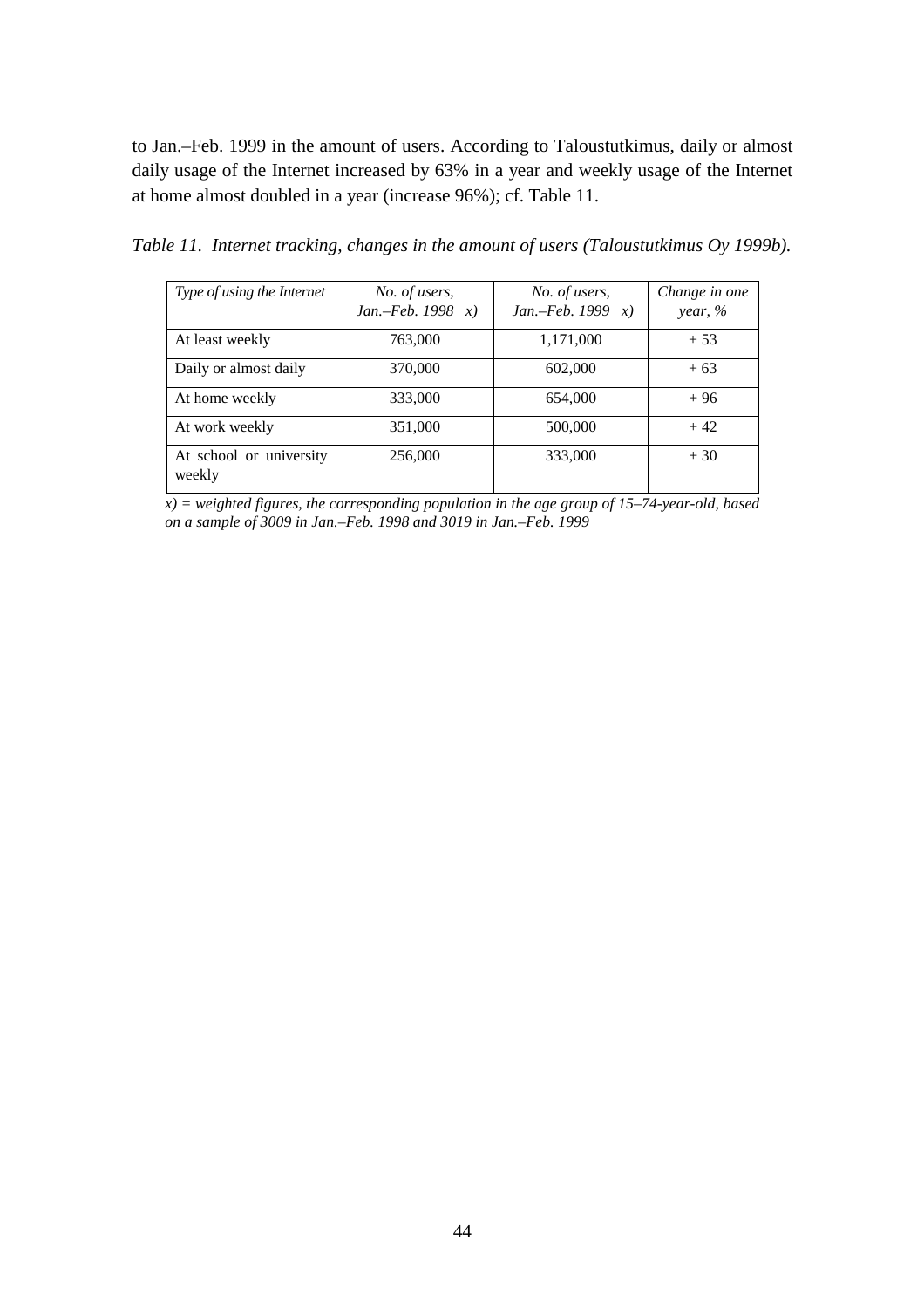to Jan.–Feb. 1999 in the amount of users. According to Taloustutkimus, daily or almost daily usage of the Internet increased by 63% in a year and weekly usage of the Internet at home almost doubled in a year (increase 96%); cf. Table 11.

| Type of using the Internet        | No. of users,<br>Jan.-Feb. 1998 $x)$ | No. of users,<br><i>Jan.</i> - <i>Feb.</i> 1999 $x$ ) | Change in one<br>year, $%$ |
|-----------------------------------|--------------------------------------|-------------------------------------------------------|----------------------------|
| At least weekly                   | 763,000                              | 1,171,000                                             | $+53$                      |
| Daily or almost daily             | 370,000                              | 602,000                                               | $+63$                      |
| At home weekly                    | 333,000                              | 654,000                                               | $+96$                      |
| At work weekly                    | 351,000                              | 500,000                                               | $+42$                      |
| At school or university<br>weekly | 256,000                              | 333,000                                               | $+30$                      |

*Table 11. Internet tracking, changes in the amount of users (Taloustutkimus Oy 1999b).*

*x) = weighted figures, the corresponding population in the age group of 15–74-year-old, based on a sample of 3009 in Jan.–Feb. 1998 and 3019 in Jan.–Feb. 1999*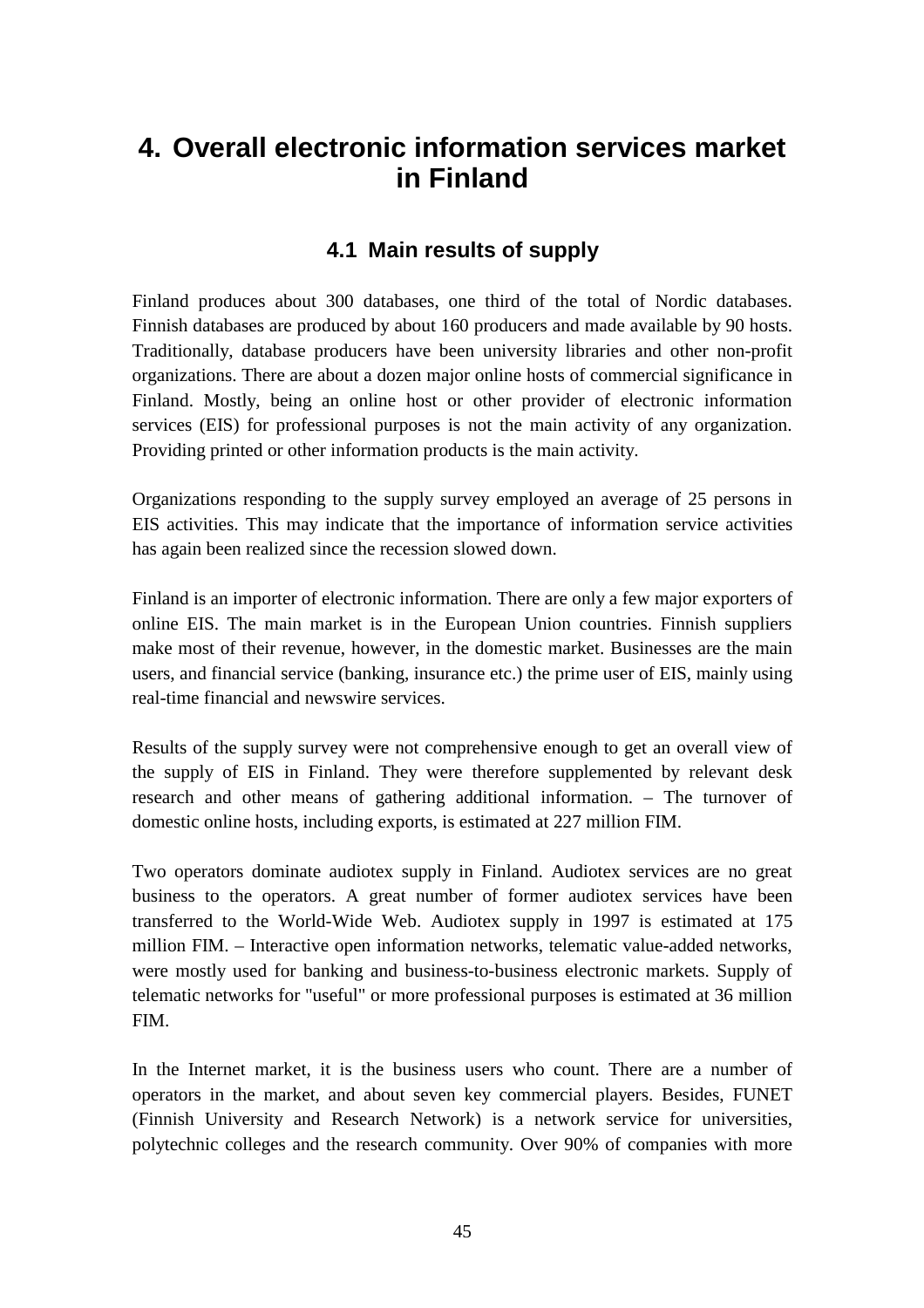# **4. Overall electronic information services market in Finland**

# **4.1 Main results of supply**

Finland produces about 300 databases, one third of the total of Nordic databases. Finnish databases are produced by about 160 producers and made available by 90 hosts. Traditionally, database producers have been university libraries and other non-profit organizations. There are about a dozen major online hosts of commercial significance in Finland. Mostly, being an online host or other provider of electronic information services (EIS) for professional purposes is not the main activity of any organization. Providing printed or other information products is the main activity.

Organizations responding to the supply survey employed an average of 25 persons in EIS activities. This may indicate that the importance of information service activities has again been realized since the recession slowed down.

Finland is an importer of electronic information. There are only a few major exporters of online EIS. The main market is in the European Union countries. Finnish suppliers make most of their revenue, however, in the domestic market. Businesses are the main users, and financial service (banking, insurance etc.) the prime user of EIS, mainly using real-time financial and newswire services.

Results of the supply survey were not comprehensive enough to get an overall view of the supply of EIS in Finland. They were therefore supplemented by relevant desk research and other means of gathering additional information. – The turnover of domestic online hosts, including exports, is estimated at 227 million FIM.

Two operators dominate audiotex supply in Finland. Audiotex services are no great business to the operators. A great number of former audiotex services have been transferred to the World-Wide Web. Audiotex supply in 1997 is estimated at 175 million FIM. – Interactive open information networks, telematic value-added networks, were mostly used for banking and business-to-business electronic markets. Supply of telematic networks for "useful" or more professional purposes is estimated at 36 million FIM.

In the Internet market, it is the business users who count. There are a number of operators in the market, and about seven key commercial players. Besides, FUNET (Finnish University and Research Network) is a network service for universities, polytechnic colleges and the research community. Over 90% of companies with more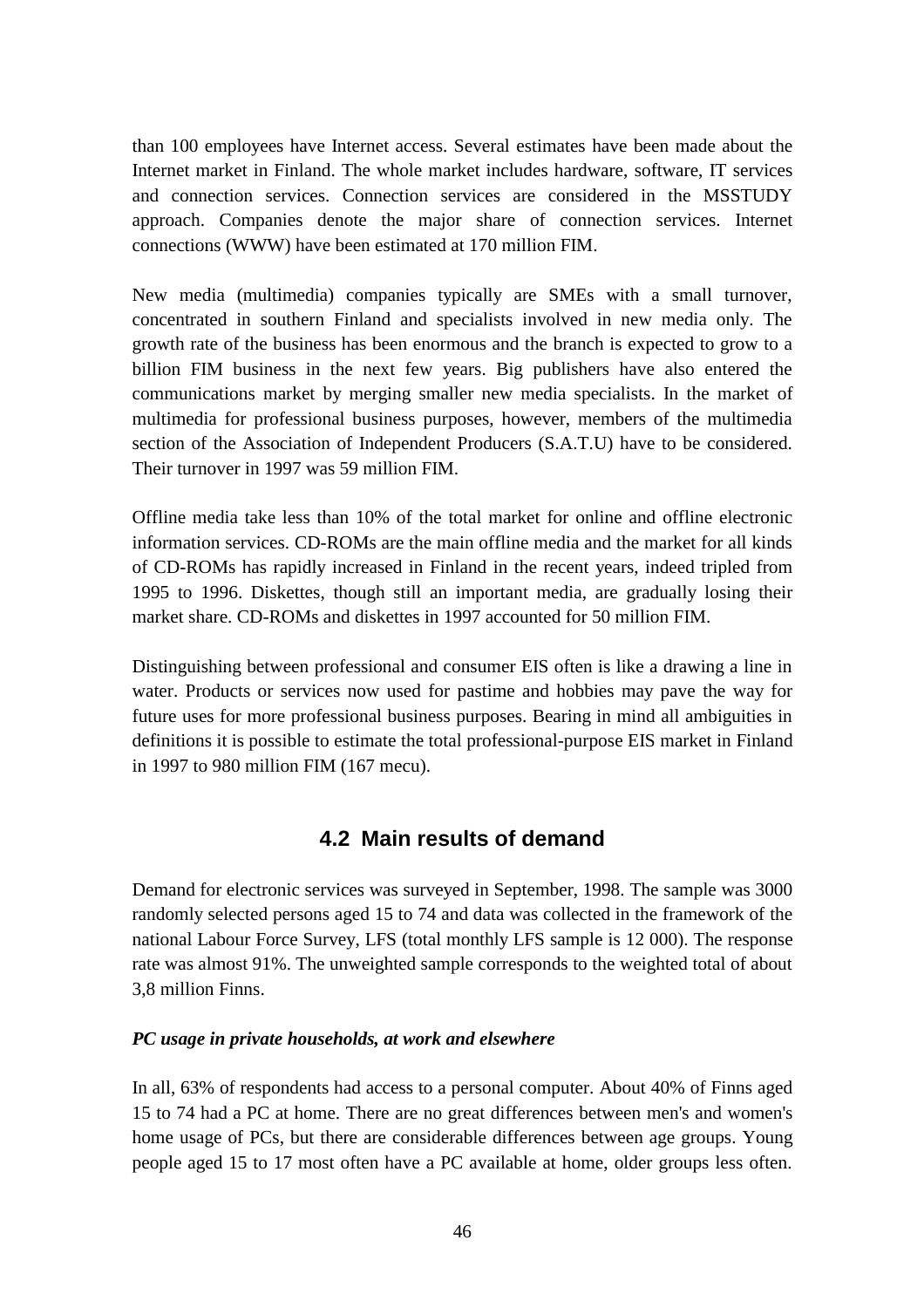than 100 employees have Internet access. Several estimates have been made about the Internet market in Finland. The whole market includes hardware, software, IT services and connection services. Connection services are considered in the MSSTUDY approach. Companies denote the major share of connection services. Internet connections (WWW) have been estimated at 170 million FIM.

New media (multimedia) companies typically are SMEs with a small turnover, concentrated in southern Finland and specialists involved in new media only. The growth rate of the business has been enormous and the branch is expected to grow to a billion FIM business in the next few years. Big publishers have also entered the communications market by merging smaller new media specialists. In the market of multimedia for professional business purposes, however, members of the multimedia section of the Association of Independent Producers (S.A.T.U) have to be considered. Their turnover in 1997 was 59 million FIM.

Offline media take less than 10% of the total market for online and offline electronic information services. CD-ROMs are the main offline media and the market for all kinds of CD-ROMs has rapidly increased in Finland in the recent years, indeed tripled from 1995 to 1996. Diskettes, though still an important media, are gradually losing their market share. CD-ROMs and diskettes in 1997 accounted for 50 million FIM.

Distinguishing between professional and consumer EIS often is like a drawing a line in water. Products or services now used for pastime and hobbies may pave the way for future uses for more professional business purposes. Bearing in mind all ambiguities in definitions it is possible to estimate the total professional-purpose EIS market in Finland in 1997 to 980 million FIM (167 mecu).

# **4.2 Main results of demand**

Demand for electronic services was surveyed in September, 1998. The sample was 3000 randomly selected persons aged 15 to 74 and data was collected in the framework of the national Labour Force Survey, LFS (total monthly LFS sample is 12 000). The response rate was almost 91%. The unweighted sample corresponds to the weighted total of about 3,8 million Finns.

## *PC usage in private households, at work and elsewhere*

In all, 63% of respondents had access to a personal computer. About 40% of Finns aged 15 to 74 had a PC at home. There are no great differences between men's and women's home usage of PCs, but there are considerable differences between age groups. Young people aged 15 to 17 most often have a PC available at home, older groups less often.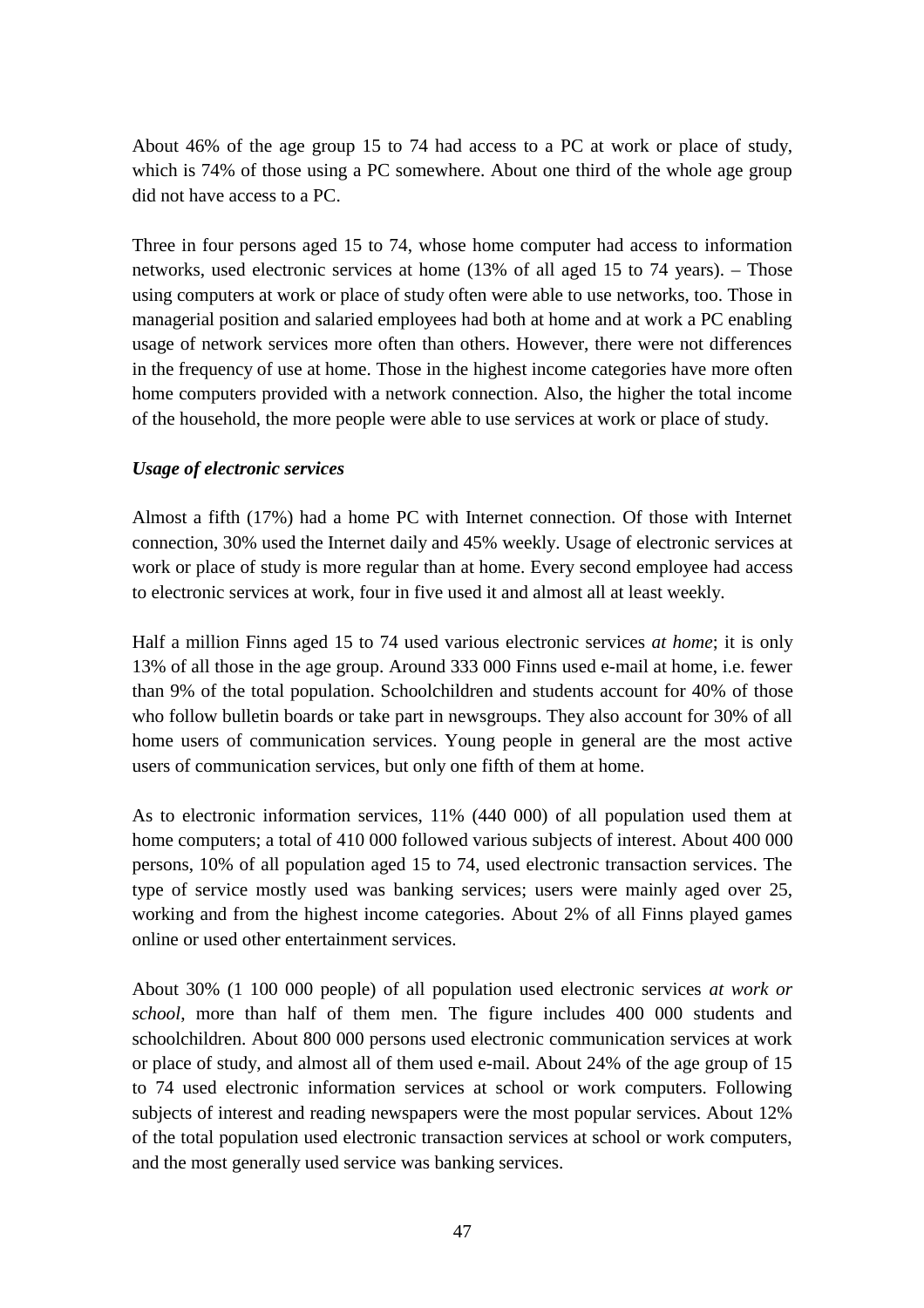About 46% of the age group 15 to 74 had access to a PC at work or place of study, which is 74% of those using a PC somewhere. About one third of the whole age group did not have access to a PC.

Three in four persons aged 15 to 74, whose home computer had access to information networks, used electronic services at home (13% of all aged 15 to 74 years). – Those using computers at work or place of study often were able to use networks, too. Those in managerial position and salaried employees had both at home and at work a PC enabling usage of network services more often than others. However, there were not differences in the frequency of use at home. Those in the highest income categories have more often home computers provided with a network connection. Also, the higher the total income of the household, the more people were able to use services at work or place of study.

#### *Usage of electronic services*

Almost a fifth (17%) had a home PC with Internet connection. Of those with Internet connection, 30% used the Internet daily and 45% weekly. Usage of electronic services at work or place of study is more regular than at home. Every second employee had access to electronic services at work, four in five used it and almost all at least weekly.

Half a million Finns aged 15 to 74 used various electronic services *at home*; it is only 13% of all those in the age group. Around 333 000 Finns used e-mail at home, i.e. fewer than 9% of the total population. Schoolchildren and students account for 40% of those who follow bulletin boards or take part in newsgroups. They also account for 30% of all home users of communication services. Young people in general are the most active users of communication services, but only one fifth of them at home.

As to electronic information services, 11% (440 000) of all population used them at home computers; a total of 410 000 followed various subjects of interest. About 400 000 persons, 10% of all population aged 15 to 74, used electronic transaction services. The type of service mostly used was banking services; users were mainly aged over 25, working and from the highest income categories. About 2% of all Finns played games online or used other entertainment services.

About 30% (1 100 000 people) of all population used electronic services *at work or school*, more than half of them men. The figure includes 400 000 students and schoolchildren. About 800 000 persons used electronic communication services at work or place of study, and almost all of them used e-mail. About 24% of the age group of 15 to 74 used electronic information services at school or work computers. Following subjects of interest and reading newspapers were the most popular services. About 12% of the total population used electronic transaction services at school or work computers, and the most generally used service was banking services.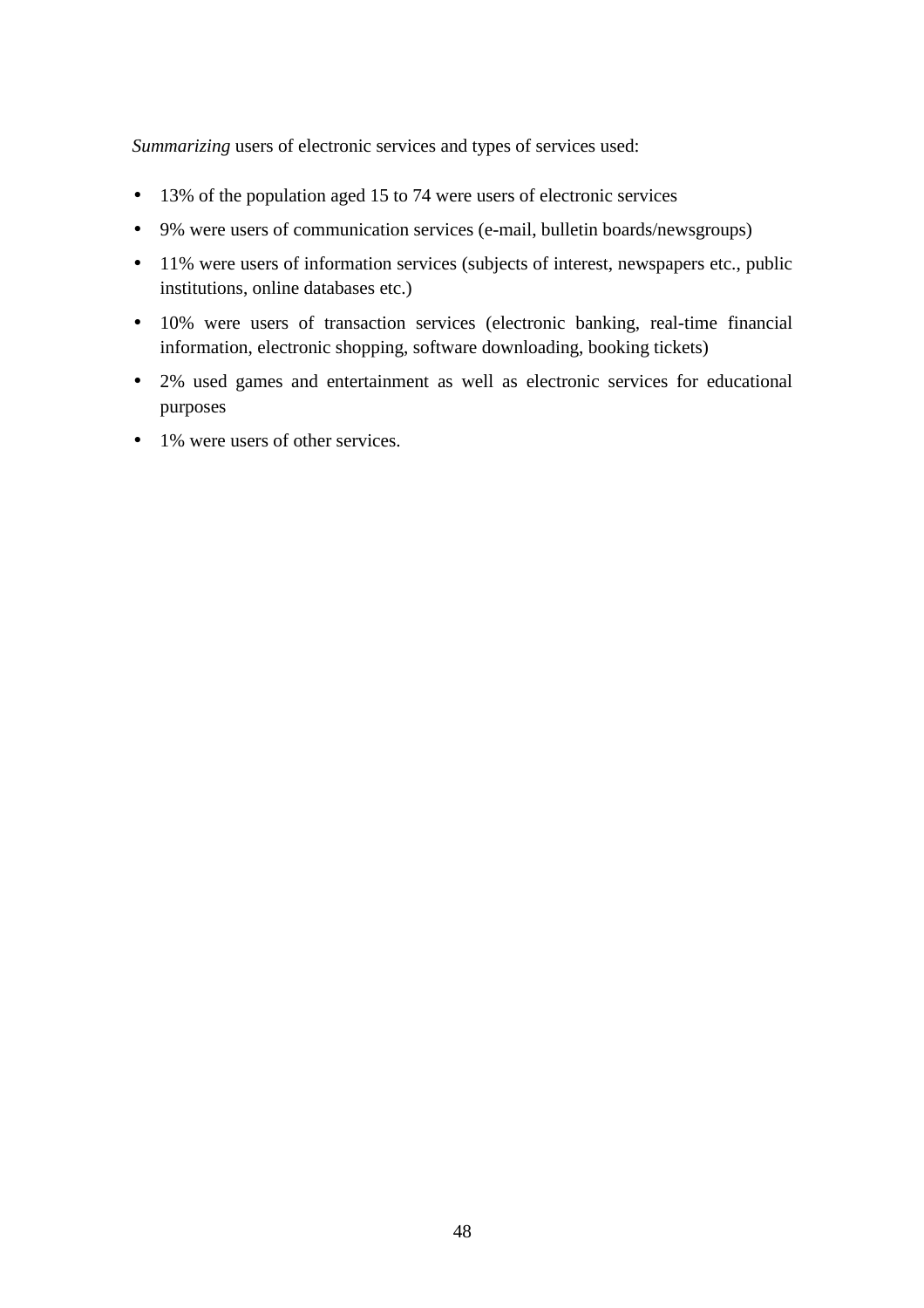*Summarizing* users of electronic services and types of services used:

- 13% of the population aged 15 to 74 were users of electronic services
- 9% were users of communication services (e-mail, bulletin boards/newsgroups)
- 11% were users of information services (subjects of interest, newspapers etc., public institutions, online databases etc.)
- 10% were users of transaction services (electronic banking, real-time financial information, electronic shopping, software downloading, booking tickets)
- 2% used games and entertainment as well as electronic services for educational purposes
- 1% were users of other services.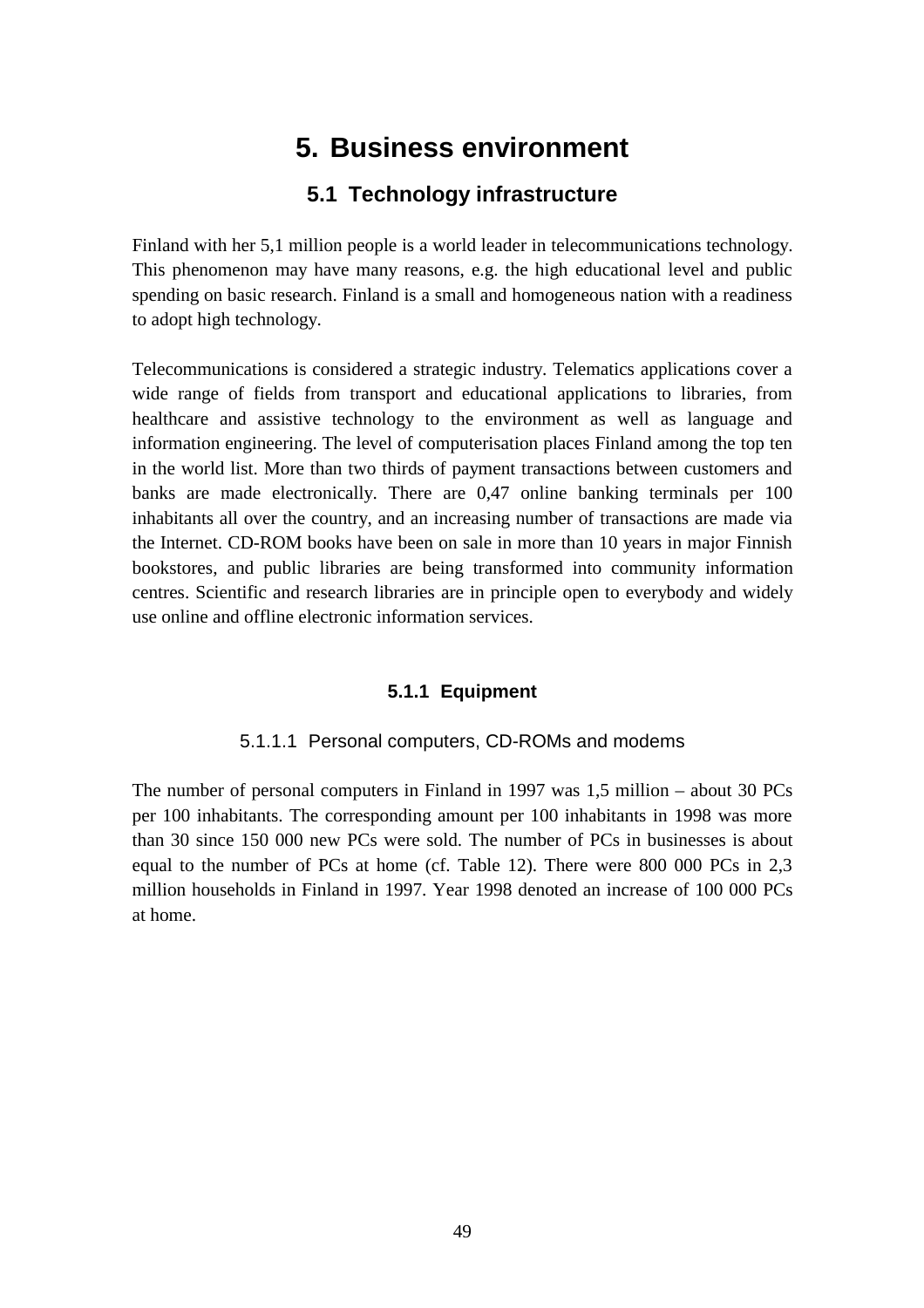# **5. Business environment**

# **5.1 Technology infrastructure**

Finland with her 5,1 million people is a world leader in telecommunications technology. This phenomenon may have many reasons, e.g. the high educational level and public spending on basic research. Finland is a small and homogeneous nation with a readiness to adopt high technology.

Telecommunications is considered a strategic industry. Telematics applications cover a wide range of fields from transport and educational applications to libraries, from healthcare and assistive technology to the environment as well as language and information engineering. The level of computerisation places Finland among the top ten in the world list. More than two thirds of payment transactions between customers and banks are made electronically. There are 0,47 online banking terminals per 100 inhabitants all over the country, and an increasing number of transactions are made via the Internet. CD-ROM books have been on sale in more than 10 years in major Finnish bookstores, and public libraries are being transformed into community information centres. Scientific and research libraries are in principle open to everybody and widely use online and offline electronic information services.

#### **5.1.1 Equipment**

#### 5.1.1.1 Personal computers, CD-ROMs and modems

The number of personal computers in Finland in 1997 was 1,5 million – about 30 PCs per 100 inhabitants. The corresponding amount per 100 inhabitants in 1998 was more than 30 since 150 000 new PCs were sold. The number of PCs in businesses is about equal to the number of PCs at home (cf. Table 12). There were 800 000 PCs in 2,3 million households in Finland in 1997. Year 1998 denoted an increase of 100 000 PCs at home.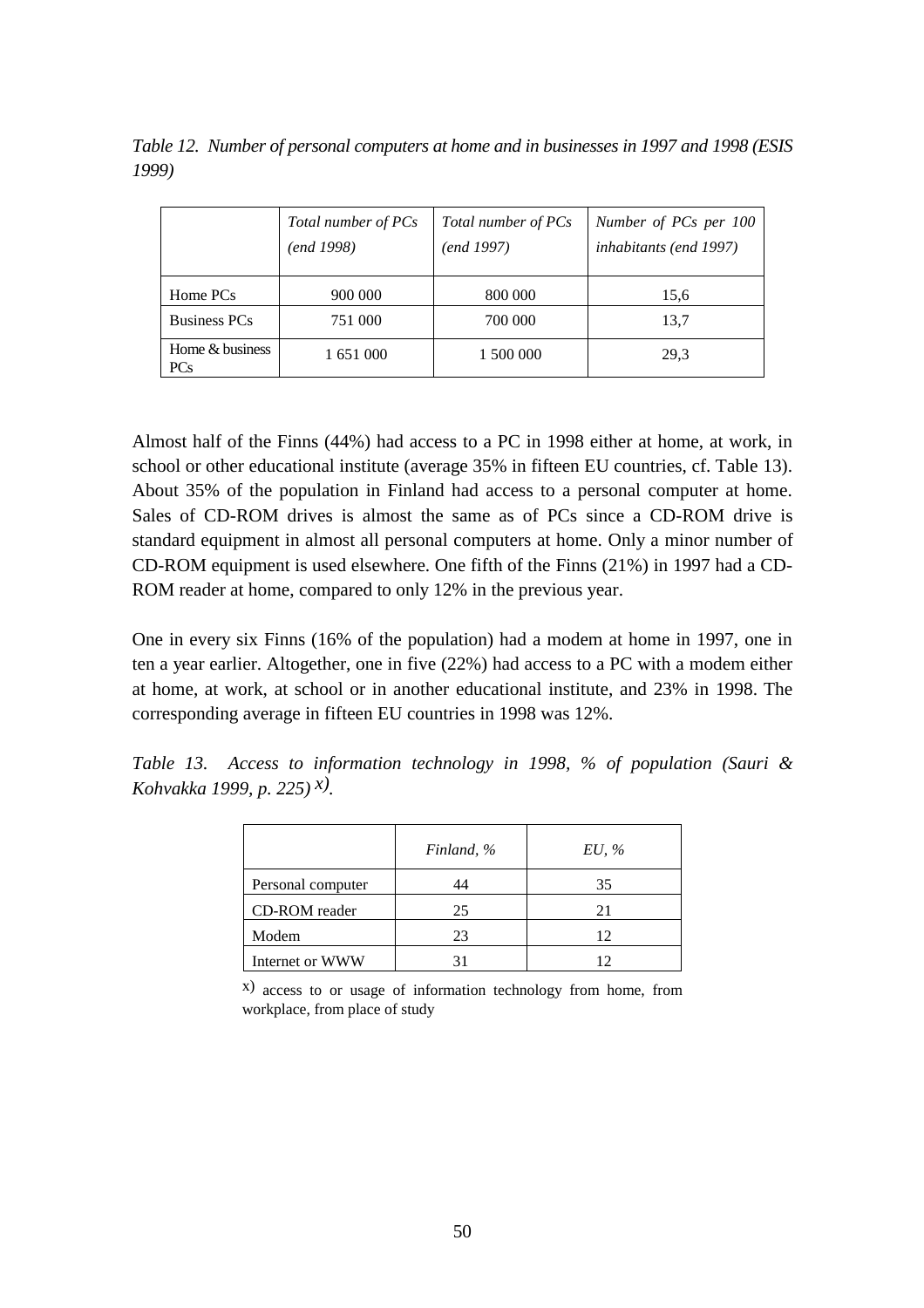*Table 12. Number of personal computers at home and in businesses in 1997 and 1998 (ESIS 1999)*

|                               | Total number of PCs<br>(end 1998) | Total number of PCs<br>(end 1997) | Number of PCs per 100<br>inhabitants (end 1997) |  |  |  |
|-------------------------------|-----------------------------------|-----------------------------------|-------------------------------------------------|--|--|--|
| Home PCs                      | 900 000                           | 800 000                           | 15,6                                            |  |  |  |
| <b>Business PCs</b>           | 751 000                           | 700 000                           | 13,7                                            |  |  |  |
| Home & business<br><b>PCs</b> | 1 651 000                         | 1 500 000                         | 29.3                                            |  |  |  |

Almost half of the Finns (44%) had access to a PC in 1998 either at home, at work, in school or other educational institute (average 35% in fifteen EU countries, cf. Table 13). About 35% of the population in Finland had access to a personal computer at home. Sales of CD-ROM drives is almost the same as of PCs since a CD-ROM drive is standard equipment in almost all personal computers at home. Only a minor number of CD-ROM equipment is used elsewhere. One fifth of the Finns (21%) in 1997 had a CD-ROM reader at home, compared to only 12% in the previous year.

One in every six Finns (16% of the population) had a modem at home in 1997, one in ten a year earlier. Altogether, one in five (22%) had access to a PC with a modem either at home, at work, at school or in another educational institute, and 23% in 1998. The corresponding average in fifteen EU countries in 1998 was 12%.

*Table 13. Access to information technology in 1998, % of population (Sauri & Kohvakka 1999, p. 225) x).*

|                   | Finland, % | $EU, \mathcal{C}$ |
|-------------------|------------|-------------------|
| Personal computer |            | 35                |
| CD-ROM reader     | 25         | 21                |
| Modem             | 23         | 12                |
| Internet or WWW   |            | 12                |

x) access to or usage of information technology from home, from workplace, from place of study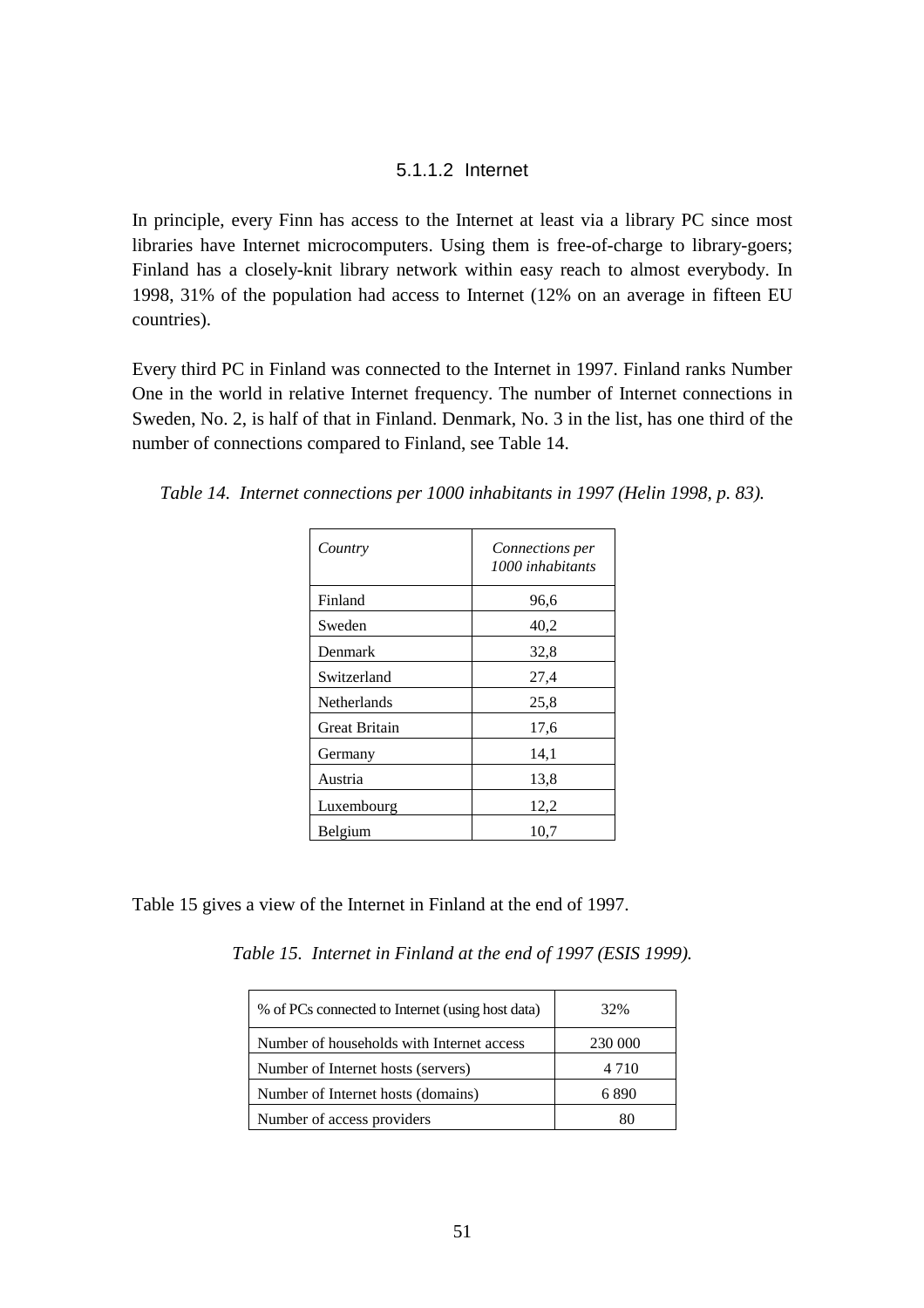#### 5.1.1.2 Internet

In principle, every Finn has access to the Internet at least via a library PC since most libraries have Internet microcomputers. Using them is free-of-charge to library-goers; Finland has a closely-knit library network within easy reach to almost everybody. In 1998, 31% of the population had access to Internet (12% on an average in fifteen EU countries).

Every third PC in Finland was connected to the Internet in 1997. Finland ranks Number One in the world in relative Internet frequency. The number of Internet connections in Sweden, No. 2, is half of that in Finland. Denmark, No. 3 in the list, has one third of the number of connections compared to Finland, see Table 14.

*Table 14. Internet connections per 1000 inhabitants in 1997 (Helin 1998, p. 83).*

| Country              | <i>Connections per</i><br>1000 inhabitants |
|----------------------|--------------------------------------------|
| Finland              | 96,6                                       |
| Sweden               | 40,2                                       |
| Denmark              | 32,8                                       |
| Switzerland          | 27,4                                       |
| Netherlands          | 25,8                                       |
| <b>Great Britain</b> | 17,6                                       |
| Germany              | 14,1                                       |
| Austria              | 13,8                                       |
| Luxembourg           | 12,2                                       |
| Belgium              | 10,7                                       |

Table 15 gives a view of the Internet in Finland at the end of 1997.

*Table 15. Internet in Finland at the end of 1997 (ESIS 1999).*

| % of PCs connected to Internet (using host data) | 32%     |
|--------------------------------------------------|---------|
| Number of households with Internet access        | 230 000 |
| Number of Internet hosts (servers)               | 4 7 1 0 |
| Number of Internet hosts (domains)               | 6.890   |
| Number of access providers                       |         |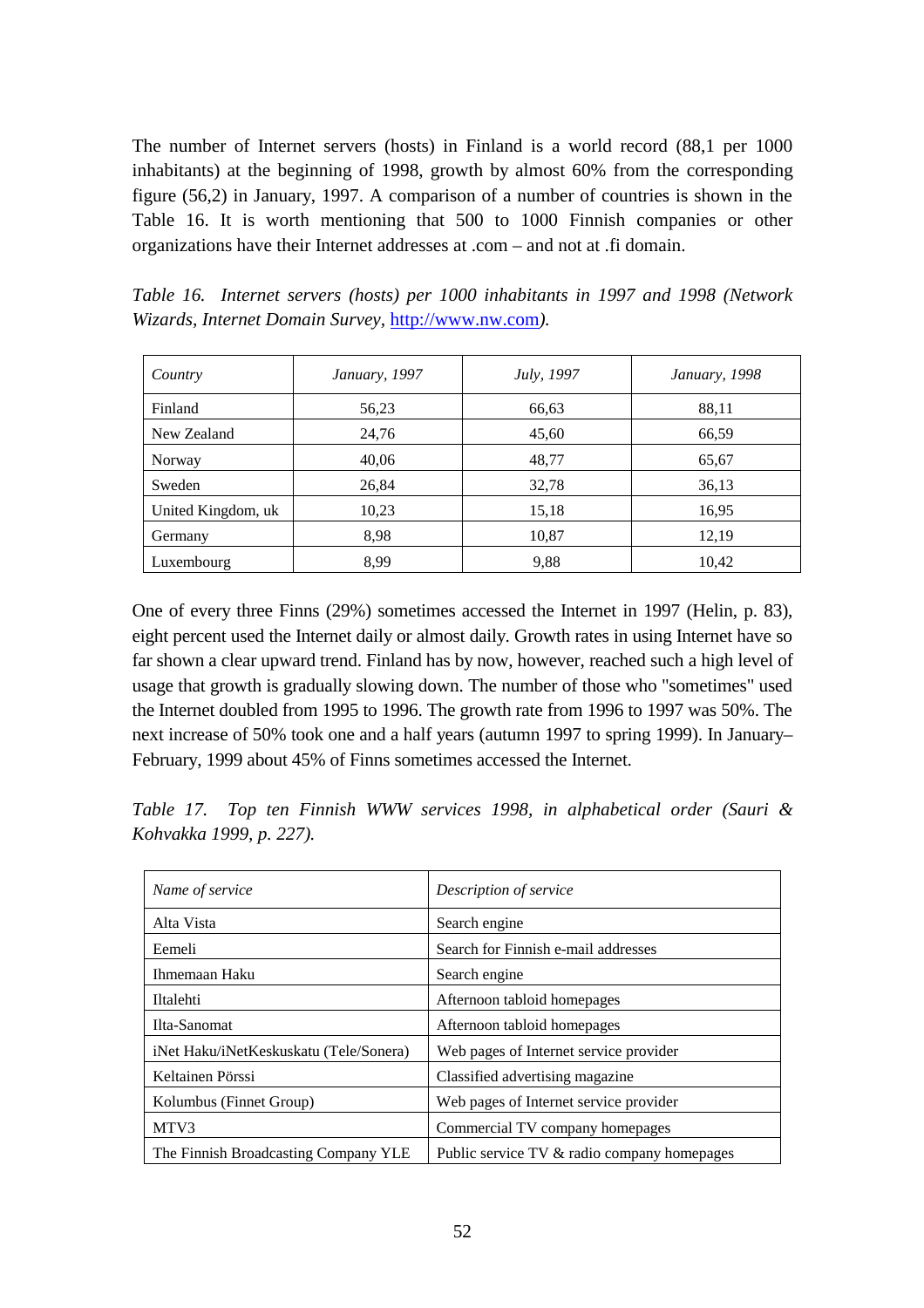The number of Internet servers (hosts) in Finland is a world record (88,1 per 1000 inhabitants) at the beginning of 1998, growth by almost 60% from the corresponding figure (56,2) in January, 1997. A comparison of a number of countries is shown in the Table 16. It is worth mentioning that 500 to 1000 Finnish companies or other organizations have their Internet addresses at .com – and not at .fi domain.

*Table 16. Internet servers (hosts) per 1000 inhabitants in 1997 and 1998 (Network Wizards, Internet Domain Survey,* http://www.nw.com*).*

| Country            | January, 1997 | July, 1997 | January, 1998 |
|--------------------|---------------|------------|---------------|
| Finland            | 56,23         | 66,63      | 88,11         |
| New Zealand        | 24,76         | 45,60      | 66,59         |
| Norway             | 40,06         | 48,77      | 65,67         |
| Sweden             | 26,84         | 32,78      | 36,13         |
| United Kingdom, uk | 10,23         | 15,18      | 16,95         |
| Germany            | 8,98          | 10,87      | 12,19         |
| Luxembourg         | 8,99          | 9,88       | 10,42         |

One of every three Finns (29%) sometimes accessed the Internet in 1997 (Helin, p. 83), eight percent used the Internet daily or almost daily. Growth rates in using Internet have so far shown a clear upward trend. Finland has by now, however, reached such a high level of usage that growth is gradually slowing down. The number of those who "sometimes" used the Internet doubled from 1995 to 1996. The growth rate from 1996 to 1997 was 50%. The next increase of 50% took one and a half years (autumn 1997 to spring 1999). In January– February, 1999 about 45% of Finns sometimes accessed the Internet.

*Table 17. Top ten Finnish WWW services 1998, in alphabetical order (Sauri & Kohvakka 1999, p. 227).*

| Name of service                        | Description of service                      |
|----------------------------------------|---------------------------------------------|
| Alta Vista                             | Search engine                               |
| Eemeli                                 | Search for Finnish e-mail addresses         |
| Ihmemaan Haku                          | Search engine                               |
| Iltalehti                              | Afternoon tabloid homepages                 |
| Ilta-Sanomat                           | Afternoon tabloid homepages                 |
| iNet Haku/iNetKeskuskatu (Tele/Sonera) | Web pages of Internet service provider      |
| Keltainen Pörssi                       | Classified advertising magazine             |
| Kolumbus (Finnet Group)                | Web pages of Internet service provider      |
| MTV3                                   | Commercial TV company homepages             |
| The Finnish Broadcasting Company YLE   | Public service TV & radio company homepages |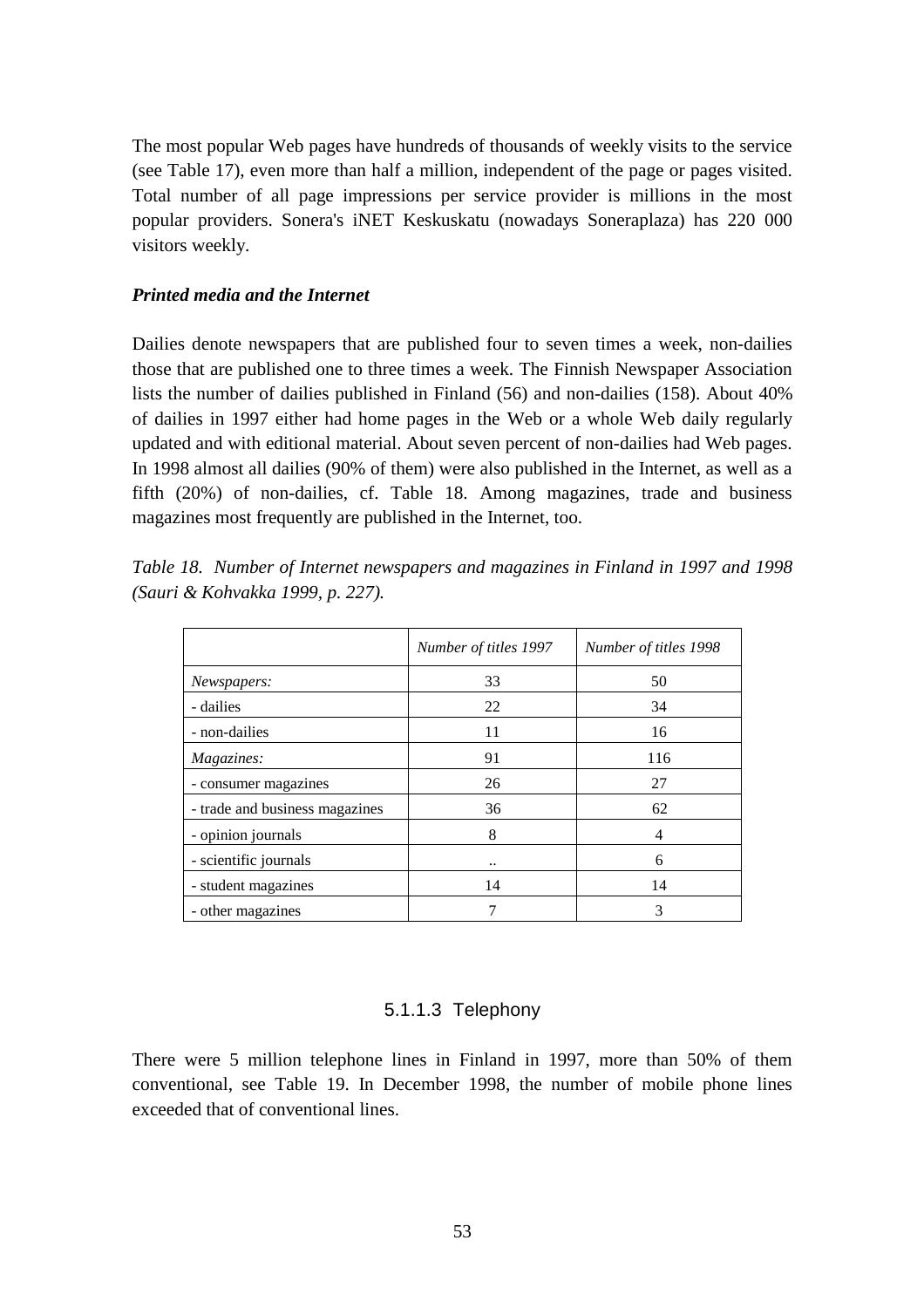The most popular Web pages have hundreds of thousands of weekly visits to the service (see Table 17), even more than half a million, independent of the page or pages visited. Total number of all page impressions per service provider is millions in the most popular providers. Sonera's iNET Keskuskatu (nowadays Soneraplaza) has 220 000 visitors weekly.

#### *Printed media and the Internet*

Dailies denote newspapers that are published four to seven times a week, non-dailies those that are published one to three times a week. The Finnish Newspaper Association lists the number of dailies published in Finland (56) and non-dailies (158). About 40% of dailies in 1997 either had home pages in the Web or a whole Web daily regularly updated and with editional material. About seven percent of non-dailies had Web pages. In 1998 almost all dailies (90% of them) were also published in the Internet, as well as a fifth (20%) of non-dailies, cf. Table 18. Among magazines, trade and business magazines most frequently are published in the Internet, too.

|  |                                  | Table 18. Number of Internet newspapers and magazines in Finland in 1997 and 1998 |  |  |  |  |
|--|----------------------------------|-----------------------------------------------------------------------------------|--|--|--|--|
|  | (Sauri & Kohvakka 1999, p. 227). |                                                                                   |  |  |  |  |

|                                | Number of titles 1997 | Number of titles 1998 |
|--------------------------------|-----------------------|-----------------------|
| Newspapers:                    | 33                    | 50                    |
| - dailies                      | 22                    | 34                    |
| - non-dailies                  | 11                    | 16                    |
| Magazines:                     | 91                    | 116                   |
| - consumer magazines           | 26                    | 27                    |
| - trade and business magazines | 36                    | 62                    |
| - opinion journals             | 8                     | 4                     |
| - scientific journals          |                       | 6                     |
| - student magazines            | 14                    | 14                    |
| - other magazines              |                       | 3                     |

## 5.1.1.3 Telephony

There were 5 million telephone lines in Finland in 1997, more than 50% of them conventional, see Table 19. In December 1998, the number of mobile phone lines exceeded that of conventional lines.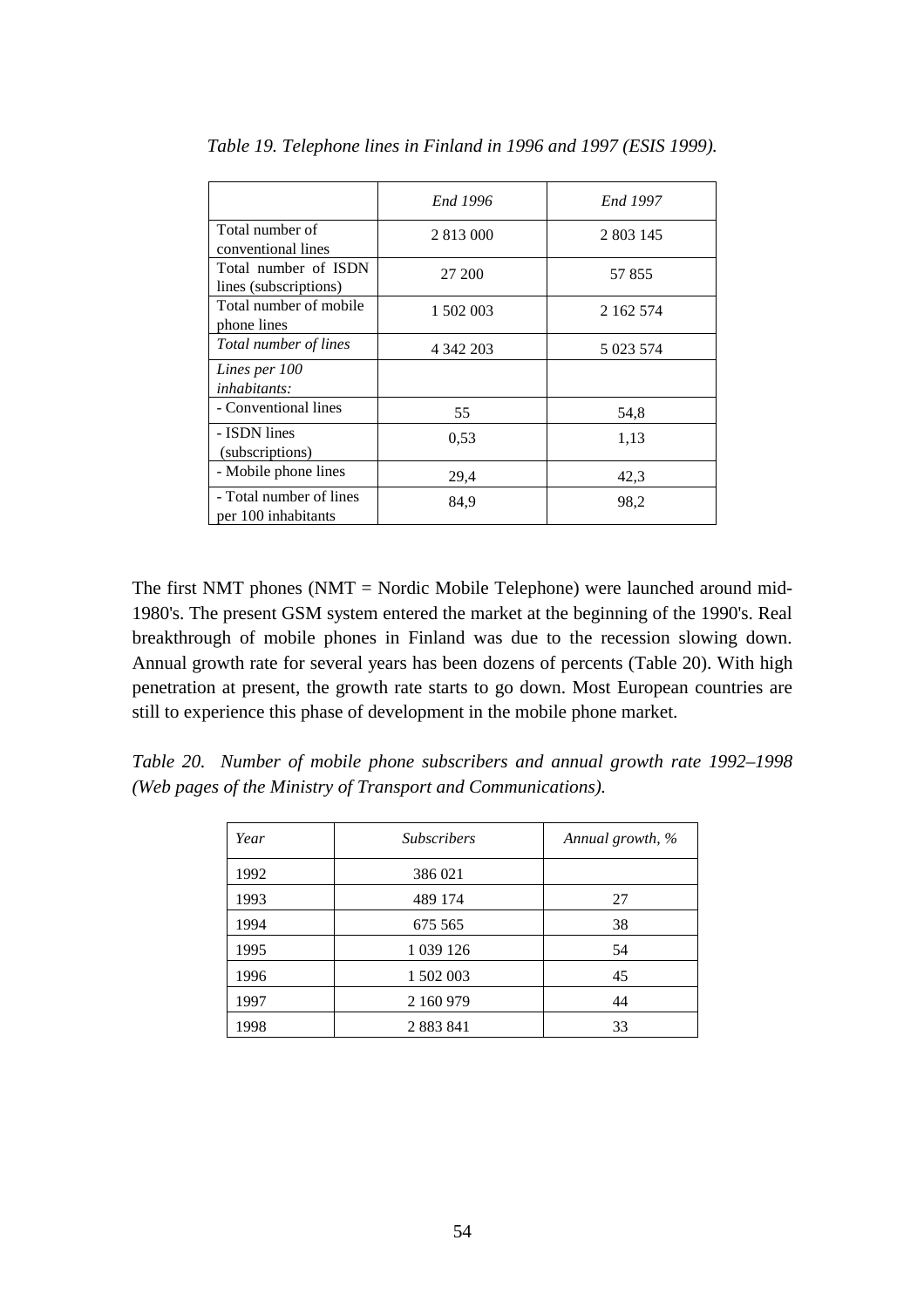|                                                | End 1996  | End 1997  |
|------------------------------------------------|-----------|-----------|
| Total number of<br>conventional lines          | 2 813 000 | 2 803 145 |
| Total number of ISDN<br>lines (subscriptions)  | 27 200    | 57855     |
| Total number of mobile<br>phone lines          | 1 502 003 | 2 162 574 |
| Total number of lines                          | 4 342 203 | 5 023 574 |
| Lines per 100<br><i>inhabitants:</i>           |           |           |
| - Conventional lines                           | 55        | 54,8      |
| - ISDN lines<br>(subscriptions)                | 0.53      | 1,13      |
| - Mobile phone lines                           | 29,4      | 42,3      |
| - Total number of lines<br>per 100 inhabitants | 84,9      | 98,2      |

*Table 19. Telephone lines in Finland in 1996 and 1997 (ESIS 1999).*

The first NMT phones (NMT = Nordic Mobile Telephone) were launched around mid-1980's. The present GSM system entered the market at the beginning of the 1990's. Real breakthrough of mobile phones in Finland was due to the recession slowing down. Annual growth rate for several years has been dozens of percents (Table 20). With high penetration at present, the growth rate starts to go down. Most European countries are still to experience this phase of development in the mobile phone market.

*Table 20. Number of mobile phone subscribers and annual growth rate 1992–1998 (Web pages of the Ministry of Transport and Communications).*

| Year | <b>Subscribers</b> | Annual growth, % |  |
|------|--------------------|------------------|--|
| 1992 | 386 021            |                  |  |
| 1993 | 489 174            | 27               |  |
| 1994 | 675 565            | 38               |  |
| 1995 | 1 0 39 1 26        | 54               |  |
| 1996 | 1 502 003          | 45               |  |
| 1997 | 2 160 979          | 44               |  |
| 1998 | 2 8 8 3 8 4 1      | 33               |  |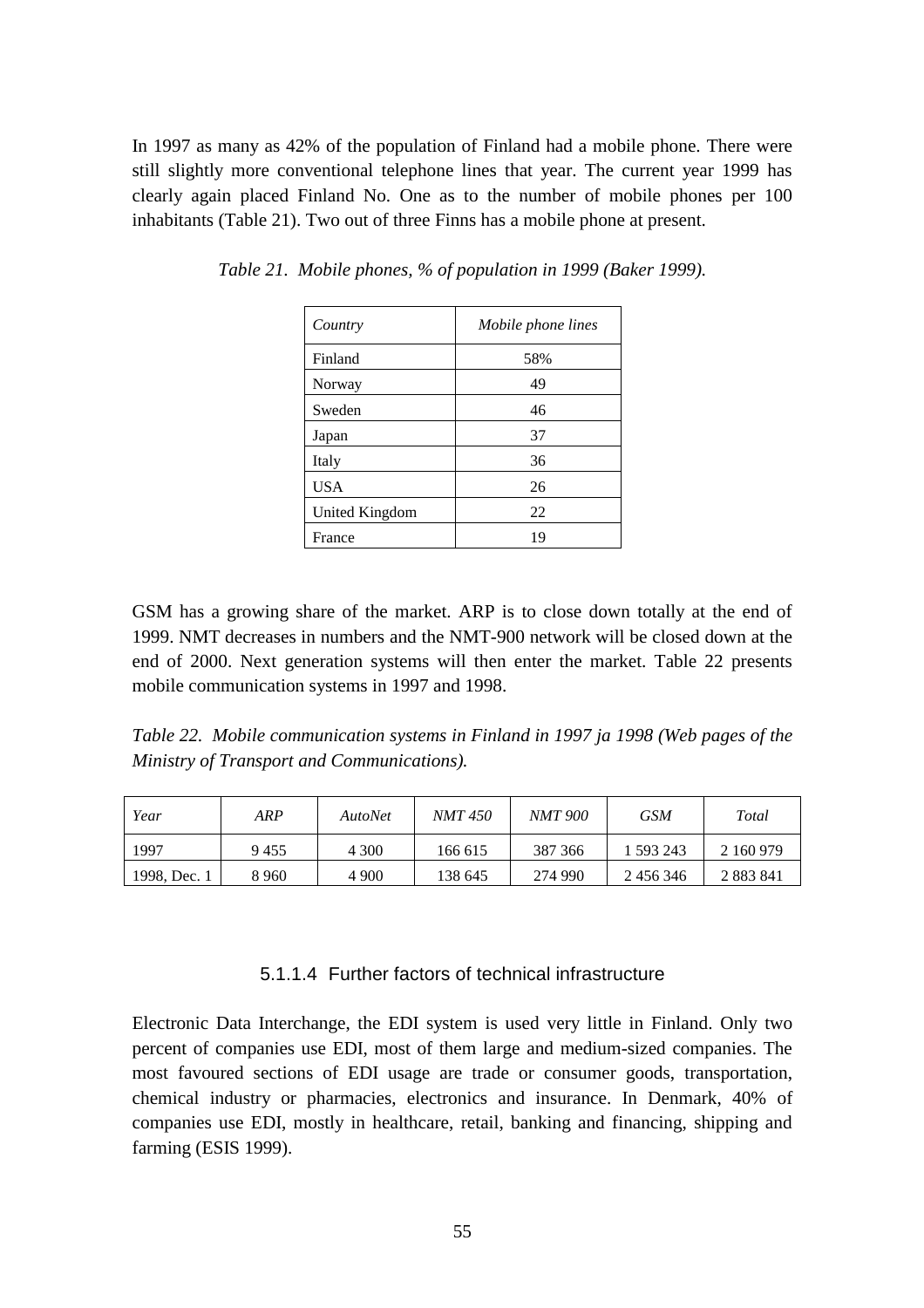In 1997 as many as 42% of the population of Finland had a mobile phone. There were still slightly more conventional telephone lines that year. The current year 1999 has clearly again placed Finland No. One as to the number of mobile phones per 100 inhabitants (Table 21). Two out of three Finns has a mobile phone at present.

| Country        | Mobile phone lines |
|----------------|--------------------|
| Finland        | 58%                |
| Norway         | 49                 |
| Sweden         | 46                 |
| Japan          | 37                 |
| Italy          | 36                 |
| <b>USA</b>     | 26                 |
| United Kingdom | 22                 |
| France         | 19                 |

*Table 21. Mobile phones, % of population in 1999 (Baker 1999).*

GSM has a growing share of the market. ARP is to close down totally at the end of 1999. NMT decreases in numbers and the NMT-900 network will be closed down at the end of 2000. Next generation systems will then enter the market. Table 22 presents mobile communication systems in 1997 and 1998.

*Table 22. Mobile communication systems in Finland in 1997 ja 1998 (Web pages of the Ministry of Transport and Communications).*

| Year         | ARP     | <i>AutoNet</i> | <i>NMT 450</i> | <i>NMT 900</i> | <b>GSM</b> | Total         |
|--------------|---------|----------------|----------------|----------------|------------|---------------|
| 1997         | 9455    | 4 300          | 166 615        | 387 366        | 593 243    | 2 160 979     |
| 1998, Dec. 1 | 8 9 6 0 | 4 900          | 138 645        | 274 990        | 2 456 346  | 2 8 8 3 8 4 1 |

#### 5.1.1.4 Further factors of technical infrastructure

Electronic Data Interchange, the EDI system is used very little in Finland. Only two percent of companies use EDI, most of them large and medium-sized companies. The most favoured sections of EDI usage are trade or consumer goods, transportation, chemical industry or pharmacies, electronics and insurance. In Denmark, 40% of companies use EDI, mostly in healthcare, retail, banking and financing, shipping and farming (ESIS 1999).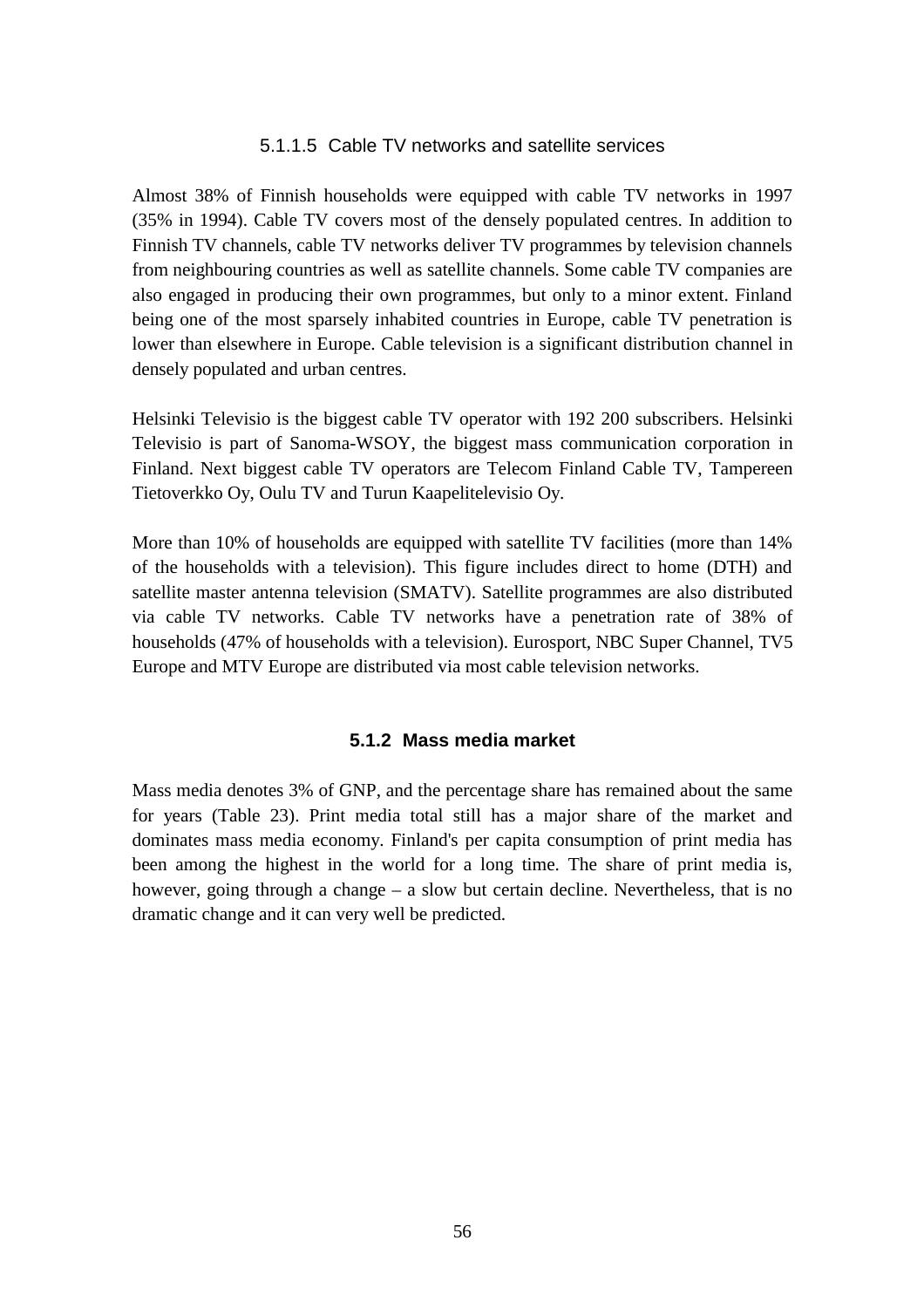#### 5.1.1.5 Cable TV networks and satellite services

Almost 38% of Finnish households were equipped with cable TV networks in 1997 (35% in 1994). Cable TV covers most of the densely populated centres. In addition to Finnish TV channels, cable TV networks deliver TV programmes by television channels from neighbouring countries as well as satellite channels. Some cable TV companies are also engaged in producing their own programmes, but only to a minor extent. Finland being one of the most sparsely inhabited countries in Europe, cable TV penetration is lower than elsewhere in Europe. Cable television is a significant distribution channel in densely populated and urban centres.

Helsinki Televisio is the biggest cable TV operator with 192 200 subscribers. Helsinki Televisio is part of Sanoma-WSOY, the biggest mass communication corporation in Finland. Next biggest cable TV operators are Telecom Finland Cable TV, Tampereen Tietoverkko Oy, Oulu TV and Turun Kaapelitelevisio Oy.

More than 10% of households are equipped with satellite TV facilities (more than 14% of the households with a television). This figure includes direct to home (DTH) and satellite master antenna television (SMATV). Satellite programmes are also distributed via cable TV networks. Cable TV networks have a penetration rate of 38% of households (47% of households with a television). Eurosport, NBC Super Channel, TV5 Europe and MTV Europe are distributed via most cable television networks.

#### **5.1.2 Mass media market**

Mass media denotes 3% of GNP, and the percentage share has remained about the same for years (Table 23). Print media total still has a major share of the market and dominates mass media economy. Finland's per capita consumption of print media has been among the highest in the world for a long time. The share of print media is, however, going through a change – a slow but certain decline. Nevertheless, that is no dramatic change and it can very well be predicted.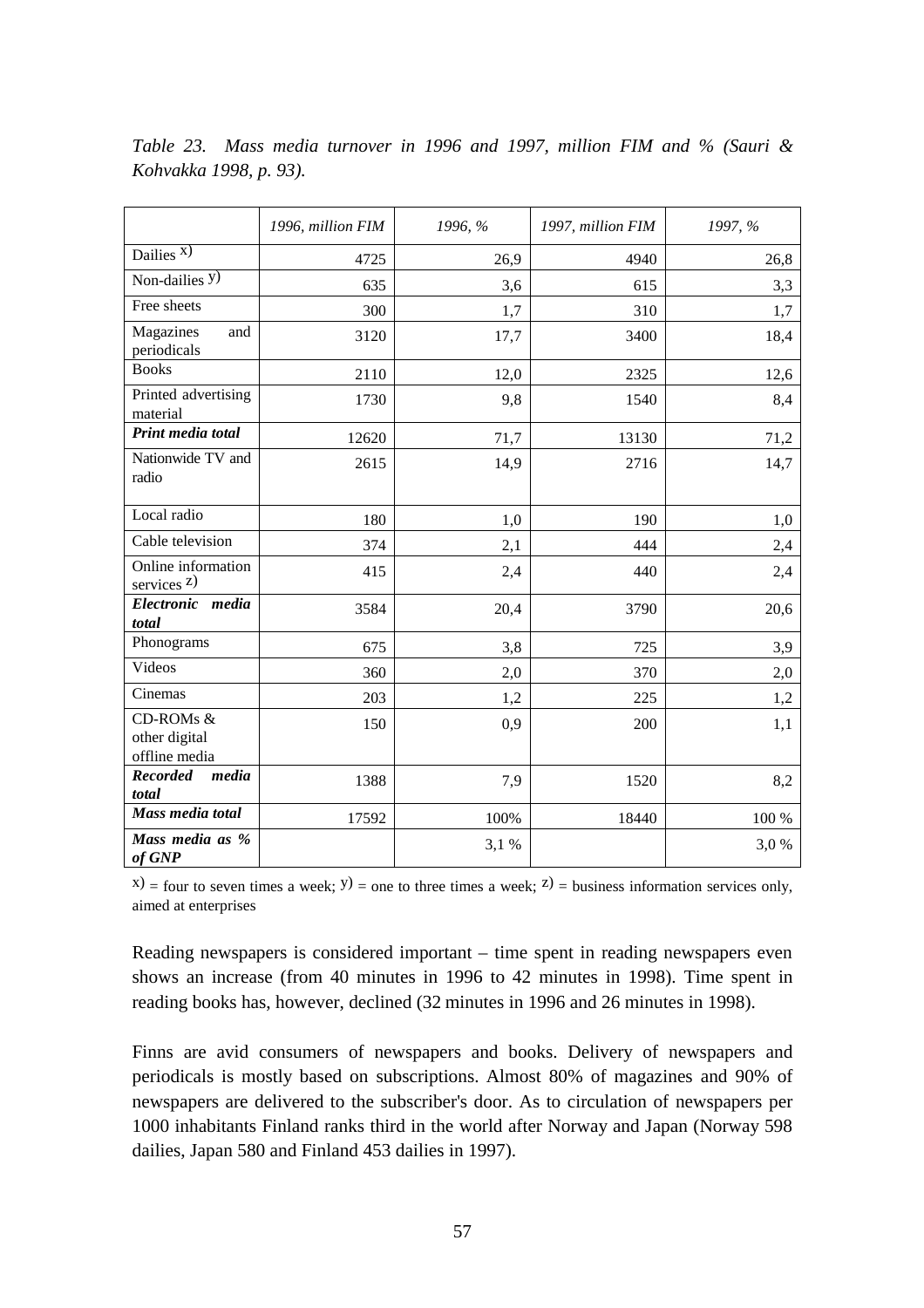|                                             | 1996, million FIM | 1996, % | 1997, million FIM | 1997, % |
|---------------------------------------------|-------------------|---------|-------------------|---------|
| Dailies $X$ )                               | 4725              | 26,9    | 4940              | 26,8    |
| Non-dailies $y$ )                           | 635               | 3,6     | 615               | 3,3     |
| Free sheets                                 | 300               | 1,7     | 310               | 1,7     |
| Magazines<br>and<br>periodicals             | 3120              | 17,7    | 3400              | 18,4    |
| <b>Books</b>                                | 2110              | 12,0    | 2325              | 12,6    |
| Printed advertising<br>material             | 1730              | 9,8     | 1540              | 8,4     |
| Print media total                           | 12620             | 71,7    | 13130             | 71,2    |
| Nationwide TV and<br>radio                  | 2615              | 14,9    | 2716              | 14,7    |
| Local radio                                 | 180               | 1,0     | 190               | 1,0     |
| Cable television                            | 374               | 2,1     | 444               | 2,4     |
| Online information<br>services $z$ )        | 415               | 2,4     | 440               | 2,4     |
| Electronic media<br>total                   | 3584              | 20,4    | 3790              | 20,6    |
| Phonograms                                  | 675               | 3,8     | 725               | 3,9     |
| Videos                                      | 360               | 2,0     | 370               | 2,0     |
| Cinemas                                     | 203               | 1,2     | 225               | 1,2     |
| CD-ROMs &<br>other digital<br>offline media | 150               | 0,9     | 200               | 1,1     |
| <b>Recorded</b><br>media<br>total           | 1388              | 7,9     | 1520              | 8,2     |
| Mass media total                            | 17592             | 100%    | 18440             | 100 %   |
| Mass media as %<br>of GNP                   |                   | 3,1%    |                   | 3,0%    |

*Table 23. Mass media turnover in 1996 and 1997, million FIM and % (Sauri & Kohvakka 1998, p. 93).*

 $(x)$  = four to seven times a week;  $y$ ) = one to three times a week;  $z$ ) = business information services only, aimed at enterprises

Reading newspapers is considered important – time spent in reading newspapers even shows an increase (from 40 minutes in 1996 to 42 minutes in 1998). Time spent in reading books has, however, declined (32 minutes in 1996 and 26 minutes in 1998).

Finns are avid consumers of newspapers and books. Delivery of newspapers and periodicals is mostly based on subscriptions. Almost 80% of magazines and 90% of newspapers are delivered to the subscriber's door. As to circulation of newspapers per 1000 inhabitants Finland ranks third in the world after Norway and Japan (Norway 598 dailies, Japan 580 and Finland 453 dailies in 1997).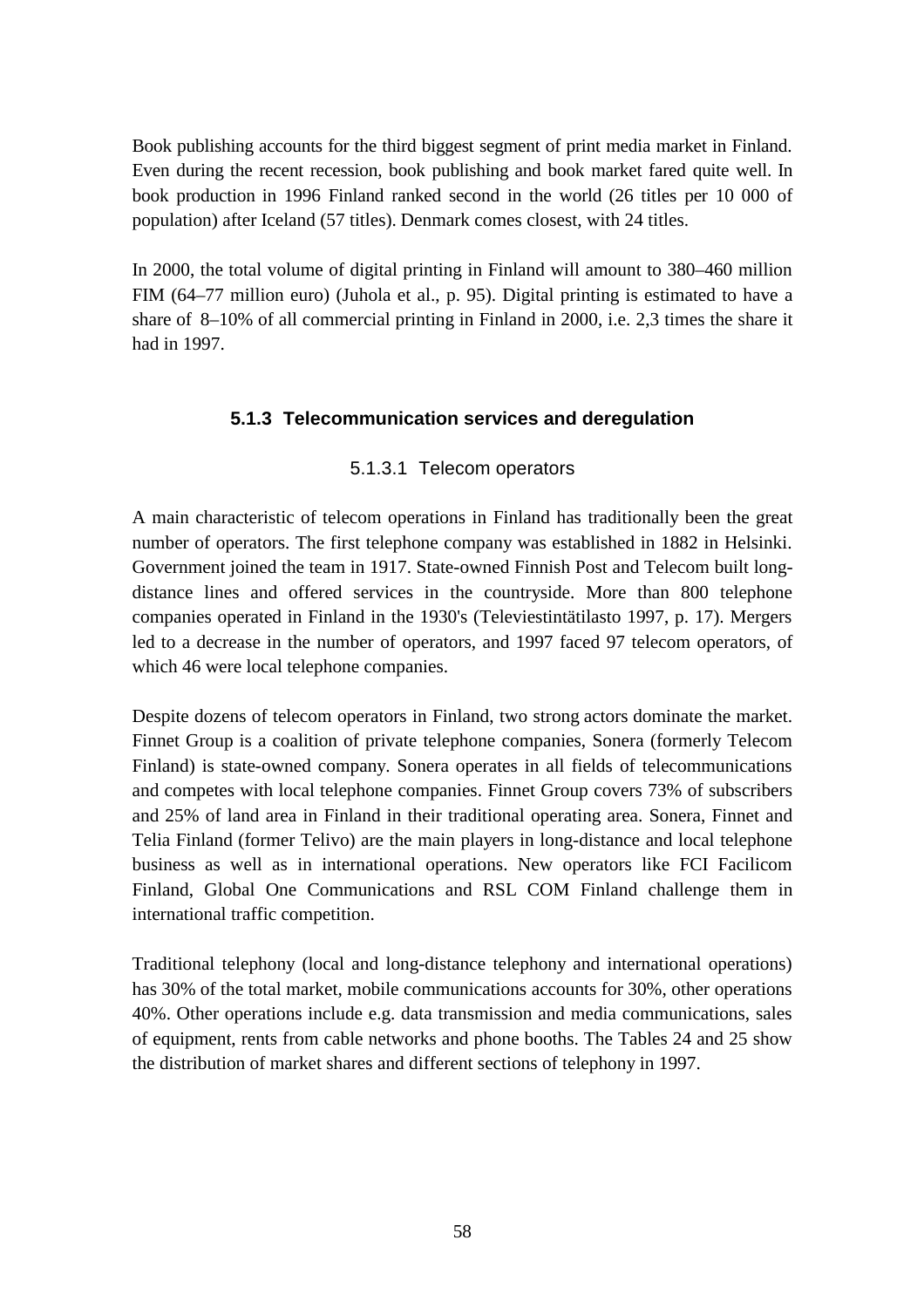Book publishing accounts for the third biggest segment of print media market in Finland. Even during the recent recession, book publishing and book market fared quite well. In book production in 1996 Finland ranked second in the world (26 titles per 10 000 of population) after Iceland (57 titles). Denmark comes closest, with 24 titles.

In 2000, the total volume of digital printing in Finland will amount to 380–460 million FIM (64–77 million euro) (Juhola et al., p. 95). Digital printing is estimated to have a share of 8–10% of all commercial printing in Finland in 2000, i.e. 2,3 times the share it had in 1997.

## **5.1.3 Telecommunication services and deregulation**

## 5.1.3.1 Telecom operators

A main characteristic of telecom operations in Finland has traditionally been the great number of operators. The first telephone company was established in 1882 in Helsinki. Government joined the team in 1917. State-owned Finnish Post and Telecom built longdistance lines and offered services in the countryside. More than 800 telephone companies operated in Finland in the 1930's (Televiestintätilasto 1997, p. 17). Mergers led to a decrease in the number of operators, and 1997 faced 97 telecom operators, of which 46 were local telephone companies.

Despite dozens of telecom operators in Finland, two strong actors dominate the market. Finnet Group is a coalition of private telephone companies, Sonera (formerly Telecom Finland) is state-owned company. Sonera operates in all fields of telecommunications and competes with local telephone companies. Finnet Group covers 73% of subscribers and 25% of land area in Finland in their traditional operating area. Sonera, Finnet and Telia Finland (former Telivo) are the main players in long-distance and local telephone business as well as in international operations. New operators like FCI Facilicom Finland, Global One Communications and RSL COM Finland challenge them in international traffic competition.

Traditional telephony (local and long-distance telephony and international operations) has 30% of the total market, mobile communications accounts for 30%, other operations 40%. Other operations include e.g. data transmission and media communications, sales of equipment, rents from cable networks and phone booths. The Tables 24 and 25 show the distribution of market shares and different sections of telephony in 1997.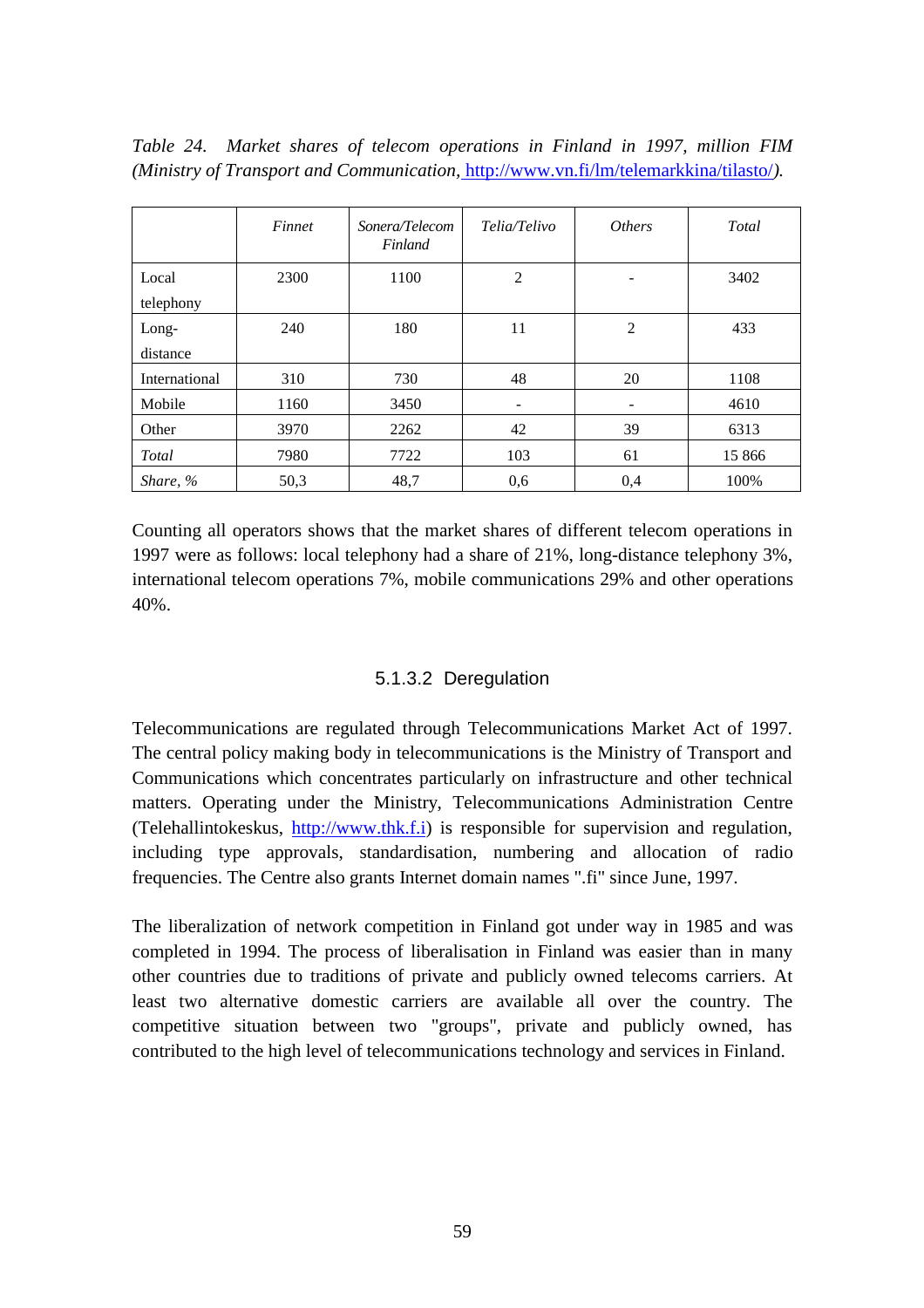*Table 24. Market shares of telecom operations in Finland in 1997, million FIM (Ministry of Transport and Communication,* http://www.vn.fi/lm/telemarkkina/tilasto/*).*

|                    | Finnet | Sonera/Telecom<br>Finland | Telia/Telivo   | <i><b>Others</b></i> | Total  |
|--------------------|--------|---------------------------|----------------|----------------------|--------|
| Local<br>telephony | 2300   | 1100                      | $\overline{2}$ |                      | 3402   |
| Long-<br>distance  | 240    | 180                       | 11             | 2                    | 433    |
| International      | 310    | 730                       | 48             | 20                   | 1108   |
| Mobile             | 1160   | 3450                      | -              | -                    | 4610   |
| Other              | 3970   | 2262                      | 42             | 39                   | 6313   |
| Total              | 7980   | 7722                      | 103            | 61                   | 15 866 |
| Share, %           | 50,3   | 48,7                      | 0,6            | 0,4                  | 100%   |

Counting all operators shows that the market shares of different telecom operations in 1997 were as follows: local telephony had a share of 21%, long-distance telephony 3%, international telecom operations 7%, mobile communications 29% and other operations 40%.

## 5.1.3.2 Deregulation

Telecommunications are regulated through Telecommunications Market Act of 1997. The central policy making body in telecommunications is the Ministry of Transport and Communications which concentrates particularly on infrastructure and other technical matters. Operating under the Ministry, Telecommunications Administration Centre (Telehallintokeskus, http://www.thk.f.i) is responsible for supervision and regulation, including type approvals, standardisation, numbering and allocation of radio frequencies. The Centre also grants Internet domain names ".fi" since June, 1997.

The liberalization of network competition in Finland got under way in 1985 and was completed in 1994. The process of liberalisation in Finland was easier than in many other countries due to traditions of private and publicly owned telecoms carriers. At least two alternative domestic carriers are available all over the country. The competitive situation between two "groups", private and publicly owned, has contributed to the high level of telecommunications technology and services in Finland.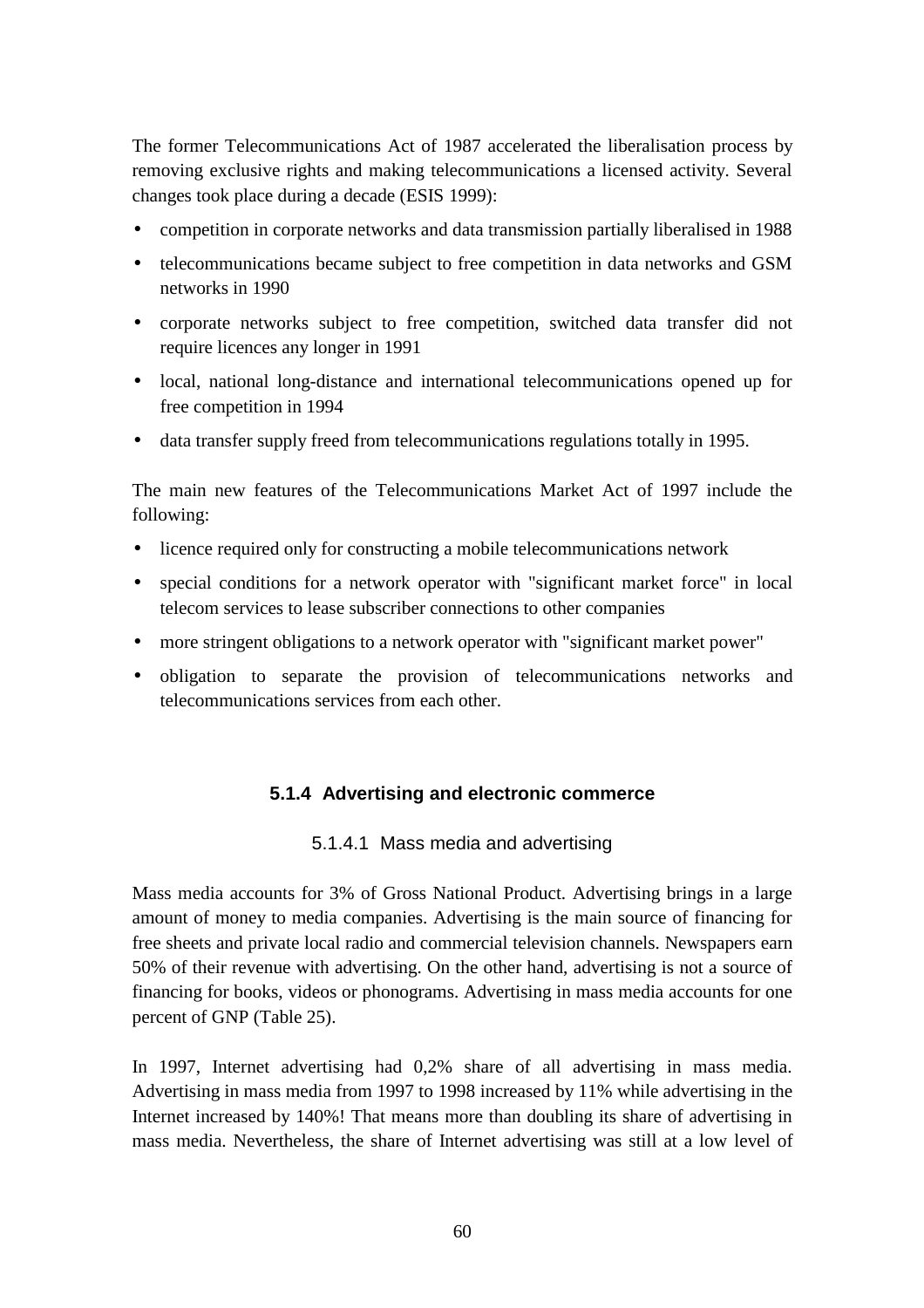The former Telecommunications Act of 1987 accelerated the liberalisation process by removing exclusive rights and making telecommunications a licensed activity. Several changes took place during a decade (ESIS 1999):

- competition in corporate networks and data transmission partially liberalised in 1988
- telecommunications became subject to free competition in data networks and GSM networks in 1990
- corporate networks subject to free competition, switched data transfer did not require licences any longer in 1991
- local, national long-distance and international telecommunications opened up for free competition in 1994
- data transfer supply freed from telecommunications regulations totally in 1995.

The main new features of the Telecommunications Market Act of 1997 include the following:

- licence required only for constructing a mobile telecommunications network
- special conditions for a network operator with "significant market force" in local telecom services to lease subscriber connections to other companies
- more stringent obligations to a network operator with "significant market power"
- obligation to separate the provision of telecommunications networks and telecommunications services from each other.

## **5.1.4 Advertising and electronic commerce**

#### 5.1.4.1 Mass media and advertising

Mass media accounts for 3% of Gross National Product. Advertising brings in a large amount of money to media companies. Advertising is the main source of financing for free sheets and private local radio and commercial television channels. Newspapers earn 50% of their revenue with advertising. On the other hand, advertising is not a source of financing for books, videos or phonograms. Advertising in mass media accounts for one percent of GNP (Table 25).

In 1997, Internet advertising had 0,2% share of all advertising in mass media. Advertising in mass media from 1997 to 1998 increased by 11% while advertising in the Internet increased by 140%! That means more than doubling its share of advertising in mass media. Nevertheless, the share of Internet advertising was still at a low level of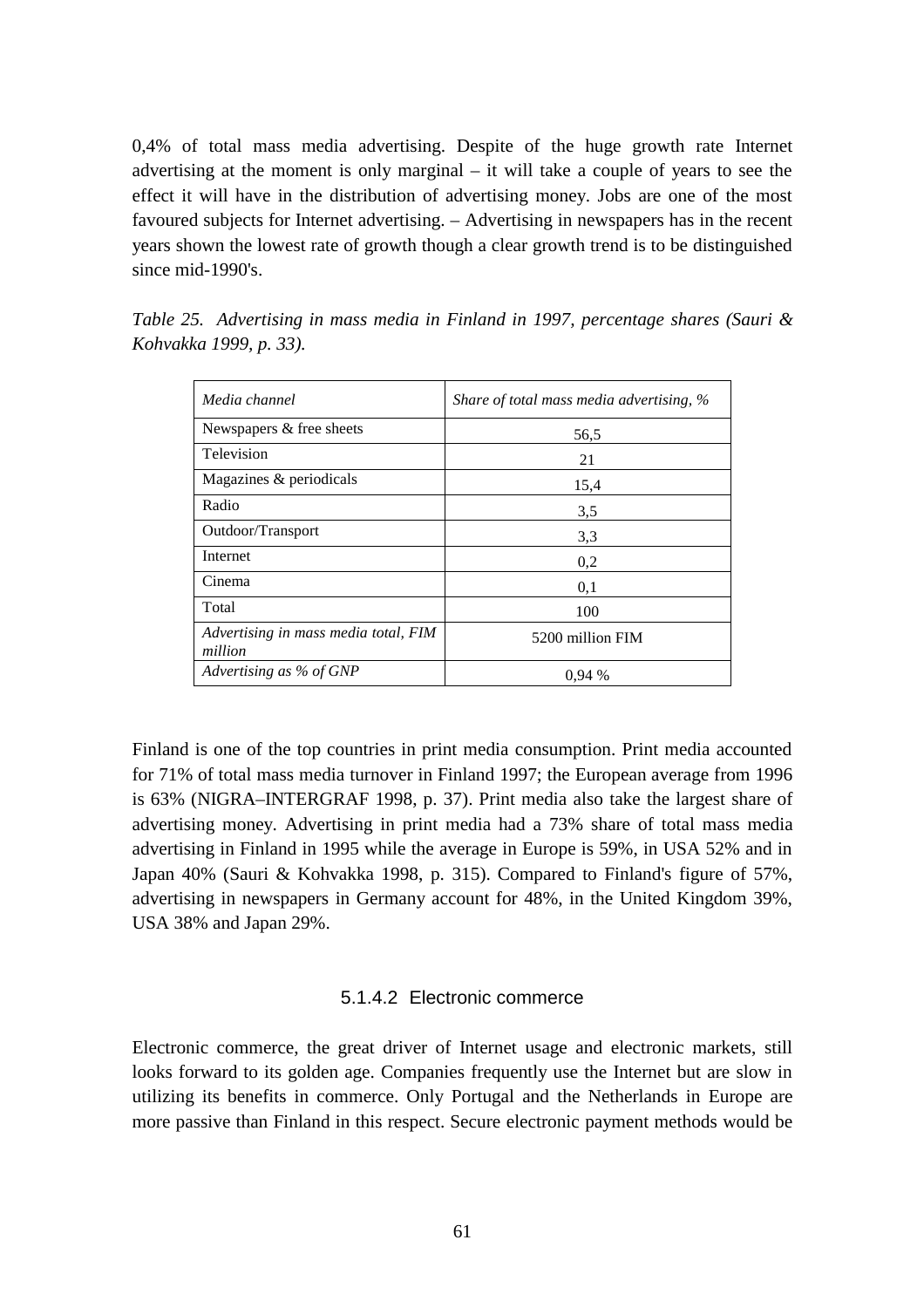0,4% of total mass media advertising. Despite of the huge growth rate Internet advertising at the moment is only marginal – it will take a couple of years to see the effect it will have in the distribution of advertising money. Jobs are one of the most favoured subjects for Internet advertising. – Advertising in newspapers has in the recent years shown the lowest rate of growth though a clear growth trend is to be distinguished since mid-1990's.

| Media channel                                   | Share of total mass media advertising, % |
|-------------------------------------------------|------------------------------------------|
| Newspapers & free sheets                        | 56,5                                     |
| Television                                      | 21                                       |
| Magazines & periodicals                         | 15,4                                     |
| Radio                                           | 3.5                                      |
| Outdoor/Transport                               | 3,3                                      |
| Internet                                        | 0,2                                      |
| Cinema                                          | 0,1                                      |
| Total                                           | 100                                      |
| Advertising in mass media total, FIM<br>million | 5200 million FIM                         |
| Advertising as % of GNP                         | 0.94%                                    |

*Table 25. Advertising in mass media in Finland in 1997, percentage shares (Sauri & Kohvakka 1999, p. 33).*

Finland is one of the top countries in print media consumption. Print media accounted for 71% of total mass media turnover in Finland 1997; the European average from 1996 is 63% (NIGRA–INTERGRAF 1998, p. 37). Print media also take the largest share of advertising money. Advertising in print media had a 73% share of total mass media advertising in Finland in 1995 while the average in Europe is 59%, in USA 52% and in Japan 40% (Sauri & Kohvakka 1998, p. 315). Compared to Finland's figure of 57%, advertising in newspapers in Germany account for 48%, in the United Kingdom 39%, USA 38% and Japan 29%.

#### 5.1.4.2 Electronic commerce

Electronic commerce, the great driver of Internet usage and electronic markets, still looks forward to its golden age. Companies frequently use the Internet but are slow in utilizing its benefits in commerce. Only Portugal and the Netherlands in Europe are more passive than Finland in this respect. Secure electronic payment methods would be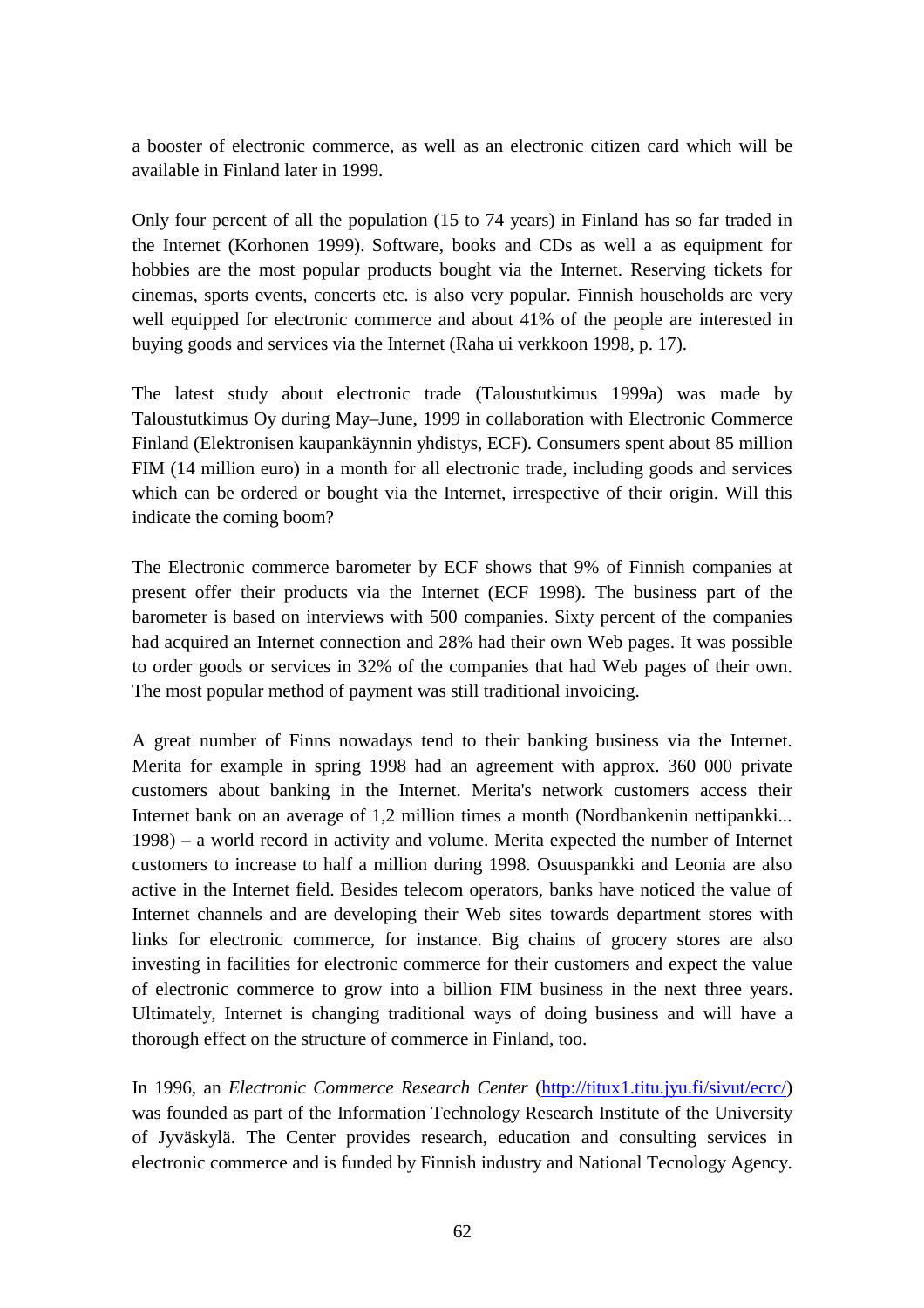a booster of electronic commerce, as well as an electronic citizen card which will be available in Finland later in 1999.

Only four percent of all the population (15 to 74 years) in Finland has so far traded in the Internet (Korhonen 1999). Software, books and CDs as well a as equipment for hobbies are the most popular products bought via the Internet. Reserving tickets for cinemas, sports events, concerts etc. is also very popular. Finnish households are very well equipped for electronic commerce and about 41% of the people are interested in buying goods and services via the Internet (Raha ui verkkoon 1998, p. 17).

The latest study about electronic trade (Taloustutkimus 1999a) was made by Taloustutkimus Oy during May–June, 1999 in collaboration with Electronic Commerce Finland (Elektronisen kaupankäynnin yhdistys, ECF). Consumers spent about 85 million FIM (14 million euro) in a month for all electronic trade, including goods and services which can be ordered or bought via the Internet, irrespective of their origin. Will this indicate the coming boom?

The Electronic commerce barometer by ECF shows that 9% of Finnish companies at present offer their products via the Internet (ECF 1998). The business part of the barometer is based on interviews with 500 companies. Sixty percent of the companies had acquired an Internet connection and 28% had their own Web pages. It was possible to order goods or services in 32% of the companies that had Web pages of their own. The most popular method of payment was still traditional invoicing.

A great number of Finns nowadays tend to their banking business via the Internet. Merita for example in spring 1998 had an agreement with approx. 360 000 private customers about banking in the Internet. Merita's network customers access their Internet bank on an average of 1,2 million times a month (Nordbankenin nettipankki... 1998) – a world record in activity and volume. Merita expected the number of Internet customers to increase to half a million during 1998. Osuuspankki and Leonia are also active in the Internet field. Besides telecom operators, banks have noticed the value of Internet channels and are developing their Web sites towards department stores with links for electronic commerce, for instance. Big chains of grocery stores are also investing in facilities for electronic commerce for their customers and expect the value of electronic commerce to grow into a billion FIM business in the next three years. Ultimately, Internet is changing traditional ways of doing business and will have a thorough effect on the structure of commerce in Finland, too.

In 1996, an *Electronic Commerce Research Center* (http://titux1.titu.jyu.fi/sivut/ecrc/) was founded as part of the Information Technology Research Institute of the University of Jyväskylä. The Center provides research, education and consulting services in electronic commerce and is funded by Finnish industry and National Tecnology Agency.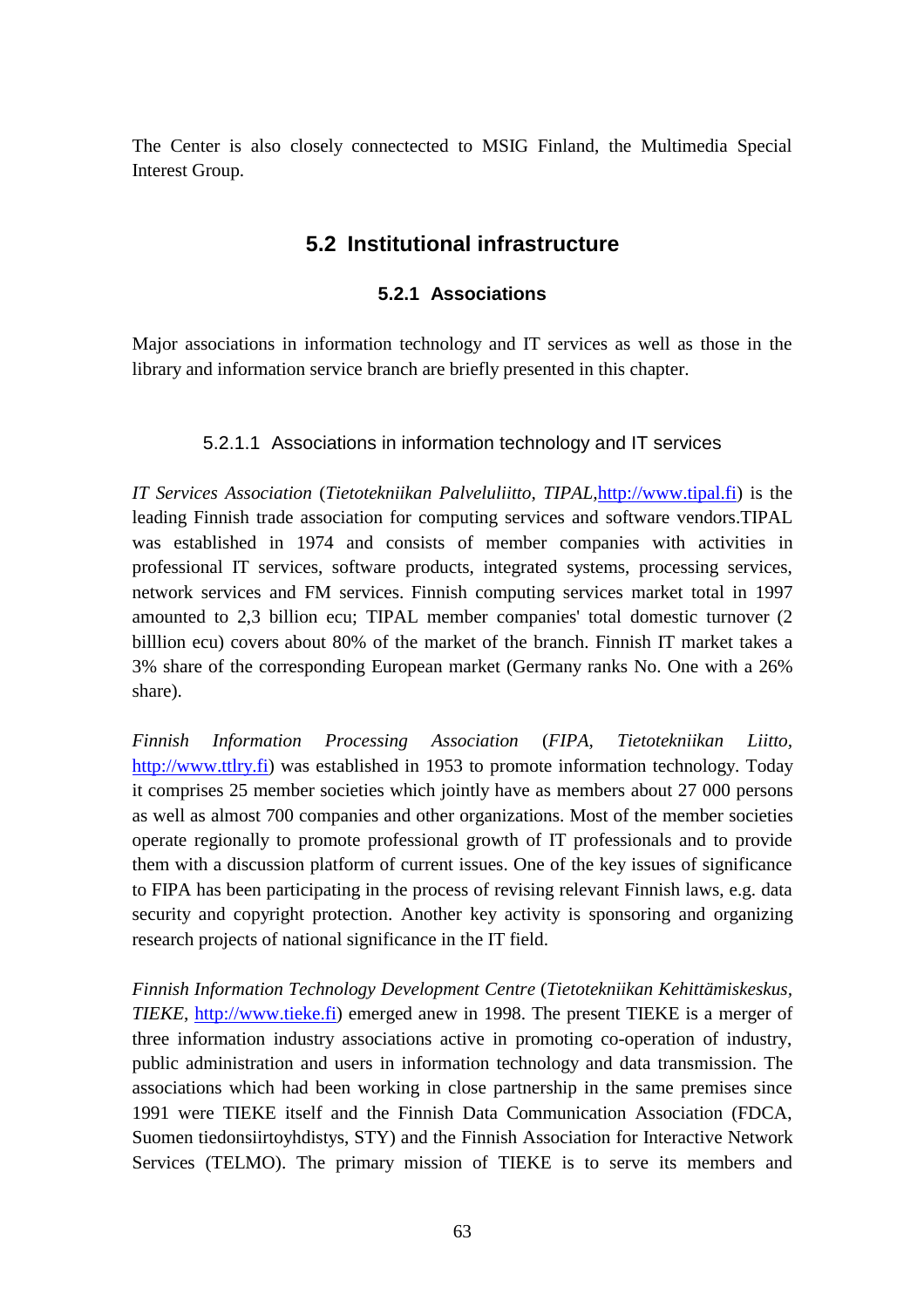The Center is also closely connectected to MSIG Finland, the Multimedia Special Interest Group.

# **5.2 Institutional infrastructure**

## **5.2.1 Associations**

Major associations in information technology and IT services as well as those in the library and information service branch are briefly presented in this chapter.

## 5.2.1.1 Associations in information technology and IT services

*IT Services Association* (*Tietotekniikan Palveluliitto, TIPAL,*http://www.tipal.fi) is the leading Finnish trade association for computing services and software vendors.TIPAL was established in 1974 and consists of member companies with activities in professional IT services, software products, integrated systems, processing services, network services and FM services. Finnish computing services market total in 1997 amounted to 2,3 billion ecu; TIPAL member companies' total domestic turnover (2 billlion ecu) covers about 80% of the market of the branch. Finnish IT market takes a 3% share of the corresponding European market (Germany ranks No. One with a 26% share).

*Finnish Information Processing Association* (*FIPA, Tietotekniikan Liitto,* http://www.ttlry.fi) was established in 1953 to promote information technology. Today it comprises 25 member societies which jointly have as members about 27 000 persons as well as almost 700 companies and other organizations. Most of the member societies operate regionally to promote professional growth of IT professionals and to provide them with a discussion platform of current issues. One of the key issues of significance to FIPA has been participating in the process of revising relevant Finnish laws, e.g. data security and copyright protection. Another key activity is sponsoring and organizing research projects of national significance in the IT field.

*Finnish Information Technology Development Centre* (*Tietotekniikan Kehittämiskeskus, TIEKE*, http://www.tieke.fi) emerged anew in 1998. The present TIEKE is a merger of three information industry associations active in promoting co-operation of industry, public administration and users in information technology and data transmission. The associations which had been working in close partnership in the same premises since 1991 were TIEKE itself and the Finnish Data Communication Association (FDCA, Suomen tiedonsiirtoyhdistys, STY) and the Finnish Association for Interactive Network Services (TELMO). The primary mission of TIEKE is to serve its members and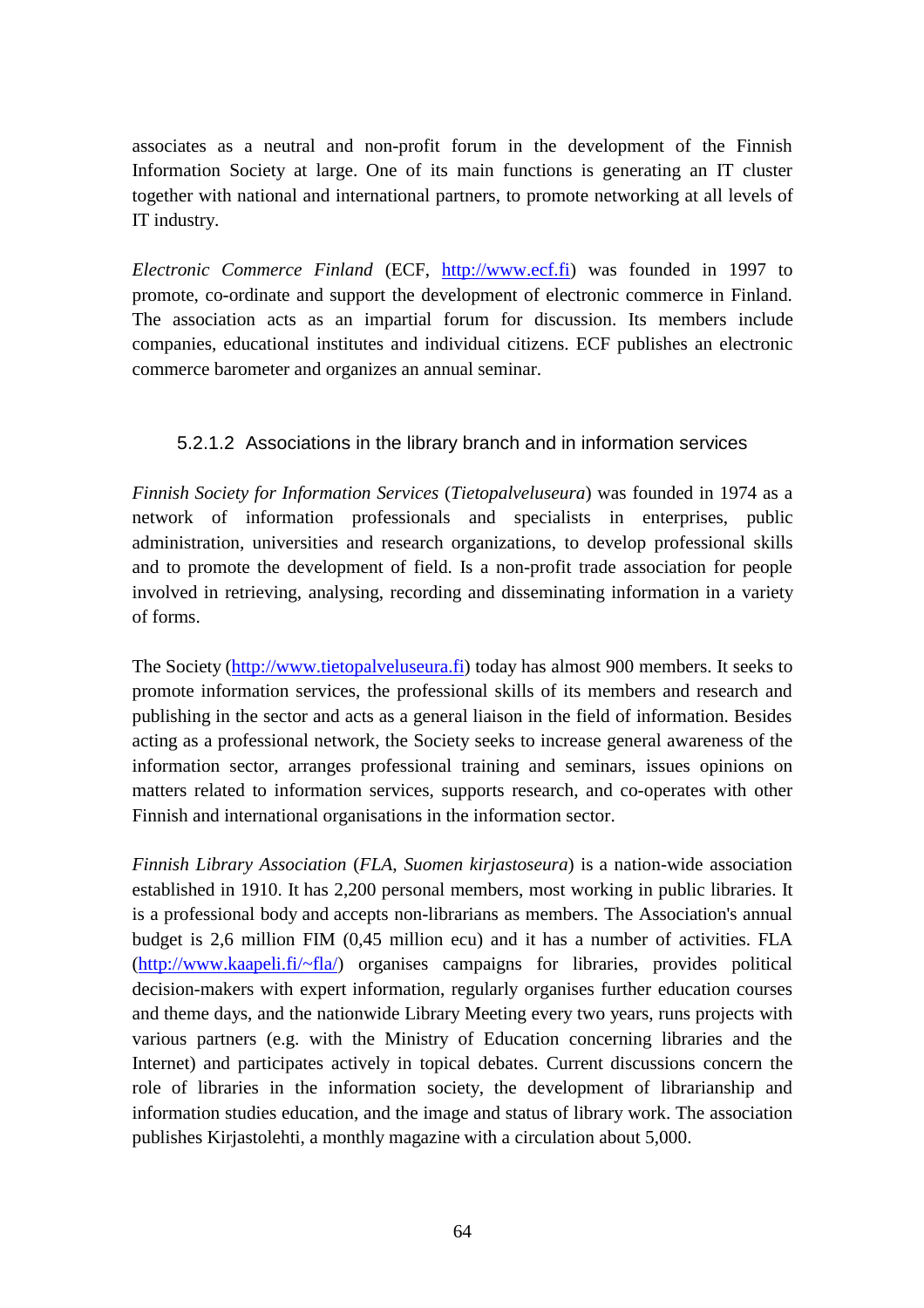associates as a neutral and non-profit forum in the development of the Finnish Information Society at large. One of its main functions is generating an IT cluster together with national and international partners, to promote networking at all levels of IT industry.

*Electronic Commerce Finland* (ECF, http://www.ecf.fi) was founded in 1997 to promote, co-ordinate and support the development of electronic commerce in Finland. The association acts as an impartial forum for discussion. Its members include companies, educational institutes and individual citizens. ECF publishes an electronic commerce barometer and organizes an annual seminar.

# 5.2.1.2 Associations in the library branch and in information services

*Finnish Society for Information Services* (*Tietopalveluseura*) was founded in 1974 as a network of information professionals and specialists in enterprises, public administration, universities and research organizations, to develop professional skills and to promote the development of field. Is a non-profit trade association for people involved in retrieving, analysing, recording and disseminating information in a variety of forms.

The Society (http://www.tietopalveluseura.fi) today has almost 900 members. It seeks to promote information services, the professional skills of its members and research and publishing in the sector and acts as a general liaison in the field of information. Besides acting as a professional network, the Society seeks to increase general awareness of the information sector, arranges professional training and seminars, issues opinions on matters related to information services, supports research, and co-operates with other Finnish and international organisations in the information sector.

*Finnish Library Association* (*FLA*, *Suomen kirjastoseura*) is a nation-wide association established in 1910. It has 2,200 personal members, most working in public libraries. It is a professional body and accepts non-librarians as members. The Association's annual budget is 2,6 million FIM (0,45 million ecu) and it has a number of activities. FLA (http://www.kaapeli.fi/~fla/) organises campaigns for libraries, provides political decision-makers with expert information, regularly organises further education courses and theme days, and the nationwide Library Meeting every two years, runs projects with various partners (e.g. with the Ministry of Education concerning libraries and the Internet) and participates actively in topical debates. Current discussions concern the role of libraries in the information society, the development of librarianship and information studies education, and the image and status of library work. The association publishes Kirjastolehti, a monthly magazine with a circulation about 5,000.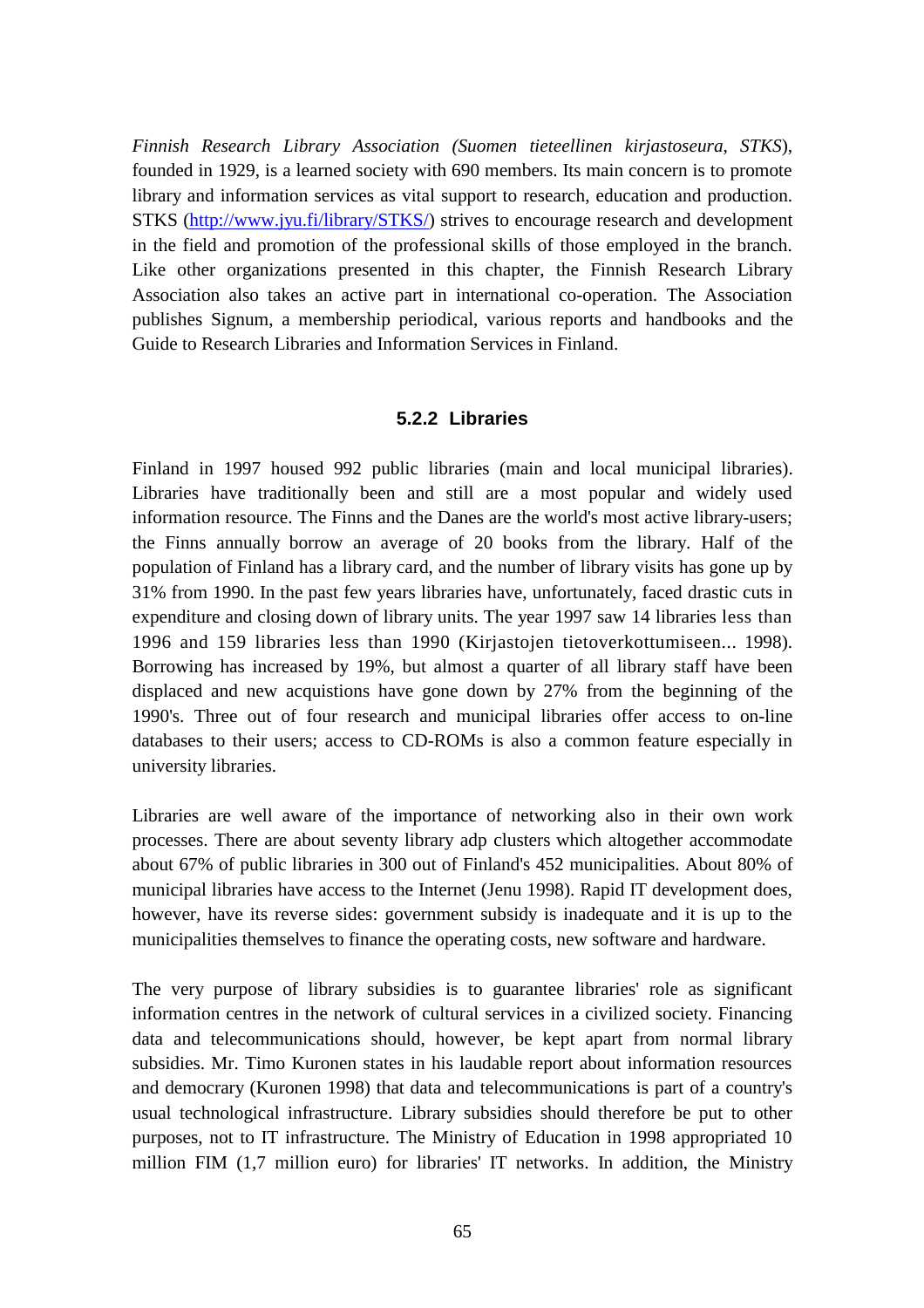*Finnish Research Library Association (Suomen tieteellinen kirjastoseura*, *STKS*), founded in 1929, is a learned society with 690 members. Its main concern is to promote library and information services as vital support to research, education and production. STKS (http://www.jyu.fi/library/STKS/) strives to encourage research and development in the field and promotion of the professional skills of those employed in the branch. Like other organizations presented in this chapter, the Finnish Research Library Association also takes an active part in international co-operation. The Association publishes Signum, a membership periodical, various reports and handbooks and the Guide to Research Libraries and Information Services in Finland.

#### **5.2.2 Libraries**

Finland in 1997 housed 992 public libraries (main and local municipal libraries). Libraries have traditionally been and still are a most popular and widely used information resource. The Finns and the Danes are the world's most active library-users; the Finns annually borrow an average of 20 books from the library. Half of the population of Finland has a library card, and the number of library visits has gone up by 31% from 1990. In the past few years libraries have, unfortunately, faced drastic cuts in expenditure and closing down of library units. The year 1997 saw 14 libraries less than 1996 and 159 libraries less than 1990 (Kirjastojen tietoverkottumiseen... 1998). Borrowing has increased by 19%, but almost a quarter of all library staff have been displaced and new acquistions have gone down by 27% from the beginning of the 1990's. Three out of four research and municipal libraries offer access to on-line databases to their users; access to CD-ROMs is also a common feature especially in university libraries.

Libraries are well aware of the importance of networking also in their own work processes. There are about seventy library adp clusters which altogether accommodate about 67% of public libraries in 300 out of Finland's 452 municipalities. About 80% of municipal libraries have access to the Internet (Jenu 1998). Rapid IT development does, however, have its reverse sides: government subsidy is inadequate and it is up to the municipalities themselves to finance the operating costs, new software and hardware.

The very purpose of library subsidies is to guarantee libraries' role as significant information centres in the network of cultural services in a civilized society. Financing data and telecommunications should, however, be kept apart from normal library subsidies. Mr. Timo Kuronen states in his laudable report about information resources and democrary (Kuronen 1998) that data and telecommunications is part of a country's usual technological infrastructure. Library subsidies should therefore be put to other purposes, not to IT infrastructure. The Ministry of Education in 1998 appropriated 10 million FIM (1,7 million euro) for libraries' IT networks. In addition, the Ministry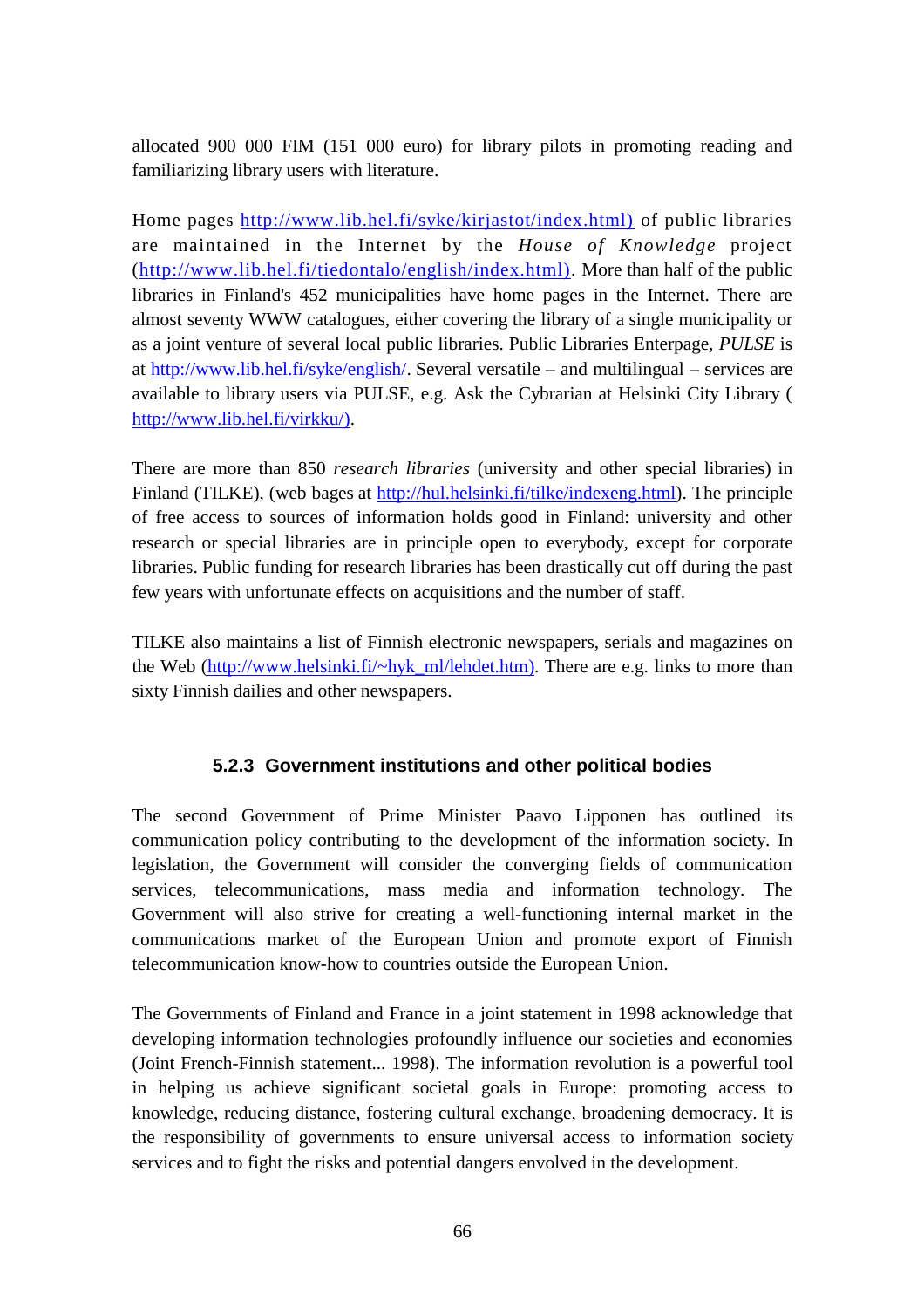allocated 900 000 FIM (151 000 euro) for library pilots in promoting reading and familiarizing library users with literature.

Home pages http://www.lib.hel.fi/syke/kirjastot/index.html) of public libraries are maintained in the Internet by the *House of Knowledge* project (http://www.lib.hel.fi/tiedontalo/english/index.html). More than half of the public libraries in Finland's 452 municipalities have home pages in the Internet. There are almost seventy WWW catalogues, either covering the library of a single municipality or as a joint venture of several local public libraries. Public Libraries Enterpage, *PULSE* is at http://www.lib.hel.fi/syke/english/. Several versatile – and multilingual – services are available to library users via PULSE, e.g. Ask the Cybrarian at Helsinki City Library ( http://www.lib.hel.fi/virkku/).

There are more than 850 *research libraries* (university and other special libraries) in Finland (TILKE), (web bages at http://hul.helsinki.fi/tilke/indexeng.html). The principle of free access to sources of information holds good in Finland: university and other research or special libraries are in principle open to everybody, except for corporate libraries. Public funding for research libraries has been drastically cut off during the past few years with unfortunate effects on acquisitions and the number of staff.

TILKE also maintains a list of Finnish electronic newspapers, serials and magazines on the Web (http://www.helsinki.fi/~hyk\_ml/lehdet.htm). There are e.g. links to more than sixty Finnish dailies and other newspapers.

# **5.2.3 Government institutions and other political bodies**

The second Government of Prime Minister Paavo Lipponen has outlined its communication policy contributing to the development of the information society. In legislation, the Government will consider the converging fields of communication services, telecommunications, mass media and information technology. The Government will also strive for creating a well-functioning internal market in the communications market of the European Union and promote export of Finnish telecommunication know-how to countries outside the European Union.

The Governments of Finland and France in a joint statement in 1998 acknowledge that developing information technologies profoundly influence our societies and economies (Joint French-Finnish statement... 1998). The information revolution is a powerful tool in helping us achieve significant societal goals in Europe: promoting access to knowledge, reducing distance, fostering cultural exchange, broadening democracy. It is the responsibility of governments to ensure universal access to information society services and to fight the risks and potential dangers envolved in the development.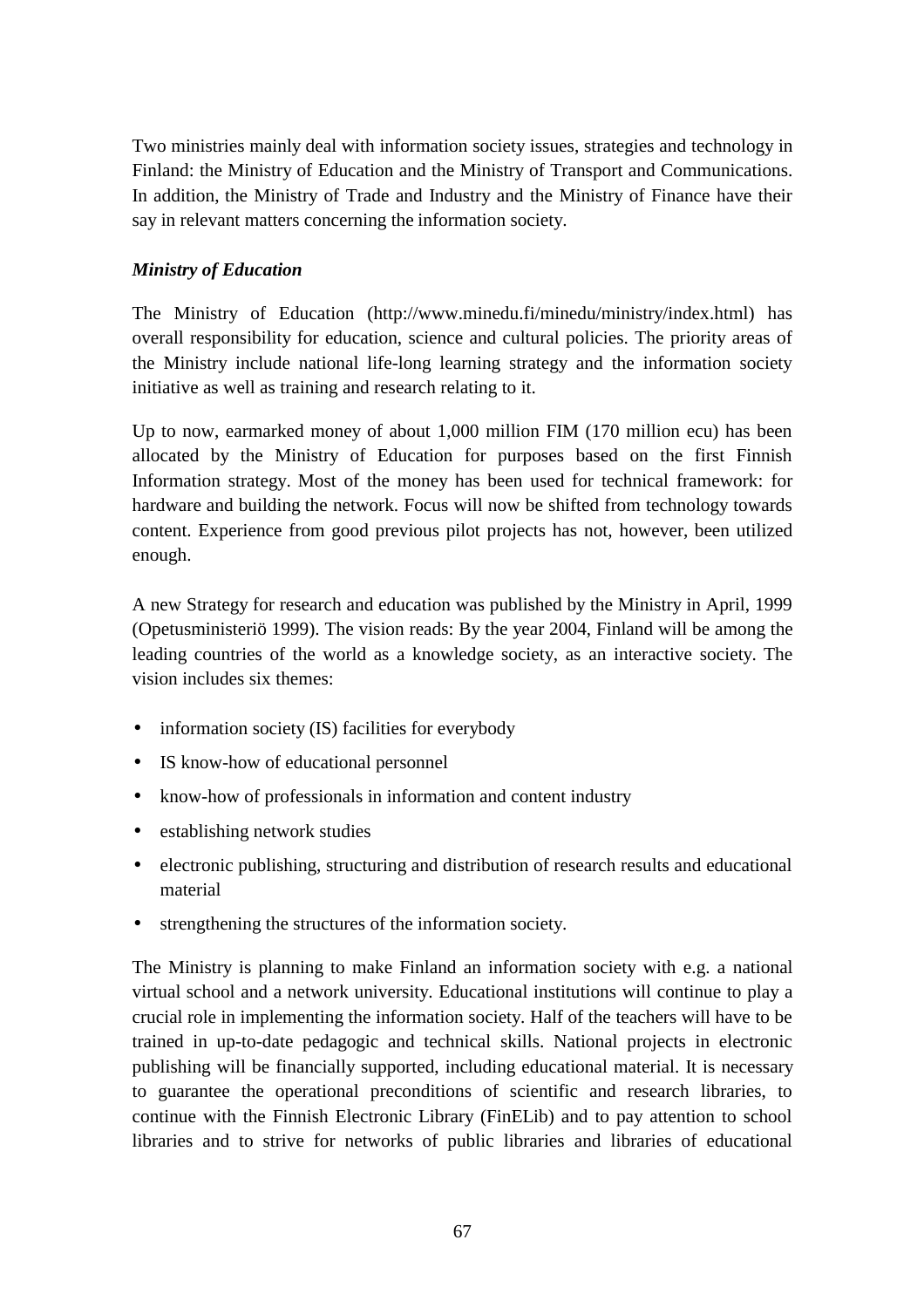Two ministries mainly deal with information society issues, strategies and technology in Finland: the Ministry of Education and the Ministry of Transport and Communications. In addition, the Ministry of Trade and Industry and the Ministry of Finance have their say in relevant matters concerning the information society.

## *Ministry of Education*

The Ministry of Education (http://www.minedu.fi/minedu/ministry/index.html) has overall responsibility for education, science and cultural policies. The priority areas of the Ministry include national life-long learning strategy and the information society initiative as well as training and research relating to it.

Up to now, earmarked money of about 1,000 million FIM (170 million ecu) has been allocated by the Ministry of Education for purposes based on the first Finnish Information strategy. Most of the money has been used for technical framework: for hardware and building the network. Focus will now be shifted from technology towards content. Experience from good previous pilot projects has not, however, been utilized enough.

A new Strategy for research and education was published by the Ministry in April, 1999 (Opetusministeriö 1999). The vision reads: By the year 2004, Finland will be among the leading countries of the world as a knowledge society, as an interactive society. The vision includes six themes:

- information society (IS) facilities for everybody
- IS know-how of educational personnel
- know-how of professionals in information and content industry
- establishing network studies
- electronic publishing, structuring and distribution of research results and educational material
- strengthening the structures of the information society.

The Ministry is planning to make Finland an information society with e.g. a national virtual school and a network university. Educational institutions will continue to play a crucial role in implementing the information society. Half of the teachers will have to be trained in up-to-date pedagogic and technical skills. National projects in electronic publishing will be financially supported, including educational material. It is necessary to guarantee the operational preconditions of scientific and research libraries, to continue with the Finnish Electronic Library (FinELib) and to pay attention to school libraries and to strive for networks of public libraries and libraries of educational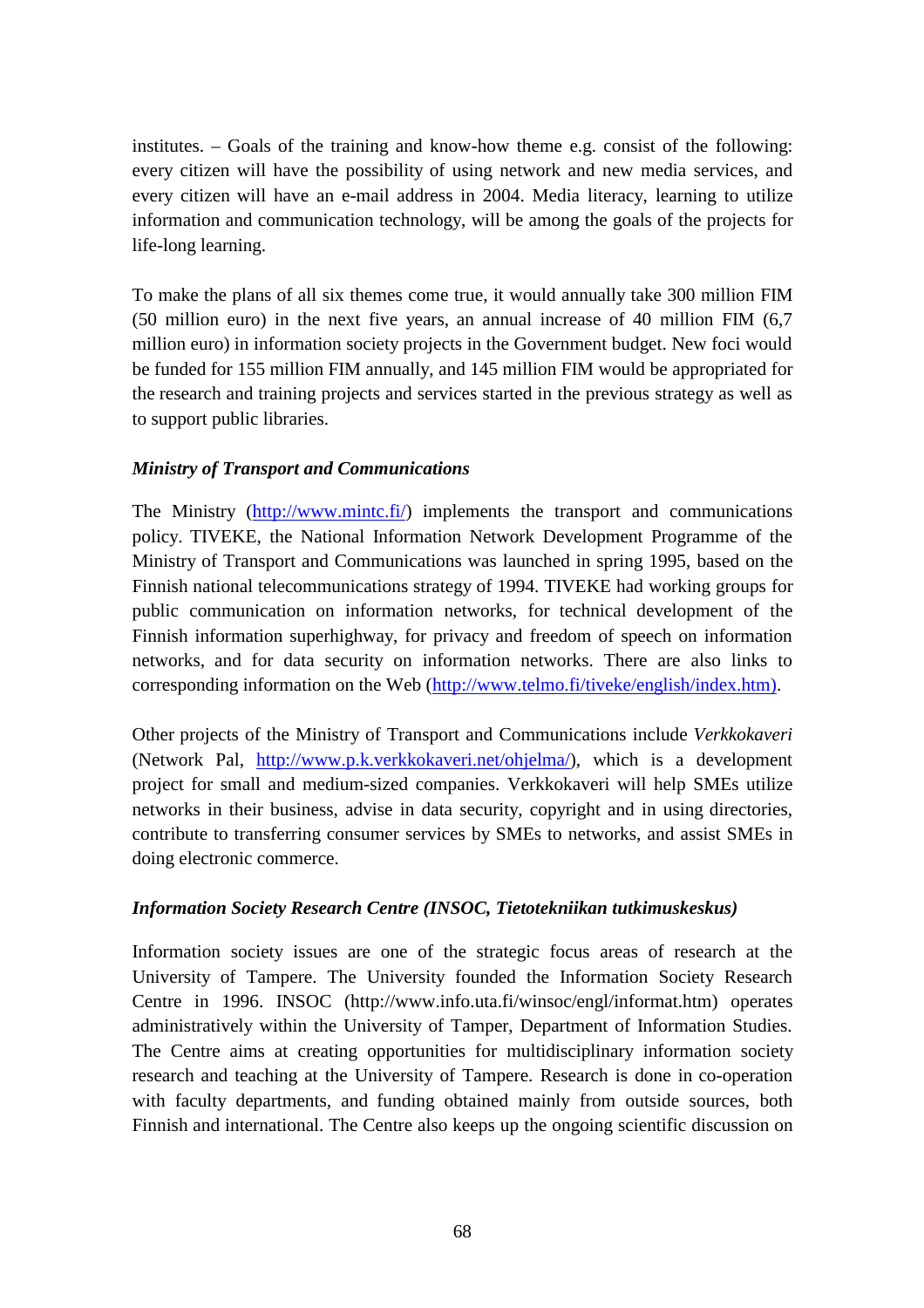institutes. – Goals of the training and know-how theme e.g. consist of the following: every citizen will have the possibility of using network and new media services, and every citizen will have an e-mail address in 2004. Media literacy, learning to utilize information and communication technology, will be among the goals of the projects for life-long learning.

To make the plans of all six themes come true, it would annually take 300 million FIM (50 million euro) in the next five years, an annual increase of 40 million FIM (6,7 million euro) in information society projects in the Government budget. New foci would be funded for 155 million FIM annually, and 145 million FIM would be appropriated for the research and training projects and services started in the previous strategy as well as to support public libraries.

## *Ministry of Transport and Communications*

The Ministry (http://www.mintc.fi/) implements the transport and communications policy. TIVEKE, the National Information Network Development Programme of the Ministry of Transport and Communications was launched in spring 1995, based on the Finnish national telecommunications strategy of 1994. TIVEKE had working groups for public communication on information networks, for technical development of the Finnish information superhighway, for privacy and freedom of speech on information networks, and for data security on information networks. There are also links to corresponding information on the Web (http://www.telmo.fi/tiveke/english/index.htm).

Other projects of the Ministry of Transport and Communications include *Verkkokaveri* (Network Pal, http://www.p.k.verkkokaveri.net/ohjelma/), which is a development project for small and medium-sized companies. Verkkokaveri will help SMEs utilize networks in their business, advise in data security, copyright and in using directories, contribute to transferring consumer services by SMEs to networks, and assist SMEs in doing electronic commerce.

## *Information Society Research Centre (INSOC, Tietotekniikan tutkimuskeskus)*

Information society issues are one of the strategic focus areas of research at the University of Tampere. The University founded the Information Society Research Centre in 1996. INSOC (http://www.info.uta.fi/winsoc/engl/informat.htm) operates administratively within the University of Tamper, Department of Information Studies. The Centre aims at creating opportunities for multidisciplinary information society research and teaching at the University of Tampere. Research is done in co-operation with faculty departments, and funding obtained mainly from outside sources, both Finnish and international. The Centre also keeps up the ongoing scientific discussion on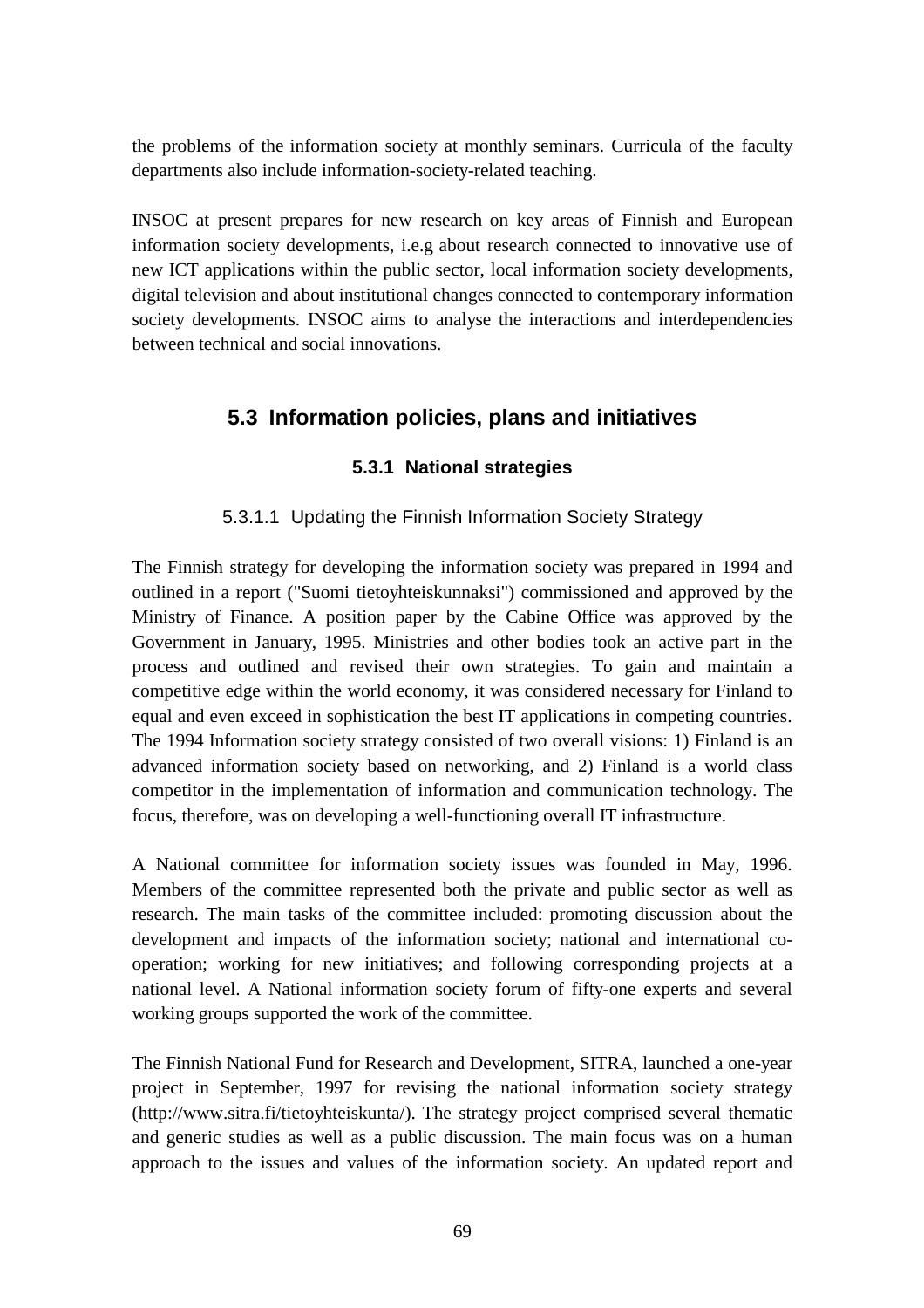the problems of the information society at monthly seminars. Curricula of the faculty departments also include information-society-related teaching.

INSOC at present prepares for new research on key areas of Finnish and European information society developments, i.e.g about research connected to innovative use of new ICT applications within the public sector, local information society developments, digital television and about institutional changes connected to contemporary information society developments. INSOC aims to analyse the interactions and interdependencies between technical and social innovations.

# **5.3 Information policies, plans and initiatives**

## **5.3.1 National strategies**

## 5.3.1.1 Updating the Finnish Information Society Strategy

The Finnish strategy for developing the information society was prepared in 1994 and outlined in a report ("Suomi tietoyhteiskunnaksi") commissioned and approved by the Ministry of Finance. A position paper by the Cabine Office was approved by the Government in January, 1995. Ministries and other bodies took an active part in the process and outlined and revised their own strategies. To gain and maintain a competitive edge within the world economy, it was considered necessary for Finland to equal and even exceed in sophistication the best IT applications in competing countries. The 1994 Information society strategy consisted of two overall visions: 1) Finland is an advanced information society based on networking, and 2) Finland is a world class competitor in the implementation of information and communication technology. The focus, therefore, was on developing a well-functioning overall IT infrastructure.

A National committee for information society issues was founded in May, 1996. Members of the committee represented both the private and public sector as well as research. The main tasks of the committee included: promoting discussion about the development and impacts of the information society; national and international cooperation; working for new initiatives; and following corresponding projects at a national level. A National information society forum of fifty-one experts and several working groups supported the work of the committee.

The Finnish National Fund for Research and Development, SITRA, launched a one-year project in September, 1997 for revising the national information society strategy (http://www.sitra.fi/tietoyhteiskunta/). The strategy project comprised several thematic and generic studies as well as a public discussion. The main focus was on a human approach to the issues and values of the information society. An updated report and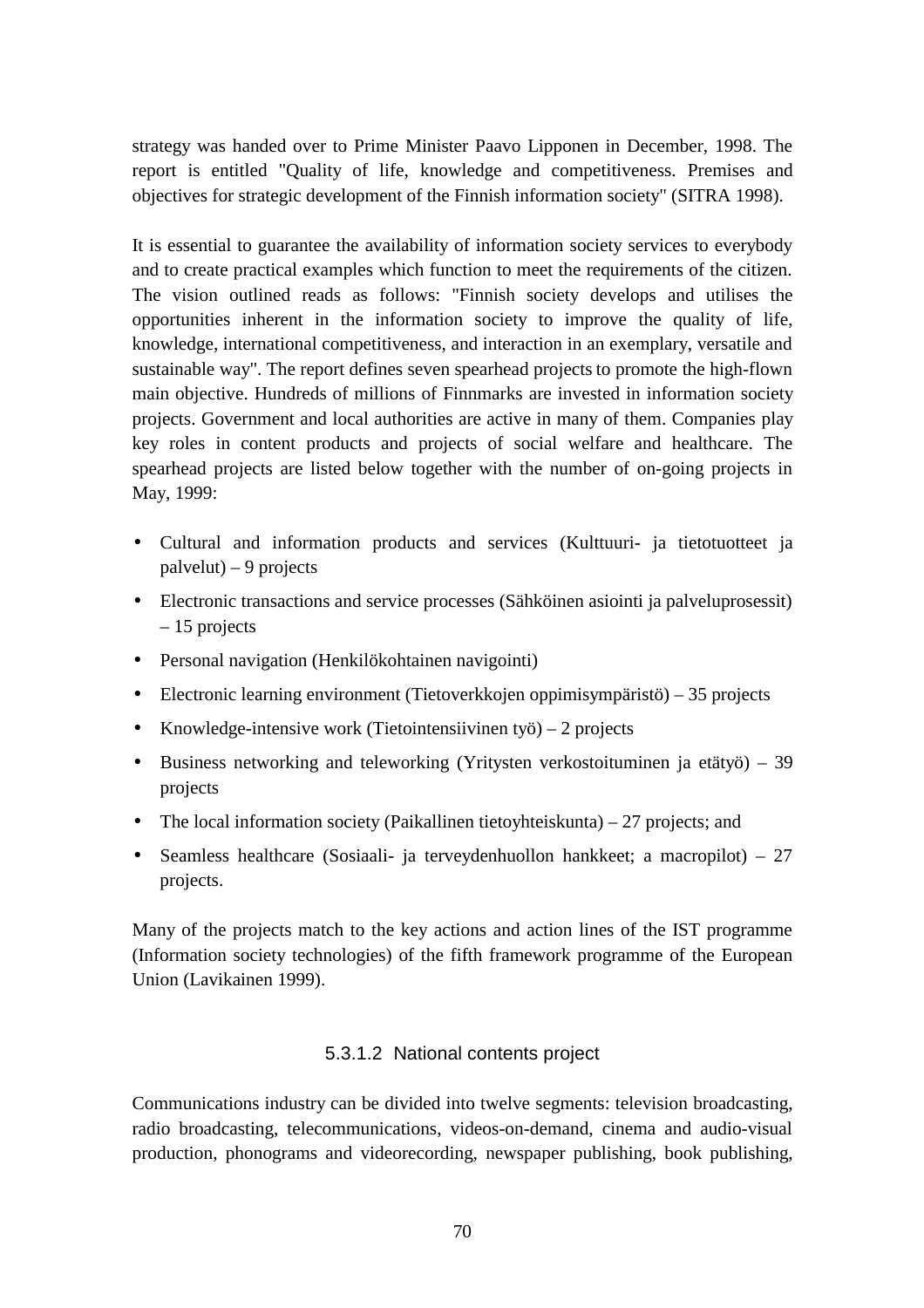strategy was handed over to Prime Minister Paavo Lipponen in December, 1998. The report is entitled "Quality of life, knowledge and competitiveness. Premises and objectives for strategic development of the Finnish information society" (SITRA 1998).

It is essential to guarantee the availability of information society services to everybody and to create practical examples which function to meet the requirements of the citizen. The vision outlined reads as follows: "Finnish society develops and utilises the opportunities inherent in the information society to improve the quality of life, knowledge, international competitiveness, and interaction in an exemplary, versatile and sustainable way". The report defines seven spearhead projects to promote the high-flown main objective. Hundreds of millions of Finnmarks are invested in information society projects. Government and local authorities are active in many of them. Companies play key roles in content products and projects of social welfare and healthcare. The spearhead projects are listed below together with the number of on-going projects in May, 1999:

- Cultural and information products and services (Kulttuuri- ja tietotuotteet ja palvelut) – 9 projects
- Electronic transactions and service processes (Sähköinen asiointi ja palveluprosessit) – 15 projects
- Personal navigation (Henkilökohtainen navigointi)
- Electronic learning environment (Tietoverkkojen oppimisympäristö) 35 projects
- Knowledge-intensive work (Tietointensiivinen työ) 2 projects
- Business networking and teleworking (Yritysten verkostoituminen ja etätyö) 39 projects
- The local information society (Paikallinen tietoyhteiskunta) 27 projects; and
- Seamless healthcare (Sosiaali- ja terveydenhuollon hankkeet; a macropilot) 27 projects.

Many of the projects match to the key actions and action lines of the IST programme (Information society technologies) of the fifth framework programme of the European Union (Lavikainen 1999).

## 5.3.1.2 National contents project

Communications industry can be divided into twelve segments: television broadcasting, radio broadcasting, telecommunications, videos-on-demand, cinema and audio-visual production, phonograms and videorecording, newspaper publishing, book publishing,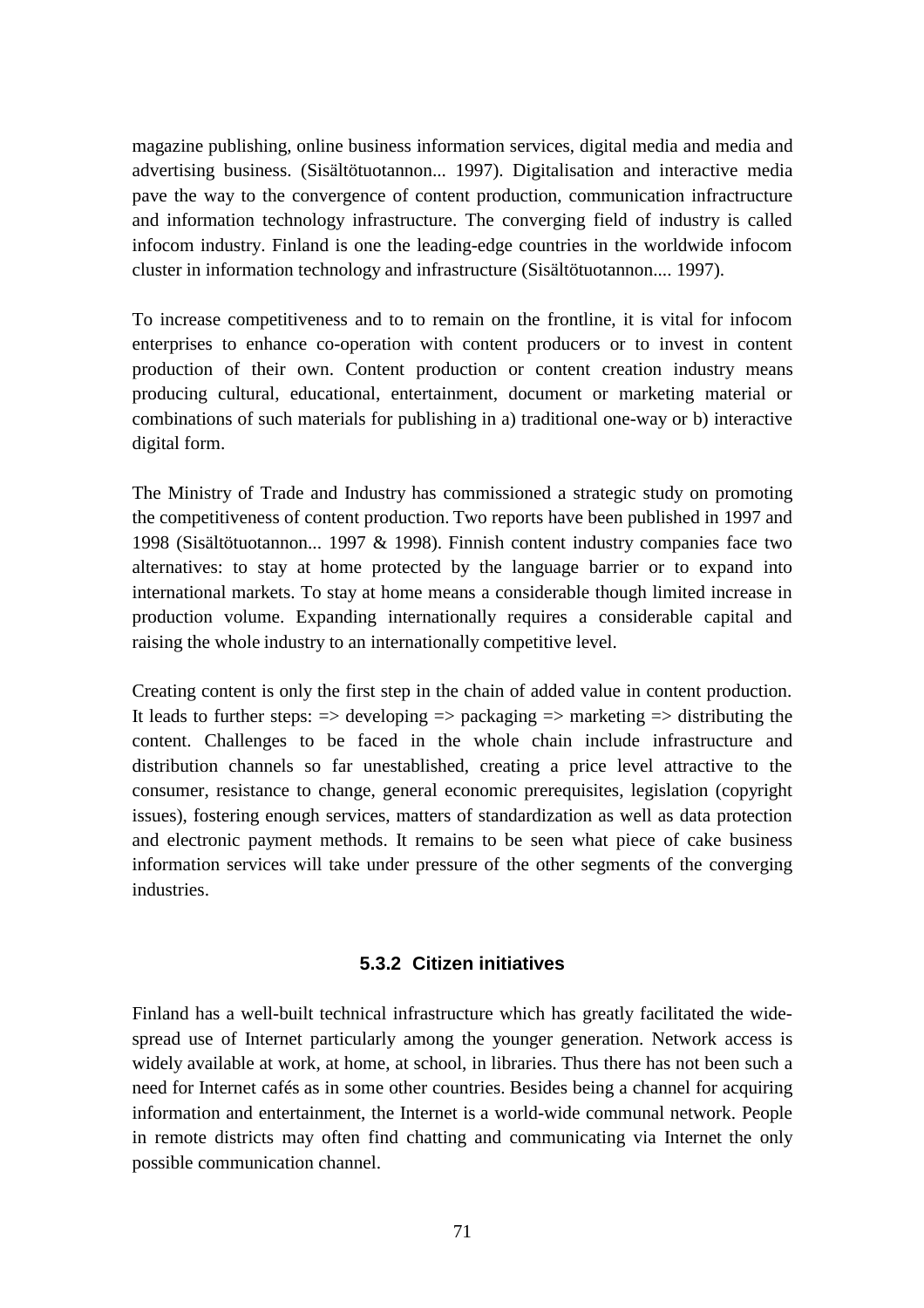magazine publishing, online business information services, digital media and media and advertising business. (Sisältötuotannon... 1997). Digitalisation and interactive media pave the way to the convergence of content production, communication infractructure and information technology infrastructure. The converging field of industry is called infocom industry. Finland is one the leading-edge countries in the worldwide infocom cluster in information technology and infrastructure (Sisältötuotannon.... 1997).

To increase competitiveness and to to remain on the frontline, it is vital for infocom enterprises to enhance co-operation with content producers or to invest in content production of their own. Content production or content creation industry means producing cultural, educational, entertainment, document or marketing material or combinations of such materials for publishing in a) traditional one-way or b) interactive digital form.

The Ministry of Trade and Industry has commissioned a strategic study on promoting the competitiveness of content production. Two reports have been published in 1997 and 1998 (Sisältötuotannon... 1997 & 1998). Finnish content industry companies face two alternatives: to stay at home protected by the language barrier or to expand into international markets. To stay at home means a considerable though limited increase in production volume. Expanding internationally requires a considerable capital and raising the whole industry to an internationally competitive level.

Creating content is only the first step in the chain of added value in content production. It leads to further steps:  $\Rightarrow$  developing  $\Rightarrow$  packaging  $\Rightarrow$  marketing  $\Rightarrow$  distributing the content. Challenges to be faced in the whole chain include infrastructure and distribution channels so far unestablished, creating a price level attractive to the consumer, resistance to change, general economic prerequisites, legislation (copyright issues), fostering enough services, matters of standardization as well as data protection and electronic payment methods. It remains to be seen what piece of cake business information services will take under pressure of the other segments of the converging industries.

## **5.3.2 Citizen initiatives**

Finland has a well-built technical infrastructure which has greatly facilitated the widespread use of Internet particularly among the younger generation. Network access is widely available at work, at home, at school, in libraries. Thus there has not been such a need for Internet cafés as in some other countries. Besides being a channel for acquiring information and entertainment, the Internet is a world-wide communal network. People in remote districts may often find chatting and communicating via Internet the only possible communication channel.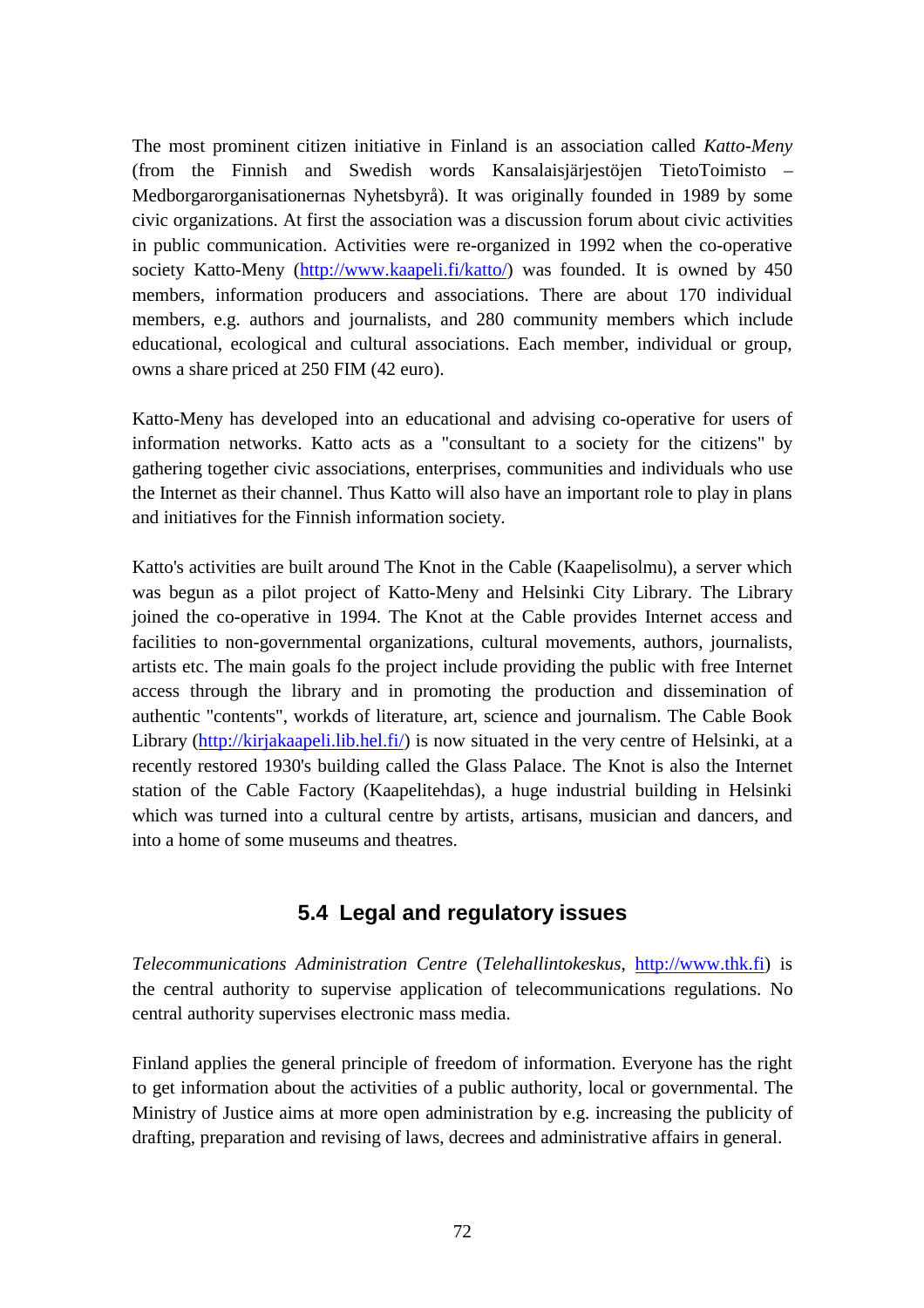The most prominent citizen initiative in Finland is an association called *Katto-Meny* (from the Finnish and Swedish words Kansalaisjärjestöjen TietoToimisto – Medborgarorganisationernas Nyhetsbyrå). It was originally founded in 1989 by some civic organizations. At first the association was a discussion forum about civic activities in public communication. Activities were re-organized in 1992 when the co-operative society Katto-Meny (http://www.kaapeli.fi/katto/) was founded. It is owned by 450 members, information producers and associations. There are about 170 individual members, e.g. authors and journalists, and 280 community members which include educational, ecological and cultural associations. Each member, individual or group, owns a share priced at 250 FIM (42 euro).

Katto-Meny has developed into an educational and advising co-operative for users of information networks. Katto acts as a "consultant to a society for the citizens" by gathering together civic associations, enterprises, communities and individuals who use the Internet as their channel. Thus Katto will also have an important role to play in plans and initiatives for the Finnish information society.

Katto's activities are built around The Knot in the Cable (Kaapelisolmu), a server which was begun as a pilot project of Katto-Meny and Helsinki City Library. The Library joined the co-operative in 1994. The Knot at the Cable provides Internet access and facilities to non-governmental organizations, cultural movements, authors, journalists, artists etc. The main goals fo the project include providing the public with free Internet access through the library and in promoting the production and dissemination of authentic "contents", workds of literature, art, science and journalism. The Cable Book Library (http://kirjakaapeli.lib.hel.fi/) is now situated in the very centre of Helsinki, at a recently restored 1930's building called the Glass Palace. The Knot is also the Internet station of the Cable Factory (Kaapelitehdas), a huge industrial building in Helsinki which was turned into a cultural centre by artists, artisans, musician and dancers, and into a home of some museums and theatres.

# **5.4 Legal and regulatory issues**

*Telecommunications Administration Centre* (*Telehallintokeskus*, http://www.thk.fi) is the central authority to supervise application of telecommunications regulations. No central authority supervises electronic mass media.

Finland applies the general principle of freedom of information. Everyone has the right to get information about the activities of a public authority, local or governmental. The Ministry of Justice aims at more open administration by e.g. increasing the publicity of drafting, preparation and revising of laws, decrees and administrative affairs in general.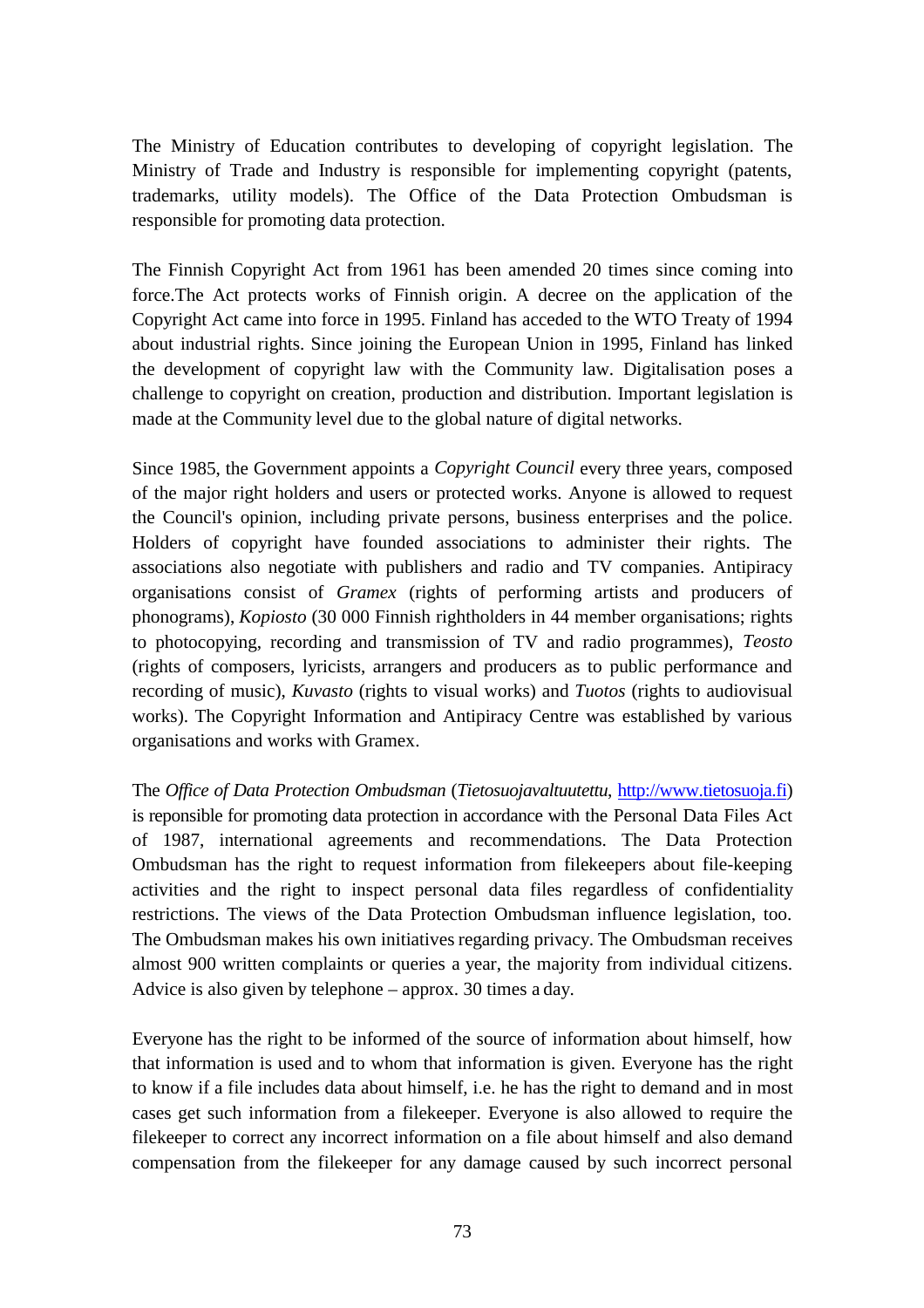The Ministry of Education contributes to developing of copyright legislation. The Ministry of Trade and Industry is responsible for implementing copyright (patents, trademarks, utility models). The Office of the Data Protection Ombudsman is responsible for promoting data protection.

The Finnish Copyright Act from 1961 has been amended 20 times since coming into force.The Act protects works of Finnish origin. A decree on the application of the Copyright Act came into force in 1995. Finland has acceded to the WTO Treaty of 1994 about industrial rights. Since joining the European Union in 1995, Finland has linked the development of copyright law with the Community law. Digitalisation poses a challenge to copyright on creation, production and distribution. Important legislation is made at the Community level due to the global nature of digital networks.

Since 1985, the Government appoints a *Copyright Council* every three years, composed of the major right holders and users or protected works. Anyone is allowed to request the Council's opinion, including private persons, business enterprises and the police. Holders of copyright have founded associations to administer their rights. The associations also negotiate with publishers and radio and TV companies. Antipiracy organisations consist of *Gramex* (rights of performing artists and producers of phonograms), *Kopiosto* (30 000 Finnish rightholders in 44 member organisations; rights to photocopying, recording and transmission of TV and radio programmes), *Teosto* (rights of composers, lyricists, arrangers and producers as to public performance and recording of music), *Kuvasto* (rights to visual works) and *Tuotos* (rights to audiovisual works). The Copyright Information and Antipiracy Centre was established by various organisations and works with Gramex.

The *Office of Data Protection Ombudsman* (*Tietosuojavaltuutettu*, http://www.tietosuoja.fi) is reponsible for promoting data protection in accordance with the Personal Data Files Act of 1987, international agreements and recommendations. The Data Protection Ombudsman has the right to request information from filekeepers about file-keeping activities and the right to inspect personal data files regardless of confidentiality restrictions. The views of the Data Protection Ombudsman influence legislation, too. The Ombudsman makes his own initiatives regarding privacy. The Ombudsman receives almost 900 written complaints or queries a year, the majority from individual citizens. Advice is also given by telephone – approx. 30 times a day.

Everyone has the right to be informed of the source of information about himself, how that information is used and to whom that information is given. Everyone has the right to know if a file includes data about himself, i.e. he has the right to demand and in most cases get such information from a filekeeper. Everyone is also allowed to require the filekeeper to correct any incorrect information on a file about himself and also demand compensation from the filekeeper for any damage caused by such incorrect personal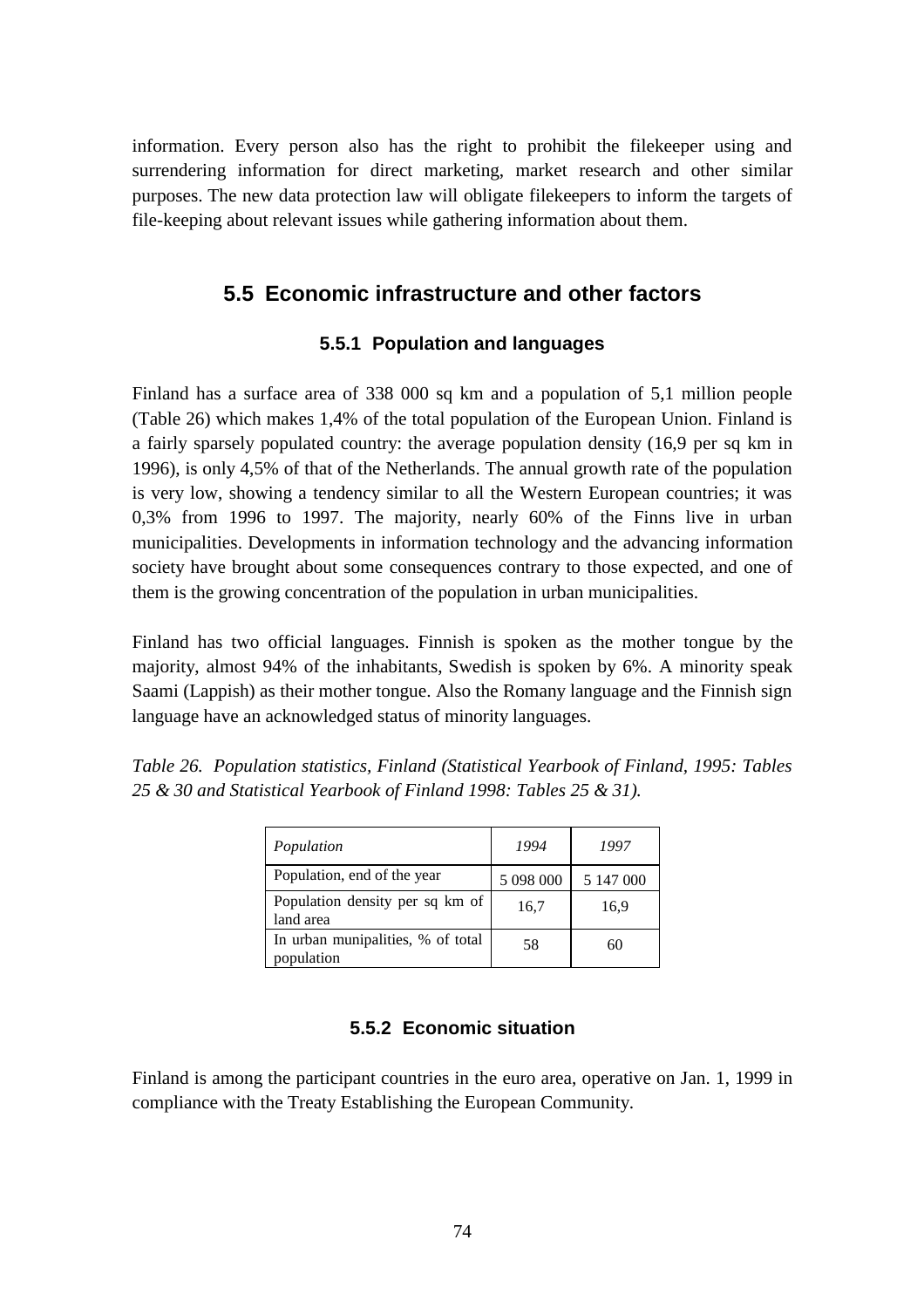information. Every person also has the right to prohibit the filekeeper using and surrendering information for direct marketing, market research and other similar purposes. The new data protection law will obligate filekeepers to inform the targets of file-keeping about relevant issues while gathering information about them.

# **5.5 Economic infrastructure and other factors**

# **5.5.1 Population and languages**

Finland has a surface area of 338 000 sq km and a population of 5,1 million people (Table 26) which makes 1,4% of the total population of the European Union. Finland is a fairly sparsely populated country: the average population density (16,9 per sq km in 1996), is only 4,5% of that of the Netherlands. The annual growth rate of the population is very low, showing a tendency similar to all the Western European countries; it was 0,3% from 1996 to 1997. The majority, nearly 60% of the Finns live in urban municipalities. Developments in information technology and the advancing information society have brought about some consequences contrary to those expected, and one of them is the growing concentration of the population in urban municipalities.

Finland has two official languages. Finnish is spoken as the mother tongue by the majority, almost 94% of the inhabitants, Swedish is spoken by 6%. A minority speak Saami (Lappish) as their mother tongue. Also the Romany language and the Finnish sign language have an acknowledged status of minority languages.

| Population                                      | 1994      | 1997      |
|-------------------------------------------------|-----------|-----------|
| Population, end of the year                     | 5 098 000 | 5 147 000 |
| Population density per sq km of<br>land area    | 16,7      | 16.9      |
| In urban munipalities, % of total<br>population | 58        | 60        |

*Table 26. Population statistics, Finland (Statistical Yearbook of Finland, 1995: Tables 25 & 30 and Statistical Yearbook of Finland 1998: Tables 25 & 31).*

# **5.5.2 Economic situation**

Finland is among the participant countries in the euro area, operative on Jan. 1, 1999 in compliance with the Treaty Establishing the European Community.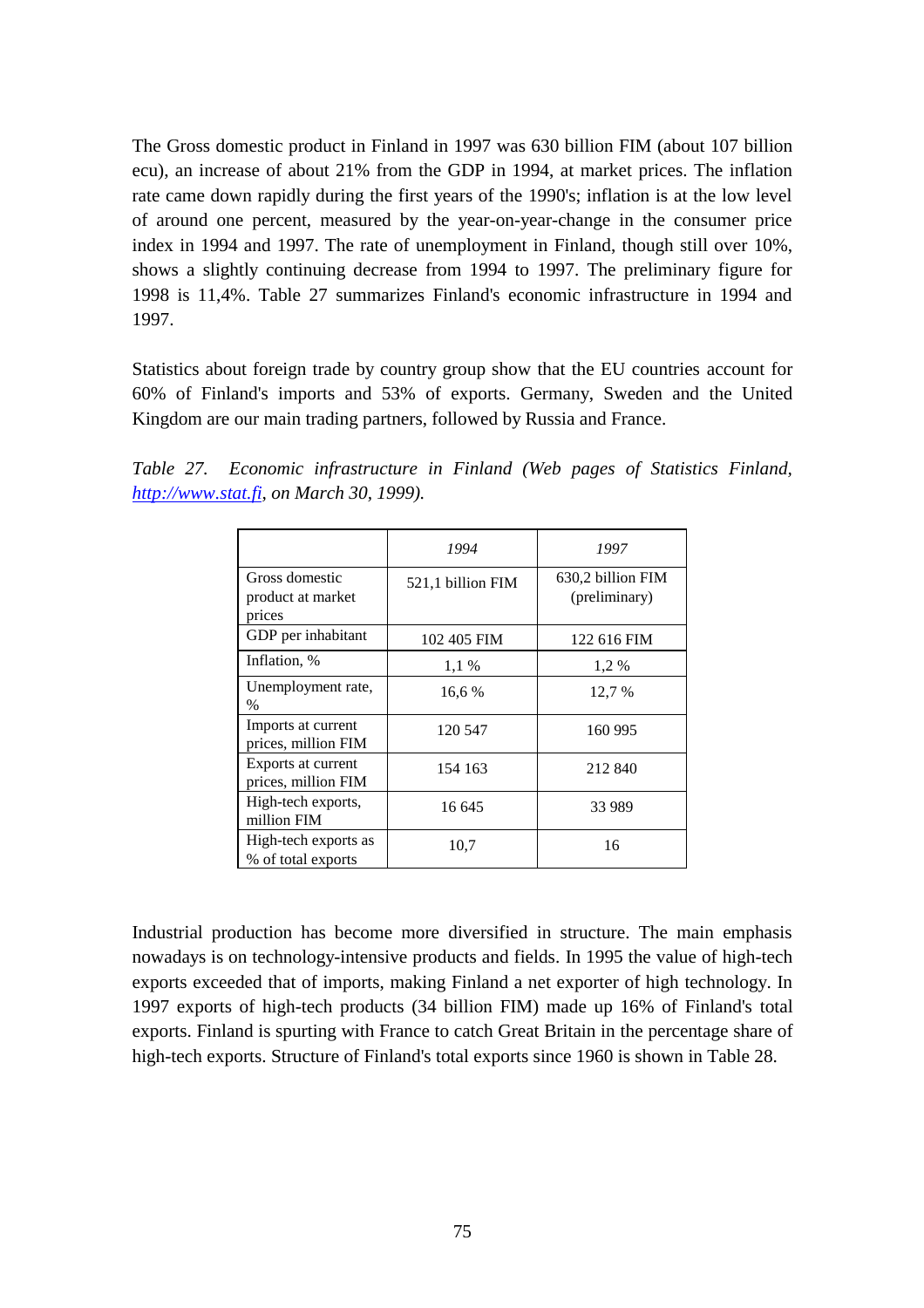The Gross domestic product in Finland in 1997 was 630 billion FIM (about 107 billion ecu), an increase of about 21% from the GDP in 1994, at market prices. The inflation rate came down rapidly during the first years of the 1990's; inflation is at the low level of around one percent, measured by the year-on-year-change in the consumer price index in 1994 and 1997. The rate of unemployment in Finland, though still over 10%, shows a slightly continuing decrease from 1994 to 1997. The preliminary figure for 1998 is 11,4%. Table 27 summarizes Finland's economic infrastructure in 1994 and 1997.

Statistics about foreign trade by country group show that the EU countries account for 60% of Finland's imports and 53% of exports. Germany, Sweden and the United Kingdom are our main trading partners, followed by Russia and France.

*Table 27. Economic infrastructure in Finland (Web pages of Statistics Finland, http://www.stat.fi, on March 30, 1999).*

|                                               | 1994              | 1997                               |
|-----------------------------------------------|-------------------|------------------------------------|
| Gross domestic<br>product at market<br>prices | 521,1 billion FIM | 630,2 billion FIM<br>(preliminary) |
| GDP per inhabitant                            | 102 405 FIM       | 122 616 FIM                        |
| Inflation, %                                  | $1,1\%$           | 1,2%                               |
| Unemployment rate,<br>$\%$                    | 16,6 %            | 12.7 %                             |
| Imports at current<br>prices, million FIM     | 120 547           | 160 995                            |
| Exports at current<br>prices, million FIM     | 154 163           | 212 840                            |
| High-tech exports,<br>million FIM             | 16 645            | 33 989                             |
| High-tech exports as<br>% of total exports    | 10,7              | 16                                 |

Industrial production has become more diversified in structure. The main emphasis nowadays is on technology-intensive products and fields. In 1995 the value of high-tech exports exceeded that of imports, making Finland a net exporter of high technology. In 1997 exports of high-tech products (34 billion FIM) made up 16% of Finland's total exports. Finland is spurting with France to catch Great Britain in the percentage share of high-tech exports. Structure of Finland's total exports since 1960 is shown in Table 28.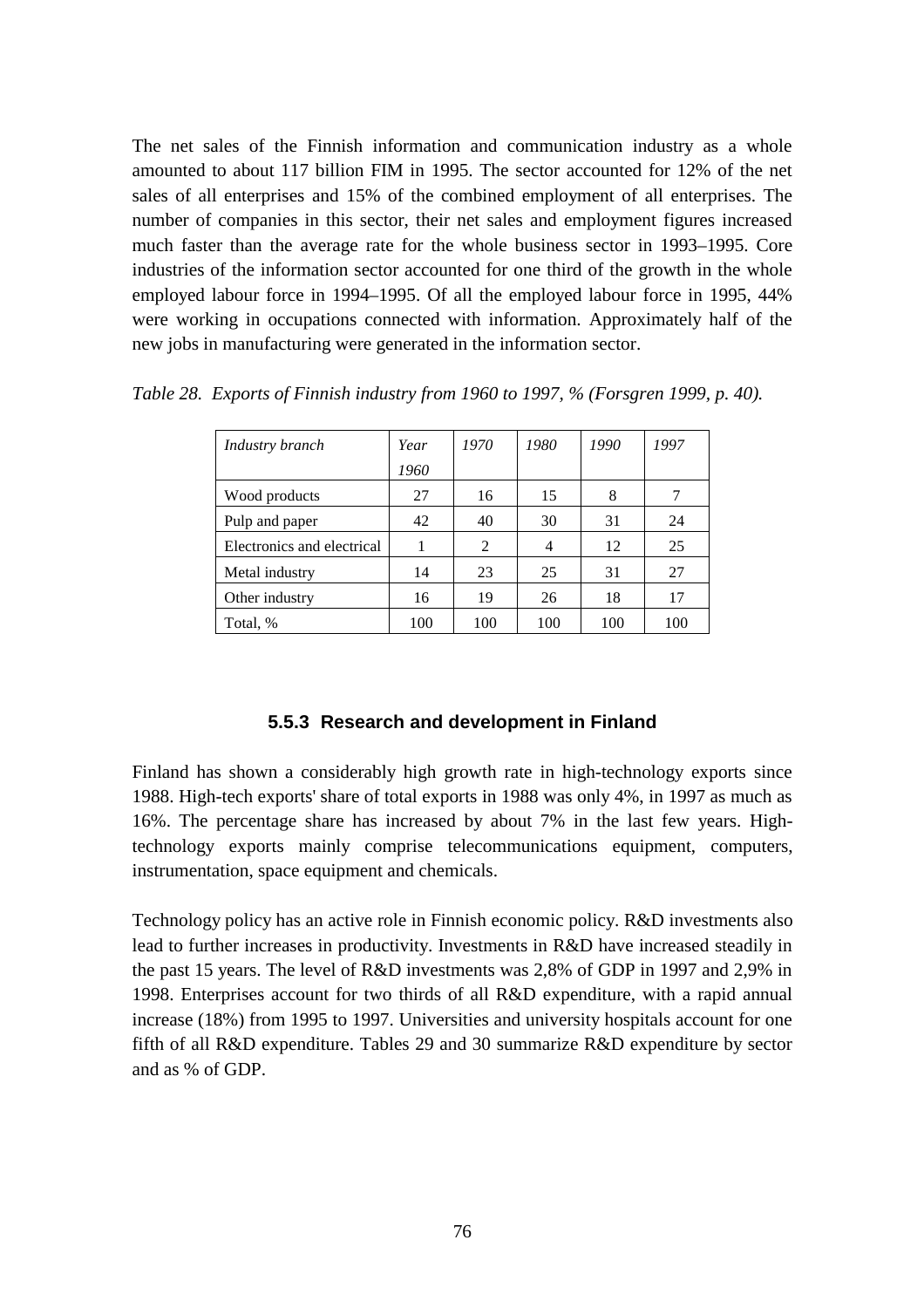The net sales of the Finnish information and communication industry as a whole amounted to about 117 billion FIM in 1995. The sector accounted for 12% of the net sales of all enterprises and 15% of the combined employment of all enterprises. The number of companies in this sector, their net sales and employment figures increased much faster than the average rate for the whole business sector in 1993–1995. Core industries of the information sector accounted for one third of the growth in the whole employed labour force in 1994–1995. Of all the employed labour force in 1995, 44% were working in occupations connected with information. Approximately half of the new jobs in manufacturing were generated in the information sector.

| Industry branch            | Year | 1970 | 1980 | 1990 | 1997 |
|----------------------------|------|------|------|------|------|
|                            | 1960 |      |      |      |      |
| Wood products              | 27   | 16   | 15   | 8    |      |
| Pulp and paper             | 42   | 40   | 30   | 31   | 24   |
| Electronics and electrical |      | 2    | 4    | 12   | 25   |
| Metal industry             | 14   | 23   | 25   | 31   | 27   |
| Other industry             | 16   | 19   | 26   | 18   | 17   |
| Total, %                   | 100  | 100  | 100  | 100  | 100  |

*Table 28. Exports of Finnish industry from 1960 to 1997, % (Forsgren 1999, p. 40).*

#### **5.5.3 Research and development in Finland**

Finland has shown a considerably high growth rate in high-technology exports since 1988. High-tech exports' share of total exports in 1988 was only 4%, in 1997 as much as 16%. The percentage share has increased by about 7% in the last few years. Hightechnology exports mainly comprise telecommunications equipment, computers, instrumentation, space equipment and chemicals.

Technology policy has an active role in Finnish economic policy. R&D investments also lead to further increases in productivity. Investments in R&D have increased steadily in the past 15 years. The level of R&D investments was 2,8% of GDP in 1997 and 2,9% in 1998. Enterprises account for two thirds of all R&D expenditure, with a rapid annual increase (18%) from 1995 to 1997. Universities and university hospitals account for one fifth of all R&D expenditure. Tables 29 and 30 summarize R&D expenditure by sector and as % of GDP.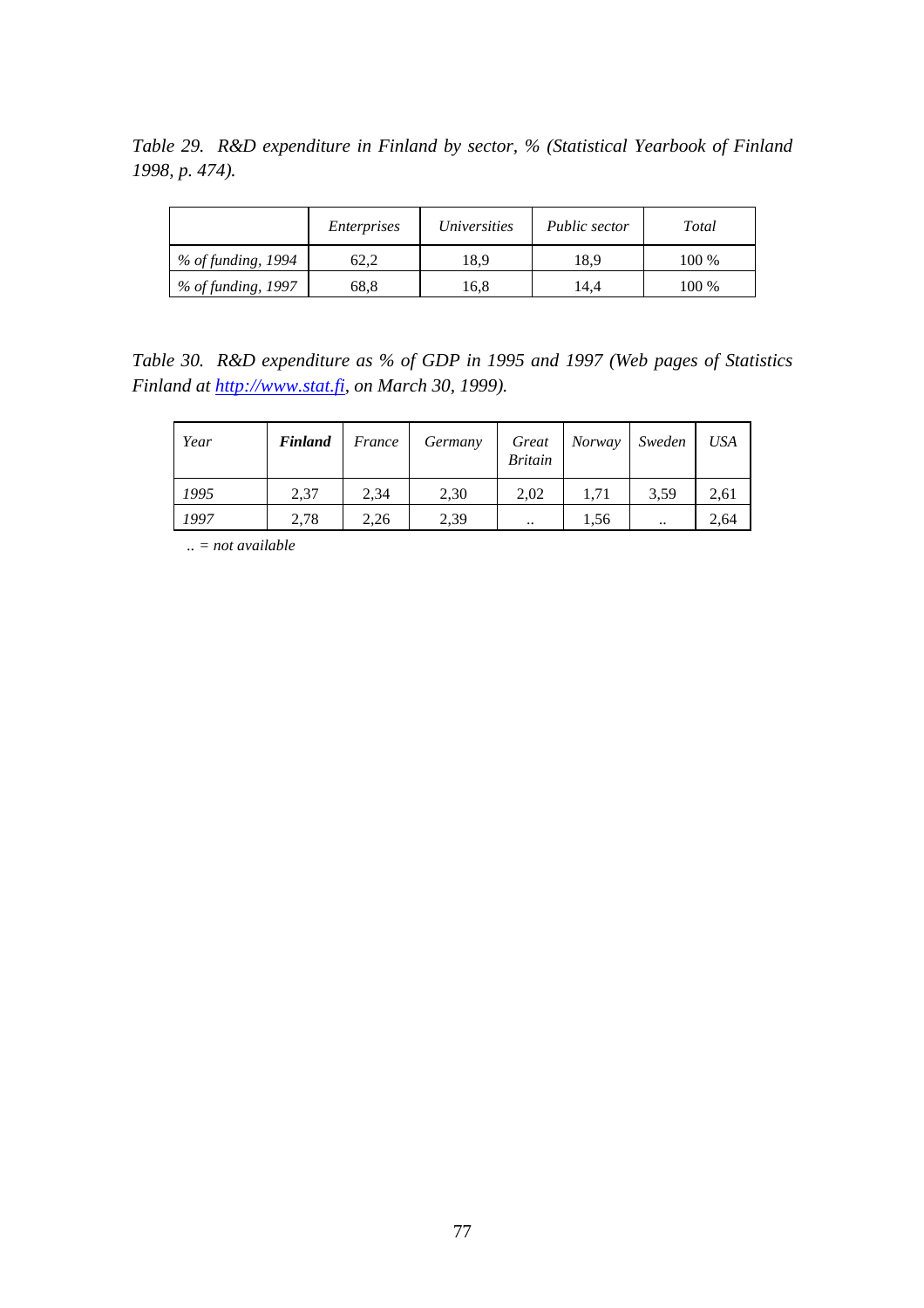*Table 29. R&D expenditure in Finland by sector, % (Statistical Yearbook of Finland 1998, p. 474).*

|                      | <i>Enterprises</i> | <i>Universities</i> | Public sector | Total |
|----------------------|--------------------|---------------------|---------------|-------|
| % of funding, 1994   | 62.2               | 18.9                | 18.9          | 100 % |
| $%$ of funding, 1997 | 68,8               | 16,8                | 14.4          | 100 % |

*Table 30. R&D expenditure as % of GDP in 1995 and 1997 (Web pages of Statistics Finland at http://www.stat.fi, on March 30, 1999).*

| Year | <b>Finland</b> | France | Germany | Great<br><b>Britain</b> | Norway | Sweden    | <b>USA</b> |
|------|----------------|--------|---------|-------------------------|--------|-----------|------------|
| 1995 | 2,37           | 2,34   | 2,30    | 2,02                    | 1,71   | 3.59      | 2,61       |
| 1997 | 2,78           | 2,26   | 2,39    | $\ddotsc$               | 1,56   | $\ddotsc$ | 2,64       |

*.. = not available*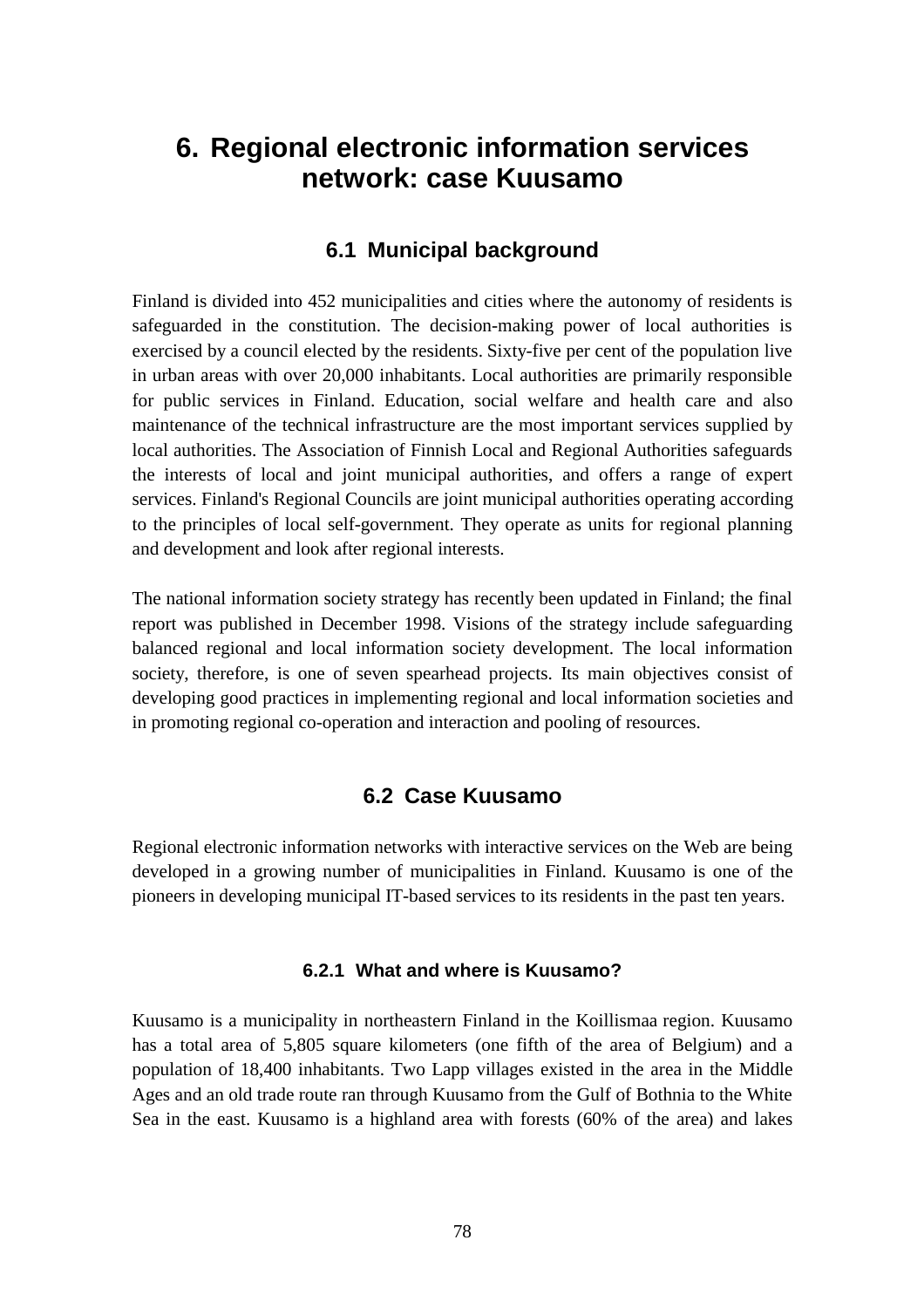# **6. Regional electronic information services network: case Kuusamo**

# **6.1 Municipal background**

Finland is divided into 452 municipalities and cities where the autonomy of residents is safeguarded in the constitution. The decision-making power of local authorities is exercised by a council elected by the residents. Sixty-five per cent of the population live in urban areas with over 20,000 inhabitants. Local authorities are primarily responsible for public services in Finland. Education, social welfare and health care and also maintenance of the technical infrastructure are the most important services supplied by local authorities. The Association of Finnish Local and Regional Authorities safeguards the interests of local and joint municipal authorities, and offers a range of expert services. Finland's Regional Councils are joint municipal authorities operating according to the principles of local self-government. They operate as units for regional planning and development and look after regional interests.

The national information society strategy has recently been updated in Finland; the final report was published in December 1998. Visions of the strategy include safeguarding balanced regional and local information society development. The local information society, therefore, is one of seven spearhead projects. Its main objectives consist of developing good practices in implementing regional and local information societies and in promoting regional co-operation and interaction and pooling of resources.

# **6.2 Case Kuusamo**

Regional electronic information networks with interactive services on the Web are being developed in a growing number of municipalities in Finland. Kuusamo is one of the pioneers in developing municipal IT-based services to its residents in the past ten years.

#### **6.2.1 What and where is Kuusamo?**

Kuusamo is a municipality in northeastern Finland in the Koillismaa region. Kuusamo has a total area of 5,805 square kilometers (one fifth of the area of Belgium) and a population of 18,400 inhabitants. Two Lapp villages existed in the area in the Middle Ages and an old trade route ran through Kuusamo from the Gulf of Bothnia to the White Sea in the east. Kuusamo is a highland area with forests (60% of the area) and lakes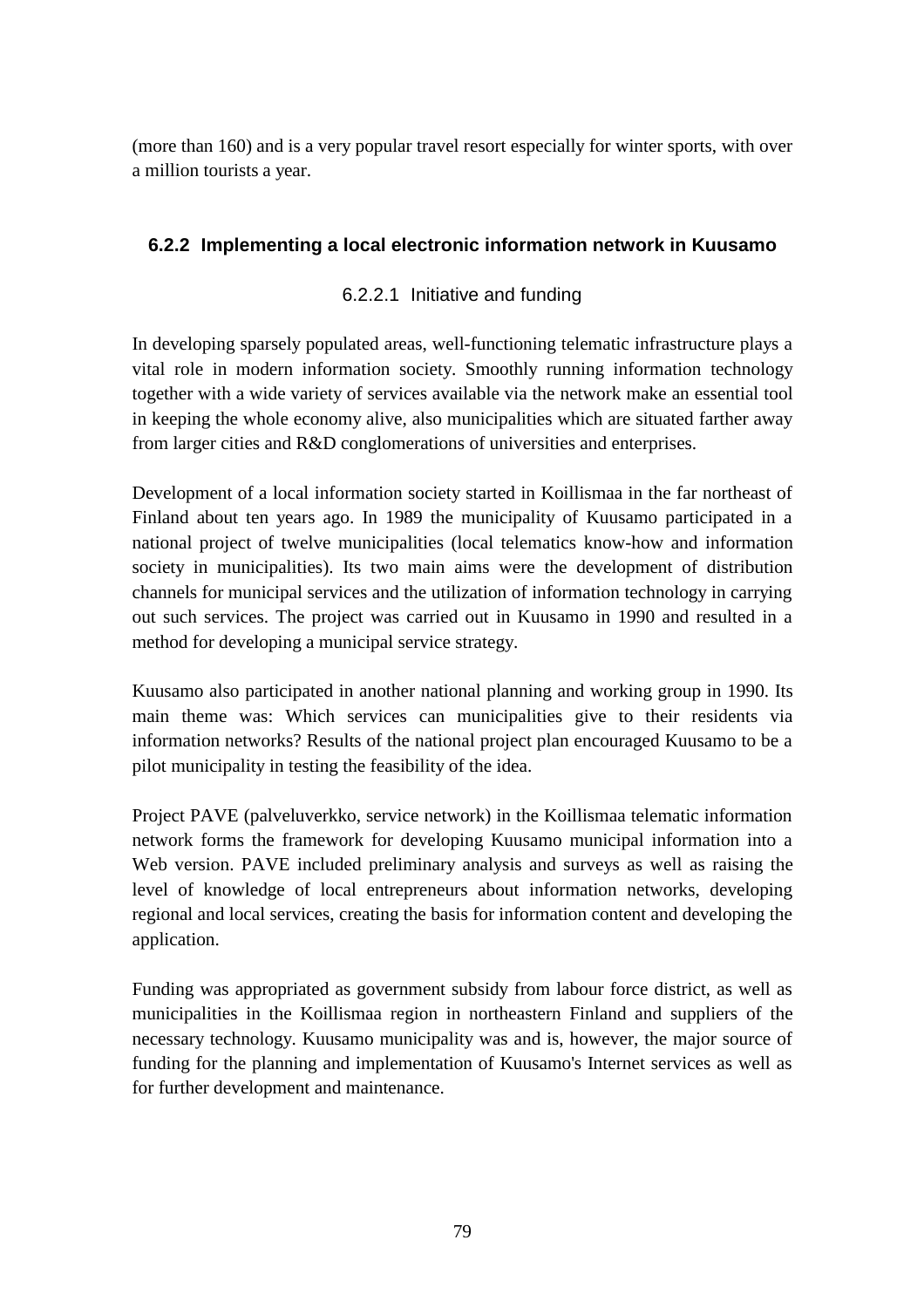(more than 160) and is a very popular travel resort especially for winter sports, with over a million tourists a year.

# **6.2.2 Implementing a local electronic information network in Kuusamo**

# 6.2.2.1 Initiative and funding

In developing sparsely populated areas, well-functioning telematic infrastructure plays a vital role in modern information society. Smoothly running information technology together with a wide variety of services available via the network make an essential tool in keeping the whole economy alive, also municipalities which are situated farther away from larger cities and R&D conglomerations of universities and enterprises.

Development of a local information society started in Koillismaa in the far northeast of Finland about ten years ago. In 1989 the municipality of Kuusamo participated in a national project of twelve municipalities (local telematics know-how and information society in municipalities). Its two main aims were the development of distribution channels for municipal services and the utilization of information technology in carrying out such services. The project was carried out in Kuusamo in 1990 and resulted in a method for developing a municipal service strategy.

Kuusamo also participated in another national planning and working group in 1990. Its main theme was: Which services can municipalities give to their residents via information networks? Results of the national project plan encouraged Kuusamo to be a pilot municipality in testing the feasibility of the idea.

Project PAVE (palveluverkko, service network) in the Koillismaa telematic information network forms the framework for developing Kuusamo municipal information into a Web version. PAVE included preliminary analysis and surveys as well as raising the level of knowledge of local entrepreneurs about information networks, developing regional and local services, creating the basis for information content and developing the application.

Funding was appropriated as government subsidy from labour force district, as well as municipalities in the Koillismaa region in northeastern Finland and suppliers of the necessary technology. Kuusamo municipality was and is, however, the major source of funding for the planning and implementation of Kuusamo's Internet services as well as for further development and maintenance.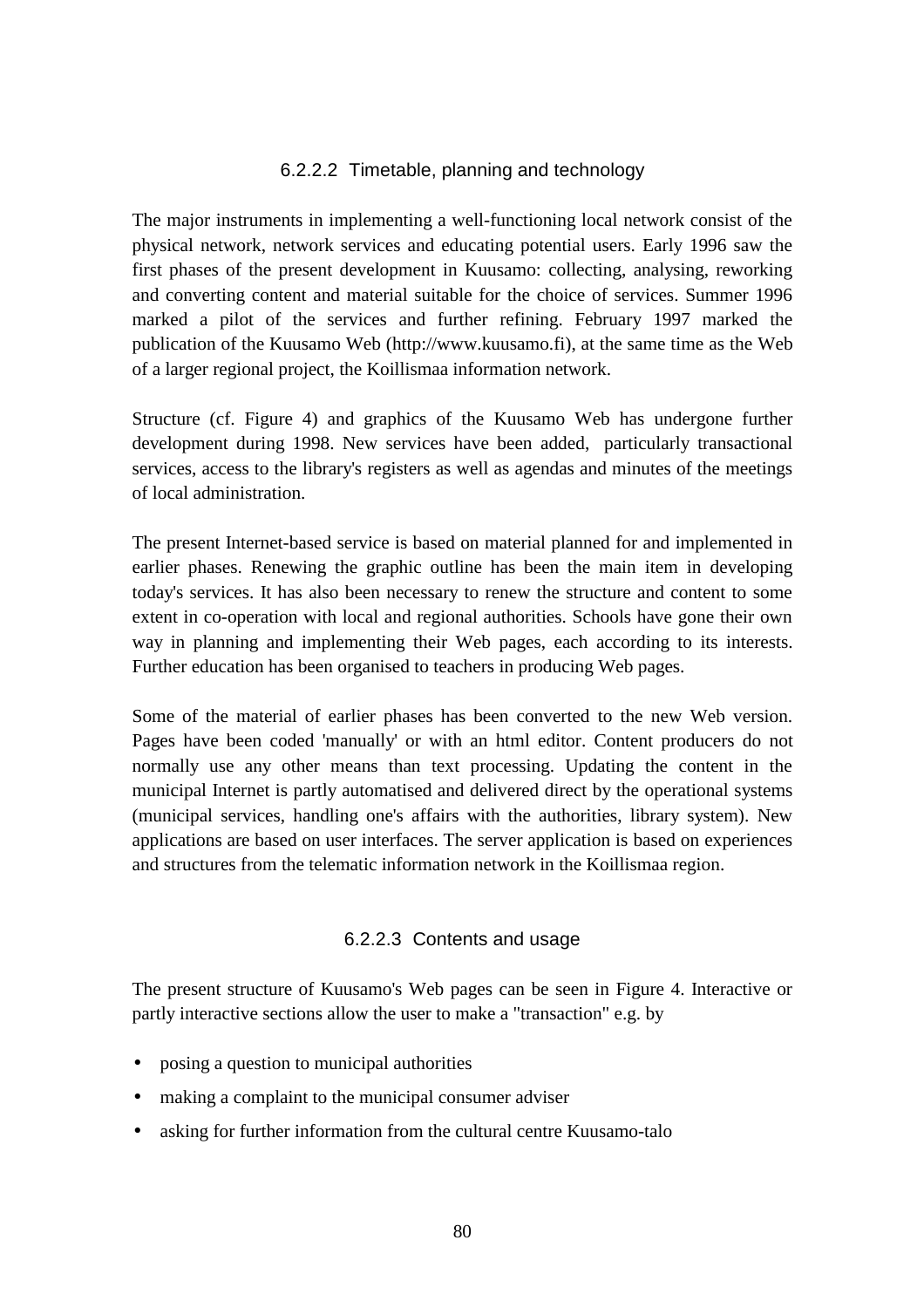#### 6.2.2.2 Timetable, planning and technology

The major instruments in implementing a well-functioning local network consist of the physical network, network services and educating potential users. Early 1996 saw the first phases of the present development in Kuusamo: collecting, analysing, reworking and converting content and material suitable for the choice of services. Summer 1996 marked a pilot of the services and further refining. February 1997 marked the publication of the Kuusamo Web (http://www.kuusamo.fi), at the same time as the Web of a larger regional project, the Koillismaa information network.

Structure (cf. Figure 4) and graphics of the Kuusamo Web has undergone further development during 1998. New services have been added, particularly transactional services, access to the library's registers as well as agendas and minutes of the meetings of local administration.

The present Internet-based service is based on material planned for and implemented in earlier phases. Renewing the graphic outline has been the main item in developing today's services. It has also been necessary to renew the structure and content to some extent in co-operation with local and regional authorities. Schools have gone their own way in planning and implementing their Web pages, each according to its interests. Further education has been organised to teachers in producing Web pages.

Some of the material of earlier phases has been converted to the new Web version. Pages have been coded 'manually' or with an html editor. Content producers do not normally use any other means than text processing. Updating the content in the municipal Internet is partly automatised and delivered direct by the operational systems (municipal services, handling one's affairs with the authorities, library system). New applications are based on user interfaces. The server application is based on experiences and structures from the telematic information network in the Koillismaa region.

#### 6.2.2.3 Contents and usage

The present structure of Kuusamo's Web pages can be seen in Figure 4. Interactive or partly interactive sections allow the user to make a "transaction" e.g. by

- posing a question to municipal authorities
- making a complaint to the municipal consumer adviser
- asking for further information from the cultural centre Kuusamo-talo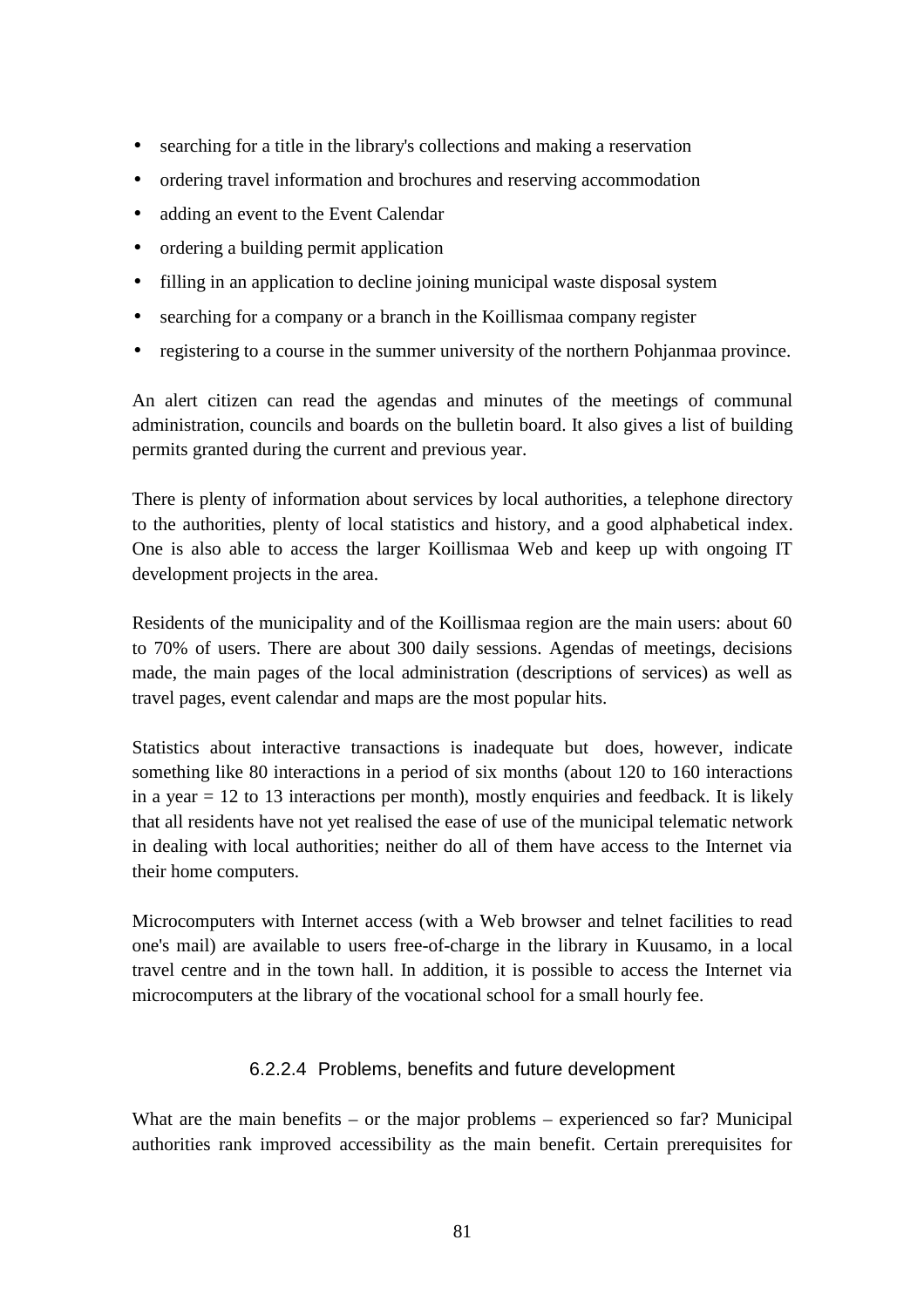- searching for a title in the library's collections and making a reservation
- ordering travel information and brochures and reserving accommodation
- adding an event to the Event Calendar
- ordering a building permit application
- filling in an application to decline joining municipal waste disposal system
- searching for a company or a branch in the Koillismaa company register
- registering to a course in the summer university of the northern Pohjanmaa province.

An alert citizen can read the agendas and minutes of the meetings of communal administration, councils and boards on the bulletin board. It also gives a list of building permits granted during the current and previous year.

There is plenty of information about services by local authorities, a telephone directory to the authorities, plenty of local statistics and history, and a good alphabetical index. One is also able to access the larger Koillismaa Web and keep up with ongoing IT development projects in the area.

Residents of the municipality and of the Koillismaa region are the main users: about 60 to 70% of users. There are about 300 daily sessions. Agendas of meetings, decisions made, the main pages of the local administration (descriptions of services) as well as travel pages, event calendar and maps are the most popular hits.

Statistics about interactive transactions is inadequate but does, however, indicate something like 80 interactions in a period of six months (about 120 to 160 interactions in a year  $= 12$  to 13 interactions per month), mostly enquiries and feedback. It is likely that all residents have not yet realised the ease of use of the municipal telematic network in dealing with local authorities; neither do all of them have access to the Internet via their home computers.

Microcomputers with Internet access (with a Web browser and telnet facilities to read one's mail) are available to users free-of-charge in the library in Kuusamo, in a local travel centre and in the town hall. In addition, it is possible to access the Internet via microcomputers at the library of the vocational school for a small hourly fee.

#### 6.2.2.4 Problems, benefits and future development

What are the main benefits – or the major problems – experienced so far? Municipal authorities rank improved accessibility as the main benefit. Certain prerequisites for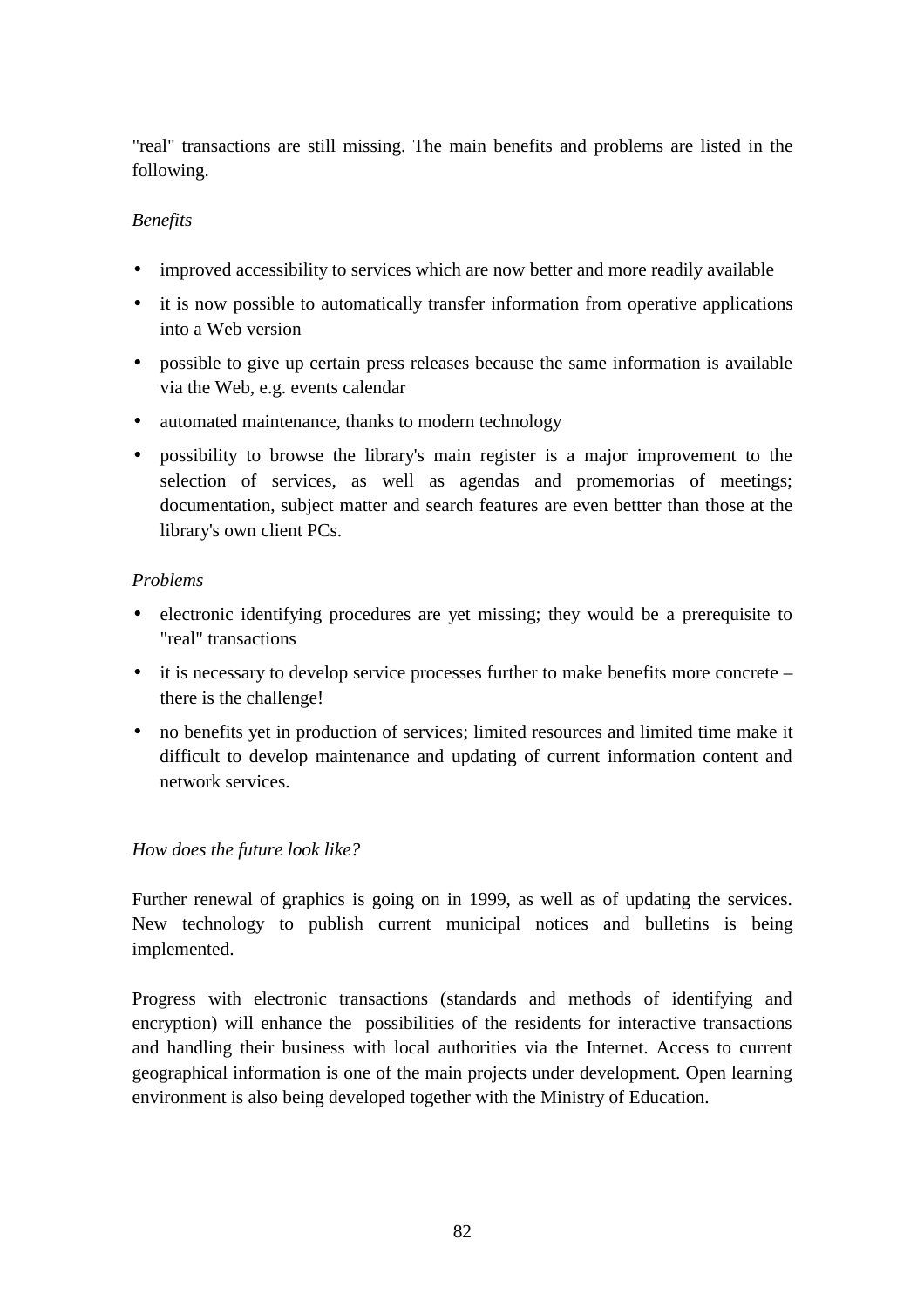"real" transactions are still missing. The main benefits and problems are listed in the following.

#### *Benefits*

- improved accessibility to services which are now better and more readily available
- it is now possible to automatically transfer information from operative applications into a Web version
- possible to give up certain press releases because the same information is available via the Web, e.g. events calendar
- automated maintenance, thanks to modern technology
- possibility to browse the library's main register is a major improvement to the selection of services, as well as agendas and promemorias of meetings; documentation, subject matter and search features are even bettter than those at the library's own client PCs.

#### *Problems*

- electronic identifying procedures are yet missing; they would be a prerequisite to "real" transactions
- it is necessary to develop service processes further to make benefits more concrete there is the challenge!
- no benefits yet in production of services; limited resources and limited time make it difficult to develop maintenance and updating of current information content and network services.

#### *How does the future look like?*

Further renewal of graphics is going on in 1999, as well as of updating the services. New technology to publish current municipal notices and bulletins is being implemented.

Progress with electronic transactions (standards and methods of identifying and encryption) will enhance the possibilities of the residents for interactive transactions and handling their business with local authorities via the Internet. Access to current geographical information is one of the main projects under development. Open learning environment is also being developed together with the Ministry of Education.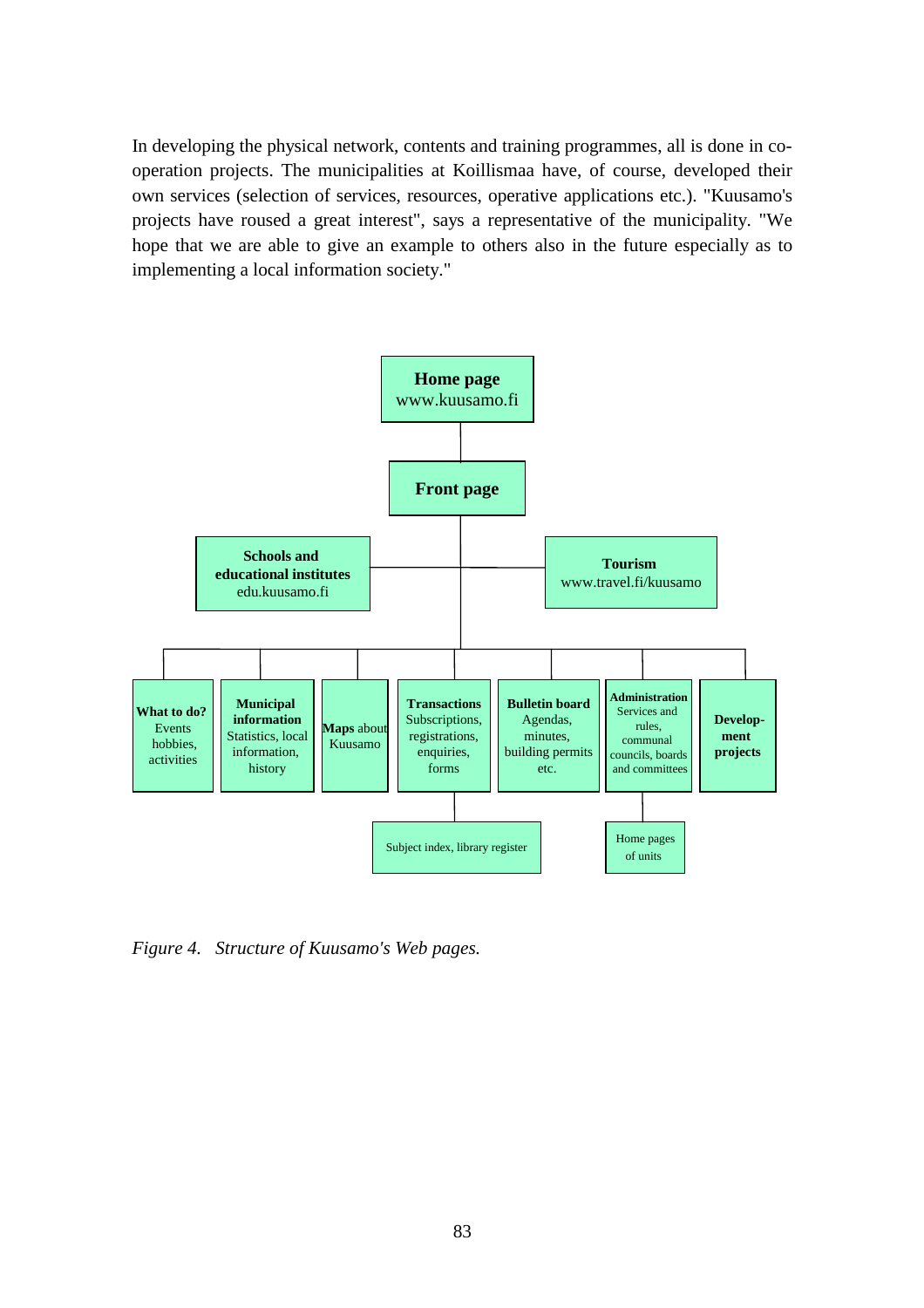In developing the physical network, contents and training programmes, all is done in cooperation projects. The municipalities at Koillismaa have, of course, developed their own services (selection of services, resources, operative applications etc.). "Kuusamo's projects have roused a great interest", says a representative of the municipality. "We hope that we are able to give an example to others also in the future especially as to implementing a local information society."



*Figure 4. Structure of Kuusamo's Web pages.*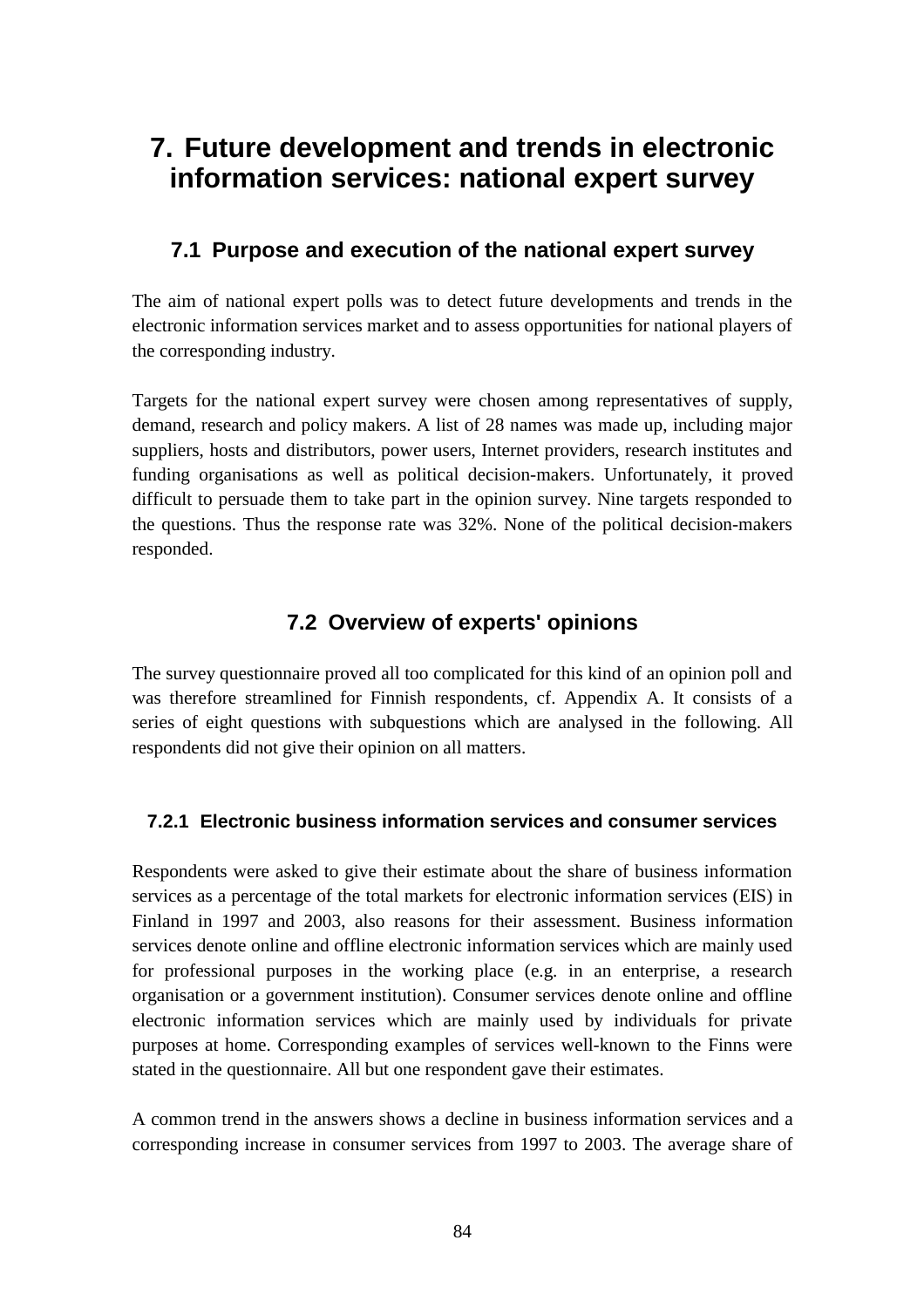# **7. Future development and trends in electronic information services: national expert survey**

# **7.1 Purpose and execution of the national expert survey**

The aim of national expert polls was to detect future developments and trends in the electronic information services market and to assess opportunities for national players of the corresponding industry.

Targets for the national expert survey were chosen among representatives of supply, demand, research and policy makers. A list of 28 names was made up, including major suppliers, hosts and distributors, power users, Internet providers, research institutes and funding organisations as well as political decision-makers. Unfortunately, it proved difficult to persuade them to take part in the opinion survey. Nine targets responded to the questions. Thus the response rate was 32%. None of the political decision-makers responded.

# **7.2 Overview of experts' opinions**

The survey questionnaire proved all too complicated for this kind of an opinion poll and was therefore streamlined for Finnish respondents, cf. Appendix A. It consists of a series of eight questions with subquestions which are analysed in the following. All respondents did not give their opinion on all matters.

# **7.2.1 Electronic business information services and consumer services**

Respondents were asked to give their estimate about the share of business information services as a percentage of the total markets for electronic information services (EIS) in Finland in 1997 and 2003, also reasons for their assessment. Business information services denote online and offline electronic information services which are mainly used for professional purposes in the working place (e.g. in an enterprise, a research organisation or a government institution). Consumer services denote online and offline electronic information services which are mainly used by individuals for private purposes at home. Corresponding examples of services well-known to the Finns were stated in the questionnaire. All but one respondent gave their estimates.

A common trend in the answers shows a decline in business information services and a corresponding increase in consumer services from 1997 to 2003. The average share of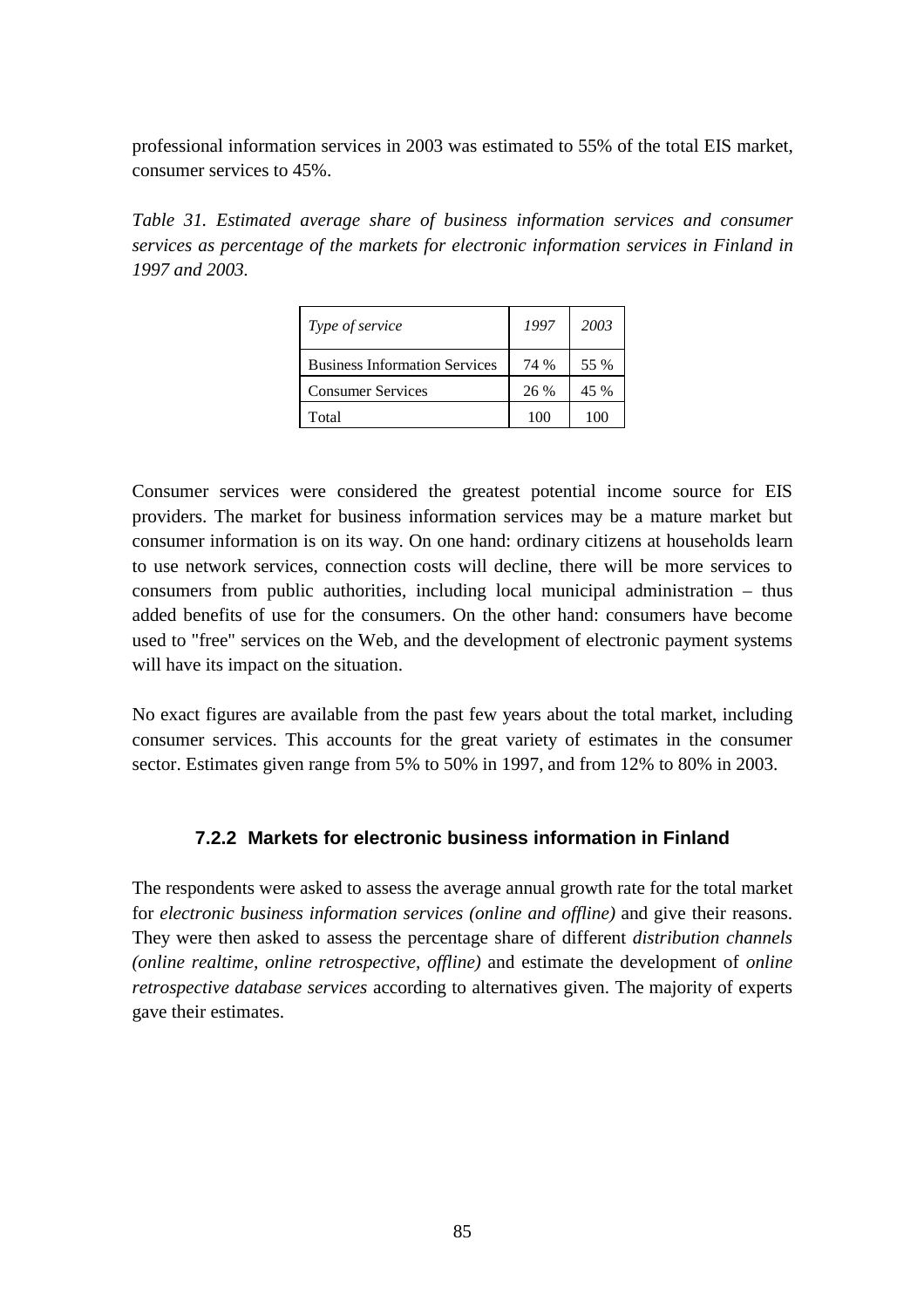professional information services in 2003 was estimated to 55% of the total EIS market, consumer services to 45%.

*Table 31. Estimated average share of business information services and consumer services as percentage of the markets for electronic information services in Finland in 1997 and 2003.*

| Type of service                      | 1997 | 2003 |
|--------------------------------------|------|------|
| <b>Business Information Services</b> | 74 % | 55 % |
| <b>Consumer Services</b>             | 26 % | 45 % |
| Total                                | 100  | 100  |

Consumer services were considered the greatest potential income source for EIS providers. The market for business information services may be a mature market but consumer information is on its way. On one hand: ordinary citizens at households learn to use network services, connection costs will decline, there will be more services to consumers from public authorities, including local municipal administration – thus added benefits of use for the consumers. On the other hand: consumers have become used to "free" services on the Web, and the development of electronic payment systems will have its impact on the situation.

No exact figures are available from the past few years about the total market, including consumer services. This accounts for the great variety of estimates in the consumer sector. Estimates given range from 5% to 50% in 1997, and from 12% to 80% in 2003.

#### **7.2.2 Markets for electronic business information in Finland**

The respondents were asked to assess the average annual growth rate for the total market for *electronic business information services (online and offline)* and give their reasons. They were then asked to assess the percentage share of different *distribution channels (online realtime, online retrospective, offline)* and estimate the development of *online retrospective database services* according to alternatives given. The majority of experts gave their estimates.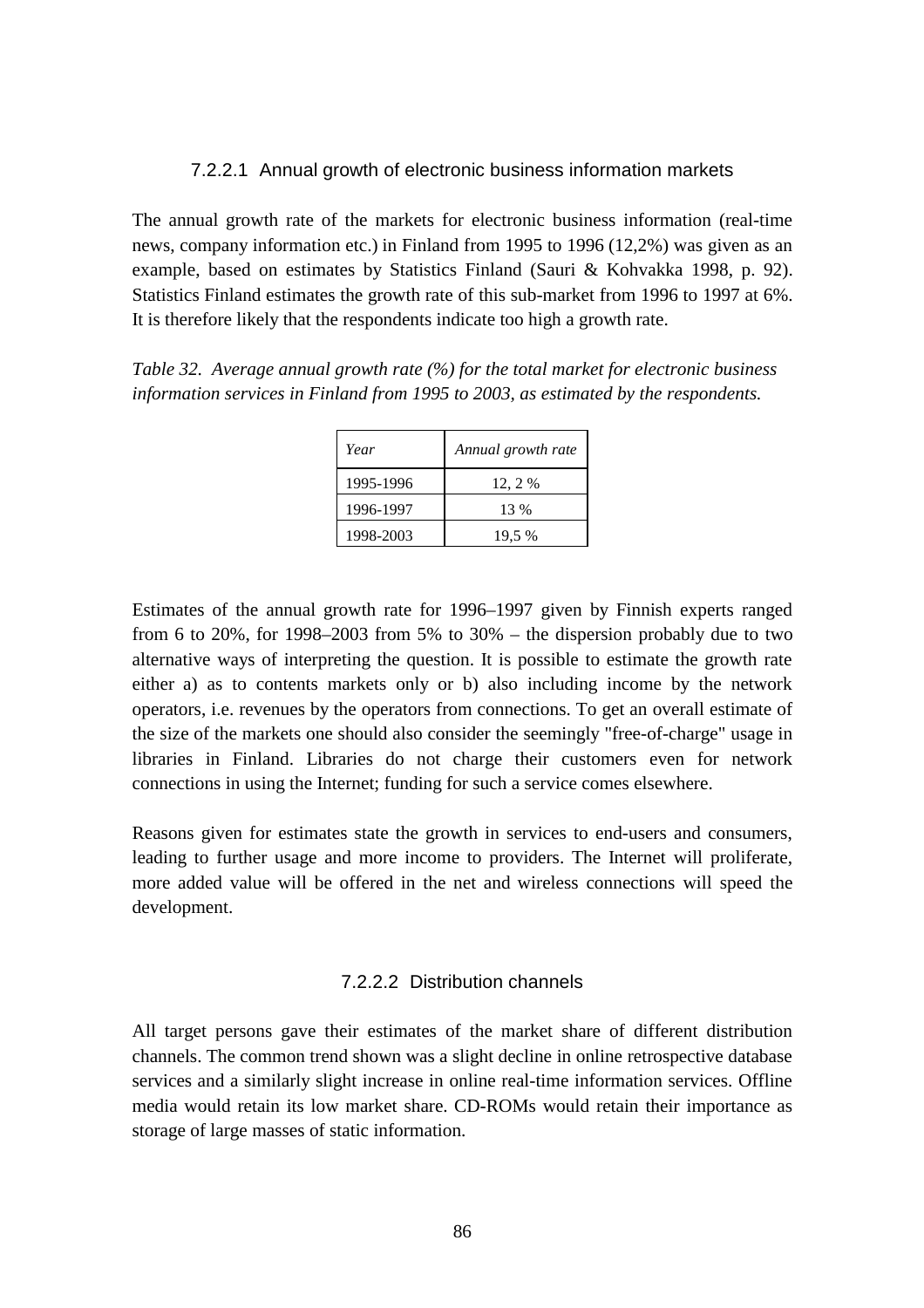#### 7.2.2.1 Annual growth of electronic business information markets

The annual growth rate of the markets for electronic business information (real-time news, company information etc.) in Finland from 1995 to 1996 (12,2%) was given as an example, based on estimates by Statistics Finland (Sauri & Kohvakka 1998, p. 92). Statistics Finland estimates the growth rate of this sub-market from 1996 to 1997 at 6%. It is therefore likely that the respondents indicate too high a growth rate.

*Table 32. Average annual growth rate (%) for the total market for electronic business information services in Finland from 1995 to 2003, as estimated by the respondents.*

| Year      | Annual growth rate |
|-----------|--------------------|
| 1995-1996 | 12, 2 %            |
| 1996-1997 | 13 %               |
| 1998-2003 | 19.5 %             |

Estimates of the annual growth rate for 1996–1997 given by Finnish experts ranged from 6 to 20%, for 1998–2003 from  $5\%$  to 30% – the dispersion probably due to two alternative ways of interpreting the question. It is possible to estimate the growth rate either a) as to contents markets only or b) also including income by the network operators, i.e. revenues by the operators from connections. To get an overall estimate of the size of the markets one should also consider the seemingly "free-of-charge" usage in libraries in Finland. Libraries do not charge their customers even for network connections in using the Internet; funding for such a service comes elsewhere.

Reasons given for estimates state the growth in services to end-users and consumers, leading to further usage and more income to providers. The Internet will proliferate, more added value will be offered in the net and wireless connections will speed the development.

#### 7.2.2.2 Distribution channels

All target persons gave their estimates of the market share of different distribution channels. The common trend shown was a slight decline in online retrospective database services and a similarly slight increase in online real-time information services. Offline media would retain its low market share. CD-ROMs would retain their importance as storage of large masses of static information.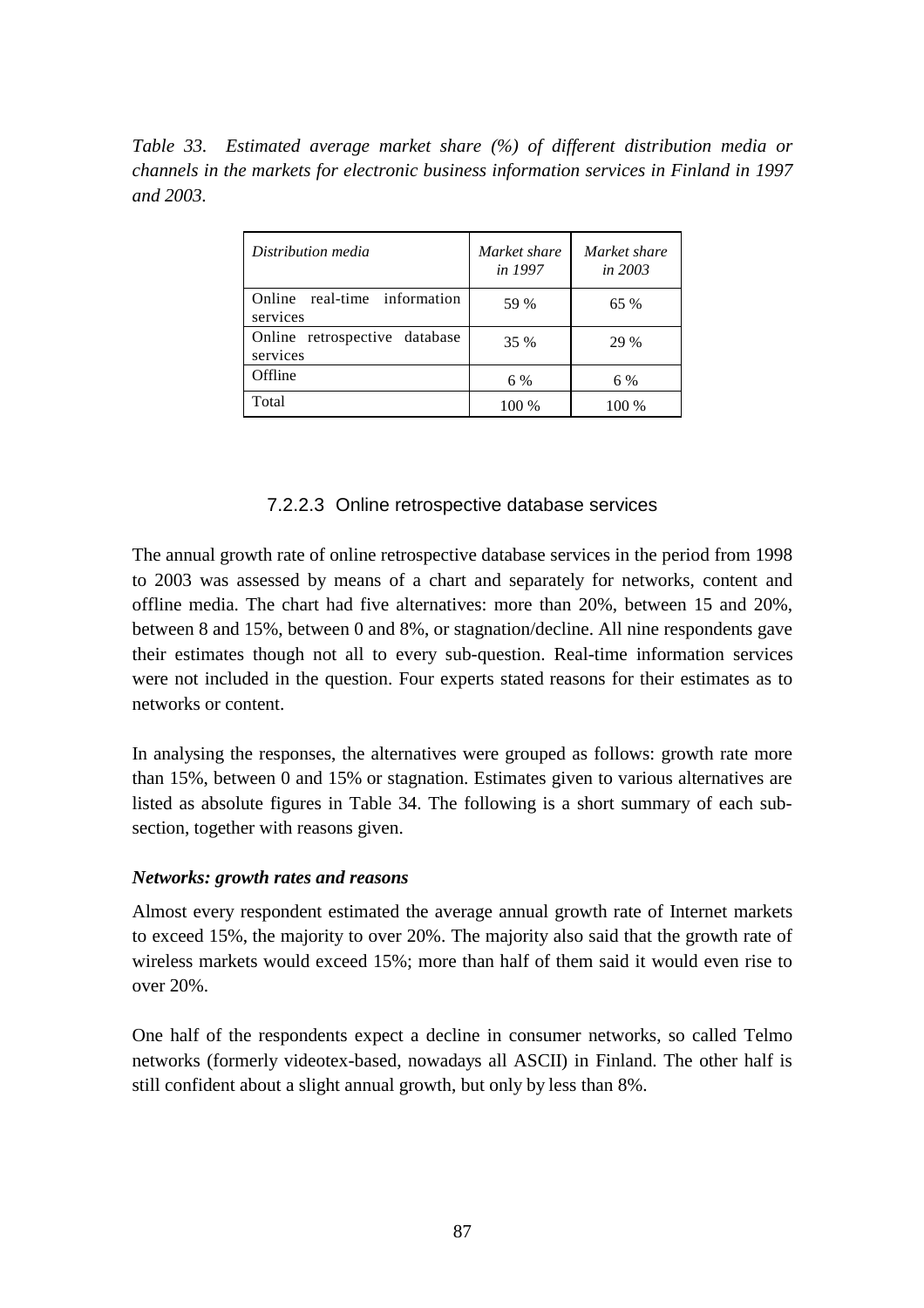*Table 33. Estimated average market share (%) of different distribution media or channels in the markets for electronic business information services in Finland in 1997 and 2003.*

| Distribution media                        | Market share<br>in 1997 | Market share<br><i>in 2003</i> |
|-------------------------------------------|-------------------------|--------------------------------|
| Online real-time information<br>services  | 59 %                    | 65 %                           |
| Online retrospective database<br>services | 35 %                    | 29 %                           |
| Offline                                   | 6 %                     | 6 %                            |
| Total                                     | 100 %                   | 100 %                          |

#### 7.2.2.3 Online retrospective database services

The annual growth rate of online retrospective database services in the period from 1998 to 2003 was assessed by means of a chart and separately for networks, content and offline media. The chart had five alternatives: more than 20%, between 15 and 20%, between 8 and 15%, between 0 and 8%, or stagnation/decline. All nine respondents gave their estimates though not all to every sub-question. Real-time information services were not included in the question. Four experts stated reasons for their estimates as to networks or content.

In analysing the responses, the alternatives were grouped as follows: growth rate more than 15%, between 0 and 15% or stagnation. Estimates given to various alternatives are listed as absolute figures in Table 34. The following is a short summary of each subsection, together with reasons given.

#### *Networks: growth rates and reasons*

Almost every respondent estimated the average annual growth rate of Internet markets to exceed 15%, the majority to over 20%. The majority also said that the growth rate of wireless markets would exceed 15%; more than half of them said it would even rise to over 20%.

One half of the respondents expect a decline in consumer networks, so called Telmo networks (formerly videotex-based, nowadays all ASCII) in Finland. The other half is still confident about a slight annual growth, but only by less than 8%.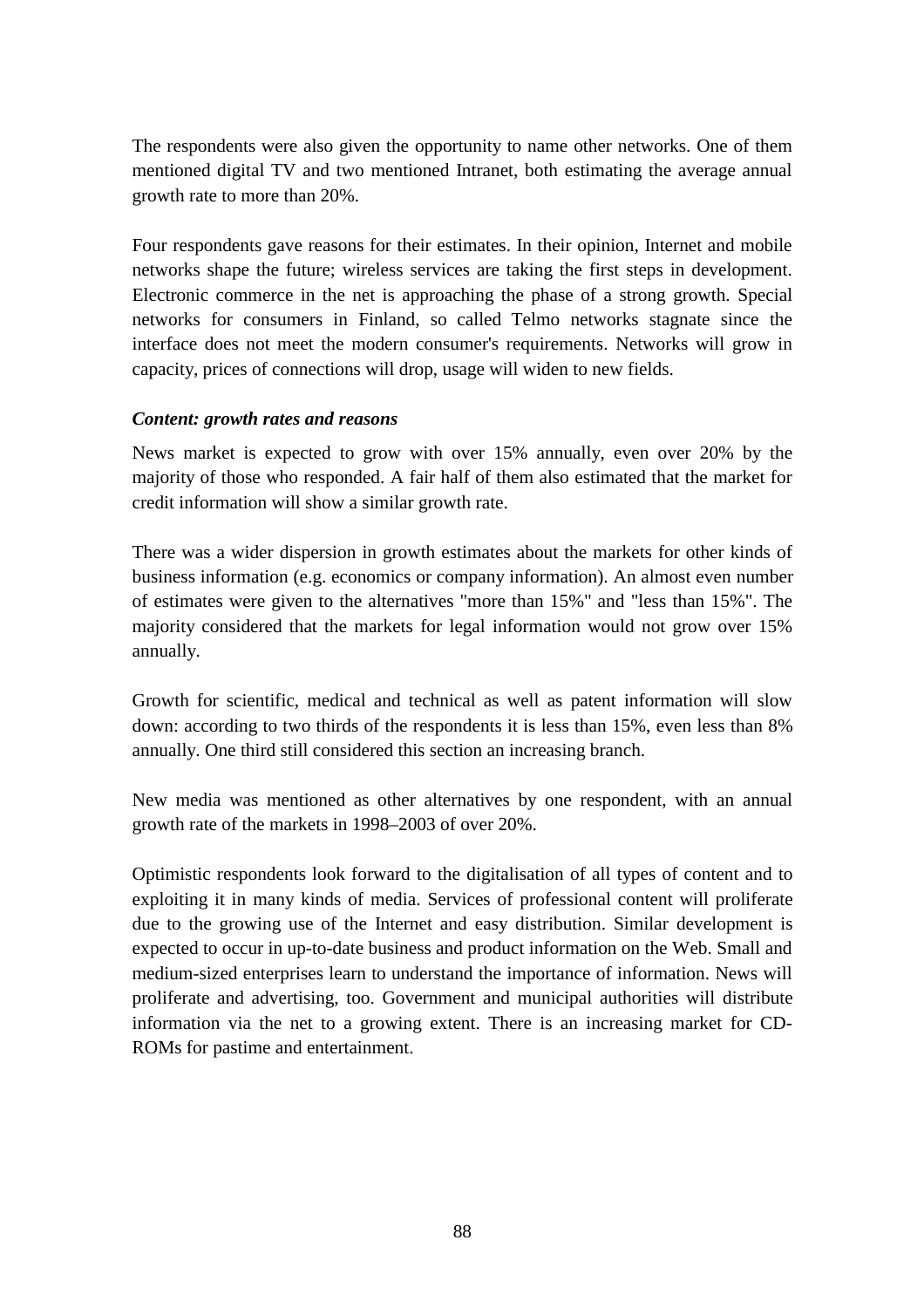The respondents were also given the opportunity to name other networks. One of them mentioned digital TV and two mentioned Intranet, both estimating the average annual growth rate to more than 20%.

Four respondents gave reasons for their estimates. In their opinion, Internet and mobile networks shape the future; wireless services are taking the first steps in development. Electronic commerce in the net is approaching the phase of a strong growth. Special networks for consumers in Finland, so called Telmo networks stagnate since the interface does not meet the modern consumer's requirements. Networks will grow in capacity, prices of connections will drop, usage will widen to new fields.

#### *Content: growth rates and reasons*

News market is expected to grow with over 15% annually, even over 20% by the majority of those who responded. A fair half of them also estimated that the market for credit information will show a similar growth rate.

There was a wider dispersion in growth estimates about the markets for other kinds of business information (e.g. economics or company information). An almost even number of estimates were given to the alternatives "more than 15%" and "less than 15%". The majority considered that the markets for legal information would not grow over 15% annually.

Growth for scientific, medical and technical as well as patent information will slow down: according to two thirds of the respondents it is less than 15%, even less than 8% annually. One third still considered this section an increasing branch.

New media was mentioned as other alternatives by one respondent, with an annual growth rate of the markets in 1998–2003 of over 20%.

Optimistic respondents look forward to the digitalisation of all types of content and to exploiting it in many kinds of media. Services of professional content will proliferate due to the growing use of the Internet and easy distribution. Similar development is expected to occur in up-to-date business and product information on the Web. Small and medium-sized enterprises learn to understand the importance of information. News will proliferate and advertising, too. Government and municipal authorities will distribute information via the net to a growing extent. There is an increasing market for CD-ROMs for pastime and entertainment.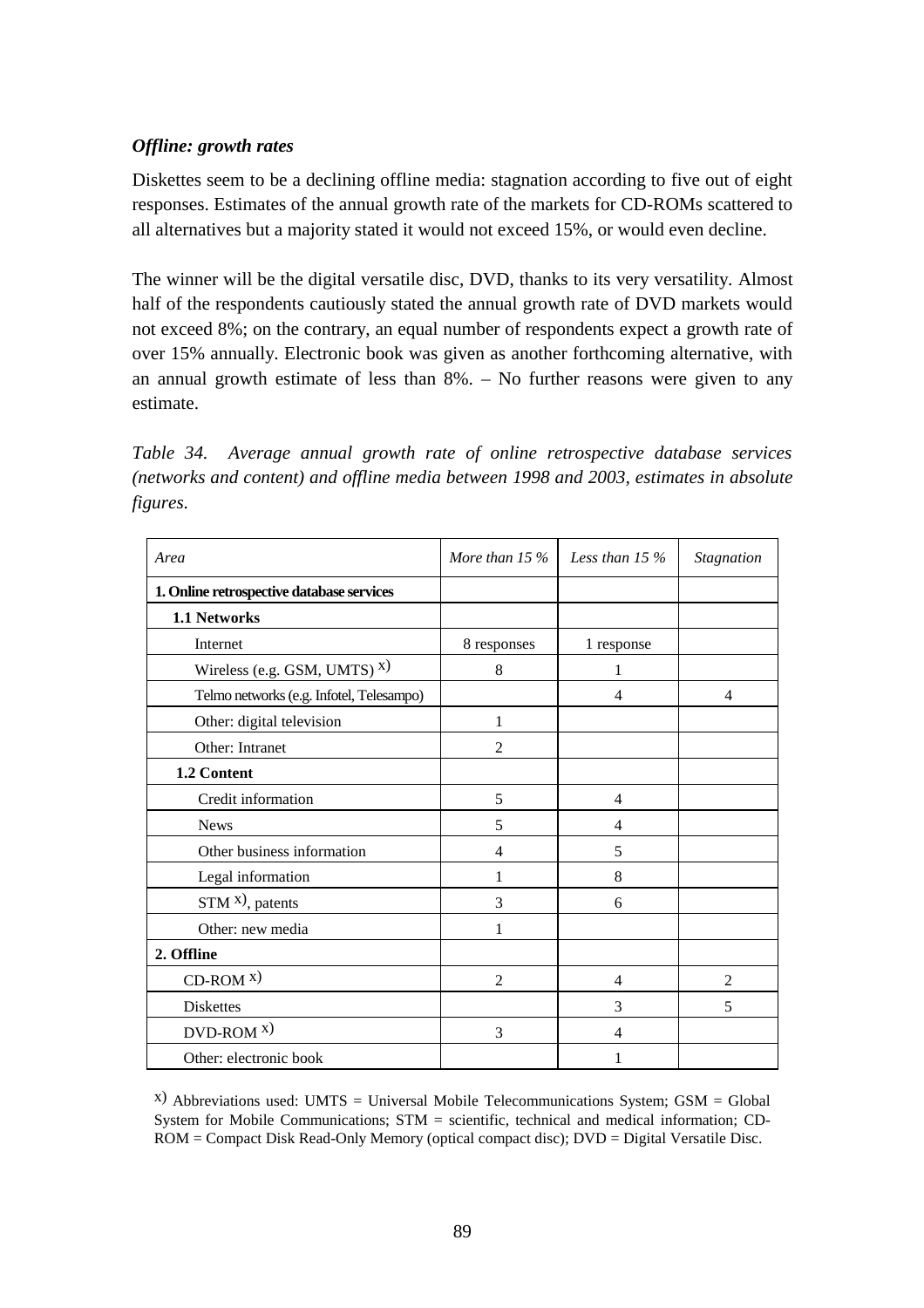#### *Offline: growth rates*

Diskettes seem to be a declining offline media: stagnation according to five out of eight responses. Estimates of the annual growth rate of the markets for CD-ROMs scattered to all alternatives but a majority stated it would not exceed 15%, or would even decline.

The winner will be the digital versatile disc, DVD, thanks to its very versatility. Almost half of the respondents cautiously stated the annual growth rate of DVD markets would not exceed 8%; on the contrary, an equal number of respondents expect a growth rate of over 15% annually. Electronic book was given as another forthcoming alternative, with an annual growth estimate of less than 8%. – No further reasons were given to any estimate.

*Table 34. Average annual growth rate of online retrospective database services (networks and content) and offline media between 1998 and 2003, estimates in absolute figures.*

| Area                                      | More than $15\%$ | Less than $15%$ | Stagnation     |
|-------------------------------------------|------------------|-----------------|----------------|
| 1. Online retrospective database services |                  |                 |                |
| 1.1 Networks                              |                  |                 |                |
| Internet                                  | 8 responses      | 1 response      |                |
| Wireless (e.g. GSM, UMTS) $^x$ )          | 8                | 1               |                |
| Telmo networks (e.g. Infotel, Telesampo)  |                  | $\overline{4}$  | $\overline{4}$ |
| Other: digital television                 | 1                |                 |                |
| Other: Intranet                           | 2                |                 |                |
| 1.2 Content                               |                  |                 |                |
| Credit information                        | 5                | $\overline{4}$  |                |
| <b>News</b>                               | 5                | 4               |                |
| Other business information                | 4                | 5               |                |
| Legal information                         | 1                | 8               |                |
| $STM^{x}$ , patents                       | 3                | 6               |                |
| Other: new media                          | 1                |                 |                |
| 2. Offline                                |                  |                 |                |
| $CD-ROM X)$                               | $\overline{2}$   | $\overline{4}$  | $\overline{2}$ |
| <b>Diskettes</b>                          |                  | 3               | 5              |
| $DVD-ROM X)$                              | 3                | 4               |                |
| Other: electronic book                    |                  |                 |                |

 $(x)$  Abbreviations used: UMTS = Universal Mobile Telecommunications System; GSM = Global System for Mobile Communications; STM = scientific, technical and medical information; CD-ROM = Compact Disk Read-Only Memory (optical compact disc); DVD = Digital Versatile Disc.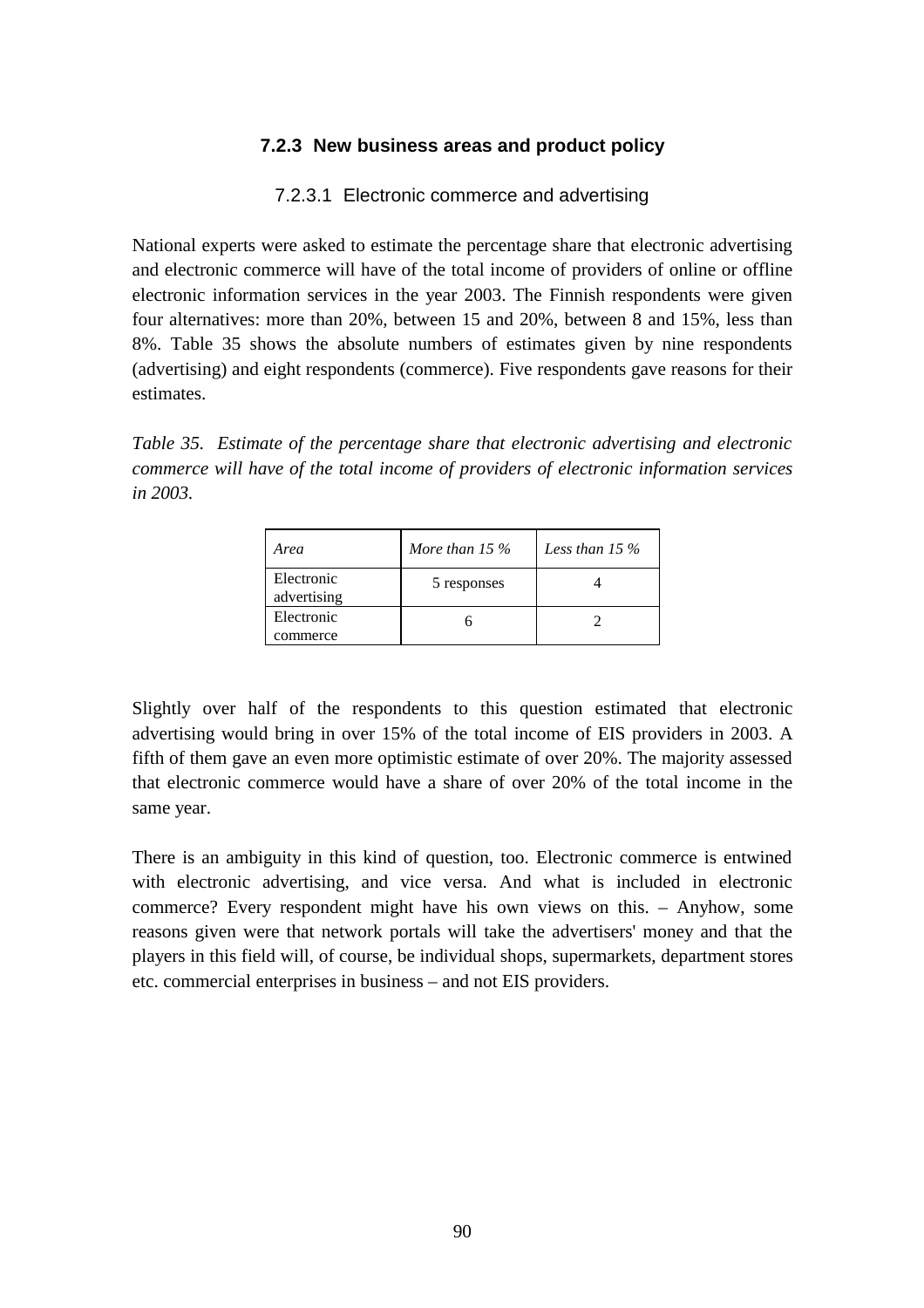#### **7.2.3 New business areas and product policy**

#### 7.2.3.1 Electronic commerce and advertising

National experts were asked to estimate the percentage share that electronic advertising and electronic commerce will have of the total income of providers of online or offline electronic information services in the year 2003. The Finnish respondents were given four alternatives: more than 20%, between 15 and 20%, between 8 and 15%, less than 8%. Table 35 shows the absolute numbers of estimates given by nine respondents (advertising) and eight respondents (commerce). Five respondents gave reasons for their estimates.

*Table 35. Estimate of the percentage share that electronic advertising and electronic commerce will have of the total income of providers of electronic information services in 2003.*

| Area                      | More than $15\%$ | Less than 15 $\%$ |
|---------------------------|------------------|-------------------|
| Electronic<br>advertising | 5 responses      |                   |
| Electronic                |                  |                   |
| commerce                  |                  |                   |

Slightly over half of the respondents to this question estimated that electronic advertising would bring in over 15% of the total income of EIS providers in 2003. A fifth of them gave an even more optimistic estimate of over 20%. The majority assessed that electronic commerce would have a share of over 20% of the total income in the same year.

There is an ambiguity in this kind of question, too. Electronic commerce is entwined with electronic advertising, and vice versa. And what is included in electronic commerce? Every respondent might have his own views on this. – Anyhow, some reasons given were that network portals will take the advertisers' money and that the players in this field will, of course, be individual shops, supermarkets, department stores etc. commercial enterprises in business – and not EIS providers.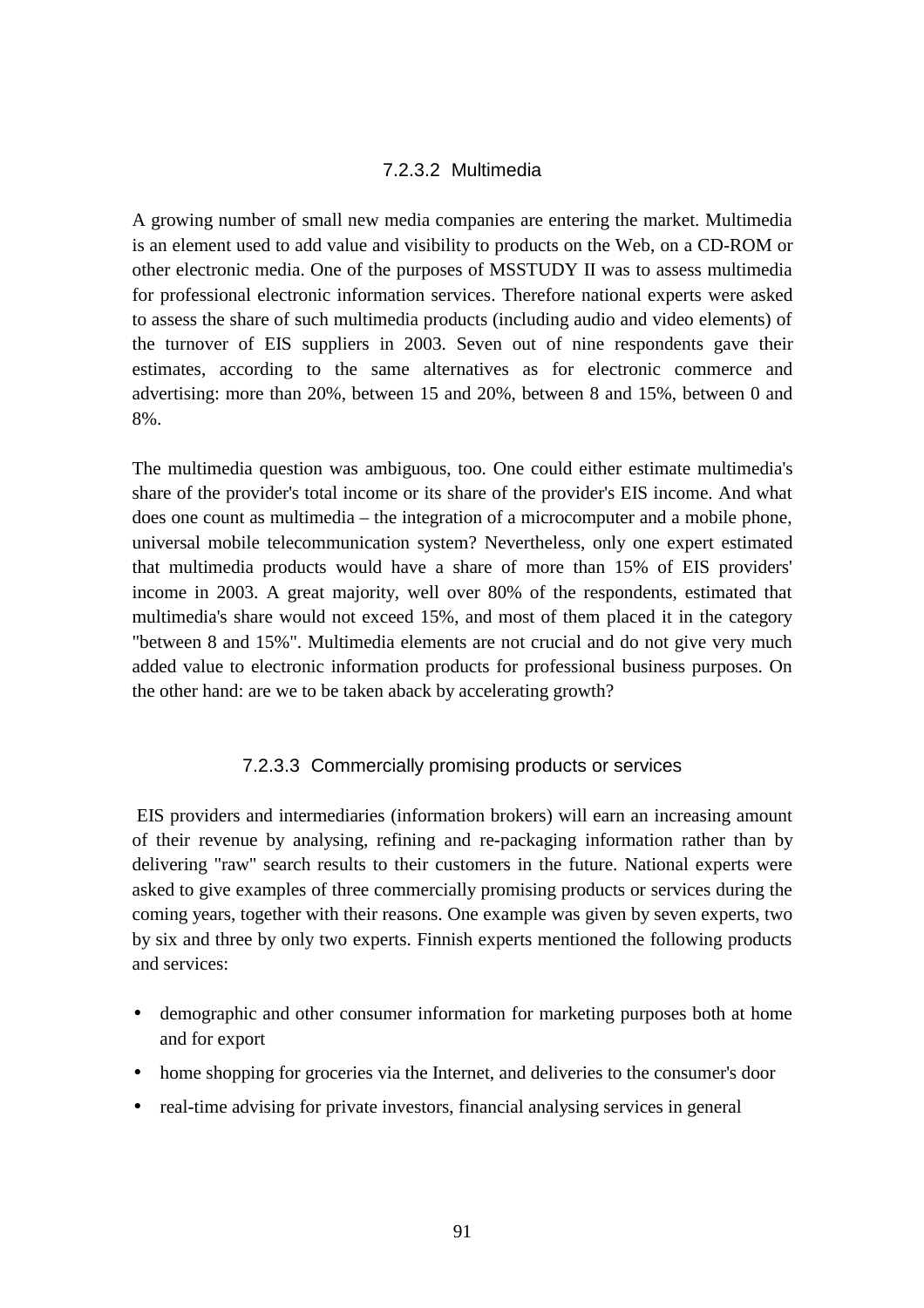#### 7.2.3.2 Multimedia

A growing number of small new media companies are entering the market. Multimedia is an element used to add value and visibility to products on the Web, on a CD-ROM or other electronic media. One of the purposes of MSSTUDY II was to assess multimedia for professional electronic information services. Therefore national experts were asked to assess the share of such multimedia products (including audio and video elements) of the turnover of EIS suppliers in 2003. Seven out of nine respondents gave their estimates, according to the same alternatives as for electronic commerce and advertising: more than 20%, between 15 and 20%, between 8 and 15%, between 0 and 8%.

The multimedia question was ambiguous, too. One could either estimate multimedia's share of the provider's total income or its share of the provider's EIS income. And what does one count as multimedia – the integration of a microcomputer and a mobile phone, universal mobile telecommunication system? Nevertheless, only one expert estimated that multimedia products would have a share of more than 15% of EIS providers' income in 2003. A great majority, well over 80% of the respondents, estimated that multimedia's share would not exceed 15%, and most of them placed it in the category "between 8 and 15%". Multimedia elements are not crucial and do not give very much added value to electronic information products for professional business purposes. On the other hand: are we to be taken aback by accelerating growth?

#### 7.2.3.3 Commercially promising products or services

 EIS providers and intermediaries (information brokers) will earn an increasing amount of their revenue by analysing, refining and re-packaging information rather than by delivering "raw" search results to their customers in the future. National experts were asked to give examples of three commercially promising products or services during the coming years, together with their reasons. One example was given by seven experts, two by six and three by only two experts. Finnish experts mentioned the following products and services:

- demographic and other consumer information for marketing purposes both at home and for export
- home shopping for groceries via the Internet, and deliveries to the consumer's door
- real-time advising for private investors, financial analysing services in general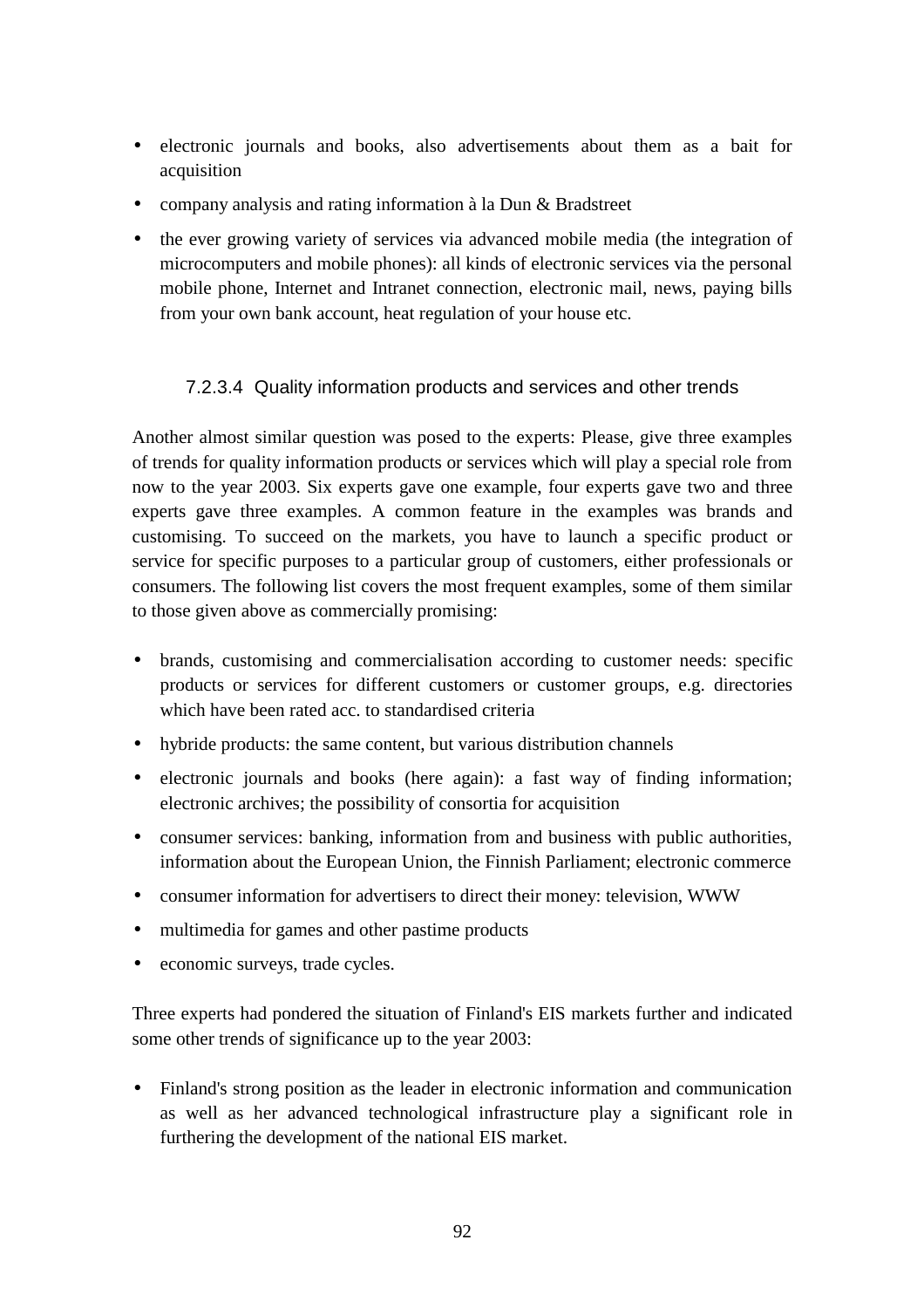- electronic journals and books, also advertisements about them as a bait for acquisition
- company analysis and rating information à la Dun & Bradstreet
- the ever growing variety of services via advanced mobile media (the integration of microcomputers and mobile phones): all kinds of electronic services via the personal mobile phone, Internet and Intranet connection, electronic mail, news, paying bills from your own bank account, heat regulation of your house etc.

# 7.2.3.4 Quality information products and services and other trends

Another almost similar question was posed to the experts: Please, give three examples of trends for quality information products or services which will play a special role from now to the year 2003. Six experts gave one example, four experts gave two and three experts gave three examples. A common feature in the examples was brands and customising. To succeed on the markets, you have to launch a specific product or service for specific purposes to a particular group of customers, either professionals or consumers. The following list covers the most frequent examples, some of them similar to those given above as commercially promising:

- brands, customising and commercialisation according to customer needs: specific products or services for different customers or customer groups, e.g. directories which have been rated acc. to standardised criteria
- hybride products: the same content, but various distribution channels
- electronic journals and books (here again): a fast way of finding information; electronic archives; the possibility of consortia for acquisition
- consumer services: banking, information from and business with public authorities, information about the European Union, the Finnish Parliament; electronic commerce
- consumer information for advertisers to direct their money: television, WWW
- multimedia for games and other pastime products
- economic surveys, trade cycles.

Three experts had pondered the situation of Finland's EIS markets further and indicated some other trends of significance up to the year 2003:

• Finland's strong position as the leader in electronic information and communication as well as her advanced technological infrastructure play a significant role in furthering the development of the national EIS market.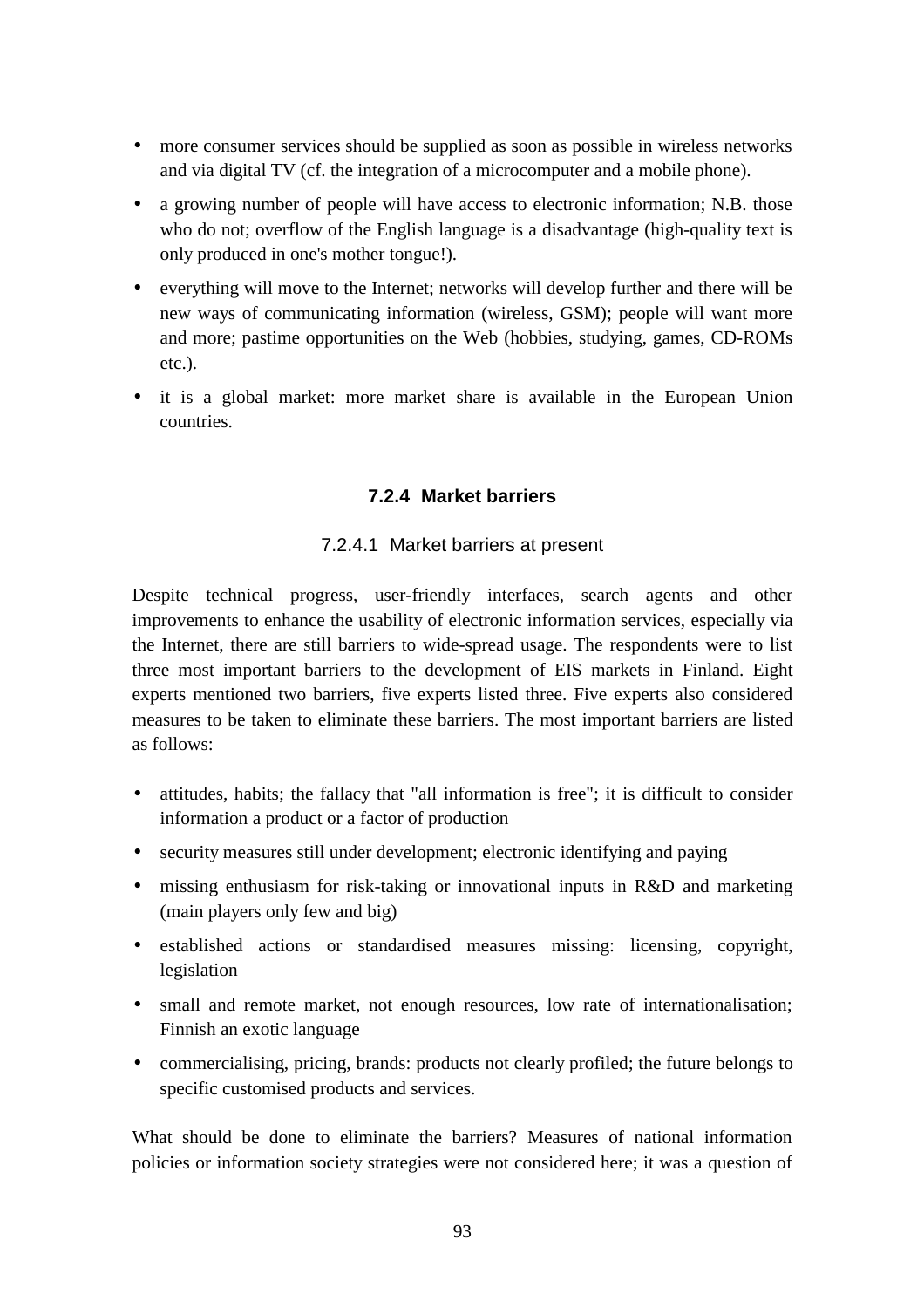- more consumer services should be supplied as soon as possible in wireless networks and via digital TV (cf. the integration of a microcomputer and a mobile phone).
- a growing number of people will have access to electronic information; N.B. those who do not; overflow of the English language is a disadvantage (high-quality text is only produced in one's mother tongue!).
- everything will move to the Internet; networks will develop further and there will be new ways of communicating information (wireless, GSM); people will want more and more; pastime opportunities on the Web (hobbies, studying, games, CD-ROMs etc.).
- it is a global market: more market share is available in the European Union countries.

# **7.2.4 Market barriers**

# 7.2.4.1 Market barriers at present

Despite technical progress, user-friendly interfaces, search agents and other improvements to enhance the usability of electronic information services, especially via the Internet, there are still barriers to wide-spread usage. The respondents were to list three most important barriers to the development of EIS markets in Finland. Eight experts mentioned two barriers, five experts listed three. Five experts also considered measures to be taken to eliminate these barriers. The most important barriers are listed as follows:

- attitudes, habits; the fallacy that "all information is free"; it is difficult to consider information a product or a factor of production
- security measures still under development; electronic identifying and paying
- missing enthusiasm for risk-taking or innovational inputs in R&D and marketing (main players only few and big)
- established actions or standardised measures missing: licensing, copyright, legislation
- small and remote market, not enough resources, low rate of internationalisation; Finnish an exotic language
- commercialising, pricing, brands: products not clearly profiled; the future belongs to specific customised products and services.

What should be done to eliminate the barriers? Measures of national information policies or information society strategies were not considered here; it was a question of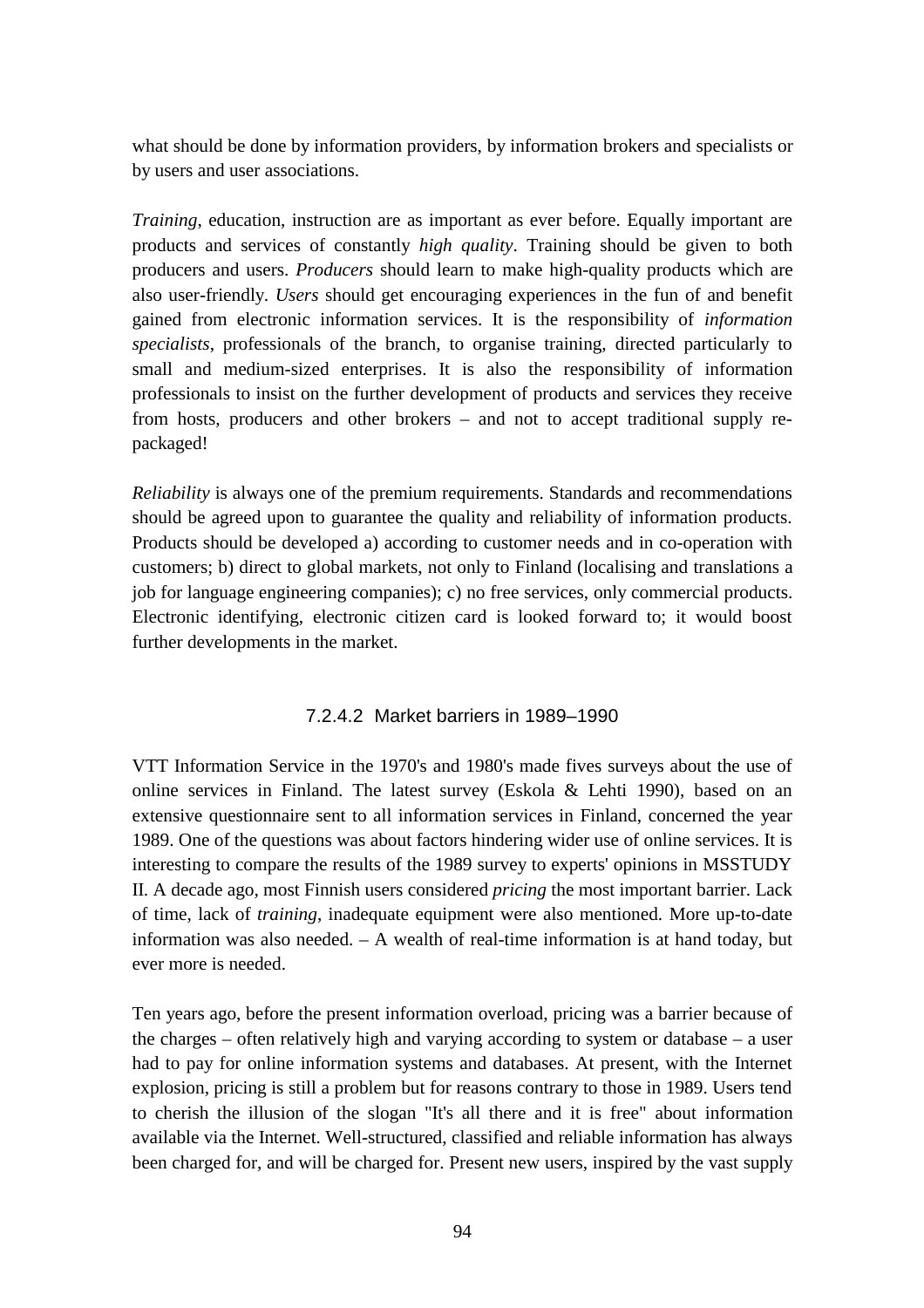what should be done by information providers, by information brokers and specialists or by users and user associations.

*Training*, education, instruction are as important as ever before. Equally important are products and services of constantly *high quality*. Training should be given to both producers and users. *Producers* should learn to make high-quality products which are also user-friendly. *Users* should get encouraging experiences in the fun of and benefit gained from electronic information services. It is the responsibility of *information specialists*, professionals of the branch, to organise training, directed particularly to small and medium-sized enterprises. It is also the responsibility of information professionals to insist on the further development of products and services they receive from hosts, producers and other brokers – and not to accept traditional supply repackaged!

*Reliability* is always one of the premium requirements. Standards and recommendations should be agreed upon to guarantee the quality and reliability of information products. Products should be developed a) according to customer needs and in co-operation with customers; b) direct to global markets, not only to Finland (localising and translations a job for language engineering companies); c) no free services, only commercial products. Electronic identifying, electronic citizen card is looked forward to; it would boost further developments in the market.

# 7.2.4.2 Market barriers in 1989–1990

VTT Information Service in the 1970's and 1980's made fives surveys about the use of online services in Finland. The latest survey (Eskola & Lehti 1990), based on an extensive questionnaire sent to all information services in Finland, concerned the year 1989. One of the questions was about factors hindering wider use of online services. It is interesting to compare the results of the 1989 survey to experts' opinions in MSSTUDY II. A decade ago, most Finnish users considered *pricing* the most important barrier. Lack of time, lack of *training*, inadequate equipment were also mentioned. More up-to-date information was also needed. – A wealth of real-time information is at hand today, but ever more is needed.

Ten years ago, before the present information overload, pricing was a barrier because of the charges – often relatively high and varying according to system or database – a user had to pay for online information systems and databases. At present, with the Internet explosion, pricing is still a problem but for reasons contrary to those in 1989. Users tend to cherish the illusion of the slogan "It's all there and it is free" about information available via the Internet. Well-structured, classified and reliable information has always been charged for, and will be charged for. Present new users, inspired by the vast supply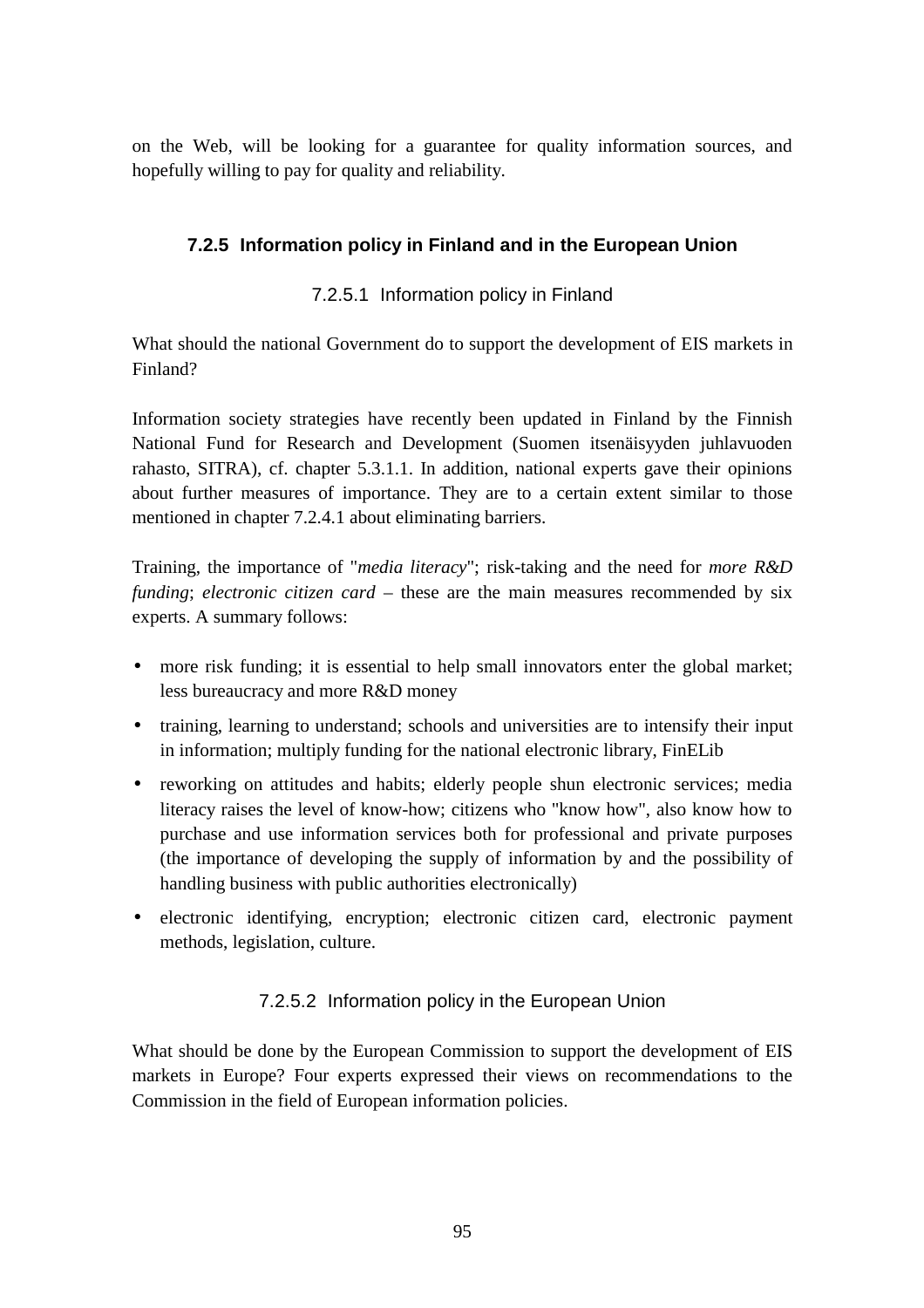on the Web, will be looking for a guarantee for quality information sources, and hopefully willing to pay for quality and reliability.

# **7.2.5 Information policy in Finland and in the European Union**

# 7.2.5.1 Information policy in Finland

What should the national Government do to support the development of EIS markets in Finland?

Information society strategies have recently been updated in Finland by the Finnish National Fund for Research and Development (Suomen itsenäisyyden juhlavuoden rahasto, SITRA), cf. chapter 5.3.1.1. In addition, national experts gave their opinions about further measures of importance. They are to a certain extent similar to those mentioned in chapter 7.2.4.1 about eliminating barriers.

Training, the importance of "*media literacy*"; risk-taking and the need for *more R&D funding*; *electronic citizen card* – these are the main measures recommended by six experts. A summary follows:

- more risk funding; it is essential to help small innovators enter the global market; less bureaucracy and more R&D money
- training, learning to understand; schools and universities are to intensify their input in information; multiply funding for the national electronic library, FinELib
- reworking on attitudes and habits; elderly people shun electronic services; media literacy raises the level of know-how; citizens who "know how", also know how to purchase and use information services both for professional and private purposes (the importance of developing the supply of information by and the possibility of handling business with public authorities electronically)
- electronic identifying, encryption; electronic citizen card, electronic payment methods, legislation, culture.

# 7.2.5.2 Information policy in the European Union

What should be done by the European Commission to support the development of EIS markets in Europe? Four experts expressed their views on recommendations to the Commission in the field of European information policies.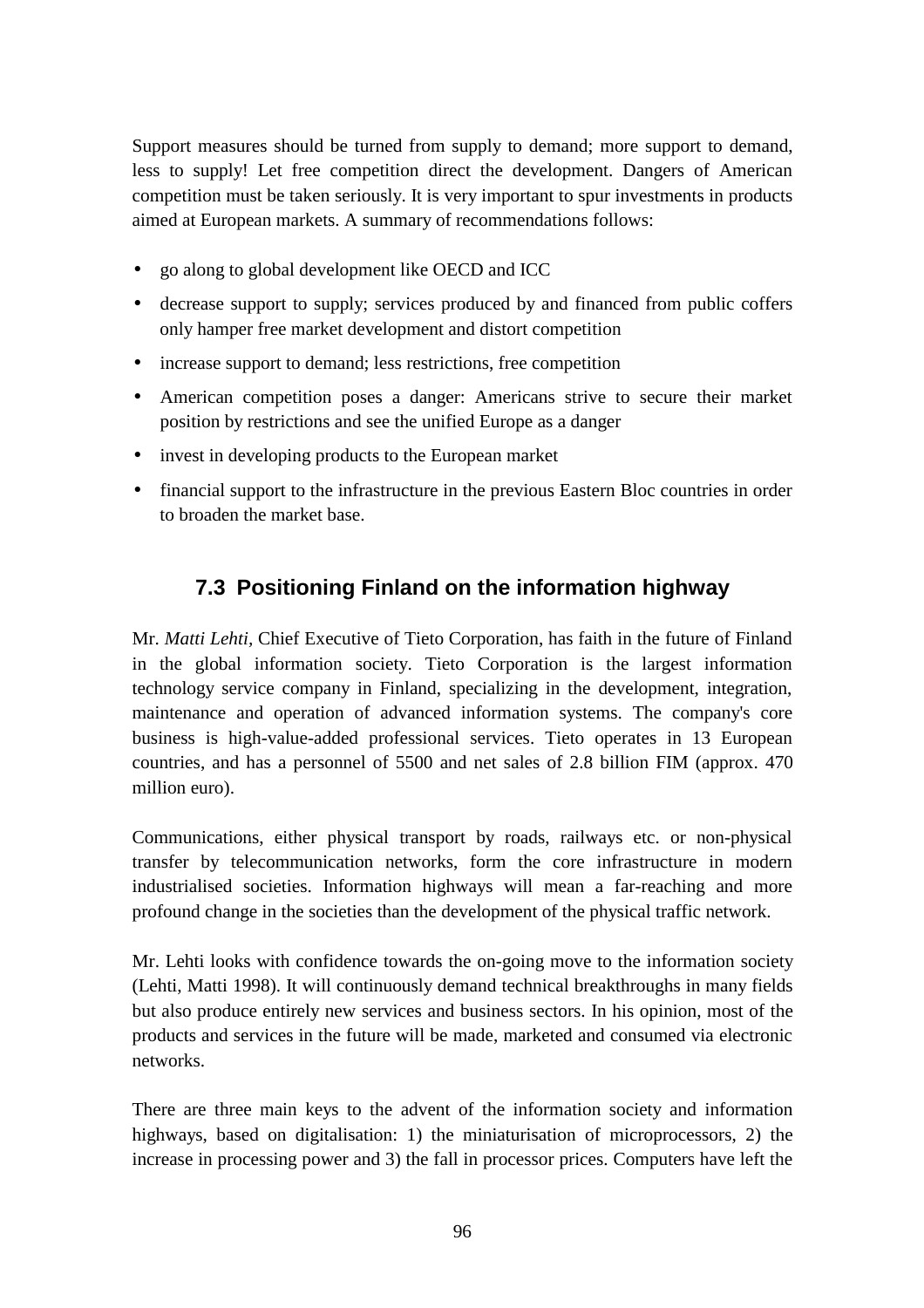Support measures should be turned from supply to demand; more support to demand, less to supply! Let free competition direct the development. Dangers of American competition must be taken seriously. It is very important to spur investments in products aimed at European markets. A summary of recommendations follows:

- go along to global development like OECD and ICC
- decrease support to supply; services produced by and financed from public coffers only hamper free market development and distort competition
- increase support to demand; less restrictions, free competition
- American competition poses a danger: Americans strive to secure their market position by restrictions and see the unified Europe as a danger
- invest in developing products to the European market
- financial support to the infrastructure in the previous Eastern Bloc countries in order to broaden the market base.

# **7.3 Positioning Finland on the information highway**

Mr. *Matti Lehti,* Chief Executive of Tieto Corporation, has faith in the future of Finland in the global information society. Tieto Corporation is the largest information technology service company in Finland, specializing in the development, integration, maintenance and operation of advanced information systems. The company's core business is high-value-added professional services. Tieto operates in 13 European countries, and has a personnel of 5500 and net sales of 2.8 billion FIM (approx. 470 million euro).

Communications, either physical transport by roads, railways etc. or non-physical transfer by telecommunication networks, form the core infrastructure in modern industrialised societies. Information highways will mean a far-reaching and more profound change in the societies than the development of the physical traffic network.

Mr. Lehti looks with confidence towards the on-going move to the information society (Lehti, Matti 1998). It will continuously demand technical breakthroughs in many fields but also produce entirely new services and business sectors. In his opinion, most of the products and services in the future will be made, marketed and consumed via electronic networks.

There are three main keys to the advent of the information society and information highways, based on digitalisation: 1) the miniaturisation of microprocessors, 2) the increase in processing power and 3) the fall in processor prices. Computers have left the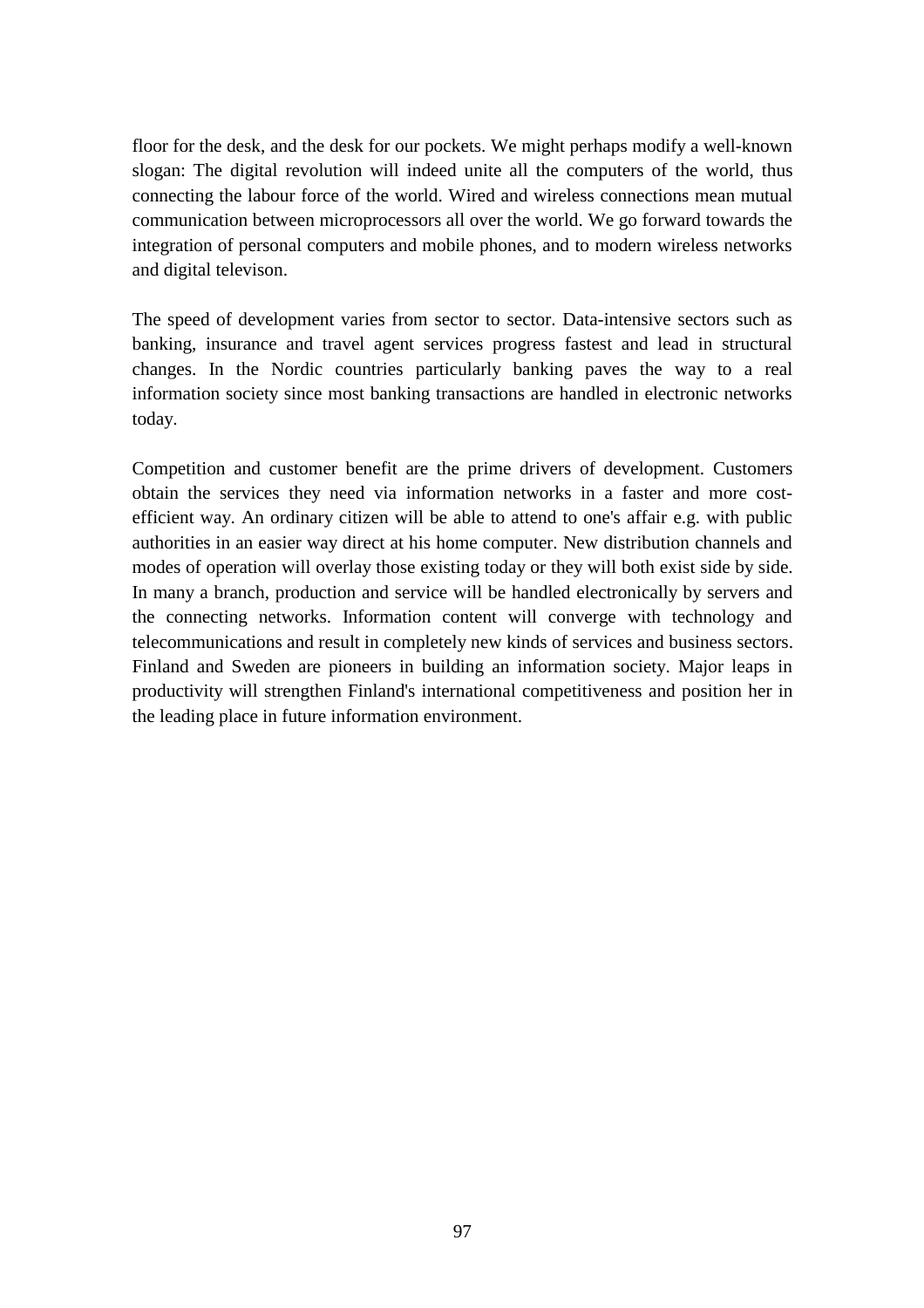floor for the desk, and the desk for our pockets. We might perhaps modify a well-known slogan: The digital revolution will indeed unite all the computers of the world, thus connecting the labour force of the world. Wired and wireless connections mean mutual communication between microprocessors all over the world. We go forward towards the integration of personal computers and mobile phones, and to modern wireless networks and digital televison.

The speed of development varies from sector to sector. Data-intensive sectors such as banking, insurance and travel agent services progress fastest and lead in structural changes. In the Nordic countries particularly banking paves the way to a real information society since most banking transactions are handled in electronic networks today.

Competition and customer benefit are the prime drivers of development. Customers obtain the services they need via information networks in a faster and more costefficient way. An ordinary citizen will be able to attend to one's affair e.g. with public authorities in an easier way direct at his home computer. New distribution channels and modes of operation will overlay those existing today or they will both exist side by side. In many a branch, production and service will be handled electronically by servers and the connecting networks. Information content will converge with technology and telecommunications and result in completely new kinds of services and business sectors. Finland and Sweden are pioneers in building an information society. Major leaps in productivity will strengthen Finland's international competitiveness and position her in the leading place in future information environment.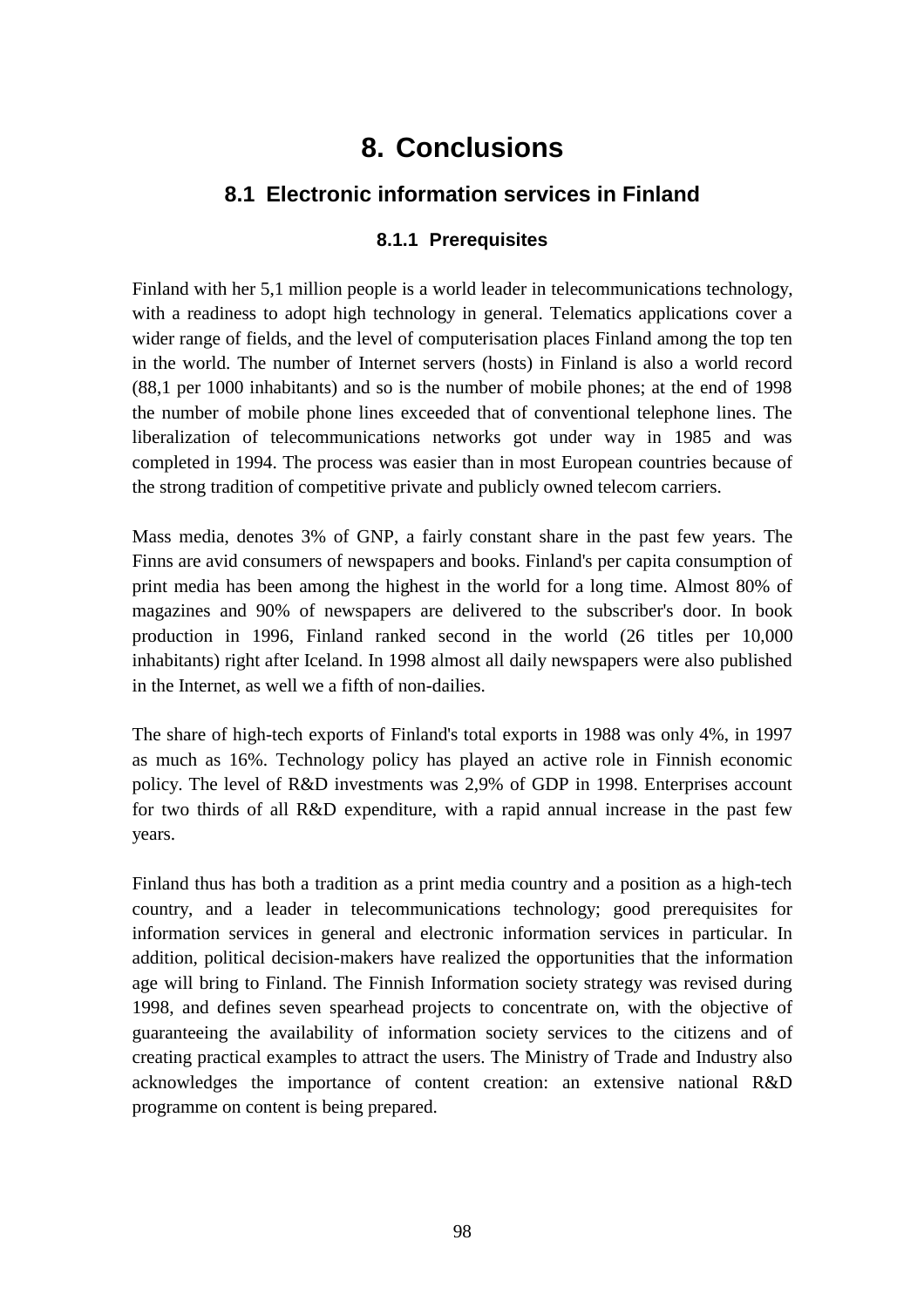# **8. Conclusions**

# **8.1 Electronic information services in Finland**

#### **8.1.1 Prerequisites**

Finland with her 5,1 million people is a world leader in telecommunications technology, with a readiness to adopt high technology in general. Telematics applications cover a wider range of fields, and the level of computerisation places Finland among the top ten in the world. The number of Internet servers (hosts) in Finland is also a world record (88,1 per 1000 inhabitants) and so is the number of mobile phones; at the end of 1998 the number of mobile phone lines exceeded that of conventional telephone lines. The liberalization of telecommunications networks got under way in 1985 and was completed in 1994. The process was easier than in most European countries because of the strong tradition of competitive private and publicly owned telecom carriers.

Mass media, denotes 3% of GNP, a fairly constant share in the past few years. The Finns are avid consumers of newspapers and books. Finland's per capita consumption of print media has been among the highest in the world for a long time. Almost 80% of magazines and 90% of newspapers are delivered to the subscriber's door. In book production in 1996, Finland ranked second in the world (26 titles per 10,000 inhabitants) right after Iceland. In 1998 almost all daily newspapers were also published in the Internet, as well we a fifth of non-dailies.

The share of high-tech exports of Finland's total exports in 1988 was only 4%, in 1997 as much as 16%. Technology policy has played an active role in Finnish economic policy. The level of R&D investments was 2,9% of GDP in 1998. Enterprises account for two thirds of all R&D expenditure, with a rapid annual increase in the past few years.

Finland thus has both a tradition as a print media country and a position as a high-tech country, and a leader in telecommunications technology; good prerequisites for information services in general and electronic information services in particular. In addition, political decision-makers have realized the opportunities that the information age will bring to Finland. The Finnish Information society strategy was revised during 1998, and defines seven spearhead projects to concentrate on, with the objective of guaranteeing the availability of information society services to the citizens and of creating practical examples to attract the users. The Ministry of Trade and Industry also acknowledges the importance of content creation: an extensive national R&D programme on content is being prepared.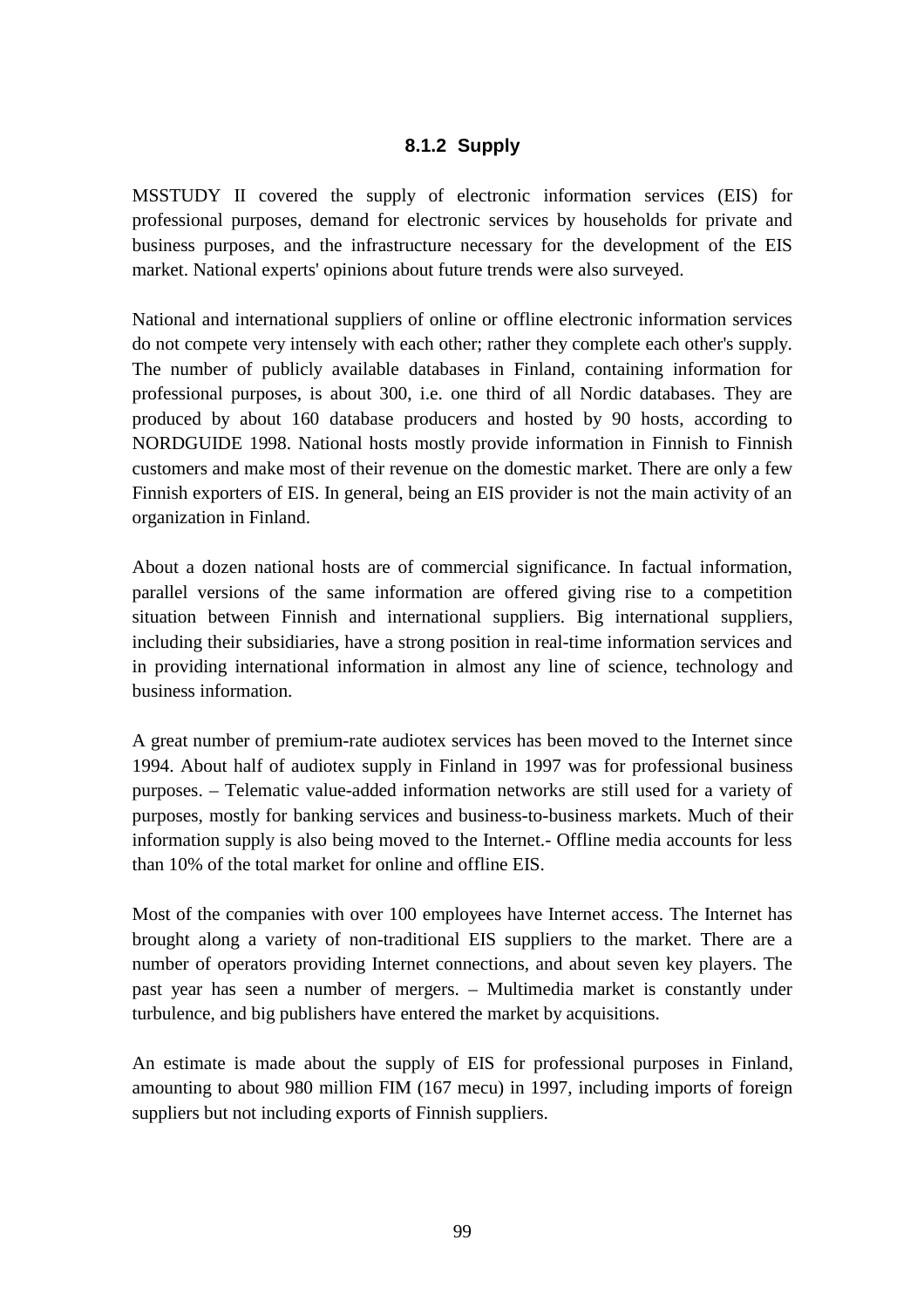# **8.1.2 Supply**

MSSTUDY II covered the supply of electronic information services (EIS) for professional purposes, demand for electronic services by households for private and business purposes, and the infrastructure necessary for the development of the EIS market. National experts' opinions about future trends were also surveyed.

National and international suppliers of online or offline electronic information services do not compete very intensely with each other; rather they complete each other's supply. The number of publicly available databases in Finland, containing information for professional purposes, is about 300, i.e. one third of all Nordic databases. They are produced by about 160 database producers and hosted by 90 hosts, according to NORDGUIDE 1998. National hosts mostly provide information in Finnish to Finnish customers and make most of their revenue on the domestic market. There are only a few Finnish exporters of EIS. In general, being an EIS provider is not the main activity of an organization in Finland.

About a dozen national hosts are of commercial significance. In factual information, parallel versions of the same information are offered giving rise to a competition situation between Finnish and international suppliers. Big international suppliers, including their subsidiaries, have a strong position in real-time information services and in providing international information in almost any line of science, technology and business information.

A great number of premium-rate audiotex services has been moved to the Internet since 1994. About half of audiotex supply in Finland in 1997 was for professional business purposes. – Telematic value-added information networks are still used for a variety of purposes, mostly for banking services and business-to-business markets. Much of their information supply is also being moved to the Internet.- Offline media accounts for less than 10% of the total market for online and offline EIS.

Most of the companies with over 100 employees have Internet access. The Internet has brought along a variety of non-traditional EIS suppliers to the market. There are a number of operators providing Internet connections, and about seven key players. The past year has seen a number of mergers. – Multimedia market is constantly under turbulence, and big publishers have entered the market by acquisitions.

An estimate is made about the supply of EIS for professional purposes in Finland, amounting to about 980 million FIM (167 mecu) in 1997, including imports of foreign suppliers but not including exports of Finnish suppliers.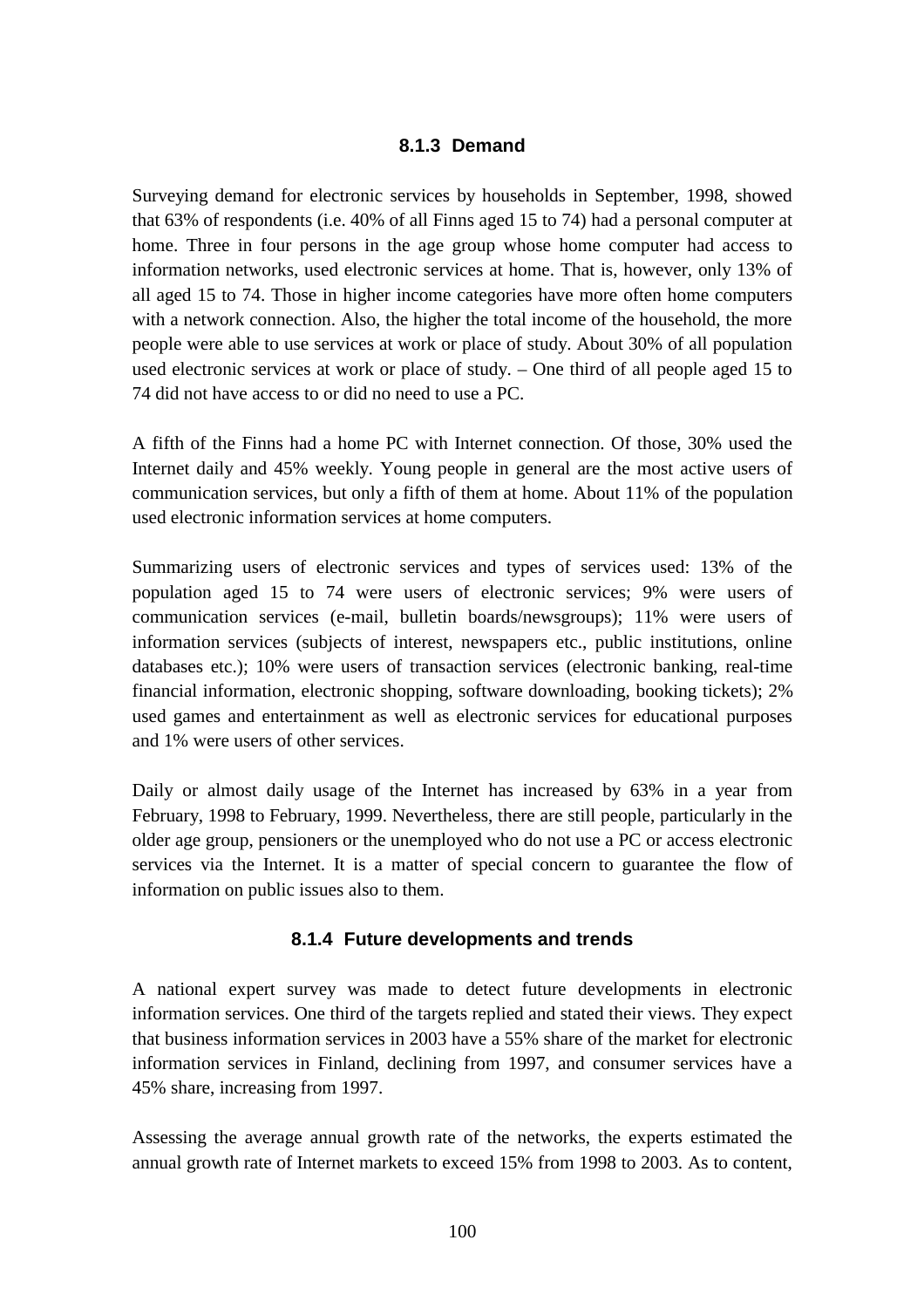#### **8.1.3 Demand**

Surveying demand for electronic services by households in September, 1998, showed that 63% of respondents (i.e. 40% of all Finns aged 15 to 74) had a personal computer at home. Three in four persons in the age group whose home computer had access to information networks, used electronic services at home. That is, however, only 13% of all aged 15 to 74. Those in higher income categories have more often home computers with a network connection. Also, the higher the total income of the household, the more people were able to use services at work or place of study. About 30% of all population used electronic services at work or place of study. – One third of all people aged 15 to 74 did not have access to or did no need to use a PC.

A fifth of the Finns had a home PC with Internet connection. Of those, 30% used the Internet daily and 45% weekly. Young people in general are the most active users of communication services, but only a fifth of them at home. About 11% of the population used electronic information services at home computers.

Summarizing users of electronic services and types of services used: 13% of the population aged 15 to 74 were users of electronic services; 9% were users of communication services (e-mail, bulletin boards/newsgroups); 11% were users of information services (subjects of interest, newspapers etc., public institutions, online databases etc.); 10% were users of transaction services (electronic banking, real-time financial information, electronic shopping, software downloading, booking tickets); 2% used games and entertainment as well as electronic services for educational purposes and 1% were users of other services.

Daily or almost daily usage of the Internet has increased by 63% in a year from February, 1998 to February, 1999. Nevertheless, there are still people, particularly in the older age group, pensioners or the unemployed who do not use a PC or access electronic services via the Internet. It is a matter of special concern to guarantee the flow of information on public issues also to them.

#### **8.1.4 Future developments and trends**

A national expert survey was made to detect future developments in electronic information services. One third of the targets replied and stated their views. They expect that business information services in 2003 have a 55% share of the market for electronic information services in Finland, declining from 1997, and consumer services have a 45% share, increasing from 1997.

Assessing the average annual growth rate of the networks, the experts estimated the annual growth rate of Internet markets to exceed 15% from 1998 to 2003. As to content,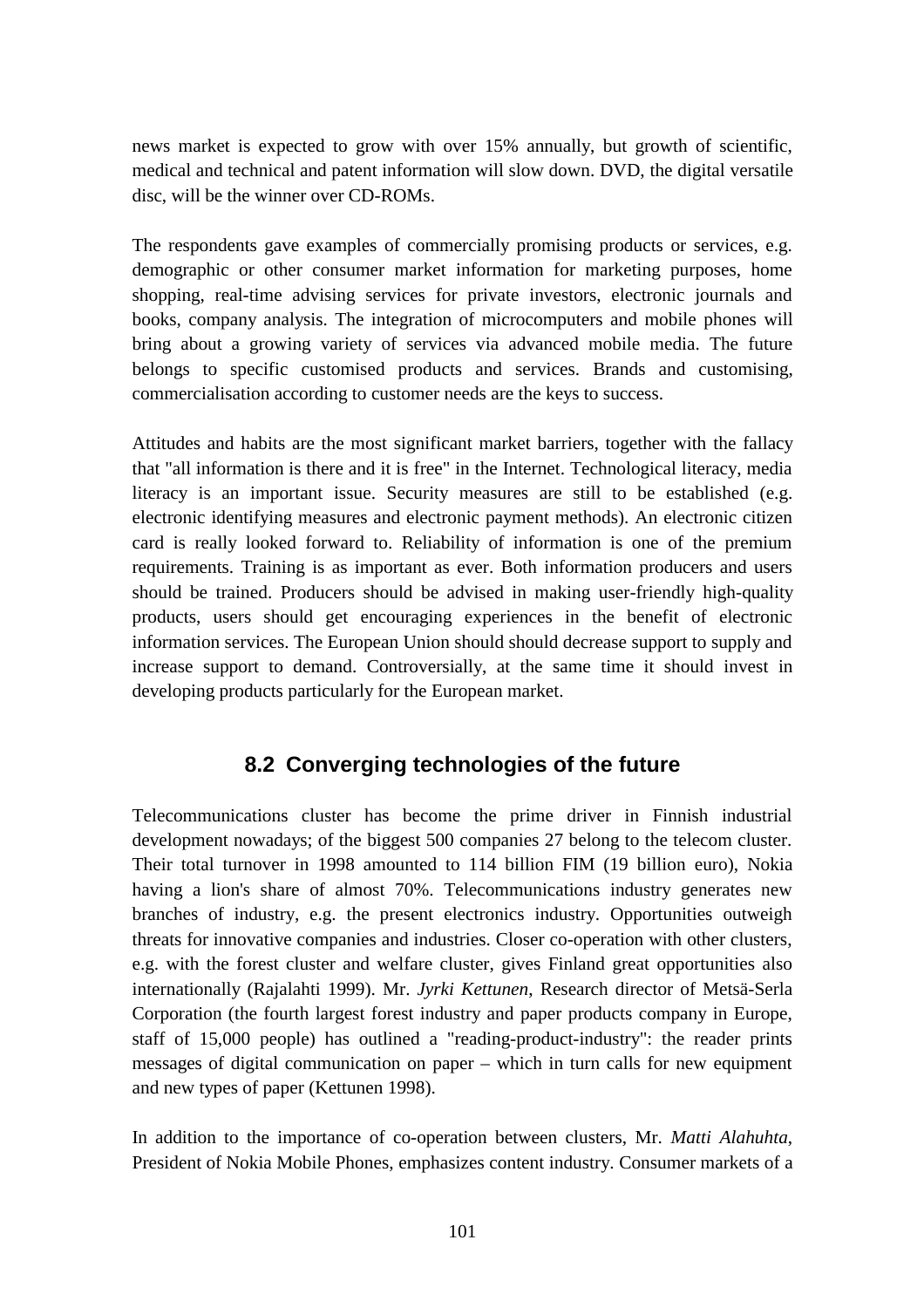news market is expected to grow with over 15% annually, but growth of scientific, medical and technical and patent information will slow down. DVD, the digital versatile disc, will be the winner over CD-ROMs.

The respondents gave examples of commercially promising products or services, e.g. demographic or other consumer market information for marketing purposes, home shopping, real-time advising services for private investors, electronic journals and books, company analysis. The integration of microcomputers and mobile phones will bring about a growing variety of services via advanced mobile media. The future belongs to specific customised products and services. Brands and customising, commercialisation according to customer needs are the keys to success.

Attitudes and habits are the most significant market barriers, together with the fallacy that "all information is there and it is free" in the Internet. Technological literacy, media literacy is an important issue. Security measures are still to be established (e.g. electronic identifying measures and electronic payment methods). An electronic citizen card is really looked forward to. Reliability of information is one of the premium requirements. Training is as important as ever. Both information producers and users should be trained. Producers should be advised in making user-friendly high-quality products, users should get encouraging experiences in the benefit of electronic information services. The European Union should should decrease support to supply and increase support to demand. Controversially, at the same time it should invest in developing products particularly for the European market.

# **8.2 Converging technologies of the future**

Telecommunications cluster has become the prime driver in Finnish industrial development nowadays; of the biggest 500 companies 27 belong to the telecom cluster. Their total turnover in 1998 amounted to 114 billion FIM (19 billion euro), Nokia having a lion's share of almost 70%. Telecommunications industry generates new branches of industry, e.g. the present electronics industry. Opportunities outweigh threats for innovative companies and industries. Closer co-operation with other clusters, e.g. with the forest cluster and welfare cluster, gives Finland great opportunities also internationally (Rajalahti 1999). Mr. *Jyrki Kettunen*, Research director of Metsä-Serla Corporation (the fourth largest forest industry and paper products company in Europe, staff of 15,000 people) has outlined a "reading-product-industry": the reader prints messages of digital communication on paper – which in turn calls for new equipment and new types of paper (Kettunen 1998).

In addition to the importance of co-operation between clusters, Mr. *Matti Alahuhta*, President of Nokia Mobile Phones, emphasizes content industry. Consumer markets of a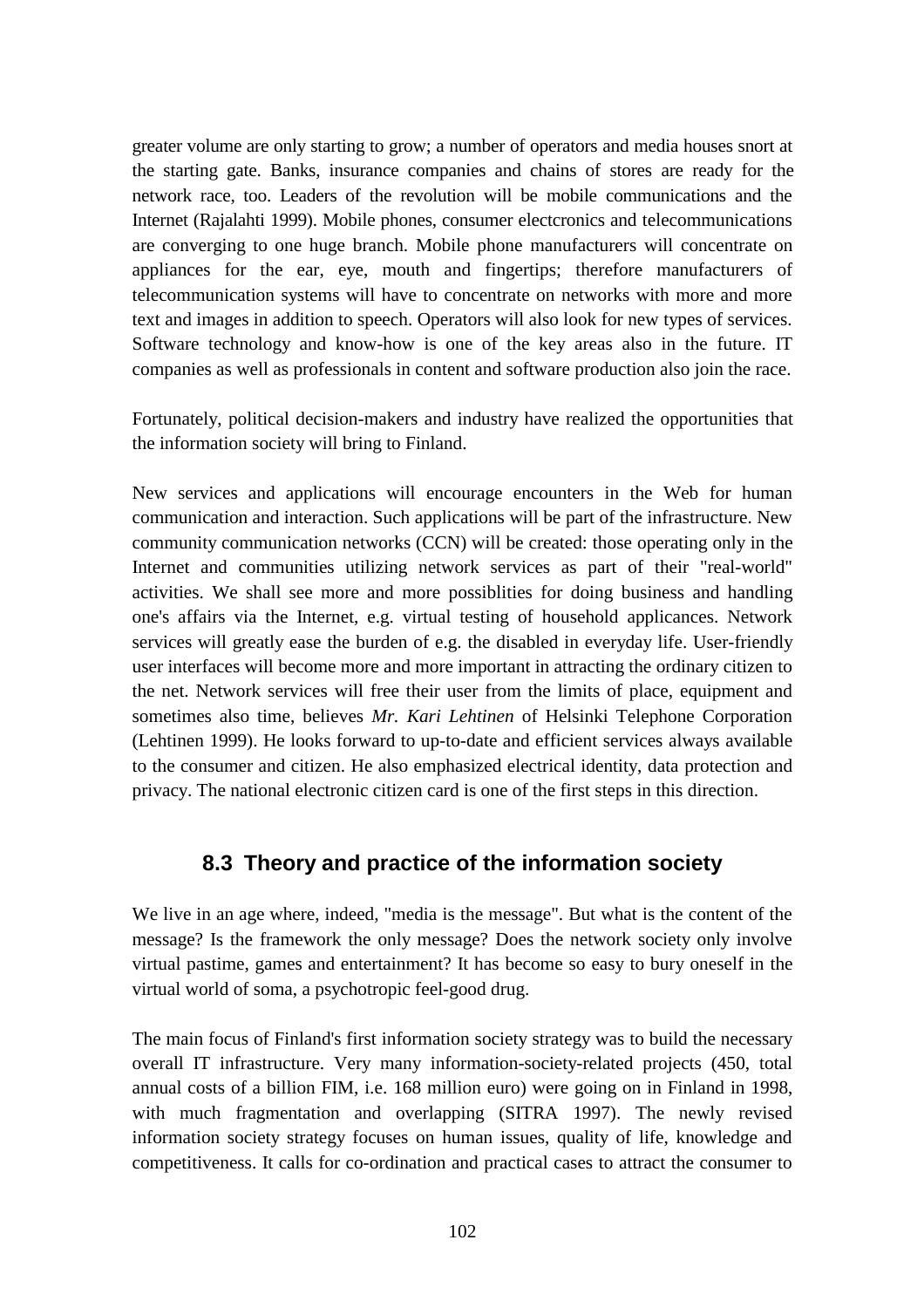greater volume are only starting to grow; a number of operators and media houses snort at the starting gate. Banks, insurance companies and chains of stores are ready for the network race, too. Leaders of the revolution will be mobile communications and the Internet (Rajalahti 1999). Mobile phones, consumer electcronics and telecommunications are converging to one huge branch. Mobile phone manufacturers will concentrate on appliances for the ear, eye, mouth and fingertips; therefore manufacturers of telecommunication systems will have to concentrate on networks with more and more text and images in addition to speech. Operators will also look for new types of services. Software technology and know-how is one of the key areas also in the future. IT companies as well as professionals in content and software production also join the race.

Fortunately, political decision-makers and industry have realized the opportunities that the information society will bring to Finland.

New services and applications will encourage encounters in the Web for human communication and interaction. Such applications will be part of the infrastructure. New community communication networks (CCN) will be created: those operating only in the Internet and communities utilizing network services as part of their "real-world" activities. We shall see more and more possiblities for doing business and handling one's affairs via the Internet, e.g. virtual testing of household applicances. Network services will greatly ease the burden of e.g. the disabled in everyday life. User-friendly user interfaces will become more and more important in attracting the ordinary citizen to the net. Network services will free their user from the limits of place, equipment and sometimes also time, believes *Mr. Kari Lehtinen* of Helsinki Telephone Corporation (Lehtinen 1999). He looks forward to up-to-date and efficient services always available to the consumer and citizen. He also emphasized electrical identity, data protection and privacy. The national electronic citizen card is one of the first steps in this direction.

# **8.3 Theory and practice of the information society**

We live in an age where, indeed, "media is the message". But what is the content of the message? Is the framework the only message? Does the network society only involve virtual pastime, games and entertainment? It has become so easy to bury oneself in the virtual world of soma, a psychotropic feel-good drug.

The main focus of Finland's first information society strategy was to build the necessary overall IT infrastructure. Very many information-society-related projects (450, total annual costs of a billion FIM, i.e. 168 million euro) were going on in Finland in 1998, with much fragmentation and overlapping (SITRA 1997). The newly revised information society strategy focuses on human issues, quality of life, knowledge and competitiveness. It calls for co-ordination and practical cases to attract the consumer to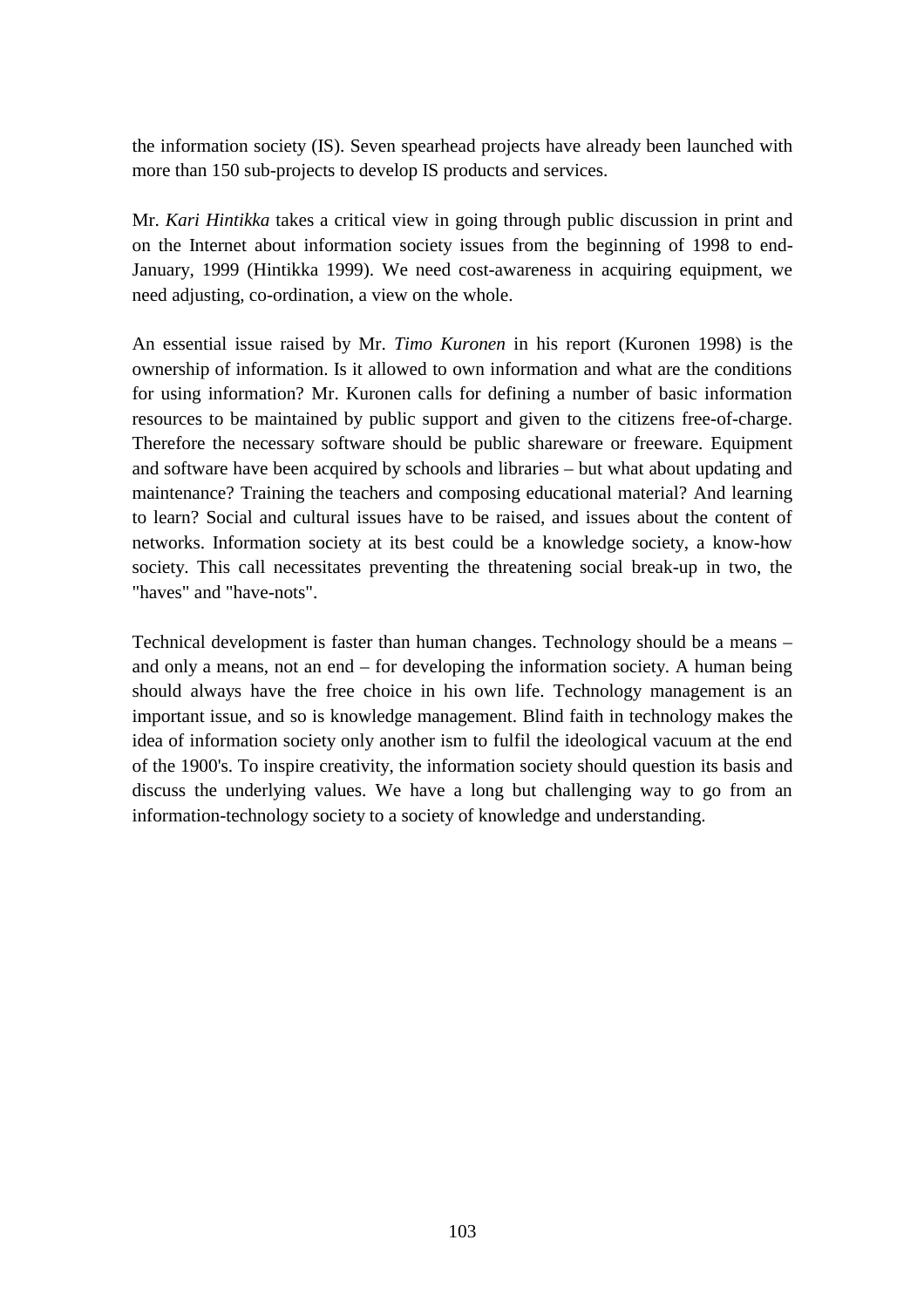the information society (IS). Seven spearhead projects have already been launched with more than 150 sub-projects to develop IS products and services.

Mr. *Kari Hintikka* takes a critical view in going through public discussion in print and on the Internet about information society issues from the beginning of 1998 to end-January, 1999 (Hintikka 1999). We need cost-awareness in acquiring equipment, we need adjusting, co-ordination, a view on the whole.

An essential issue raised by Mr. *Timo Kuronen* in his report (Kuronen 1998) is the ownership of information. Is it allowed to own information and what are the conditions for using information? Mr. Kuronen calls for defining a number of basic information resources to be maintained by public support and given to the citizens free-of-charge. Therefore the necessary software should be public shareware or freeware*.* Equipment and software have been acquired by schools and libraries – but what about updating and maintenance? Training the teachers and composing educational material? And learning to learn? Social and cultural issues have to be raised, and issues about the content of networks. Information society at its best could be a knowledge society, a know-how society. This call necessitates preventing the threatening social break-up in two, the "haves" and "have-nots".

Technical development is faster than human changes. Technology should be a means – and only a means, not an end – for developing the information society. A human being should always have the free choice in his own life. Technology management is an important issue, and so is knowledge management. Blind faith in technology makes the idea of information society only another ism to fulfil the ideological vacuum at the end of the 1900's. To inspire creativity, the information society should question its basis and discuss the underlying values. We have a long but challenging way to go from an information-technology society to a society of knowledge and understanding.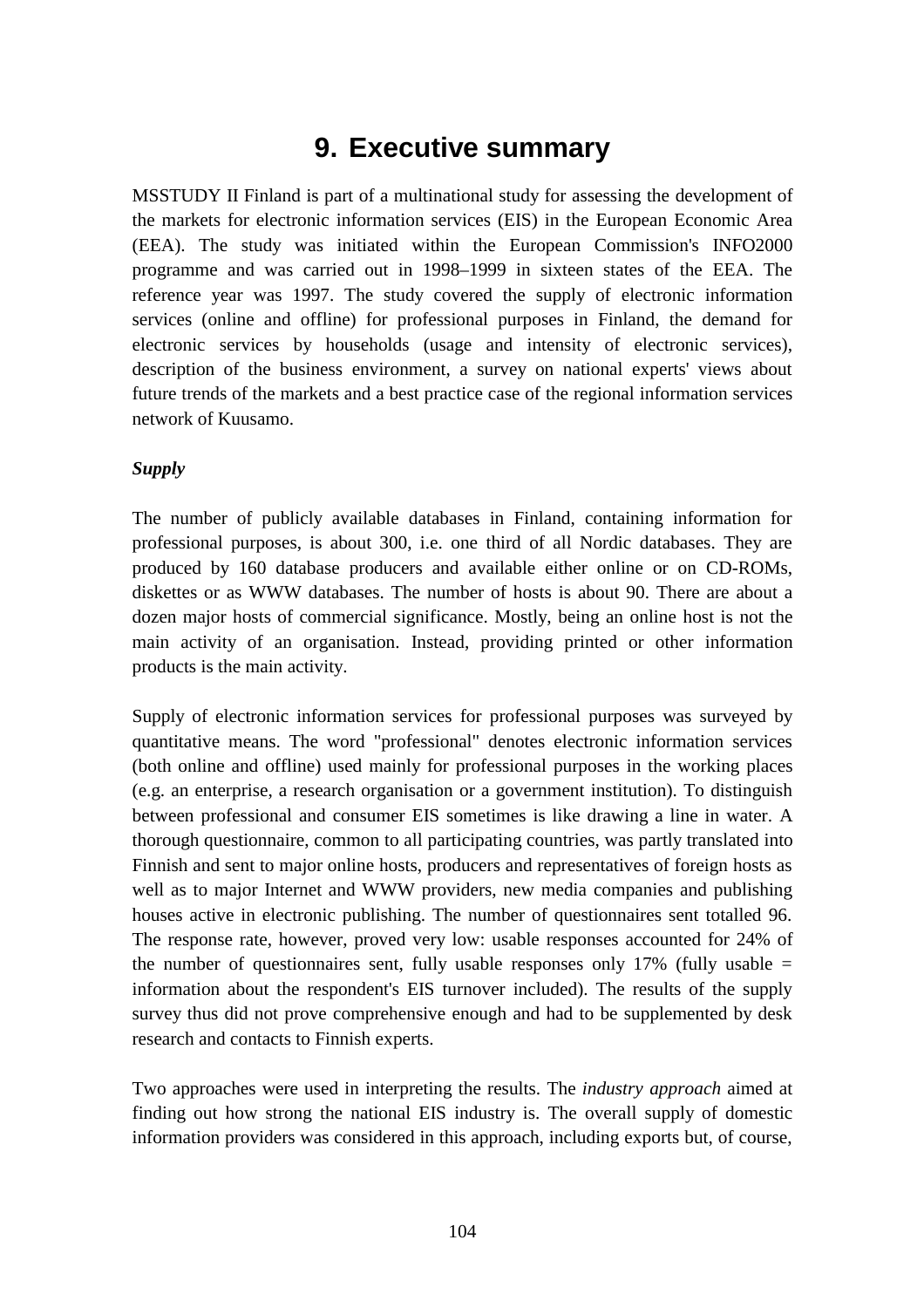# **9. Executive summary**

MSSTUDY II Finland is part of a multinational study for assessing the development of the markets for electronic information services (EIS) in the European Economic Area (EEA). The study was initiated within the European Commission's INFO2000 programme and was carried out in 1998–1999 in sixteen states of the EEA. The reference year was 1997. The study covered the supply of electronic information services (online and offline) for professional purposes in Finland, the demand for electronic services by households (usage and intensity of electronic services), description of the business environment, a survey on national experts' views about future trends of the markets and a best practice case of the regional information services network of Kuusamo.

#### *Supply*

The number of publicly available databases in Finland, containing information for professional purposes, is about 300, i.e. one third of all Nordic databases. They are produced by 160 database producers and available either online or on CD-ROMs, diskettes or as WWW databases. The number of hosts is about 90. There are about a dozen major hosts of commercial significance. Mostly, being an online host is not the main activity of an organisation. Instead, providing printed or other information products is the main activity.

Supply of electronic information services for professional purposes was surveyed by quantitative means. The word "professional" denotes electronic information services (both online and offline) used mainly for professional purposes in the working places (e.g. an enterprise, a research organisation or a government institution). To distinguish between professional and consumer EIS sometimes is like drawing a line in water. A thorough questionnaire, common to all participating countries, was partly translated into Finnish and sent to major online hosts, producers and representatives of foreign hosts as well as to major Internet and WWW providers, new media companies and publishing houses active in electronic publishing. The number of questionnaires sent totalled 96. The response rate, however, proved very low: usable responses accounted for 24% of the number of questionnaires sent, fully usable responses only  $17\%$  (fully usable = information about the respondent's EIS turnover included). The results of the supply survey thus did not prove comprehensive enough and had to be supplemented by desk research and contacts to Finnish experts.

Two approaches were used in interpreting the results. The *industry approach* aimed at finding out how strong the national EIS industry is. The overall supply of domestic information providers was considered in this approach, including exports but, of course,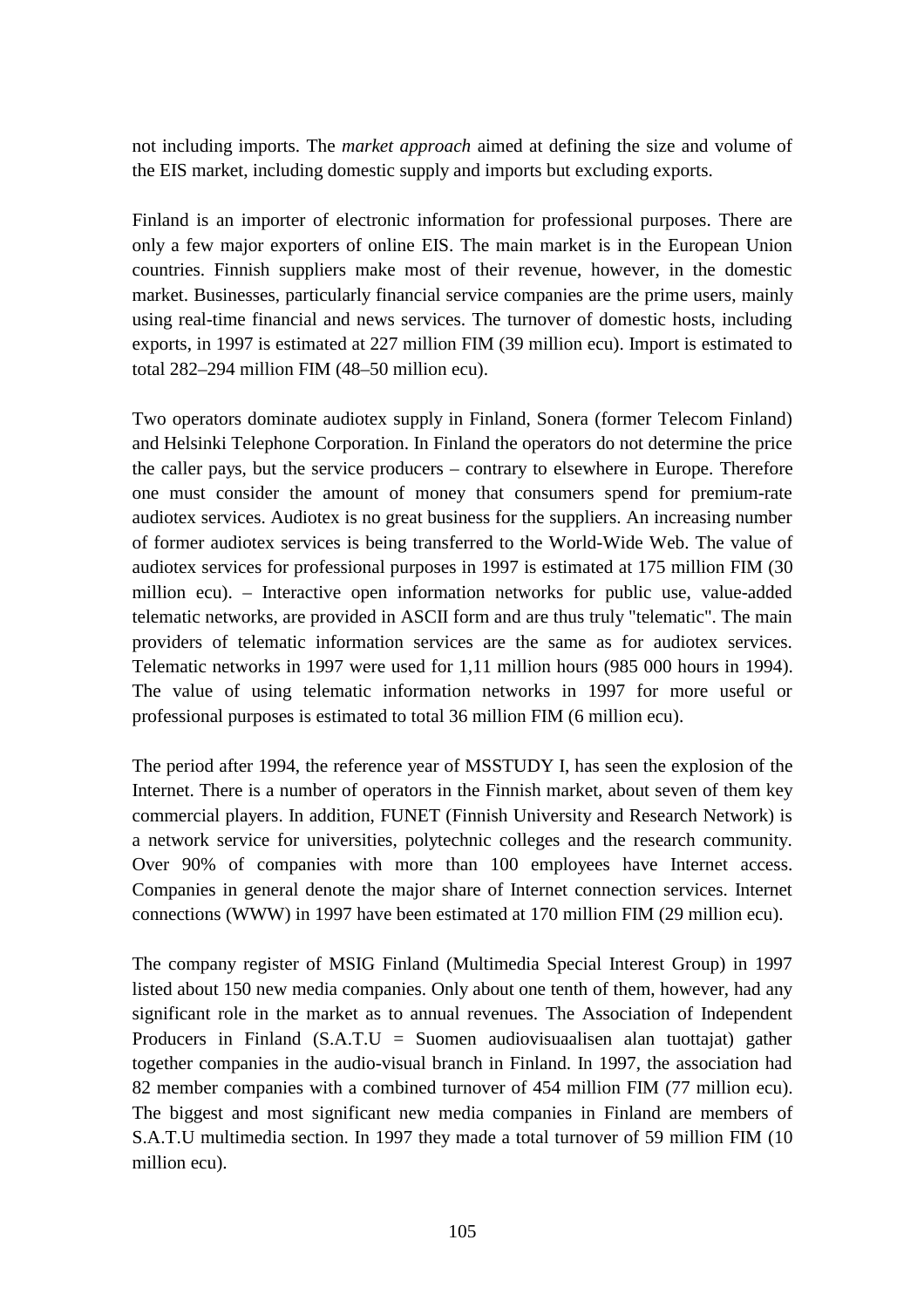not including imports. The *market approach* aimed at defining the size and volume of the EIS market, including domestic supply and imports but excluding exports.

Finland is an importer of electronic information for professional purposes. There are only a few major exporters of online EIS. The main market is in the European Union countries. Finnish suppliers make most of their revenue, however, in the domestic market. Businesses, particularly financial service companies are the prime users, mainly using real-time financial and news services. The turnover of domestic hosts, including exports, in 1997 is estimated at 227 million FIM (39 million ecu). Import is estimated to total 282–294 million FIM (48–50 million ecu).

Two operators dominate audiotex supply in Finland, Sonera (former Telecom Finland) and Helsinki Telephone Corporation. In Finland the operators do not determine the price the caller pays, but the service producers – contrary to elsewhere in Europe. Therefore one must consider the amount of money that consumers spend for premium-rate audiotex services. Audiotex is no great business for the suppliers. An increasing number of former audiotex services is being transferred to the World-Wide Web. The value of audiotex services for professional purposes in 1997 is estimated at 175 million FIM (30 million ecu). – Interactive open information networks for public use, value-added telematic networks, are provided in ASCII form and are thus truly "telematic". The main providers of telematic information services are the same as for audiotex services. Telematic networks in 1997 were used for 1,11 million hours (985 000 hours in 1994). The value of using telematic information networks in 1997 for more useful or professional purposes is estimated to total 36 million FIM (6 million ecu).

The period after 1994, the reference year of MSSTUDY I, has seen the explosion of the Internet. There is a number of operators in the Finnish market, about seven of them key commercial players. In addition, FUNET (Finnish University and Research Network) is a network service for universities, polytechnic colleges and the research community. Over 90% of companies with more than 100 employees have Internet access. Companies in general denote the major share of Internet connection services. Internet connections (WWW) in 1997 have been estimated at 170 million FIM (29 million ecu).

The company register of MSIG Finland (Multimedia Special Interest Group) in 1997 listed about 150 new media companies. Only about one tenth of them, however, had any significant role in the market as to annual revenues. The Association of Independent Producers in Finland (S.A.T.U = Suomen audiovisuaalisen alan tuottajat) gather together companies in the audio-visual branch in Finland. In 1997, the association had 82 member companies with a combined turnover of 454 million FIM (77 million ecu). The biggest and most significant new media companies in Finland are members of S.A.T.U multimedia section. In 1997 they made a total turnover of 59 million FIM (10 million ecu).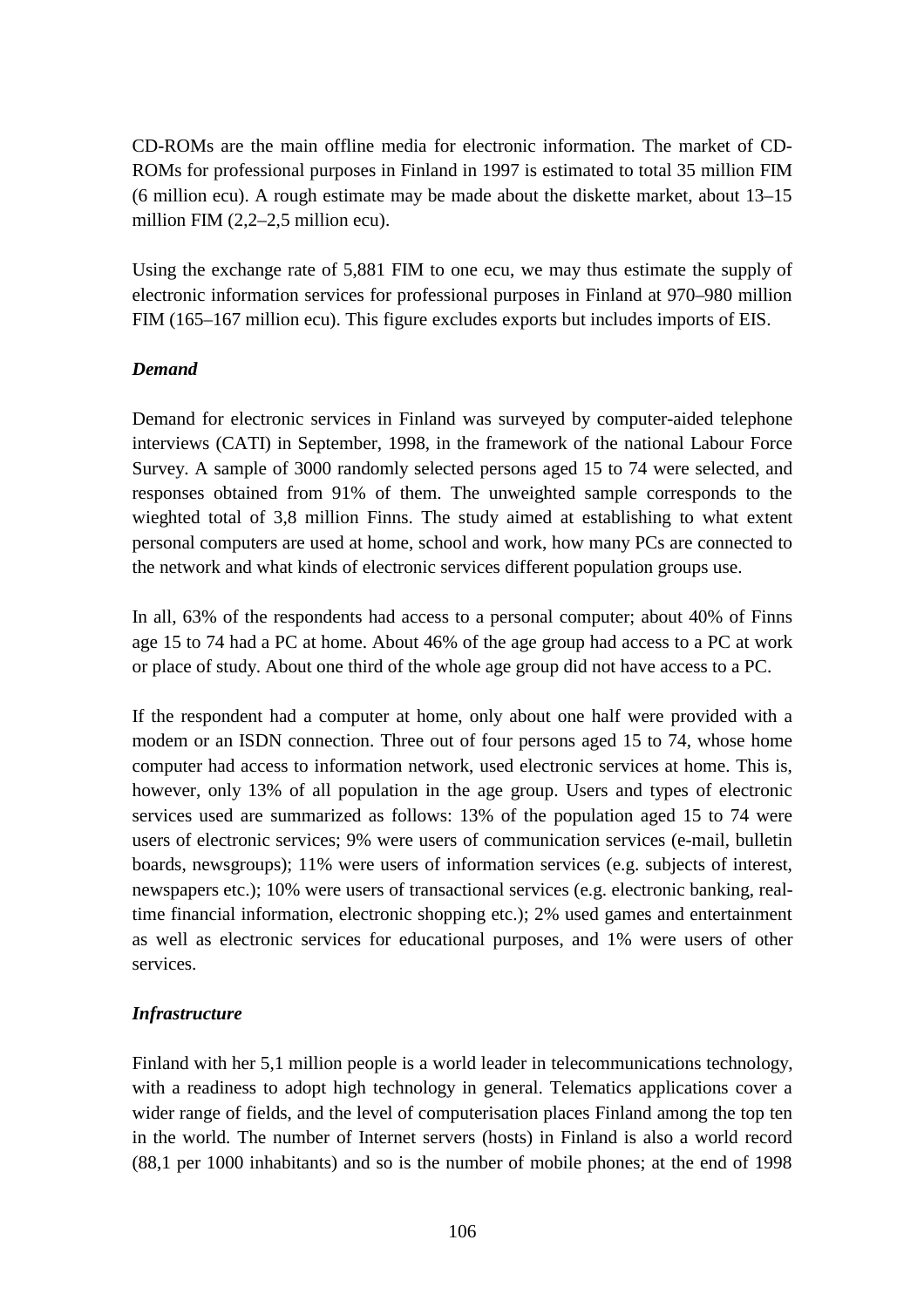CD-ROMs are the main offline media for electronic information. The market of CD-ROMs for professional purposes in Finland in 1997 is estimated to total 35 million FIM (6 million ecu). A rough estimate may be made about the diskette market, about 13–15 million FIM (2,2–2,5 million ecu).

Using the exchange rate of 5,881 FIM to one ecu, we may thus estimate the supply of electronic information services for professional purposes in Finland at 970–980 million FIM (165–167 million ecu). This figure excludes exports but includes imports of EIS.

#### *Demand*

Demand for electronic services in Finland was surveyed by computer-aided telephone interviews (CATI) in September, 1998, in the framework of the national Labour Force Survey. A sample of 3000 randomly selected persons aged 15 to 74 were selected, and responses obtained from 91% of them. The unweighted sample corresponds to the wieghted total of 3,8 million Finns. The study aimed at establishing to what extent personal computers are used at home, school and work, how many PCs are connected to the network and what kinds of electronic services different population groups use.

In all, 63% of the respondents had access to a personal computer; about 40% of Finns age 15 to 74 had a PC at home. About 46% of the age group had access to a PC at work or place of study. About one third of the whole age group did not have access to a PC.

If the respondent had a computer at home, only about one half were provided with a modem or an ISDN connection. Three out of four persons aged 15 to 74, whose home computer had access to information network, used electronic services at home. This is, however, only 13% of all population in the age group. Users and types of electronic services used are summarized as follows: 13% of the population aged 15 to 74 were users of electronic services; 9% were users of communication services (e-mail, bulletin boards, newsgroups); 11% were users of information services (e.g. subjects of interest, newspapers etc.); 10% were users of transactional services (e.g. electronic banking, realtime financial information, electronic shopping etc.); 2% used games and entertainment as well as electronic services for educational purposes, and 1% were users of other services.

# *Infrastructure*

Finland with her 5,1 million people is a world leader in telecommunications technology, with a readiness to adopt high technology in general. Telematics applications cover a wider range of fields, and the level of computerisation places Finland among the top ten in the world. The number of Internet servers (hosts) in Finland is also a world record (88,1 per 1000 inhabitants) and so is the number of mobile phones; at the end of 1998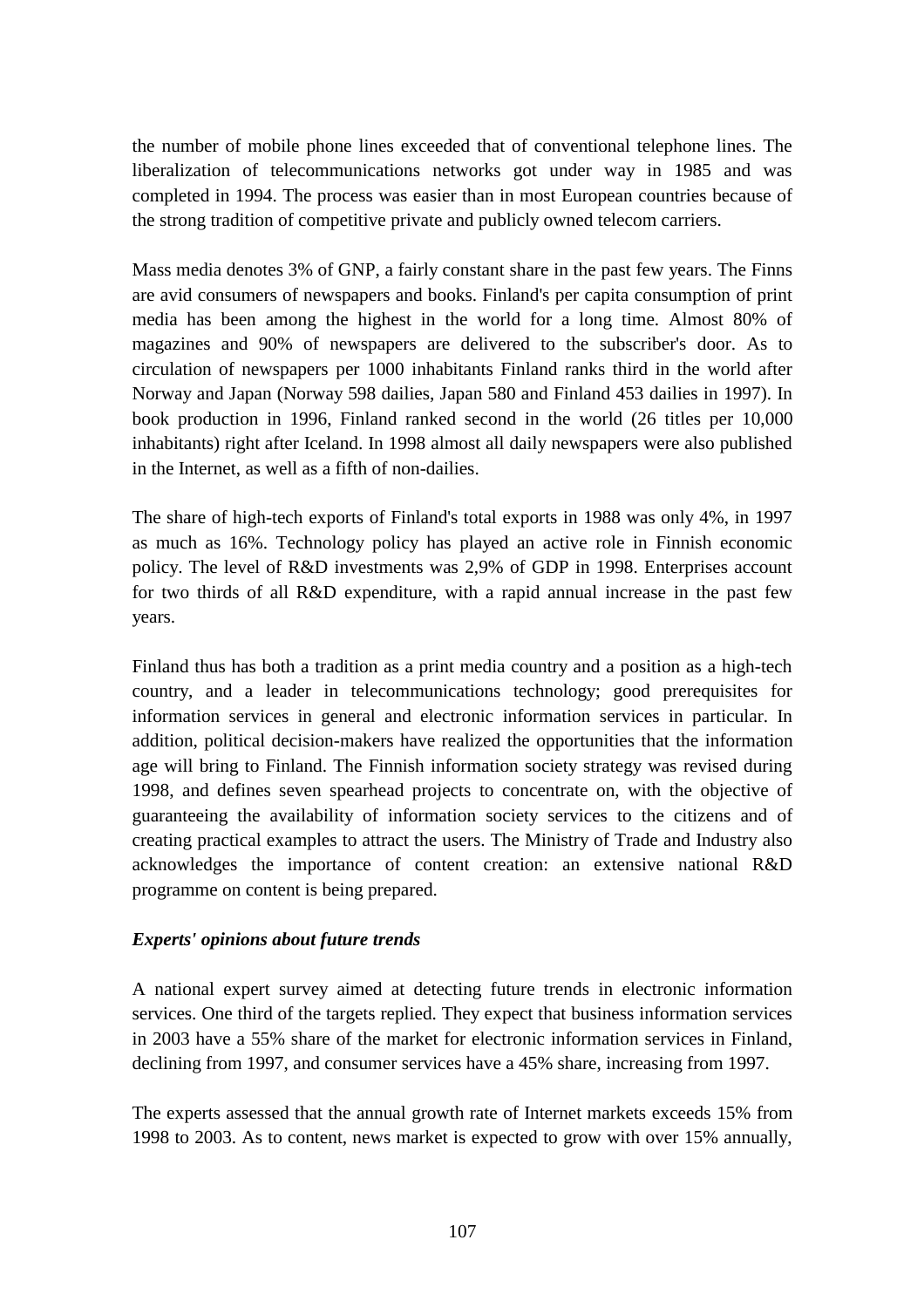the number of mobile phone lines exceeded that of conventional telephone lines. The liberalization of telecommunications networks got under way in 1985 and was completed in 1994. The process was easier than in most European countries because of the strong tradition of competitive private and publicly owned telecom carriers.

Mass media denotes 3% of GNP, a fairly constant share in the past few years. The Finns are avid consumers of newspapers and books. Finland's per capita consumption of print media has been among the highest in the world for a long time. Almost 80% of magazines and 90% of newspapers are delivered to the subscriber's door. As to circulation of newspapers per 1000 inhabitants Finland ranks third in the world after Norway and Japan (Norway 598 dailies, Japan 580 and Finland 453 dailies in 1997). In book production in 1996, Finland ranked second in the world (26 titles per 10,000 inhabitants) right after Iceland. In 1998 almost all daily newspapers were also published in the Internet, as well as a fifth of non-dailies.

The share of high-tech exports of Finland's total exports in 1988 was only 4%, in 1997 as much as 16%. Technology policy has played an active role in Finnish economic policy. The level of R&D investments was 2,9% of GDP in 1998. Enterprises account for two thirds of all R&D expenditure, with a rapid annual increase in the past few years.

Finland thus has both a tradition as a print media country and a position as a high-tech country, and a leader in telecommunications technology; good prerequisites for information services in general and electronic information services in particular. In addition, political decision-makers have realized the opportunities that the information age will bring to Finland. The Finnish information society strategy was revised during 1998, and defines seven spearhead projects to concentrate on, with the objective of guaranteeing the availability of information society services to the citizens and of creating practical examples to attract the users. The Ministry of Trade and Industry also acknowledges the importance of content creation: an extensive national R&D programme on content is being prepared.

#### *Experts' opinions about future trends*

A national expert survey aimed at detecting future trends in electronic information services. One third of the targets replied. They expect that business information services in 2003 have a 55% share of the market for electronic information services in Finland, declining from 1997, and consumer services have a 45% share, increasing from 1997.

The experts assessed that the annual growth rate of Internet markets exceeds 15% from 1998 to 2003. As to content, news market is expected to grow with over 15% annually,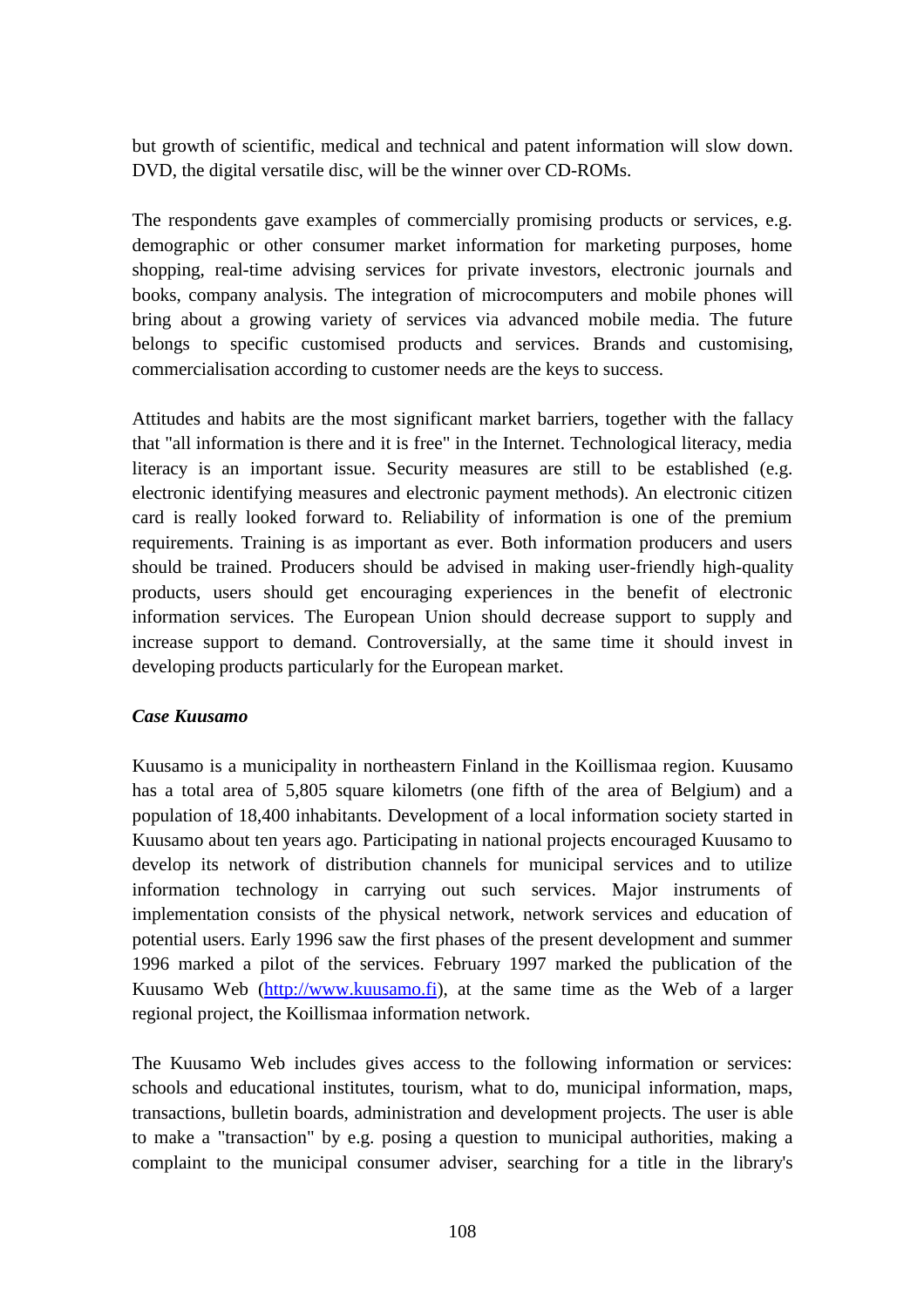but growth of scientific, medical and technical and patent information will slow down. DVD, the digital versatile disc, will be the winner over CD-ROMs.

The respondents gave examples of commercially promising products or services, e.g. demographic or other consumer market information for marketing purposes, home shopping, real-time advising services for private investors, electronic journals and books, company analysis. The integration of microcomputers and mobile phones will bring about a growing variety of services via advanced mobile media. The future belongs to specific customised products and services. Brands and customising, commercialisation according to customer needs are the keys to success.

Attitudes and habits are the most significant market barriers, together with the fallacy that "all information is there and it is free" in the Internet. Technological literacy, media literacy is an important issue. Security measures are still to be established (e.g. electronic identifying measures and electronic payment methods). An electronic citizen card is really looked forward to. Reliability of information is one of the premium requirements. Training is as important as ever. Both information producers and users should be trained. Producers should be advised in making user-friendly high-quality products, users should get encouraging experiences in the benefit of electronic information services. The European Union should decrease support to supply and increase support to demand. Controversially, at the same time it should invest in developing products particularly for the European market.

#### *Case Kuusamo*

Kuusamo is a municipality in northeastern Finland in the Koillismaa region. Kuusamo has a total area of 5,805 square kilometrs (one fifth of the area of Belgium) and a population of 18,400 inhabitants. Development of a local information society started in Kuusamo about ten years ago. Participating in national projects encouraged Kuusamo to develop its network of distribution channels for municipal services and to utilize information technology in carrying out such services. Major instruments of implementation consists of the physical network, network services and education of potential users. Early 1996 saw the first phases of the present development and summer 1996 marked a pilot of the services. February 1997 marked the publication of the Kuusamo Web (http://www.kuusamo.fi), at the same time as the Web of a larger regional project, the Koillismaa information network.

The Kuusamo Web includes gives access to the following information or services: schools and educational institutes, tourism, what to do, municipal information, maps, transactions, bulletin boards, administration and development projects. The user is able to make a "transaction" by e.g. posing a question to municipal authorities, making a complaint to the municipal consumer adviser, searching for a title in the library's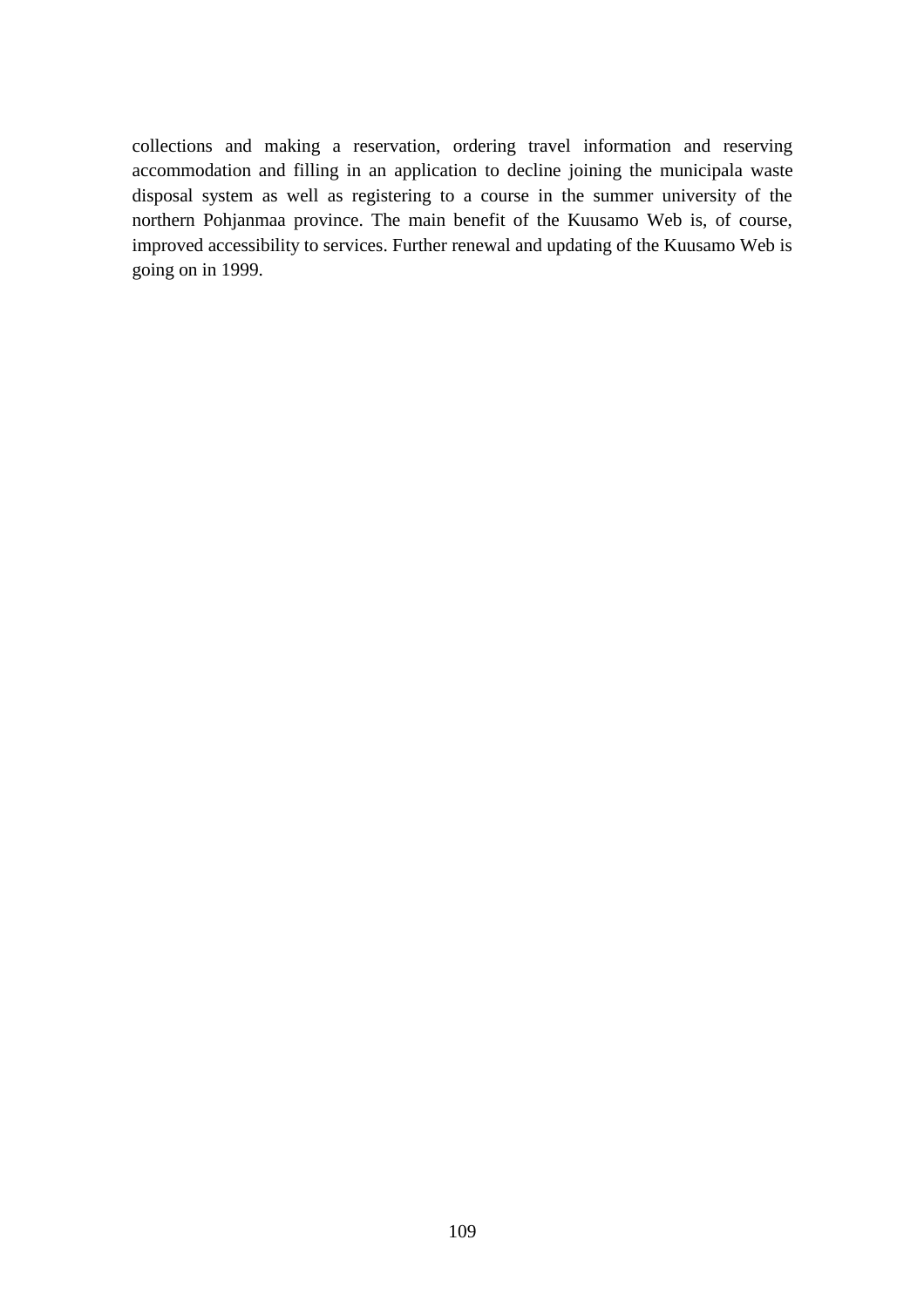collections and making a reservation, ordering travel information and reserving accommodation and filling in an application to decline joining the municipala waste disposal system as well as registering to a course in the summer university of the northern Pohjanmaa province. The main benefit of the Kuusamo Web is, of course, improved accessibility to services. Further renewal and updating of the Kuusamo Web is going on in 1999.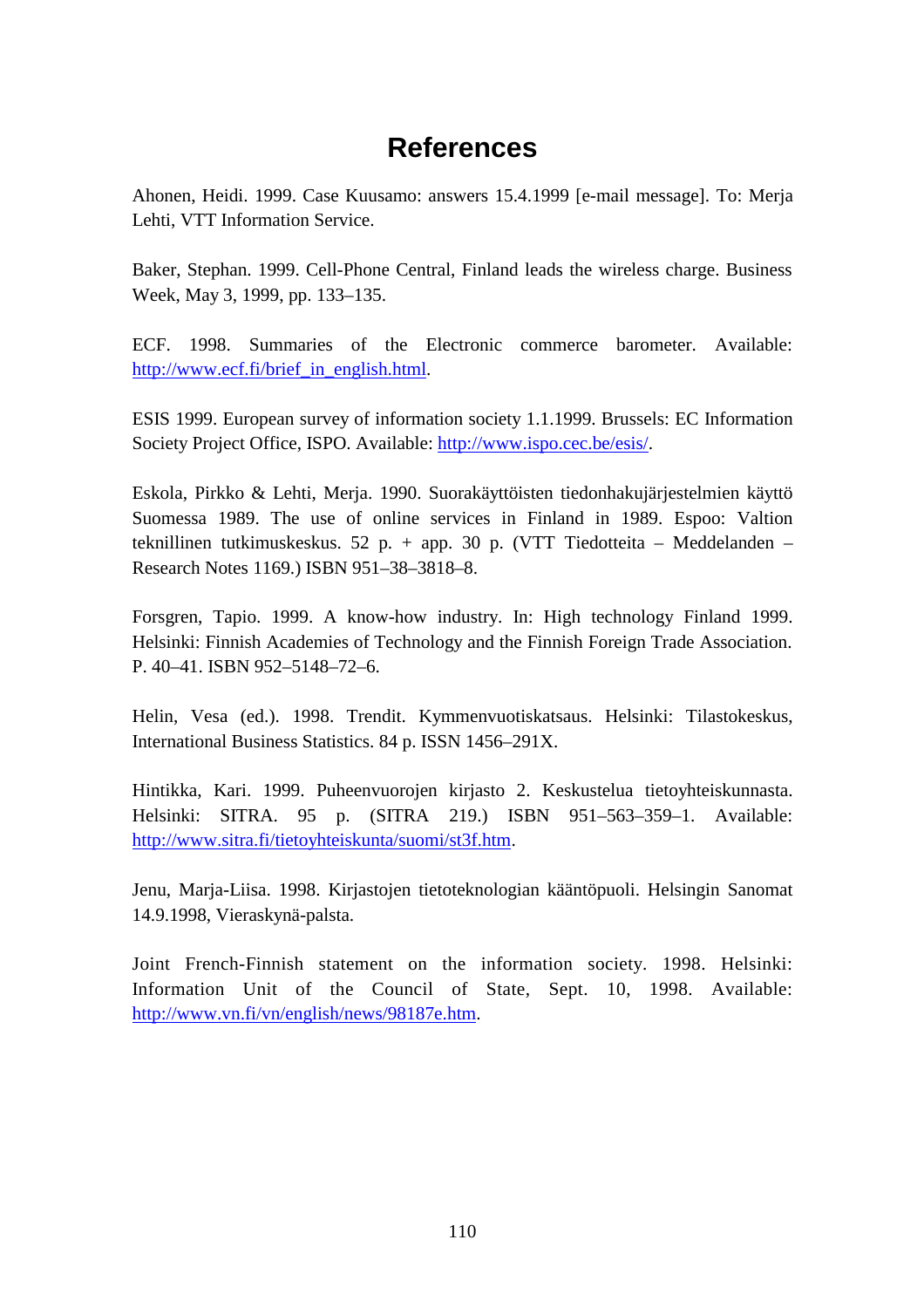# **References**

Ahonen, Heidi. 1999. Case Kuusamo: answers 15.4.1999 [e-mail message]. To: Merja Lehti, VTT Information Service.

Baker, Stephan. 1999. Cell-Phone Central, Finland leads the wireless charge. Business Week, May 3, 1999, pp. 133–135.

ECF. 1998. Summaries of the Electronic commerce barometer. Available: http://www.ecf.fi/brief\_in\_english.html.

ESIS 1999. European survey of information society 1.1.1999. Brussels: EC Information Society Project Office, ISPO. Available: http://www.ispo.cec.be/esis/.

Eskola, Pirkko & Lehti, Merja. 1990. Suorakäyttöisten tiedonhakujärjestelmien käyttö Suomessa 1989. The use of online services in Finland in 1989. Espoo: Valtion teknillinen tutkimuskeskus. 52 p. + app. 30 p. (VTT Tiedotteita – Meddelanden – Research Notes 1169.) ISBN 951–38–3818–8.

Forsgren, Tapio. 1999. A know-how industry. In: High technology Finland 1999. Helsinki: Finnish Academies of Technology and the Finnish Foreign Trade Association. P. 40–41. ISBN 952–5148–72–6.

Helin, Vesa (ed.). 1998. Trendit. Kymmenvuotiskatsaus. Helsinki: Tilastokeskus, International Business Statistics. 84 p. ISSN 1456–291X.

Hintikka, Kari. 1999. Puheenvuorojen kirjasto 2. Keskustelua tietoyhteiskunnasta. Helsinki: SITRA. 95 p. (SITRA 219.) ISBN 951–563–359–1. Available: http://www.sitra.fi/tietoyhteiskunta/suomi/st3f.htm.

Jenu, Marja-Liisa. 1998. Kirjastojen tietoteknologian kääntöpuoli. Helsingin Sanomat 14.9.1998, Vieraskynä-palsta.

Joint French-Finnish statement on the information society. 1998. Helsinki: Information Unit of the Council of State, Sept. 10, 1998. Available: http://www.vn.fi/vn/english/news/98187e.htm.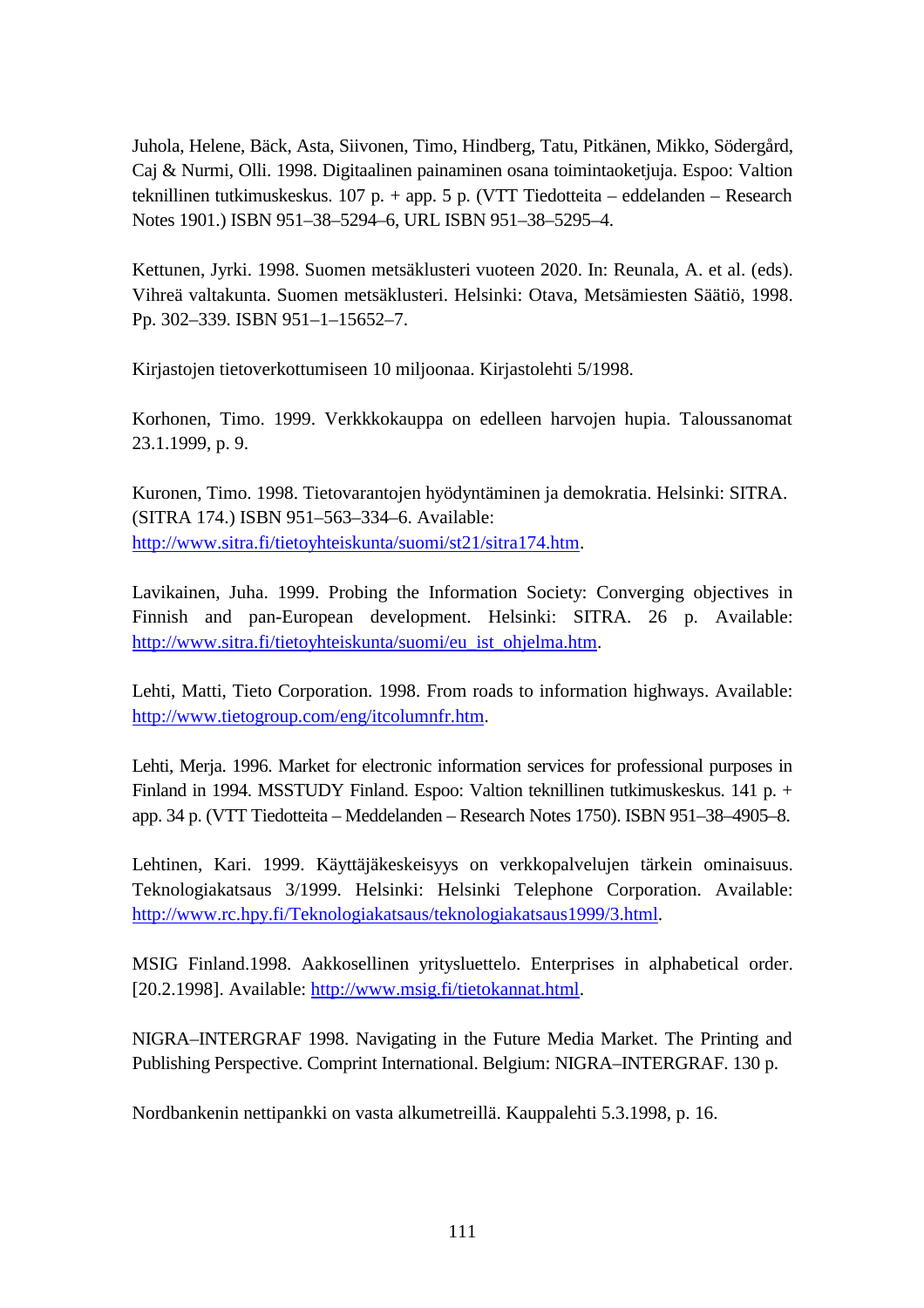Juhola, Helene, Bäck, Asta, Siivonen, Timo, Hindberg, Tatu, Pitkänen, Mikko, Södergård, Caj & Nurmi, Olli. 1998. Digitaalinen painaminen osana toimintaoketjuja. Espoo: Valtion teknillinen tutkimuskeskus. 107 p. + app. 5 p. (VTT Tiedotteita – eddelanden – Research Notes 1901.) ISBN 951–38–5294–6, URL ISBN 951–38–5295–4.

Kettunen, Jyrki. 1998. Suomen metsäklusteri vuoteen 2020. In: Reunala, A. et al. (eds). Vihreä valtakunta. Suomen metsäklusteri. Helsinki: Otava, Metsämiesten Säätiö, 1998. Pp. 302–339. ISBN 951–1–15652–7.

Kirjastojen tietoverkottumiseen 10 miljoonaa. Kirjastolehti 5/1998.

Korhonen, Timo. 1999. Verkkkokauppa on edelleen harvojen hupia. Taloussanomat 23.1.1999, p. 9.

Kuronen, Timo. 1998. Tietovarantojen hyödyntäminen ja demokratia. Helsinki: SITRA. (SITRA 174.) ISBN 951–563–334–6. Available: http://www.sitra.fi/tietoyhteiskunta/suomi/st21/sitra174.htm.

Lavikainen, Juha. 1999. Probing the Information Society: Converging objectives in Finnish and pan-European development. Helsinki: SITRA. 26 p. Available: http://www.sitra.fi/tietoyhteiskunta/suomi/eu\_ist\_ohjelma.htm.

Lehti, Matti, Tieto Corporation. 1998. From roads to information highways. Available: http://www.tietogroup.com/eng/itcolumnfr.htm.

Lehti, Merja. 1996. Market for electronic information services for professional purposes in Finland in 1994. MSSTUDY Finland. Espoo: Valtion teknillinen tutkimuskeskus. 141 p. + app. 34 p. (VTT Tiedotteita – Meddelanden – Research Notes 1750). ISBN 951–38–4905–8.

Lehtinen, Kari. 1999. Käyttäjäkeskeisyys on verkkopalvelujen tärkein ominaisuus. Teknologiakatsaus 3/1999. Helsinki: Helsinki Telephone Corporation. Available: http://www.rc.hpy.fi/Teknologiakatsaus/teknologiakatsaus1999/3.html.

MSIG Finland.1998. Aakkosellinen yritysluettelo. Enterprises in alphabetical order. [20.2.1998]. Available: http://www.msig.fi/tietokannat.html.

NIGRA–INTERGRAF 1998. Navigating in the Future Media Market. The Printing and Publishing Perspective. Comprint International. Belgium: NIGRA–INTERGRAF. 130 p.

Nordbankenin nettipankki on vasta alkumetreillä. Kauppalehti 5.3.1998, p. 16.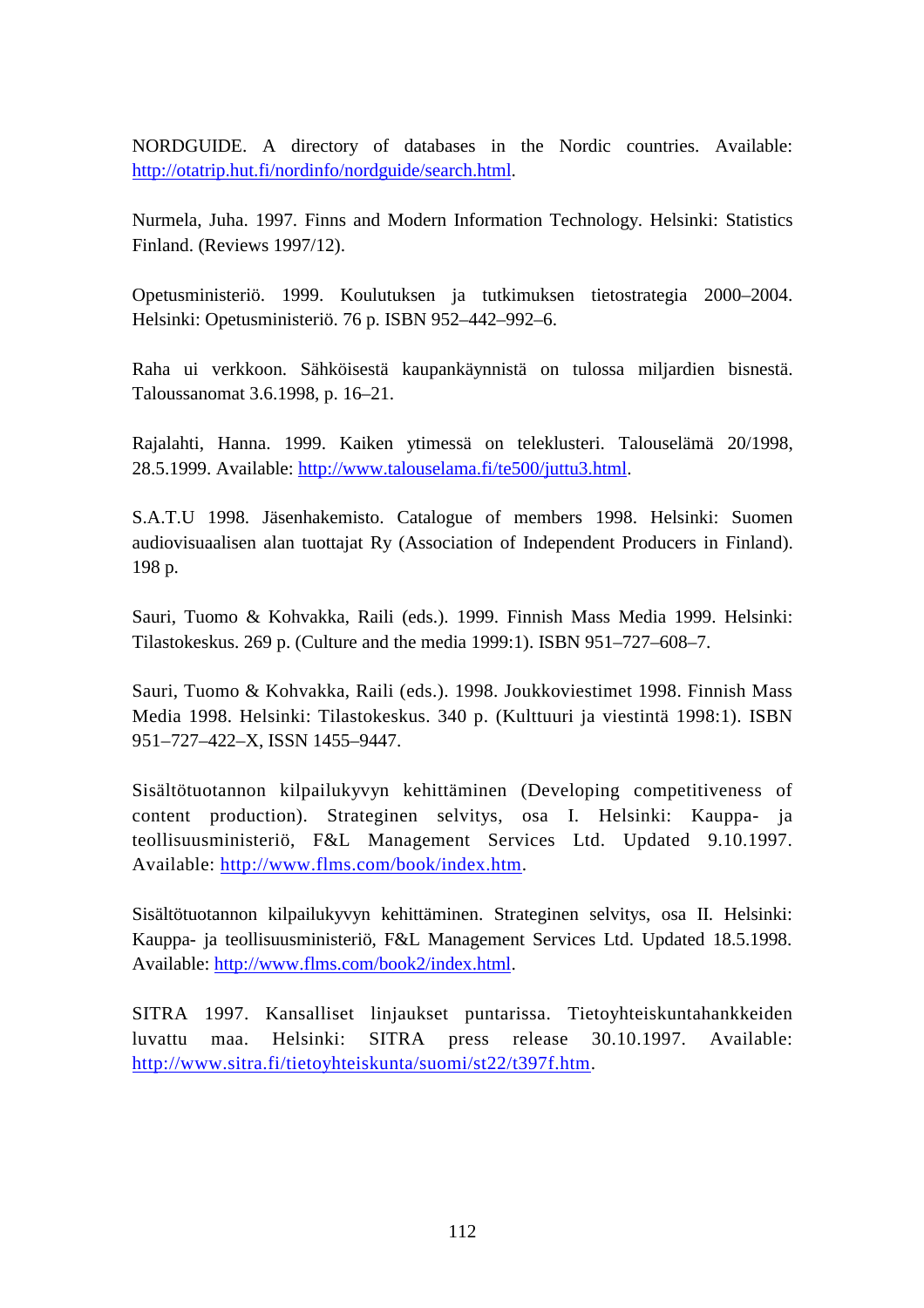NORDGUIDE. A directory of databases in the Nordic countries. Available: http://otatrip.hut.fi/nordinfo/nordguide/search.html.

Nurmela, Juha. 1997. Finns and Modern Information Technology. Helsinki: Statistics Finland. (Reviews 1997/12).

Opetusministeriö. 1999. Koulutuksen ja tutkimuksen tietostrategia 2000–2004. Helsinki: Opetusministeriö. 76 p. ISBN 952–442–992–6.

Raha ui verkkoon. Sähköisestä kaupankäynnistä on tulossa miljardien bisnestä. Taloussanomat 3.6.1998, p. 16–21.

Rajalahti, Hanna. 1999. Kaiken ytimessä on teleklusteri. Talouselämä 20/1998, 28.5.1999. Available: http://www.talouselama.fi/te500/juttu3.html.

S.A.T.U 1998. Jäsenhakemisto. Catalogue of members 1998. Helsinki: Suomen audiovisuaalisen alan tuottajat Ry (Association of Independent Producers in Finland). 198 p.

Sauri, Tuomo & Kohvakka, Raili (eds.). 1999. Finnish Mass Media 1999. Helsinki: Tilastokeskus. 269 p. (Culture and the media 1999:1). ISBN 951–727–608–7.

Sauri, Tuomo & Kohvakka, Raili (eds.). 1998. Joukkoviestimet 1998. Finnish Mass Media 1998. Helsinki: Tilastokeskus. 340 p. (Kulttuuri ja viestintä 1998:1). ISBN 951–727–422–X, ISSN 1455–9447.

Sisältötuotannon kilpailukyvyn kehittäminen (Developing competitiveness of content production). Strateginen selvitys, osa I. Helsinki: Kauppa- ja teollisuusministeriö, F&L Management Services Ltd. Updated 9.10.1997. Available: http://www.flms.com/book/index.htm.

Sisältötuotannon kilpailukyvyn kehittäminen. Strateginen selvitys, osa II. Helsinki: Kauppa- ja teollisuusministeriö, F&L Management Services Ltd. Updated 18.5.1998. Available: http://www.flms.com/book2/index.html.

SITRA 1997. Kansalliset linjaukset puntarissa. Tietoyhteiskuntahankkeiden luvattu maa. Helsinki: SITRA press release 30.10.1997. Available: http://www.sitra.fi/tietoyhteiskunta/suomi/st22/t397f.htm.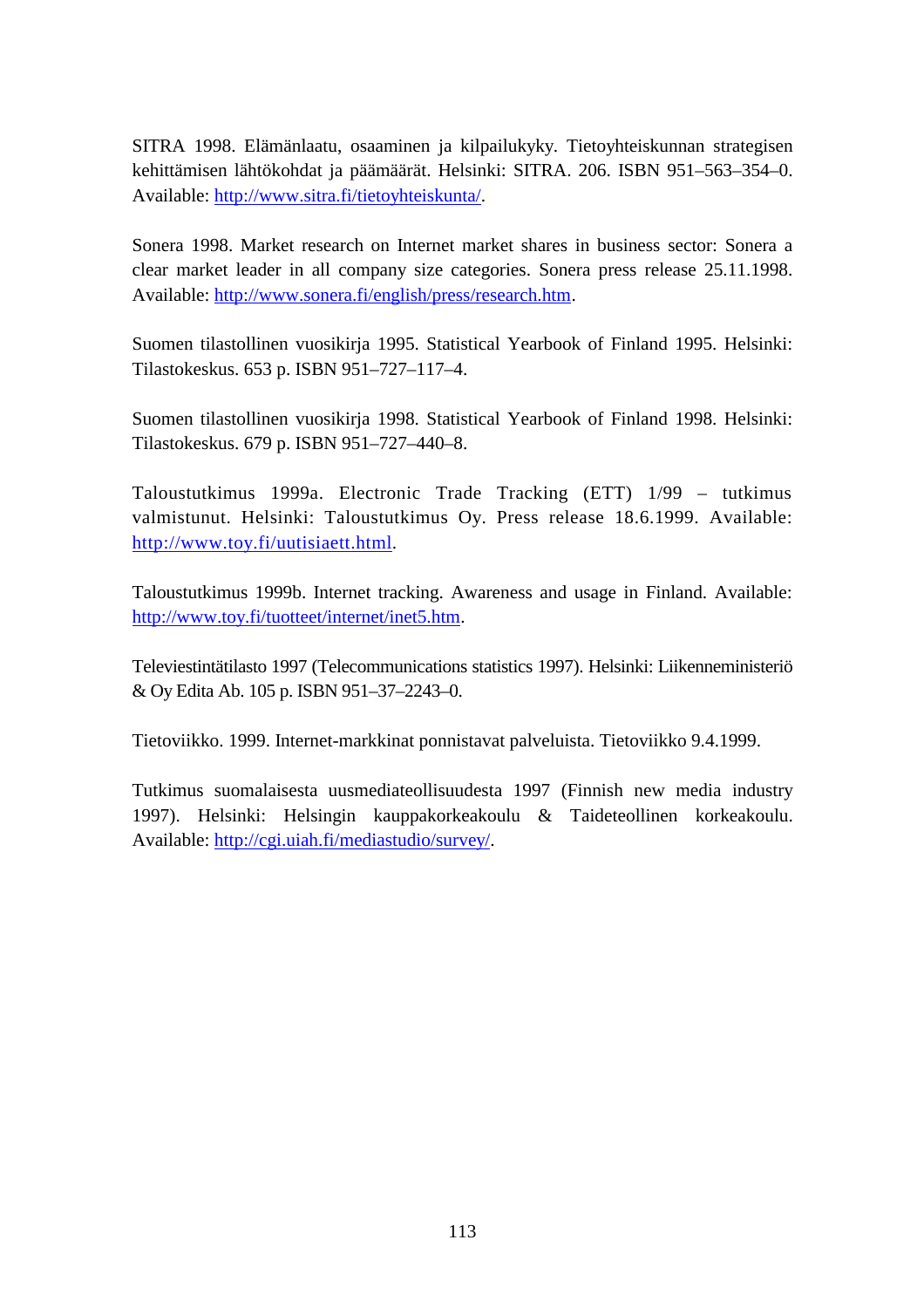SITRA 1998. Elämänlaatu, osaaminen ja kilpailukyky. Tietoyhteiskunnan strategisen kehittämisen lähtökohdat ja päämäärät. Helsinki: SITRA. 206. ISBN 951–563–354–0. Available: http://www.sitra.fi/tietoyhteiskunta/.

Sonera 1998. Market research on Internet market shares in business sector: Sonera a clear market leader in all company size categories. Sonera press release 25.11.1998. Available: http://www.sonera.fi/english/press/research.htm.

Suomen tilastollinen vuosikirja 1995. Statistical Yearbook of Finland 1995. Helsinki: Tilastokeskus. 653 p. ISBN 951–727–117–4.

Suomen tilastollinen vuosikirja 1998. Statistical Yearbook of Finland 1998. Helsinki: Tilastokeskus. 679 p. ISBN 951–727–440–8.

Taloustutkimus 1999a. Electronic Trade Tracking (ETT) 1/99 – tutkimus valmistunut. Helsinki: Taloustutkimus Oy. Press release 18.6.1999. Available: http://www.toy.fi/uutisiaett.html.

Taloustutkimus 1999b. Internet tracking. Awareness and usage in Finland. Available: http://www.toy.fi/tuotteet/internet/inet5.htm.

Televiestintätilasto 1997 (Telecommunications statistics 1997). Helsinki: Liikenneministeriö & Oy Edita Ab. 105 p. ISBN 951–37–2243–0.

Tietoviikko. 1999. Internet-markkinat ponnistavat palveluista. Tietoviikko 9.4.1999.

Tutkimus suomalaisesta uusmediateollisuudesta 1997 (Finnish new media industry 1997). Helsinki: Helsingin kauppakorkeakoulu & Taideteollinen korkeakoulu. Available: http://cgi.uiah.fi/mediastudio/survey/.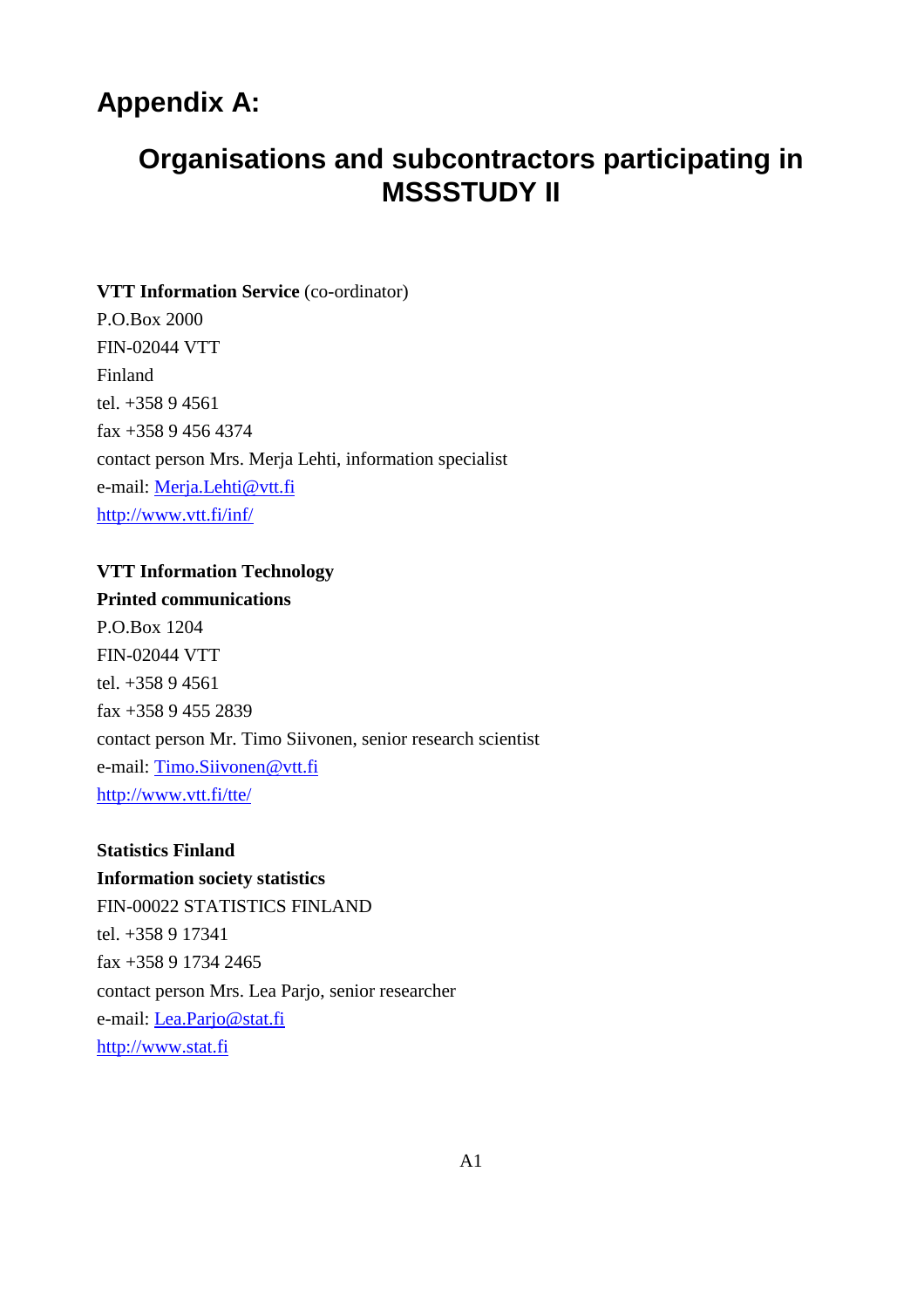# **Appendix A:**

# **Organisations and subcontractors participating in MSSSTUDY II**

# **VTT Information Service** (co-ordinator) P.O.Box 2000 FIN-02044 VTT Finland tel. +358 9 4561 fax +358 9 456 4374 contact person Mrs. Merja Lehti, information specialist e-mail: Merja.Lehti@vtt.fi http://www.vtt.fi/inf/

# **VTT Information Technology Printed communications** P.O.Box 1204 FIN-02044 VTT tel. +358 9 4561 fax +358 9 455 2839 contact person Mr. Timo Siivonen, senior research scientist e-mail: Timo.Siivonen@vtt.fi http://www.vtt.fi/tte/

#### **Statistics Finland**

**Information society statistics** FIN-00022 STATISTICS FINLAND tel. +358 9 17341 fax +358 9 1734 2465 contact person Mrs. Lea Parjo, senior researcher e-mail: Lea.Parjo@stat.fi http://www.stat.fi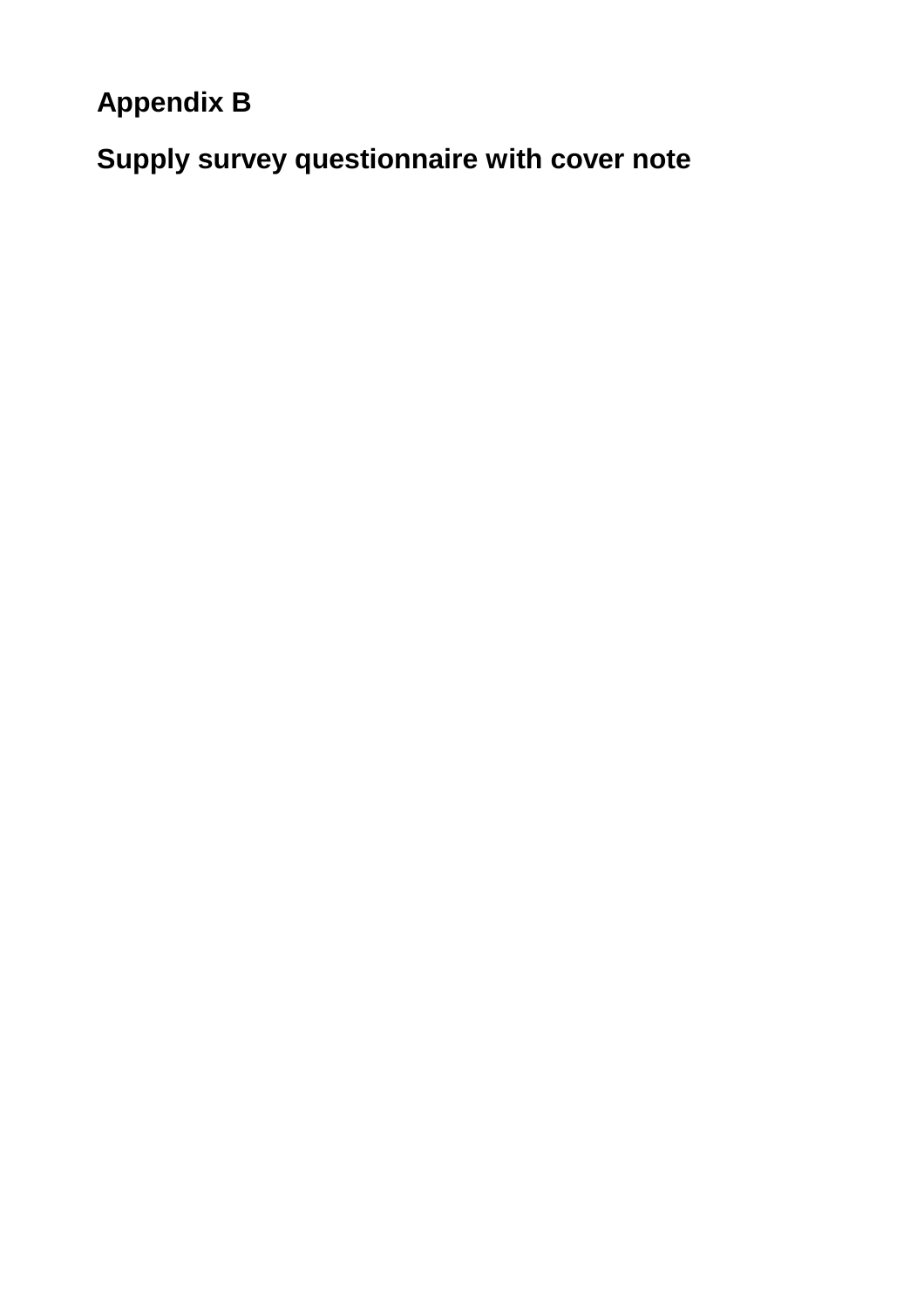**Appendix B**

**Supply survey questionnaire with cover note**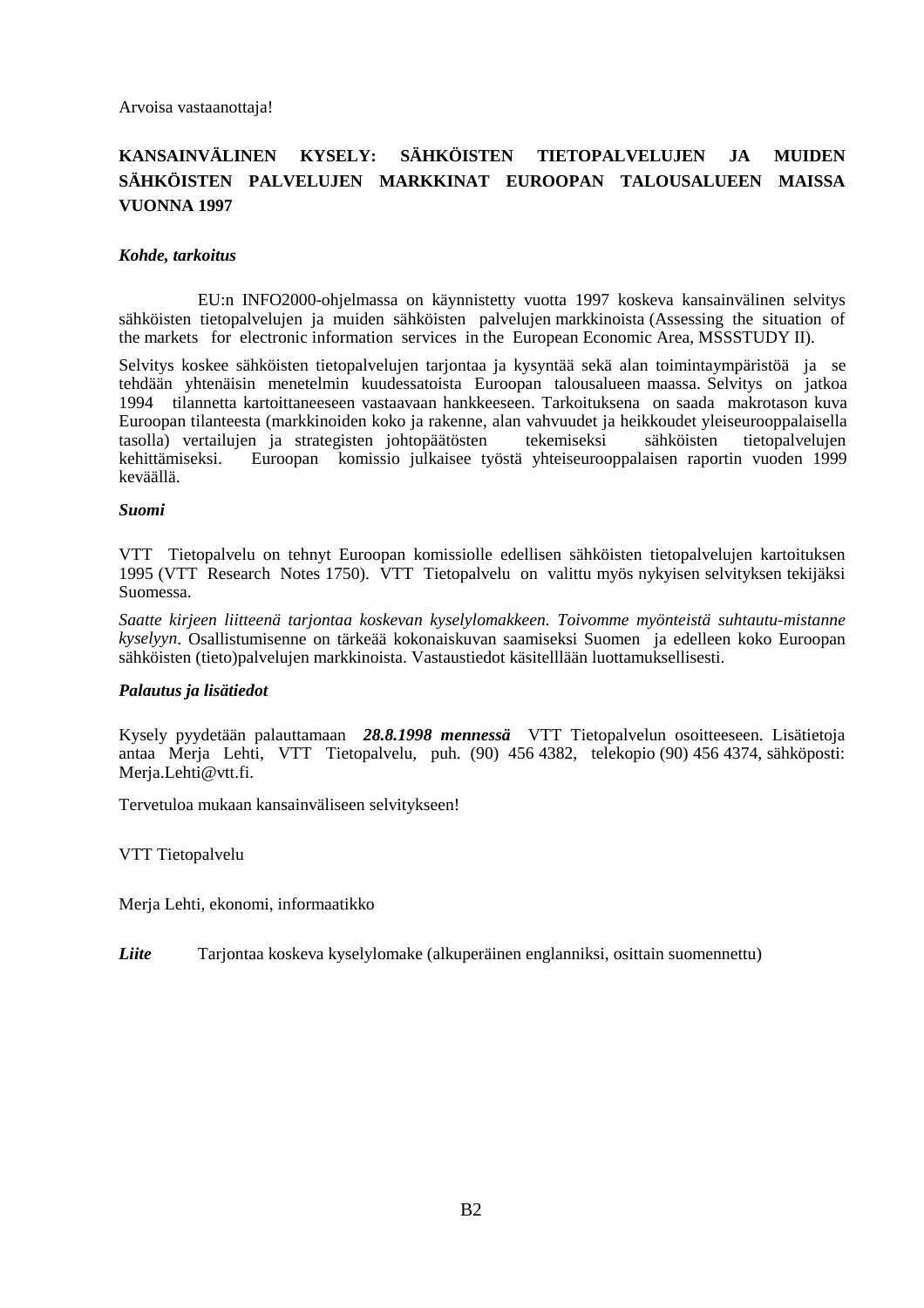### **KANSAINVÄLINEN KYSELY: SÄHKÖISTEN TIETOPALVELUJEN JA MUIDEN SÄHKÖISTEN PALVELUJEN MARKKINAT EUROOPAN TALOUSALUEEN MAISSA VUONNA 1997**

#### *Kohde, tarkoitus*

EU:n INFO2000-ohjelmassa on käynnistetty vuotta 1997 koskeva kansainvälinen selvitys sähköisten tietopalvelujen ja muiden sähköisten palvelujen markkinoista (Assessing the situation of the markets for electronic information services in the European Economic Area, MSSSTUDY II).

Selvitys koskee sähköisten tietopalvelujen tarjontaa ja kysyntää sekä alan toimintaympäristöä ja se tehdään yhtenäisin menetelmin kuudessatoista Euroopan talousalueen maassa. Selvitys on jatkoa 1994 tilannetta kartoittaneeseen vastaavaan hankkeeseen. Tarkoituksena on saada makrotason kuva Euroopan tilanteesta (markkinoiden koko ja rakenne, alan vahvuudet ja heikkoudet yleiseurooppalaisella tasolla) vertailujen ja strategisten johtopäätösten tekemiseksi sähköisten tietopalvelujen kehittämiseksi. Euroopan komissio julkaisee työstä yhteiseurooppalaisen raportin vuoden 1999 keväällä.

#### *Suomi*

VTT Tietopalvelu on tehnyt Euroopan komissiolle edellisen sähköisten tietopalvelujen kartoituksen 1995 (VTT Research Notes 1750). VTT Tietopalvelu on valittu myös nykyisen selvityksen tekijäksi Suomessa.

*Saatte kirjeen liitteenä tarjontaa koskevan kyselylomakkeen. Toivomme myönteistä suhtautu-mistanne kyselyyn*. Osallistumisenne on tärkeää kokonaiskuvan saamiseksi Suomen ja edelleen koko Euroopan sähköisten (tieto)palvelujen markkinoista. Vastaustiedot käsitelllään luottamuksellisesti.

#### *Palautus ja lisätiedot*

Kysely pyydetään palauttamaan *28.8.1998 mennessä* VTT Tietopalvelun osoitteeseen. Lisätietoja antaa Merja Lehti, VTT Tietopalvelu, puh. (90) 456 4382, telekopio (90) 456 4374, sähköposti: Merja.Lehti@vtt.fi.

Tervetuloa mukaan kansainväliseen selvitykseen!

VTT Tietopalvelu

Merja Lehti, ekonomi, informaatikko

*Liite* Tarjontaa koskeva kyselylomake (alkuperäinen englanniksi, osittain suomennettu)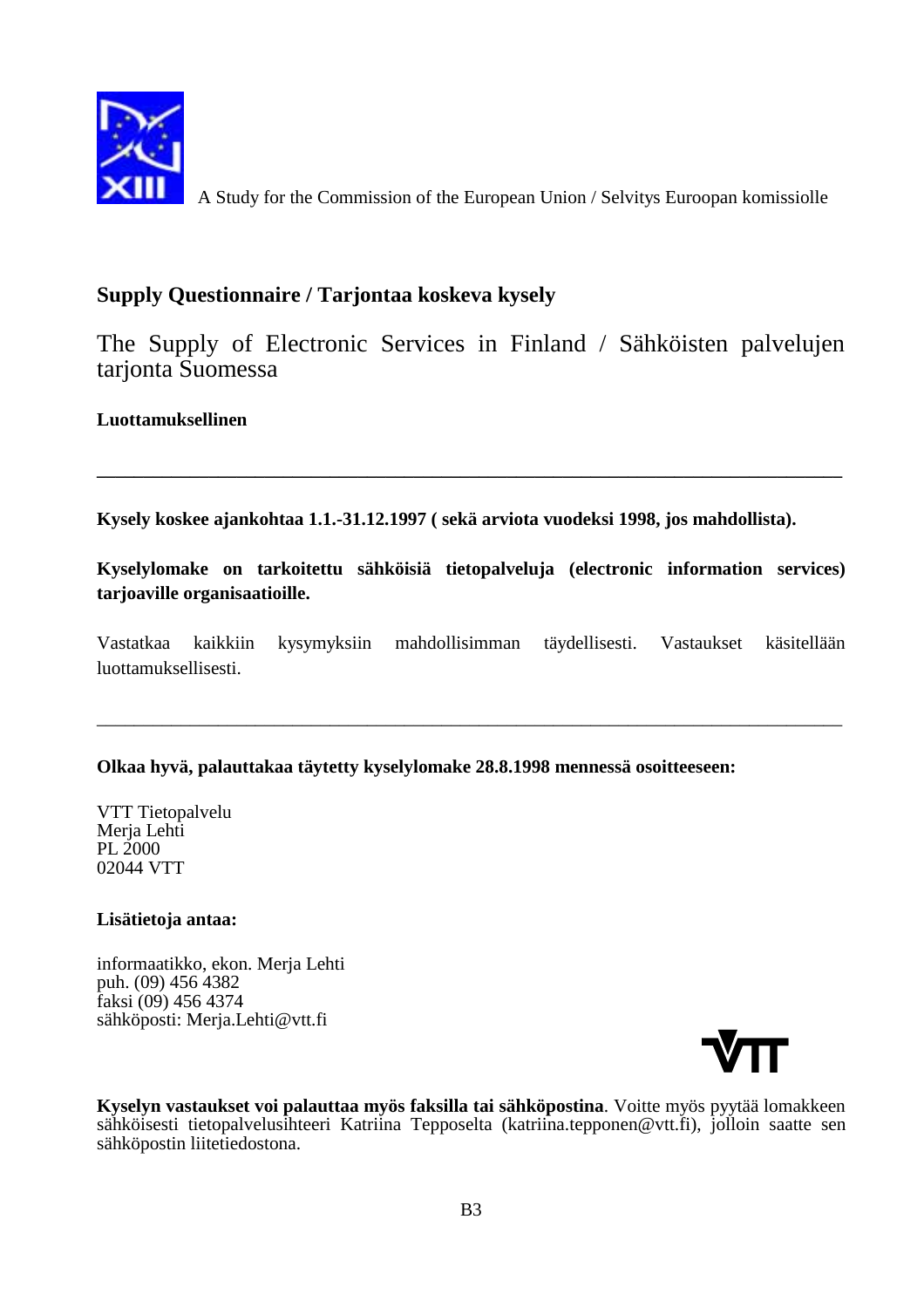

A Study for the Commission of the European Union / Selvitys Euroopan komissiolle

# **Supply Questionnaire / Tarjontaa koskeva kysely**

The Supply of Electronic Services in Finland / Sähköisten palvelujen tarjonta Suomessa

### **Luottamuksellinen**

**Kysely koskee ajankohtaa 1.1.-31.12.1997 ( sekä arviota vuodeksi 1998, jos mahdollista).**

**Kyselylomake on tarkoitettu sähköisiä tietopalveluja (electronic information services) tarjoaville organisaatioille.**

**\_\_\_\_\_\_\_\_\_\_\_\_\_\_\_\_\_\_\_\_\_\_\_\_\_\_\_\_\_\_\_\_\_\_\_\_\_\_\_\_\_\_\_\_\_\_\_\_\_\_\_\_\_\_\_\_\_\_\_\_\_\_\_\_\_\_\_\_\_\_\_\_\_\_\_\_\_\_\_\_**

Vastatkaa kaikkiin kysymyksiin mahdollisimman täydellisesti. Vastaukset käsitellään luottamuksellisesti.

\_\_\_\_\_\_\_\_\_\_\_\_\_\_\_\_\_\_\_\_\_\_\_\_\_\_\_\_\_\_\_\_\_\_\_\_\_\_\_\_\_\_\_\_\_\_\_\_\_\_\_\_\_\_\_\_\_\_\_\_\_\_\_\_\_\_\_\_\_\_\_\_\_\_\_\_\_\_\_\_

### **Olkaa hyvä, palauttakaa täytetty kyselylomake 28.8.1998 mennessä osoitteeseen:**

VTT Tietopalvelu Merja Lehti PL 2000 02044 VTT

#### **Lisätietoja antaa:**

informaatikko, ekon. Merja Lehti puh. (09) 456 4382 faksi (09) 456 4374 sähköposti: Merja.Lehti@vtt.fi



**Kyselyn vastaukset voi palauttaa myös faksilla tai sähköpostina**. Voitte myös pyytää lomakkeen sähköisesti tietopalvelusihteeri Katriina Tepposelta (katriina.tepponen@vtt.fi), jolloin saatte sen sähköpostin liitetiedostona.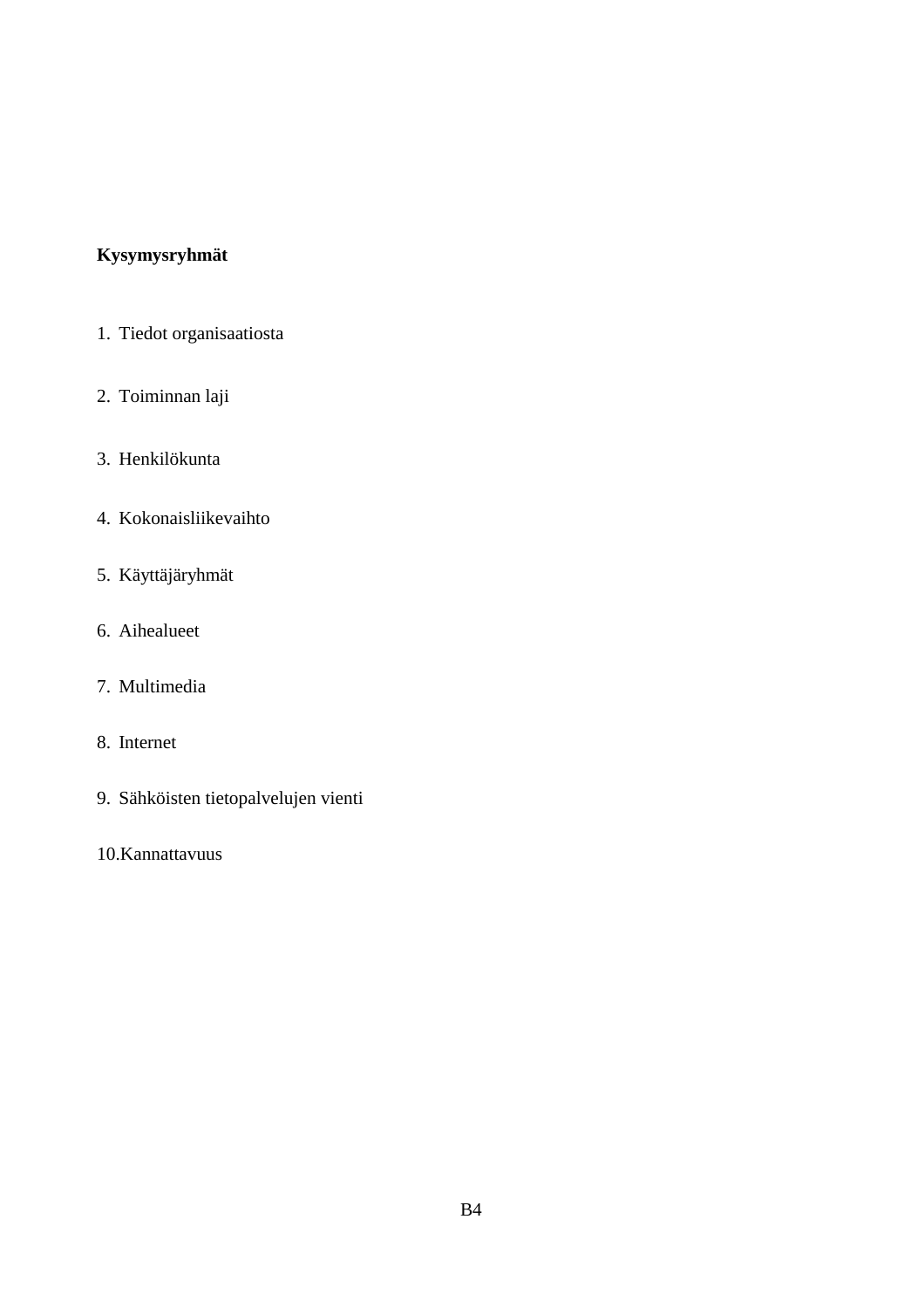# **Kysymysryhmät**

- 1. Tiedot organisaatiosta
- 2. Toiminnan laji
- 3. Henkilökunta
- 4. Kokonaisliikevaihto
- 5. Käyttäjäryhmät
- 6. Aihealueet
- 7. Multimedia
- 8. Internet
- 9. Sähköisten tietopalvelujen vienti
- 10.Kannattavuus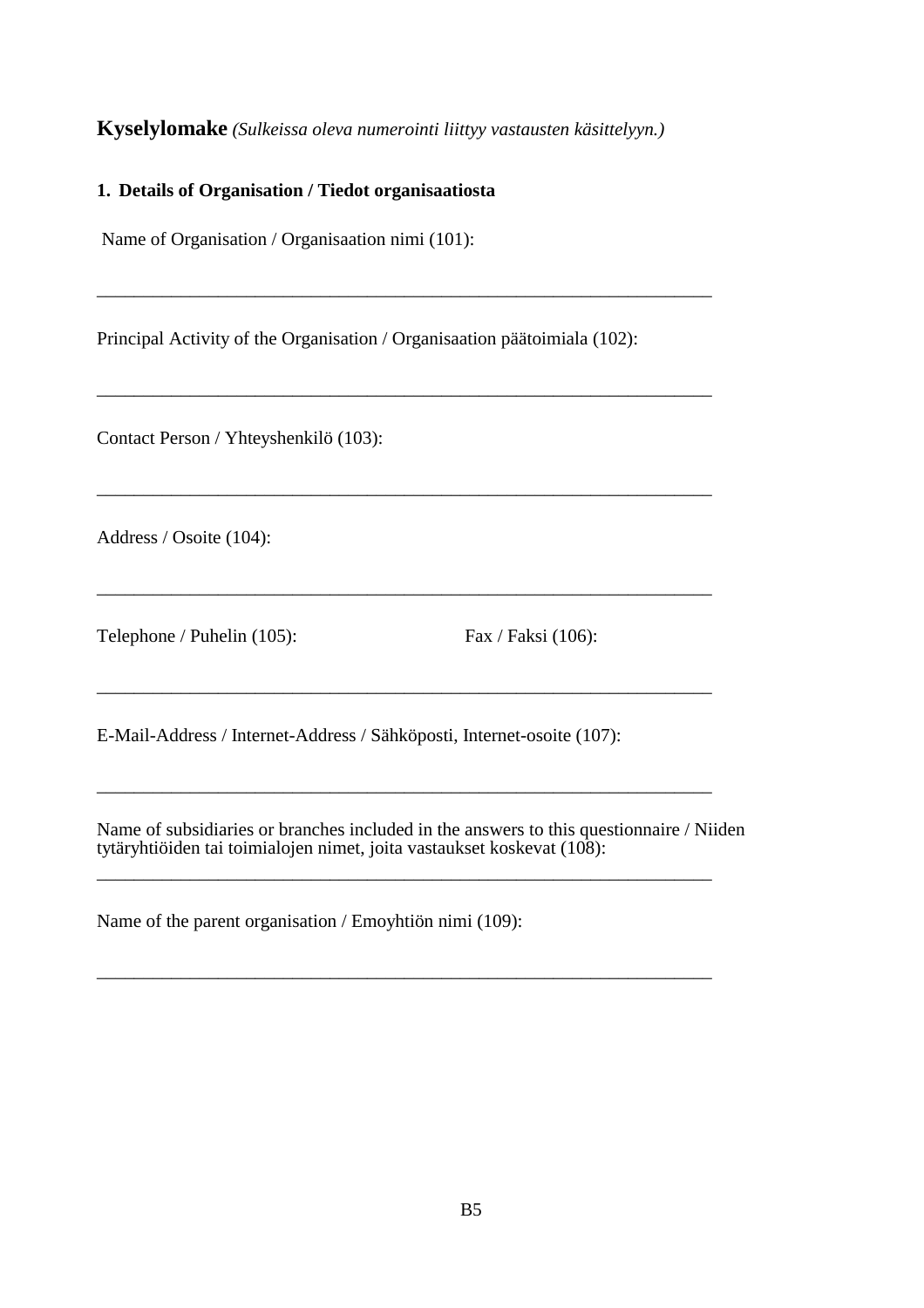#### **Kyselylomake** *(Sulkeissa oleva numerointi liittyy vastausten käsittelyyn.)*

#### **1. Details of Organisation / Tiedot organisaatiosta**

Name of Organisation / Organisaation nimi (101):

Principal Activity of the Organisation / Organisaation päätoimiala (102):

\_\_\_\_\_\_\_\_\_\_\_\_\_\_\_\_\_\_\_\_\_\_\_\_\_\_\_\_\_\_\_\_\_\_\_\_\_\_\_\_\_\_\_\_\_\_\_\_\_\_\_\_\_\_\_\_\_\_\_\_\_\_\_\_\_\_

\_\_\_\_\_\_\_\_\_\_\_\_\_\_\_\_\_\_\_\_\_\_\_\_\_\_\_\_\_\_\_\_\_\_\_\_\_\_\_\_\_\_\_\_\_\_\_\_\_\_\_\_\_\_\_\_\_\_\_\_\_\_\_\_\_\_

\_\_\_\_\_\_\_\_\_\_\_\_\_\_\_\_\_\_\_\_\_\_\_\_\_\_\_\_\_\_\_\_\_\_\_\_\_\_\_\_\_\_\_\_\_\_\_\_\_\_\_\_\_\_\_\_\_\_\_\_\_\_\_\_\_\_

\_\_\_\_\_\_\_\_\_\_\_\_\_\_\_\_\_\_\_\_\_\_\_\_\_\_\_\_\_\_\_\_\_\_\_\_\_\_\_\_\_\_\_\_\_\_\_\_\_\_\_\_\_\_\_\_\_\_\_\_\_\_\_\_\_\_

\_\_\_\_\_\_\_\_\_\_\_\_\_\_\_\_\_\_\_\_\_\_\_\_\_\_\_\_\_\_\_\_\_\_\_\_\_\_\_\_\_\_\_\_\_\_\_\_\_\_\_\_\_\_\_\_\_\_\_\_\_\_\_\_\_\_

\_\_\_\_\_\_\_\_\_\_\_\_\_\_\_\_\_\_\_\_\_\_\_\_\_\_\_\_\_\_\_\_\_\_\_\_\_\_\_\_\_\_\_\_\_\_\_\_\_\_\_\_\_\_\_\_\_\_\_\_\_\_\_\_\_\_

\_\_\_\_\_\_\_\_\_\_\_\_\_\_\_\_\_\_\_\_\_\_\_\_\_\_\_\_\_\_\_\_\_\_\_\_\_\_\_\_\_\_\_\_\_\_\_\_\_\_\_\_\_\_\_\_\_\_\_\_\_\_\_\_\_\_

\_\_\_\_\_\_\_\_\_\_\_\_\_\_\_\_\_\_\_\_\_\_\_\_\_\_\_\_\_\_\_\_\_\_\_\_\_\_\_\_\_\_\_\_\_\_\_\_\_\_\_\_\_\_\_\_\_\_\_\_\_\_\_\_\_\_

Contact Person / Yhteyshenkilö (103):

Address / Osoite (104):

Telephone / Puhelin (105): Fax / Faksi (106):

E-Mail-Address / Internet-Address / Sähköposti, Internet-osoite (107):

Name of subsidiaries or branches included in the answers to this questionnaire / Niiden tytäryhtiöiden tai toimialojen nimet, joita vastaukset koskevat (108):

Name of the parent organisation / Emoyhtiön nimi (109):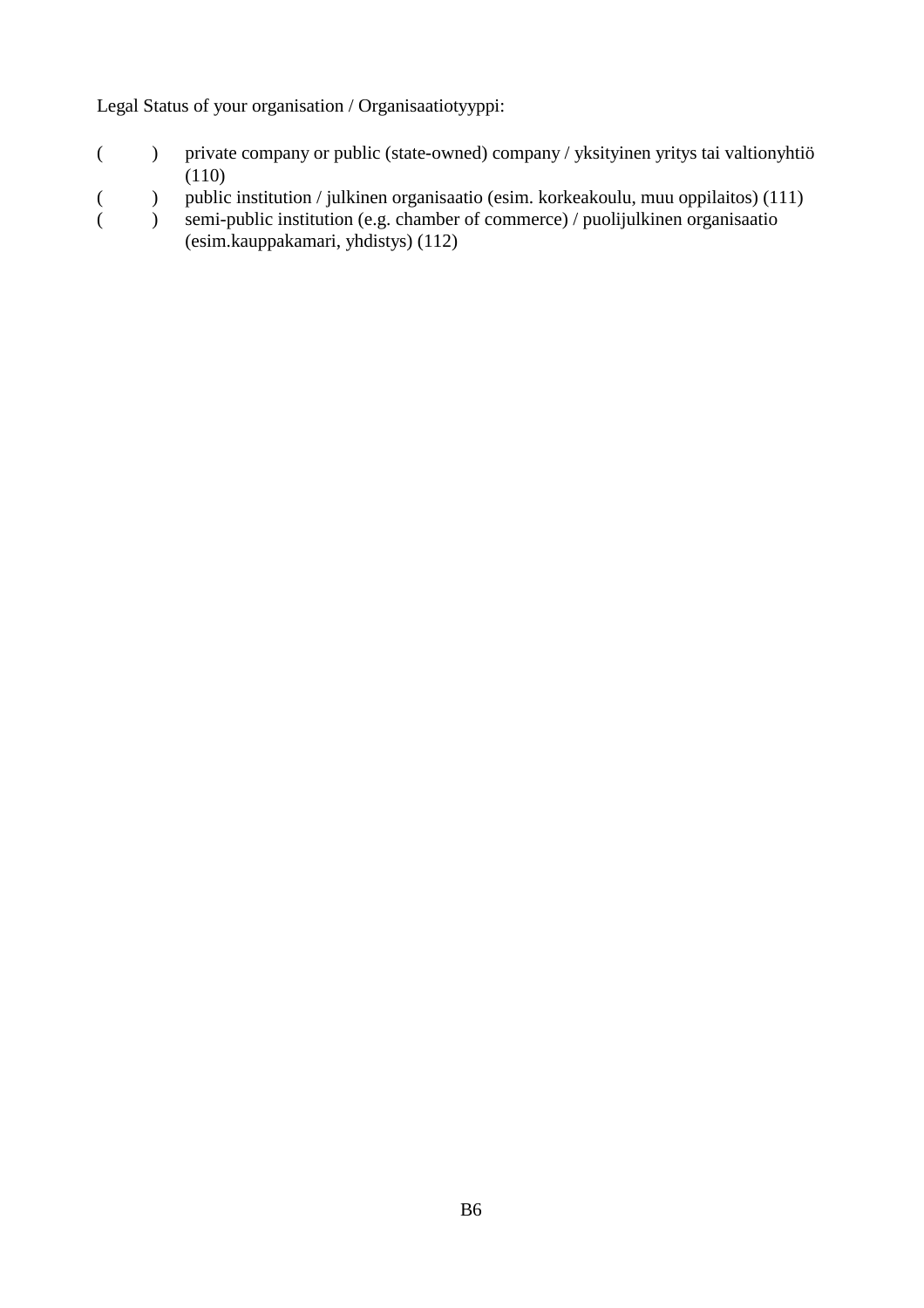Legal Status of your organisation / Organisaatiotyyppi:

- ( ) private company or public (state-owned) company / yksityinen yritys tai valtionyhtiö (110)
- ( ) public institution / julkinen organisaatio (esim. korkeakoulu, muu oppilaitos) (111)
- ( ) semi-public institution (e.g. chamber of commerce) / puolijulkinen organisaatio (esim.kauppakamari, yhdistys) (112)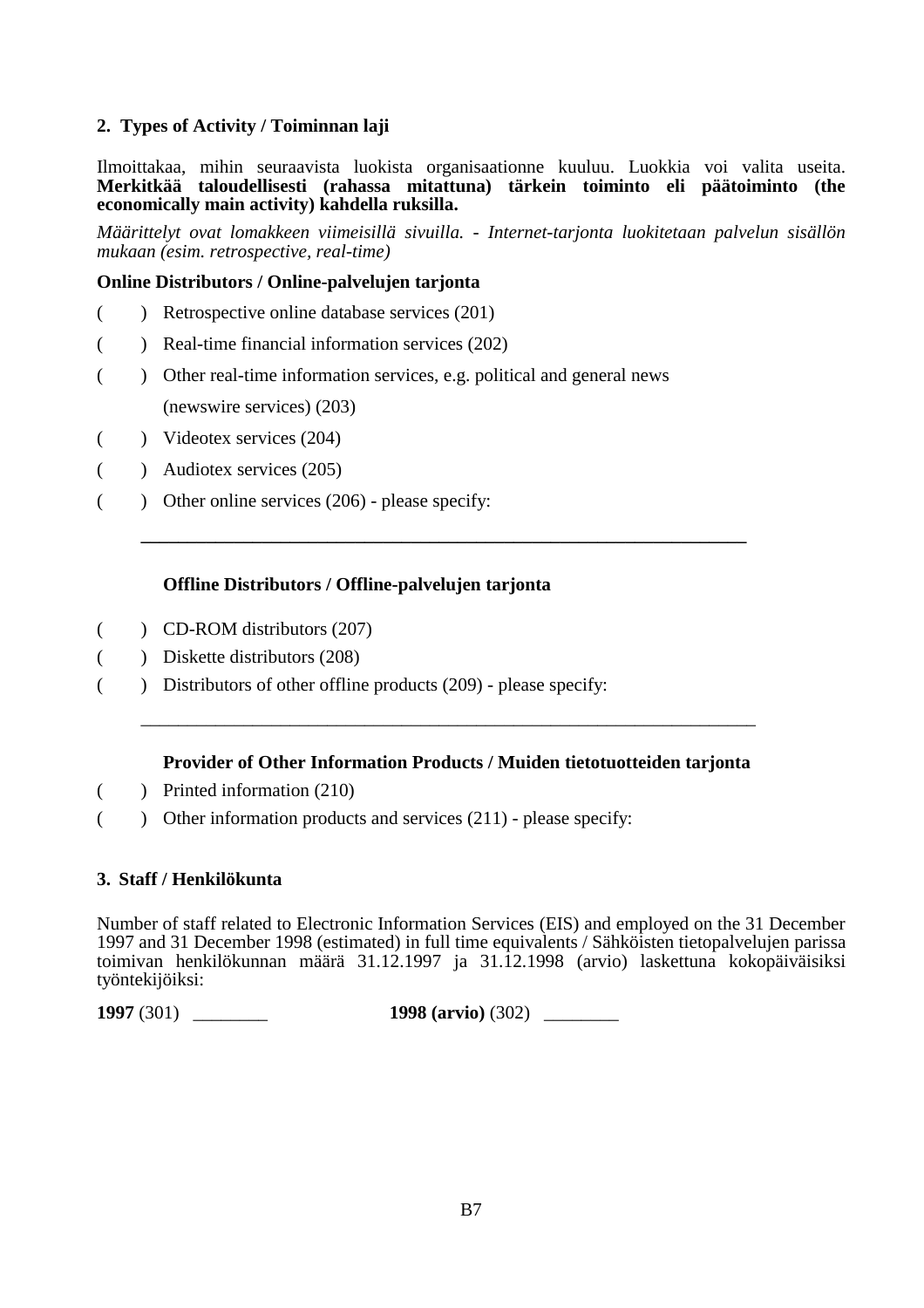#### **2. Types of Activity / Toiminnan laji**

Ilmoittakaa, mihin seuraavista luokista organisaationne kuuluu. Luokkia voi valita useita. **Merkitkää taloudellisesti (rahassa mitattuna) tärkein toiminto eli päätoiminto (the economically main activity) kahdella ruksilla.**

*Määrittelyt ovat lomakkeen viimeisillä sivuilla. - Internet-tarjonta luokitetaan palvelun sisällön mukaan (esim. retrospective, real-time)*

#### **Online Distributors / Online-palvelujen tarjonta**

- ( ) Retrospective online database services (201)
- ( ) Real-time financial information services (202)
- ( ) Other real-time information services, e.g. political and general news (newswire services) (203)
- ( ) Videotex services (204)
- ( ) Audiotex services (205)
- ( ) Other online services  $(206)$  please specify:

#### **Offline Distributors / Offline-palvelujen tarjonta**

- ( ) CD-ROM distributors (207)
- ( ) Diskette distributors (208)
- ( ) Distributors of other offline products (209) please specify:

#### **Provider of Other Information Products / Muiden tietotuotteiden tarjonta**

\_\_\_\_\_\_\_\_\_\_\_\_\_\_\_\_\_\_\_\_\_\_\_\_\_\_\_\_\_\_\_\_\_\_\_\_\_\_\_\_\_\_\_\_\_\_\_\_\_\_\_\_\_\_\_\_\_\_\_\_\_\_\_\_\_\_

**\_\_\_\_\_\_\_\_\_\_\_\_\_\_\_\_\_\_\_\_\_\_\_\_\_\_\_\_\_\_\_\_\_\_\_\_\_\_\_\_\_\_\_\_\_\_\_\_\_\_\_\_\_\_\_\_\_\_\_\_\_\_\_\_\_**

- ( ) Printed information (210)
- ( ) Other information products and services (211) please specify:

#### **3. Staff / Henkilökunta**

Number of staff related to Electronic Information Services (EIS) and employed on the 31 December 1997 and 31 December 1998 (estimated) in full time equivalents / Sähköisten tietopalvelujen parissa toimivan henkilökunnan määrä 31.12.1997 ja 31.12.1998 (arvio) laskettuna kokopäiväisiksi työntekijöiksi:

**1997** (301) \_\_\_\_\_\_\_\_ **1998 (arvio)** (302) \_\_\_\_\_\_\_\_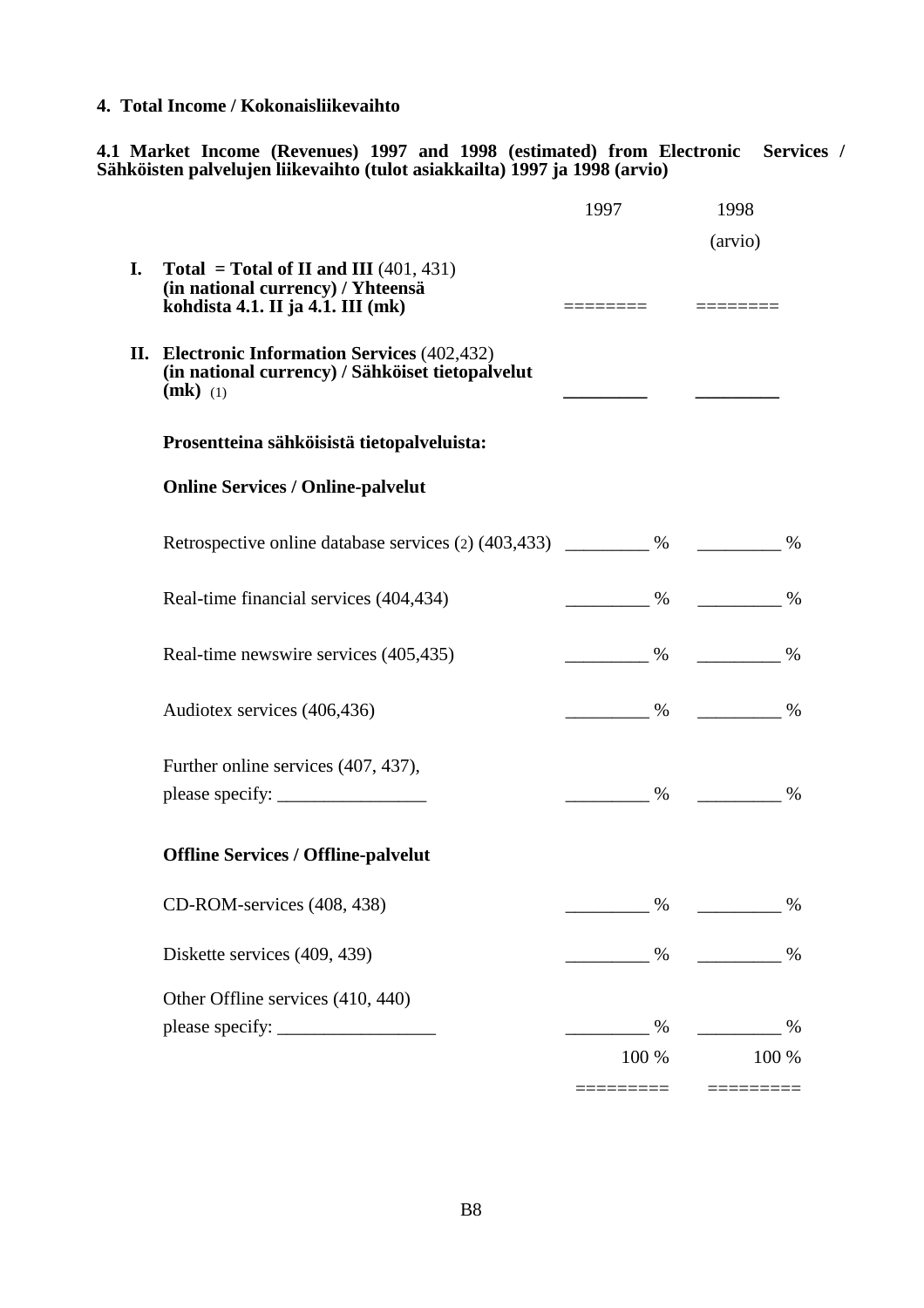**4. Total Income / Kokonaisliikevaihto**

**4.1 Market Income (Revenues) 1997 and 1998 (estimated) from Electronic Services / Sähköisten palvelujen liikevaihto (tulot asiakkailta) 1997 ja 1998 (arvio)**

|    |                                                                                                                    | 1997 |            | 1998                                                    |       |
|----|--------------------------------------------------------------------------------------------------------------------|------|------------|---------------------------------------------------------|-------|
| I. | Total = Total of II and III $(401, 431)$<br>(in national currency) / Yhteensä<br>kohdista 4.1. II ja 4.1. III (mk) |      |            | (arvio)                                                 |       |
|    | II. Electronic Information Services (402,432)<br>(in national currency) / Sähköiset tietopalvelut<br>$(mk)$ (1)    |      |            |                                                         |       |
|    | Prosentteina sähköisistä tietopalveluista:                                                                         |      |            |                                                         |       |
|    | <b>Online Services / Online-palvelut</b>                                                                           |      |            |                                                         |       |
|    | Retrospective online database services (2) $(403, 433)$ ___________ %                                              |      |            |                                                         |       |
|    | Real-time financial services (404,434)                                                                             |      |            | $\frac{9}{6}$ $\frac{9}{6}$ $\frac{1}{6}$ $\frac{9}{6}$ |       |
|    | Real-time newswire services (405,435)                                                                              |      |            | $\frac{96}{100}$ %                                      |       |
|    | Audiotex services (406,436)                                                                                        |      |            | $\frac{96}{100}$ %                                      |       |
|    | Further online services (407, 437),                                                                                |      |            |                                                         | $\%$  |
|    | <b>Offline Services / Offline-palvelut</b>                                                                         |      |            |                                                         |       |
|    | CD-ROM-services (408, 438)                                                                                         |      | $\%$       |                                                         | $\%$  |
|    | Diskette services (409, 439)                                                                                       |      | $\%$       | $\sim$ %                                                |       |
|    | Other Offline services (410, 440)                                                                                  |      | %<br>100 % | $\%$                                                    | 100 % |
|    |                                                                                                                    |      |            |                                                         |       |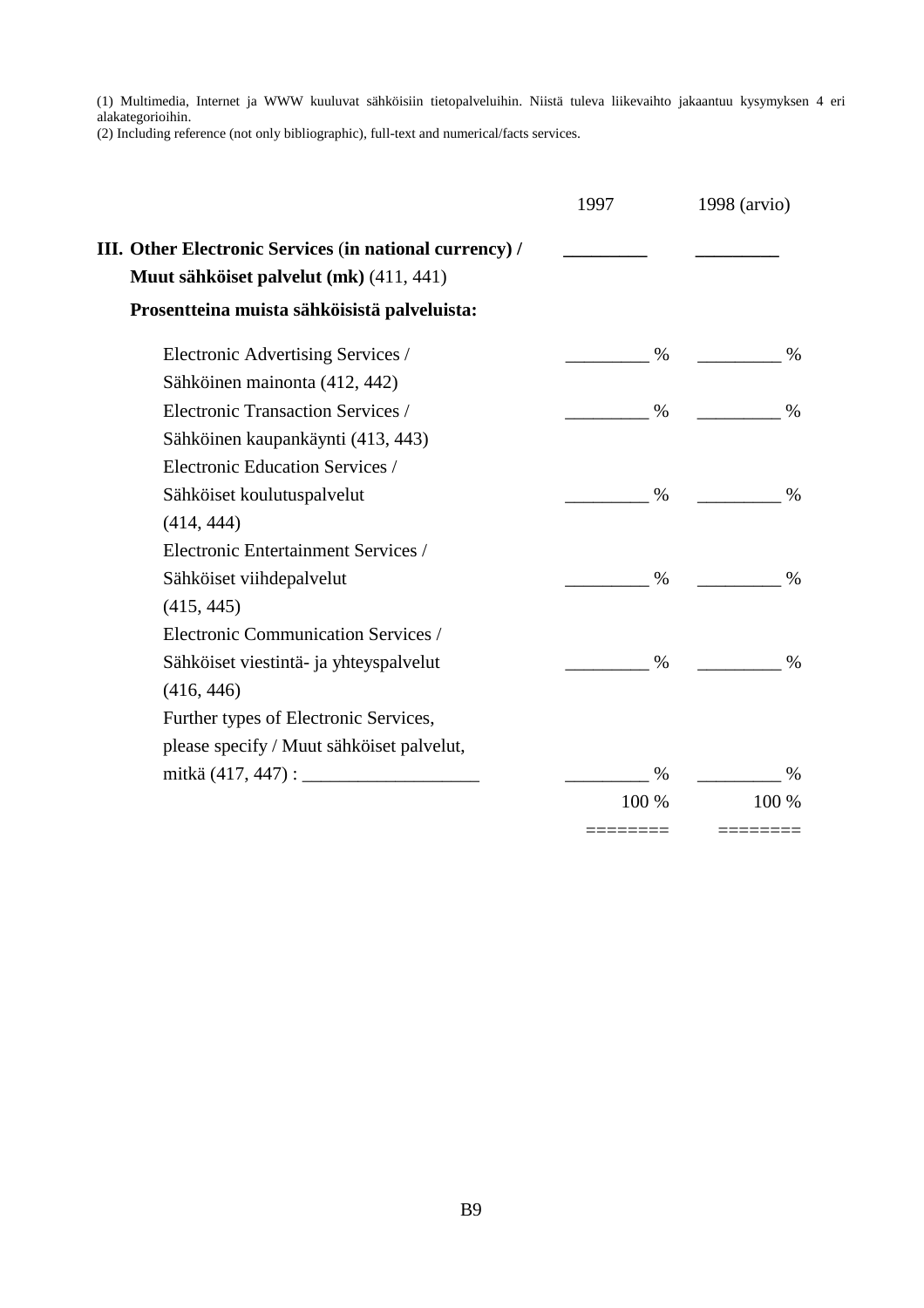(1) Multimedia, Internet ja WWW kuuluvat sähköisiin tietopalveluihin. Niistä tuleva liikevaihto jakaantuu kysymyksen 4 eri alakategorioihin.

(2) Including reference (not only bibliographic), full-text and numerical/facts services.

|                                                         | 1997  | 1998 (arvio) |
|---------------------------------------------------------|-------|--------------|
| III. Other Electronic Services (in national currency) / |       |              |
| Muut sähköiset palvelut (mk) (411, 441)                 |       |              |
| Prosentteina muista sähköisistä palveluista:            |       |              |
| Electronic Advertising Services /                       | $\%$  | $\%$         |
| Sähköinen mainonta (412, 442)                           |       |              |
| Electronic Transaction Services /                       | $\%$  | $\%$         |
| Sähköinen kaupankäynti (413, 443)                       |       |              |
| Electronic Education Services /                         |       |              |
| Sähköiset koulutuspalvelut                              | %     | $\%$         |
| (414, 444)                                              |       |              |
| Electronic Entertainment Services /                     |       |              |
| Sähköiset viihdepalvelut                                | $\%$  | $\%$         |
| (415, 445)                                              |       |              |
| Electronic Communication Services /                     |       |              |
| Sähköiset viestintä- ja yhteyspalvelut                  | $\%$  | $\%$         |
| (416, 446)                                              |       |              |
| Further types of Electronic Services,                   |       |              |
| please specify / Muut sähköiset palvelut,               |       |              |
|                                                         | $\%$  | $\%$         |
|                                                         | 100 % | 100 %        |
|                                                         |       |              |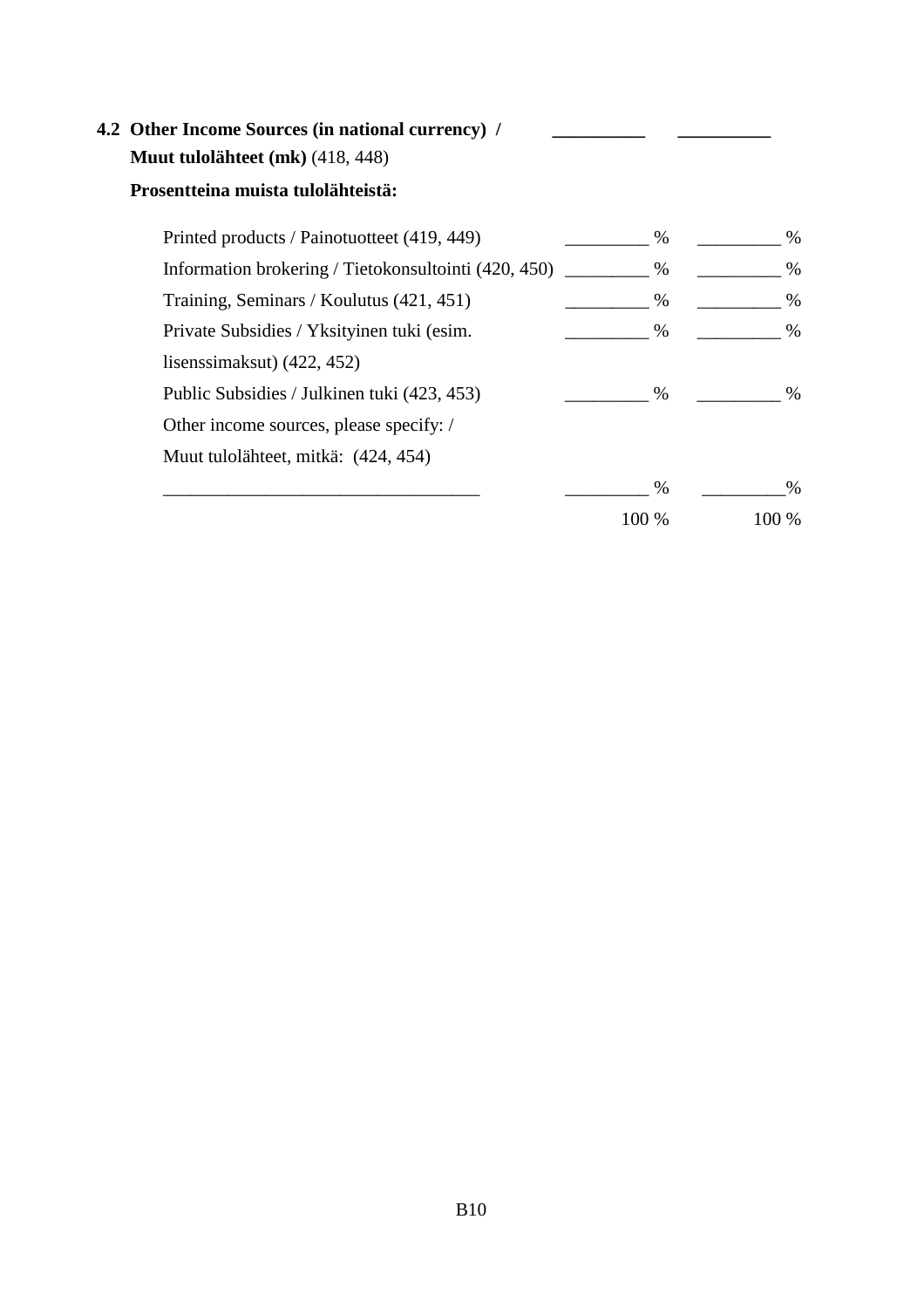# **4.2 Other Income Sources (in national currency) / Muut tulolähteet (mk)** (418, 448)

## **Prosentteina muista tulolähteistä:**

| Printed products / Painotuotteet (419, 449)          | %     | %     |
|------------------------------------------------------|-------|-------|
| Information brokering / Tietokonsultointi (420, 450) | $\%$  | $\%$  |
| Training, Seminars / Koulutus (421, 451)             | $\%$  | $\%$  |
| Private Subsidies / Yksityinen tuki (esim.           | $\%$  | %     |
| lisens simals (422, 452)                             |       |       |
| Public Subsidies / Julkinen tuki (423, 453)          | $\%$  | $\%$  |
| Other income sources, please specify: /              |       |       |
| Muut tulolähteet, mitkä: (424, 454)                  |       |       |
|                                                      | %     | $\%$  |
|                                                      | 100 % | 100 % |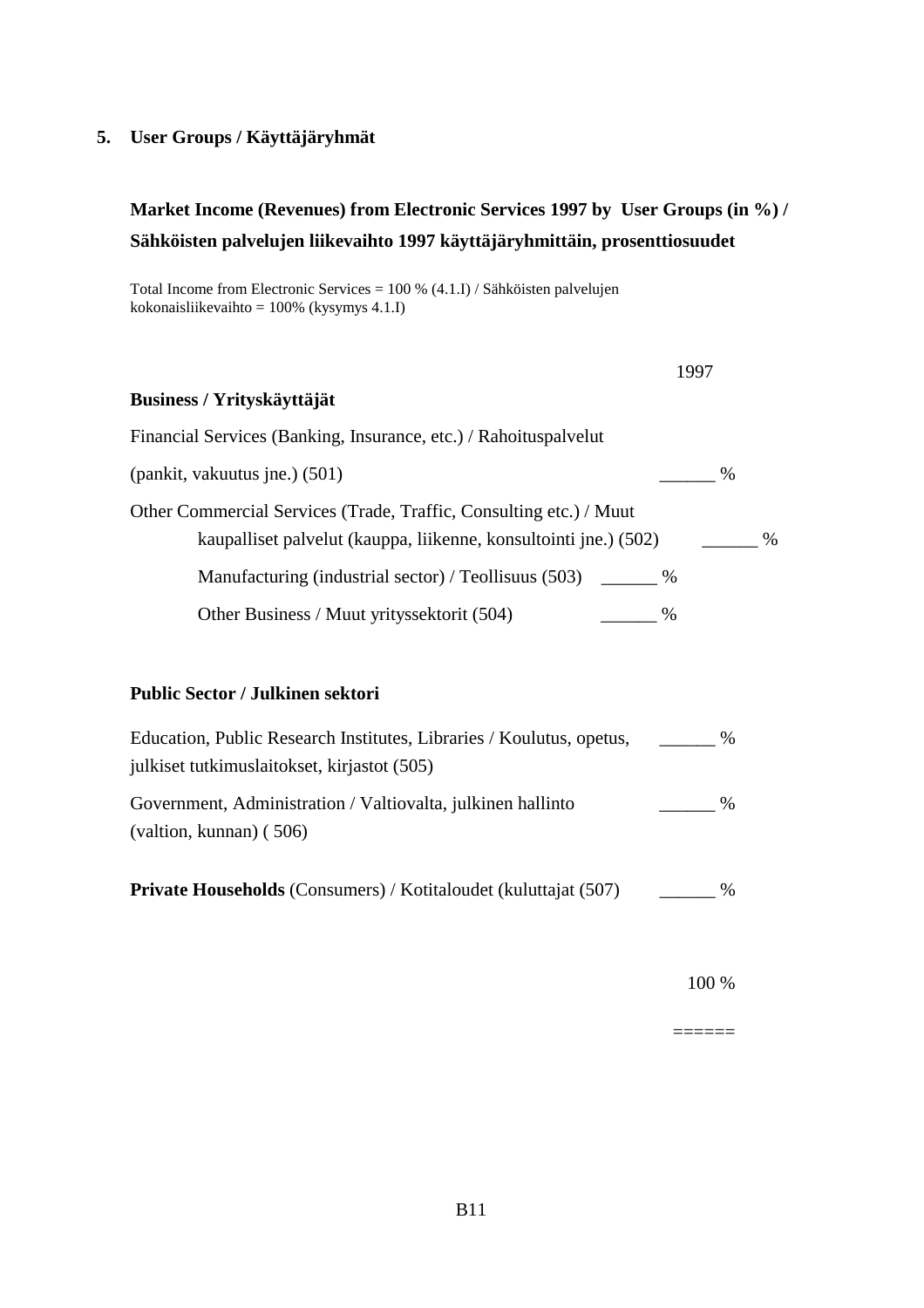#### **5. User Groups / Käyttäjäryhmät**

# **Market Income (Revenues) from Electronic Services 1997 by User Groups (in %) / Sähköisten palvelujen liikevaihto 1997 käyttäjäryhmittäin, prosenttiosuudet**

Total Income from Electronic Services = 100 % (4.1.I) / Sähköisten palvelujen kokonaisliikevaihto = 100% (kysymys 4.1.I)

|                                                                                                                                        | 1997 |
|----------------------------------------------------------------------------------------------------------------------------------------|------|
| Business / Yrityskäyttäjät                                                                                                             |      |
| Financial Services (Banking, Insurance, etc.) / Rahoituspalvelut                                                                       |      |
| (pankit, vakuutus jne.) (501)                                                                                                          | $\%$ |
| Other Commercial Services (Trade, Traffic, Consulting etc.) / Muut<br>kaupalliset palvelut (kauppa, liikenne, konsultointi jne.) (502) | $\%$ |
| Manufacturing (industrial sector) / Teollisuus (503)<br>$\%$                                                                           |      |
| Other Business / Muut yrityssektorit (504)<br>$\%$                                                                                     |      |

#### **Public Sector / Julkinen sektori**

| Education, Public Research Institutes, Libraries / Koulutus, opetus,                         | $\%$ |
|----------------------------------------------------------------------------------------------|------|
| julkiset tutkimuslaitokset, kirjastot (505)                                                  |      |
| Government, Administration / Valtiovalta, julkinen hallinto<br>$($ valtion, kunnan $)$ (506) | $\%$ |
| <b>Private Households</b> (Consumers) / Kotitaloudet (kuluttajat (507)                       | $\%$ |

100 %

======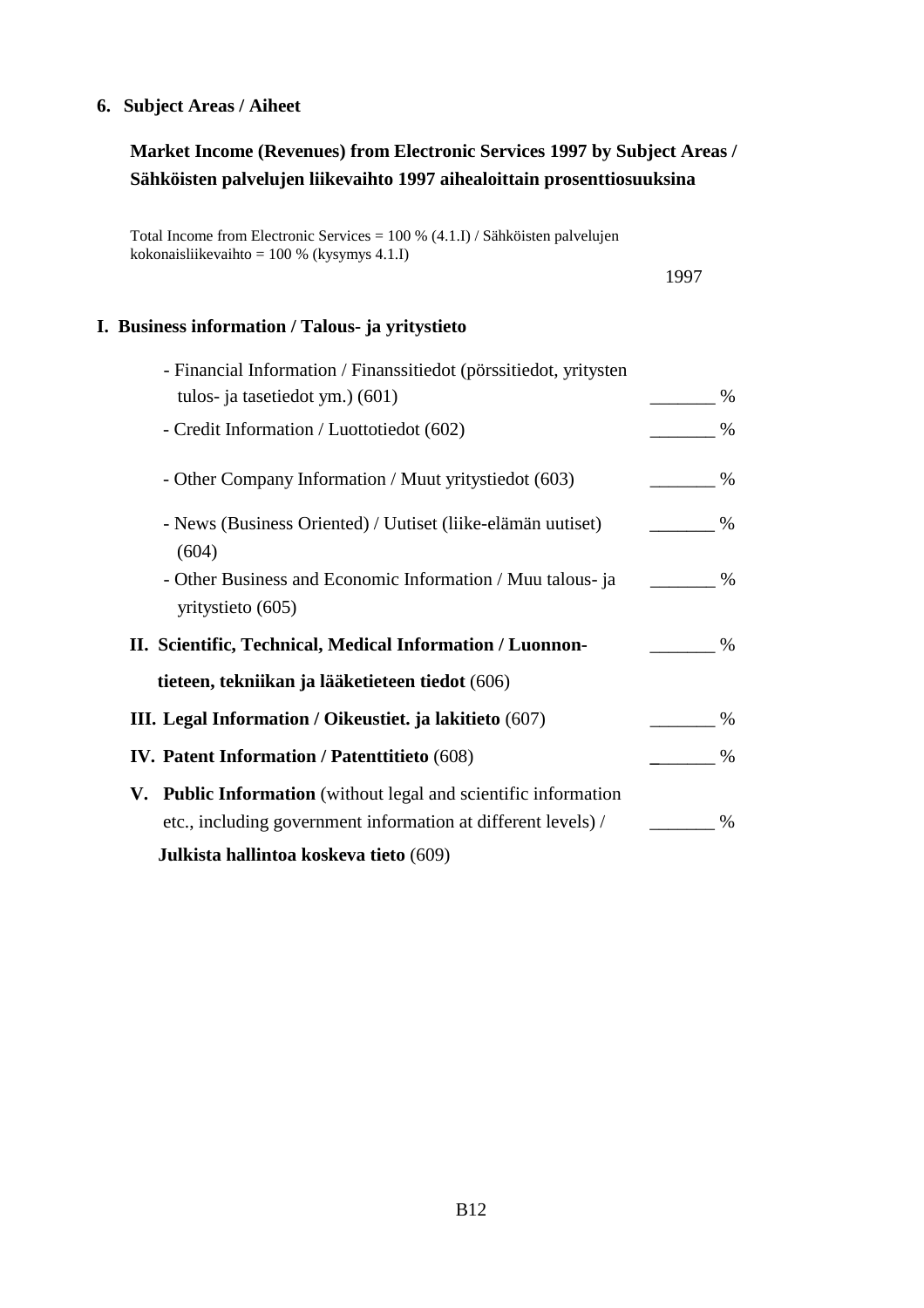#### **6. Subject Areas / Aiheet**

## **Market Income (Revenues) from Electronic Services 1997 by Subject Areas / Sähköisten palvelujen liikevaihto 1997 aihealoittain prosenttiosuuksina**

Total Income from Electronic Services = 100 % (4.1.I) / Sähköisten palvelujen kokonaisliikevaihto = 100 % (kysymys 4.1.I)

1997

#### **I. Business information / Talous- ja yritystieto**

| - Financial Information / Finanssitiedot (pörssitiedot, yritysten                                                                |      |
|----------------------------------------------------------------------------------------------------------------------------------|------|
| tulos- ja tasetiedot ym.) (601)                                                                                                  | %    |
| - Credit Information / Luottotiedot (602)                                                                                        | $\%$ |
| - Other Company Information / Muut yritystied ot (603)                                                                           | $\%$ |
| - News (Business Oriented) / Uutiset (liike-elämän uutiset)<br>(604)                                                             | $\%$ |
| - Other Business and Economic Information / Muu talous- ja<br>yritystieto (605)                                                  | %    |
| II. Scientific, Technical, Medical Information / Luonnon-                                                                        | $\%$ |
| tieteen, tekniikan ja lääketieteen tiedot (606)                                                                                  |      |
| III. Legal Information / Oikeustiet. ja lakitieto (607)                                                                          | $\%$ |
| <b>IV. Patent Information / Patentitieto (608)</b>                                                                               | $\%$ |
| V. Public Information (without legal and scientific information<br>etc., including government information at different levels) / | %    |
| Julkista hallintoa koskeva tieto (609)                                                                                           |      |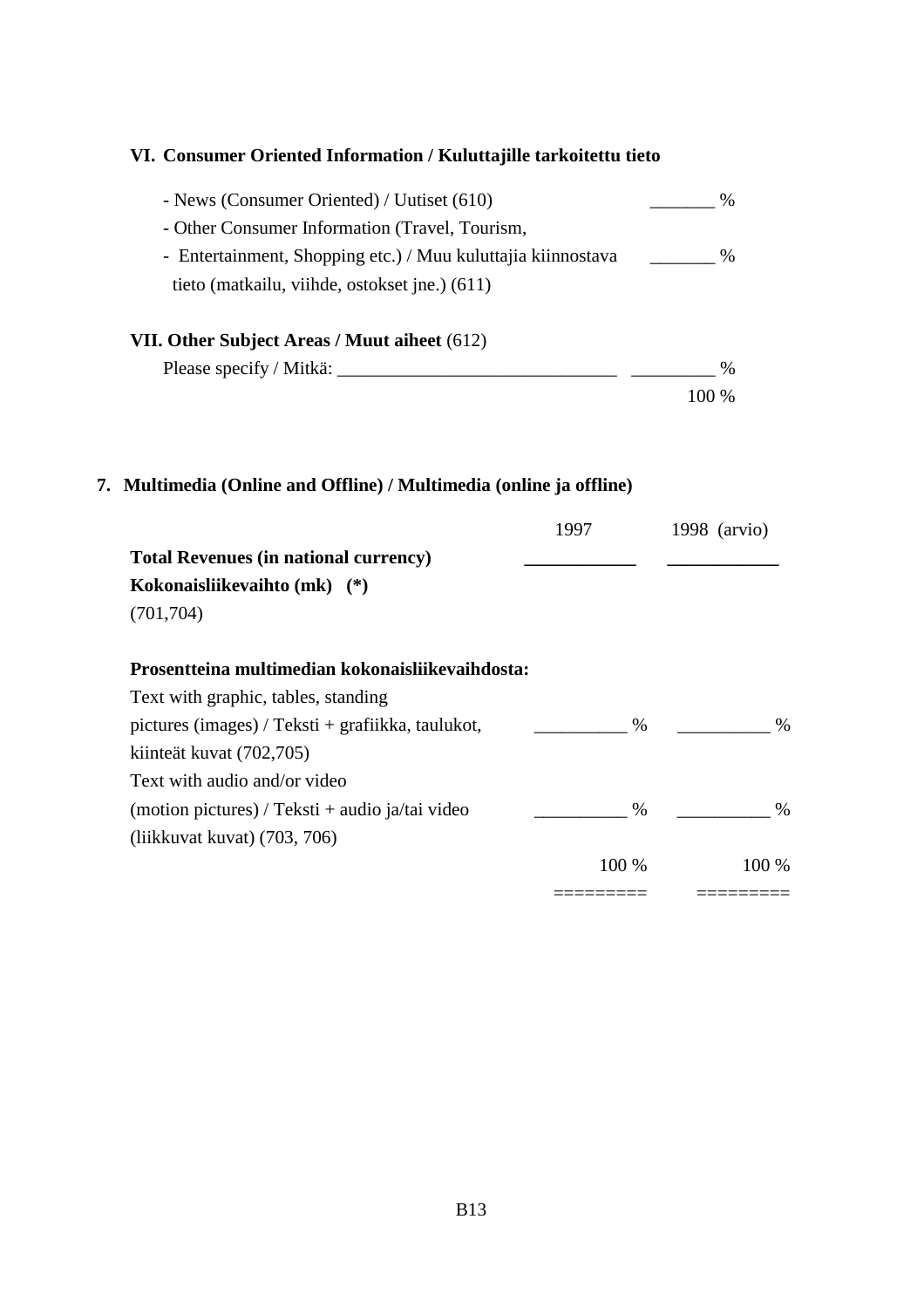# **VI. Consumer Oriented Information / Kuluttajille tarkoitettu tieto** - News (Consumer Oriented) / Uutiset (610) \_\_\_\_\_\_\_ % - Other Consumer Information (Travel, Tourism, - Entertainment, Shopping etc.) / Muu kuluttajia kiinnostava % tieto (matkailu, viihde, ostokset jne.) (611) **VII. Other Subject Areas / Muut aiheet** (612) Please specify / Mitkä:  $\%$ 100 % **7. Multimedia (Online and Offline) / Multimedia (online ja offline)** 1997 1998 (arvio) **Total Revenues (in national currency) \_\_\_\_\_\_\_\_\_\_\_\_ \_\_\_\_\_\_\_\_\_\_\_\_ Kokonaisliikevaihto (mk) (\*)** (701,704) **Prosentteina multimedian kokonaisliikevaihdosta:** Text with graphic, tables, standing pictures (images) / Teksti + grafiikka, taulukot,  $\frac{1}{2}$  %  $\frac{1}{2}$  % kiinteät kuvat (702,705) Text with audio and/or video  $(\text{motion pictures}) / \text{Teksti} + \text{audio ja/tai video}$   $\frac{1}{2}$  % (liikkuvat kuvat) (703, 706) 100 % 100 % ========= =========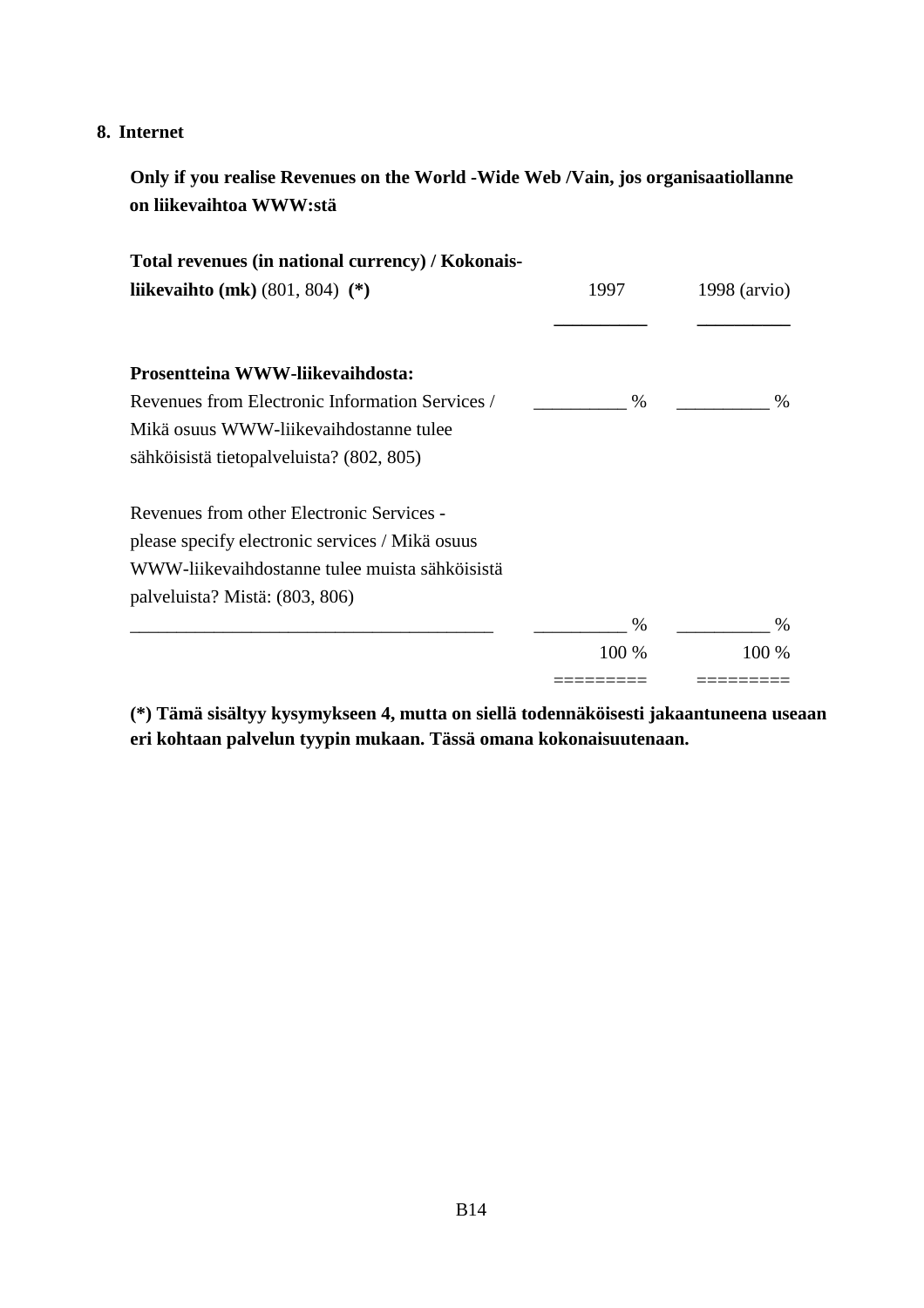#### **8. Internet**

**Only if you realise Revenues on the World -Wide Web /Vain, jos organisaatiollanne on liikevaihtoa WWW:stä**

| Total revenues (in national currency) / Kokonais- |       |                |
|---------------------------------------------------|-------|----------------|
| liikevaihto (mk) $(801, 804)$ (*)                 | 1997  | $1998$ (arvio) |
| Prosentteina WWW-liikevaihdosta:                  |       |                |
| Revenues from Electronic Information Services /   | $\%$  | $\%$           |
| Mikä osuus WWW-liikevaihdostanne tulee            |       |                |
| sähköisistä tietopalveluista? (802, 805)          |       |                |
| Revenues from other Electronic Services -         |       |                |
| please specify electronic services / Mikä osuus   |       |                |
| WWW-liikevaihdostanne tulee muista sähköisistä    |       |                |
| palveluista? Mistä: (803, 806)                    |       |                |
|                                                   | $\%$  | $\%$           |
|                                                   | 100 % | 100 %          |
|                                                   |       |                |

**(\*) Tämä sisältyy kysymykseen 4, mutta on siellä todennäköisesti jakaantuneena useaan eri kohtaan palvelun tyypin mukaan. Tässä omana kokonaisuutenaan.**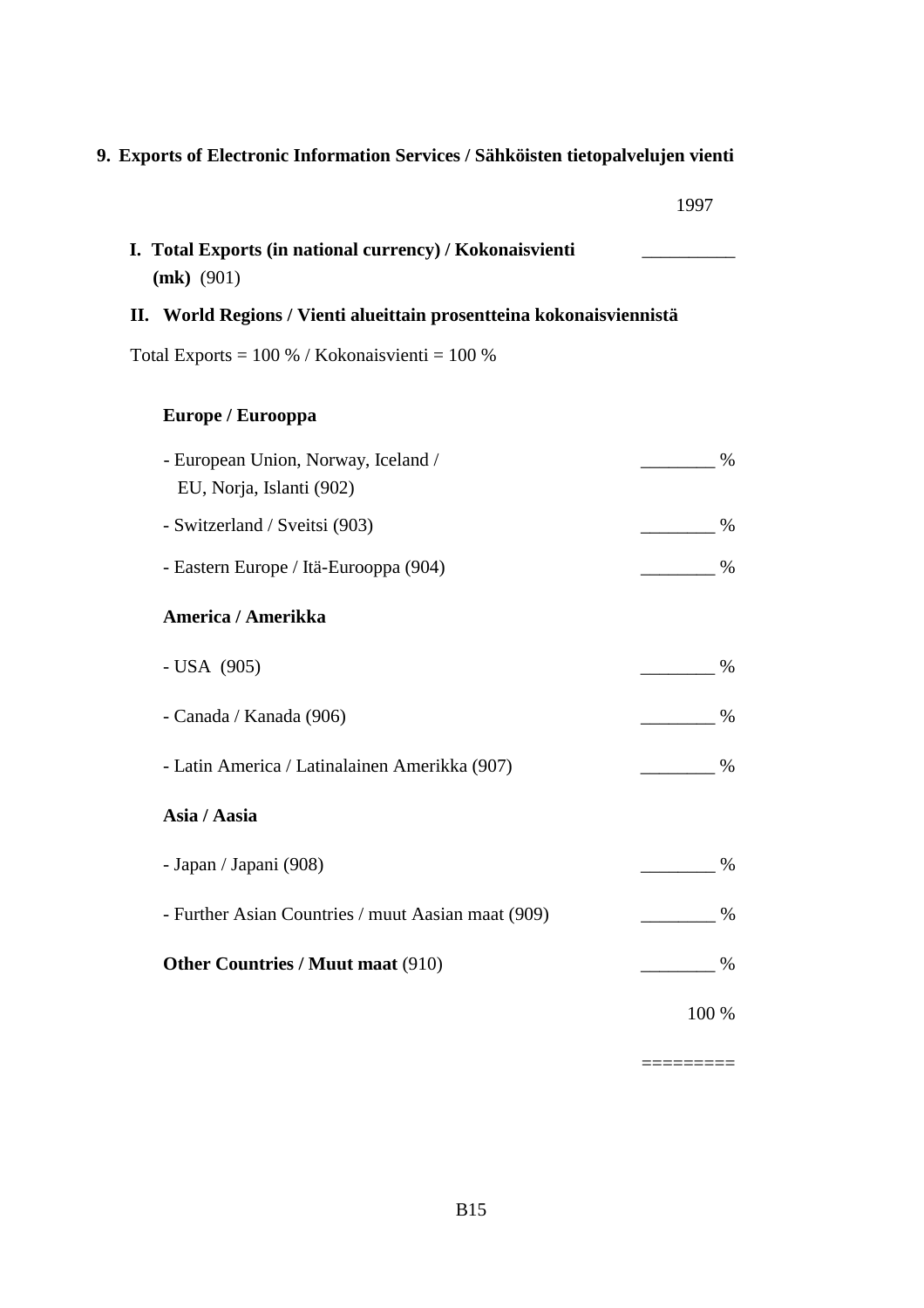# **9. Exports of Electronic Information Services / Sähköisten tietopalvelujen vienti**

| ٧<br>٧ |  |
|--------|--|
|        |  |

| I. Total Exports (in national currency) / Kokonaisvienti<br>$(mk)$ (901) |               |  |  |  |  |
|--------------------------------------------------------------------------|---------------|--|--|--|--|
| II. World Regions / Vienti alueittain prosentteina kokonaisviennistä     |               |  |  |  |  |
| Total Exports = $100\%$ / Kokonaisvienti = $100\%$                       |               |  |  |  |  |
| Europe / Eurooppa                                                        |               |  |  |  |  |
| - European Union, Norway, Iceland /<br>EU, Norja, Islanti (902)          | $\frac{0}{0}$ |  |  |  |  |
| - Switzerland / Sveitsi (903)                                            | $\%$          |  |  |  |  |
| - Eastern Europe / Itä-Eurooppa (904)                                    | $\%$          |  |  |  |  |
| America / Amerikka                                                       |               |  |  |  |  |
| - USA (905)                                                              | %             |  |  |  |  |
| - Canada / Kanada (906)                                                  | $\%$          |  |  |  |  |
| - Latin America / Latinalainen Amerikka (907)                            | $\%$          |  |  |  |  |
| Asia / Aasia                                                             |               |  |  |  |  |
| - Japan / Japani (908)                                                   | $\%$          |  |  |  |  |
| - Further Asian Countries / muut Aasian maat (909)                       | $\%$          |  |  |  |  |
| <b>Other Countries / Muut maat (910)</b>                                 | $\%$          |  |  |  |  |
|                                                                          | 100 %         |  |  |  |  |

=========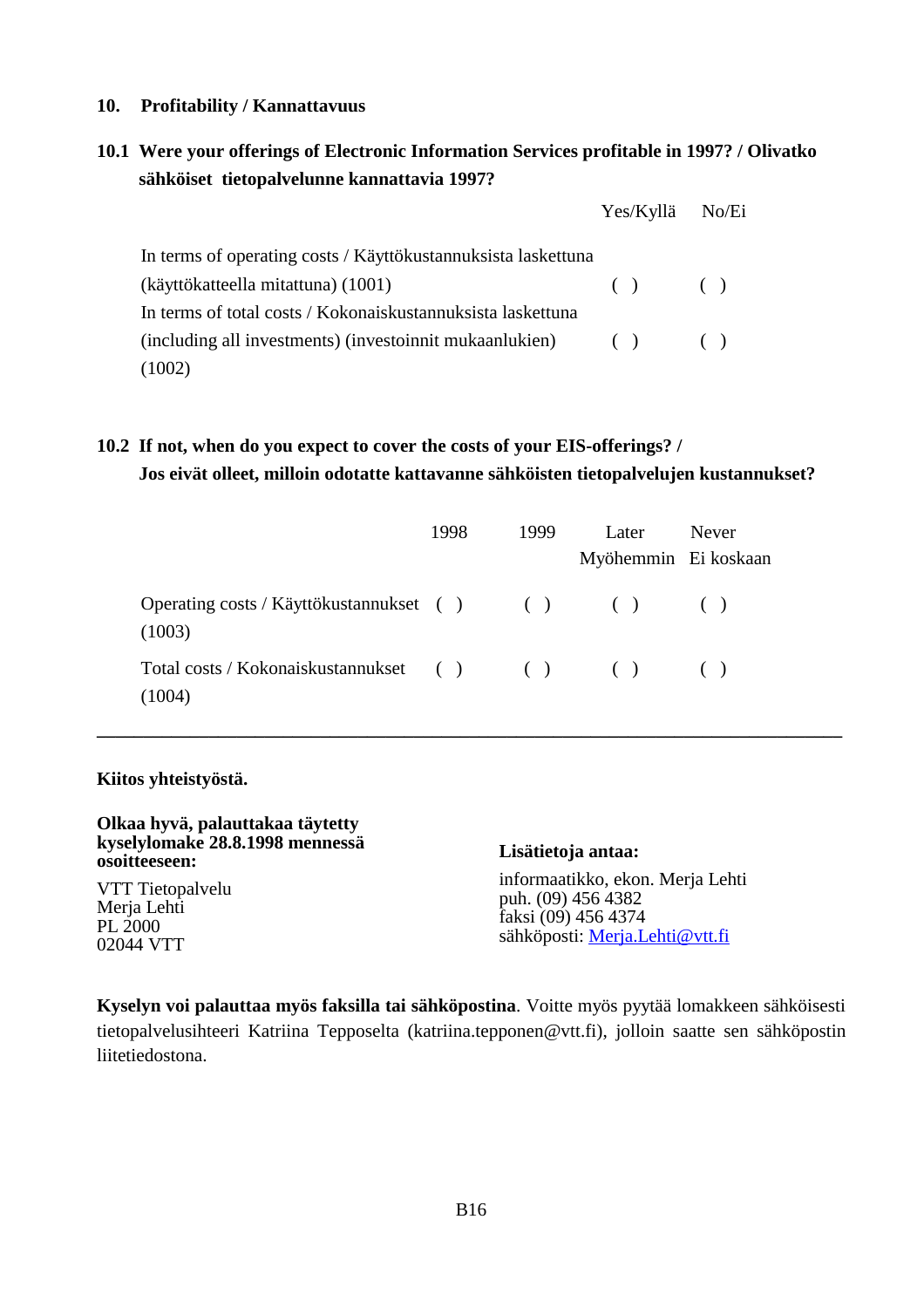#### **10. Profitability / Kannattavuus**

## **10.1 Were your offerings of Electronic Information Services profitable in 1997? / Olivatko sähköiset tietopalvelunne kannattavia 1997?**

|                                                               | Yes/Kyllä No/Ei |  |
|---------------------------------------------------------------|-----------------|--|
| In terms of operating costs / Käyttökustannuksista laskettuna |                 |  |
| (käyttökatteella mitattuna) (1001)                            | $( )$ $( )$     |  |
| In terms of total costs / Kokonaiskustannuksista laskettuna   |                 |  |
| (including all investments) (investoinnit mukaanlukien) () () |                 |  |
| (1002)                                                        |                 |  |

## **10.2 If not, when do you expect to cover the costs of your EIS-offerings? / Jos eivät olleet, milloin odotatte kattavanne sähköisten tietopalvelujen kustannukset?**

|                                                                | 1998 | 1999 |  | Later | <b>Never</b><br>Myöhemmin Ei koskaan |
|----------------------------------------------------------------|------|------|--|-------|--------------------------------------|
| Operating costs / Käyttökustannukset ( ) ( ) ( ) ( )<br>(1003) |      |      |  |       |                                      |
| Total costs / Kokonaiskustannukset ( ) ( ) ( ) ( )<br>(1004)   |      |      |  |       |                                      |

**\_\_\_\_\_\_\_\_\_\_\_\_\_\_\_\_\_\_\_\_\_\_\_\_\_\_\_\_\_\_\_\_\_\_\_\_\_\_\_\_\_\_\_\_\_\_\_\_\_\_\_\_\_\_\_\_\_\_\_\_\_\_\_\_\_\_\_\_\_\_\_\_\_\_\_\_\_\_\_\_**

#### **Kiitos yhteistyöstä.**

| Olkaa hyvä, palauttakaa täytetty<br>kyselylomake 28.8.1998 mennessä<br>osoitteeseen: | Lisätietoja antaa:               |
|--------------------------------------------------------------------------------------|----------------------------------|
| VTT Tietopalvelu                                                                     | informaatikko, ekon. Merja Lehti |
| Merja Lehti                                                                          | puh. (09) 456 4382               |
| PL 2000                                                                              | faksi (09) 456 4374              |
| 02044 VTT                                                                            | sähköposti: Merja.Lehti@vtt.fi   |

**Kyselyn voi palauttaa myös faksilla tai sähköpostina**. Voitte myös pyytää lomakkeen sähköisesti tietopalvelusihteeri Katriina Tepposelta (katriina.tepponen@vtt.fi), jolloin saatte sen sähköpostin liitetiedostona.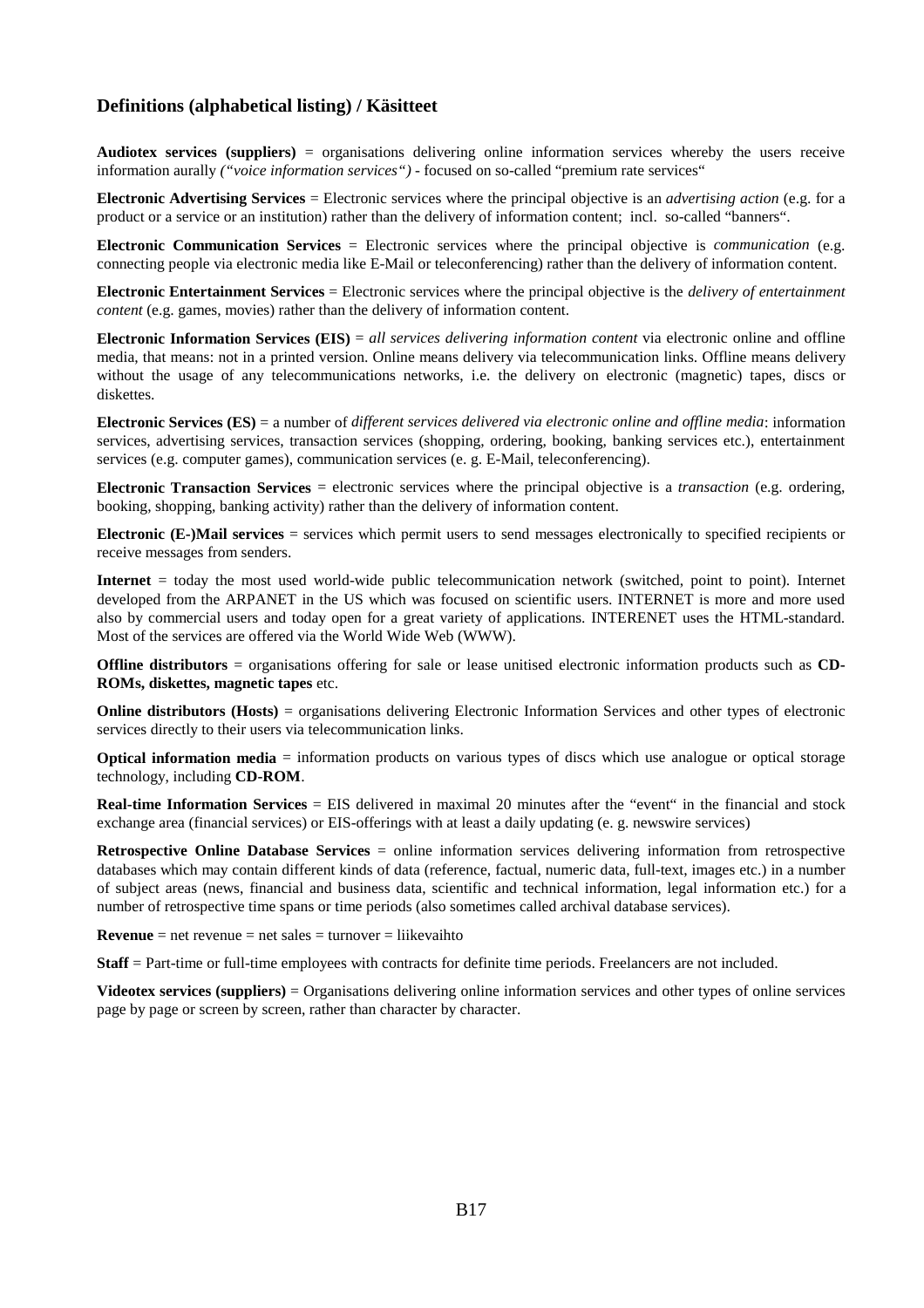#### **Definitions (alphabetical listing) / Käsitteet**

**Audiotex services (suppliers)** = organisations delivering online information services whereby the users receive information aurally *("voice information services")* - focused on so-called "premium rate services"

**Electronic Advertising Services** = Electronic services where the principal objective is an *advertising action* (e.g. for a product or a service or an institution) rather than the delivery of information content; incl. so-called "banners".

**Electronic Communication Services** = Electronic services where the principal objective is *communication* (e.g. connecting people via electronic media like E-Mail or teleconferencing) rather than the delivery of information content.

**Electronic Entertainment Services** = Electronic services where the principal objective is the *delivery of entertainment content* (e.g. games, movies) rather than the delivery of information content.

**Electronic Information Services (EIS)** = *all services delivering information content* via electronic online and offline media, that means: not in a printed version. Online means delivery via telecommunication links. Offline means delivery without the usage of any telecommunications networks, i.e. the delivery on electronic (magnetic) tapes, discs or diskettes.

**Electronic Services (ES)** = a number of *different services delivered via electronic online and offline media*: information services, advertising services, transaction services (shopping, ordering, booking, banking services etc.), entertainment services (e.g. computer games), communication services (e. g. E-Mail, teleconferencing).

**Electronic Transaction Services** = electronic services where the principal objective is a *transaction* (e.g. ordering, booking, shopping, banking activity) rather than the delivery of information content.

**Electronic (E-)Mail services** = services which permit users to send messages electronically to specified recipients or receive messages from senders.

**Internet** = today the most used world-wide public telecommunication network (switched, point to point). Internet developed from the ARPANET in the US which was focused on scientific users. INTERNET is more and more used also by commercial users and today open for a great variety of applications. INTERENET uses the HTML-standard. Most of the services are offered via the World Wide Web (WWW).

**Offline distributors** = organisations offering for sale or lease unitised electronic information products such as **CD**-**ROMs, diskettes, magnetic tapes** etc.

**Online distributors (Hosts)** = organisations delivering Electronic Information Services and other types of electronic services directly to their users via telecommunication links.

**Optical information media** = information products on various types of discs which use analogue or optical storage technology, including **CD-ROM**.

**Real-time Information Services** = EIS delivered in maximal 20 minutes after the "event" in the financial and stock exchange area (financial services) or EIS-offerings with at least a daily updating (e. g. newswire services)

**Retrospective Online Database Services** = online information services delivering information from retrospective databases which may contain different kinds of data (reference, factual, numeric data, full-text, images etc.) in a number of subject areas (news, financial and business data, scientific and technical information, legal information etc.) for a number of retrospective time spans or time periods (also sometimes called archival database services).

**Revenue** = net revenue = net sales = turnover = liikevaihto

**Staff** = Part-time or full-time employees with contracts for definite time periods. Freelancers are not included.

**Videotex services (suppliers)** = Organisations delivering online information services and other types of online services page by page or screen by screen, rather than character by character.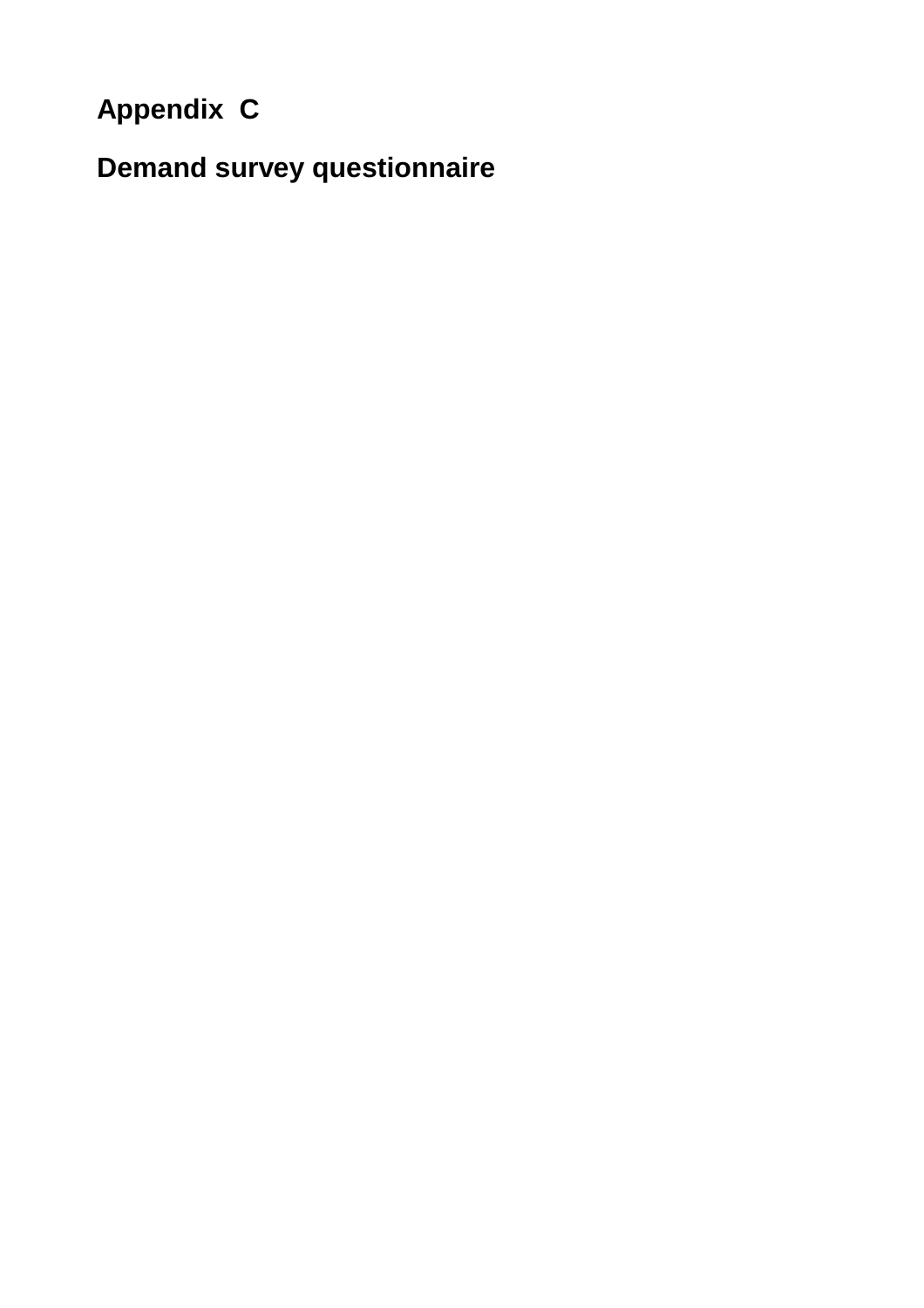# **Appendix C**

**Demand survey questionnaire**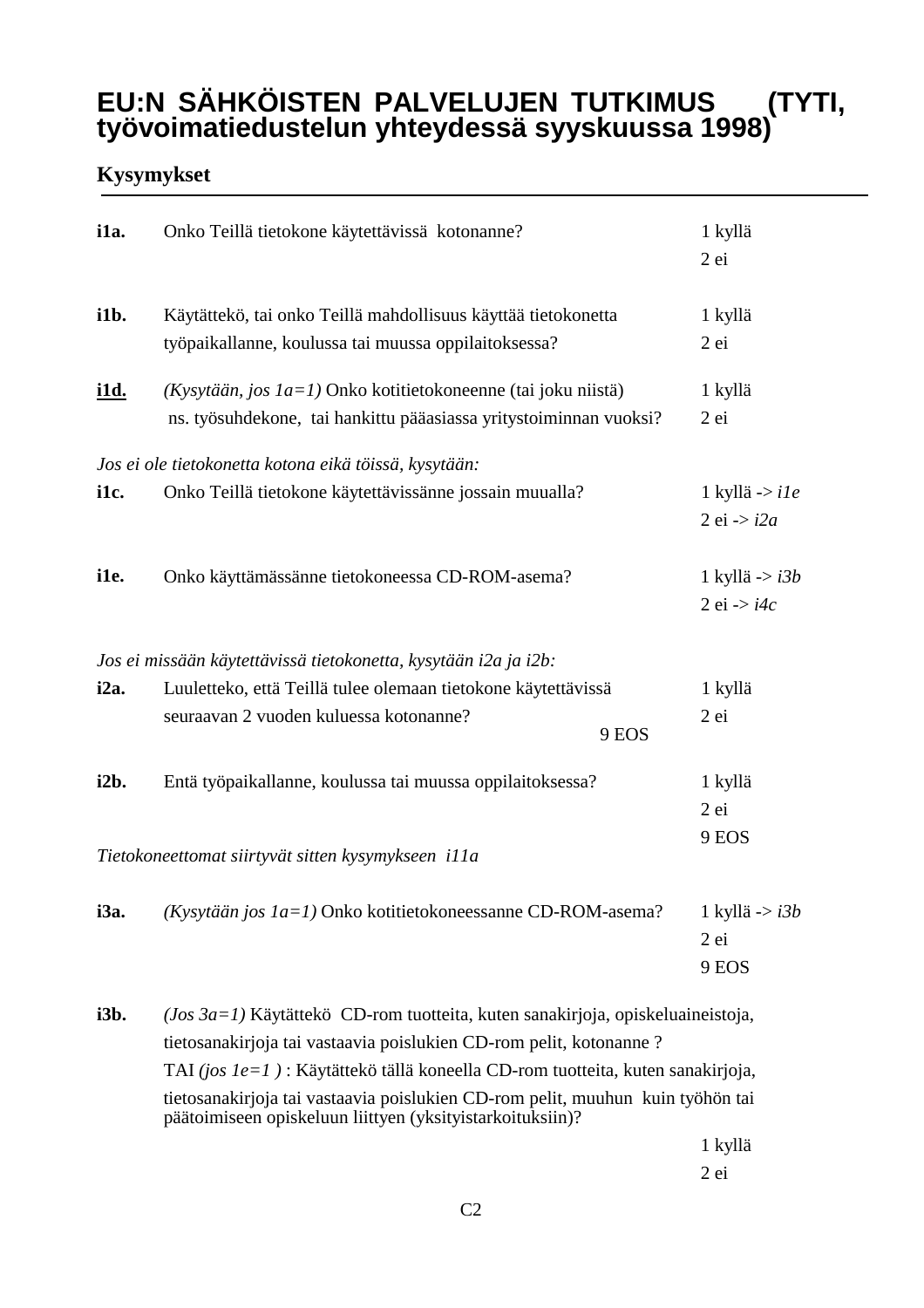# **EU:N SÄHKÖISTEN PALVELUJEN TUTKIMUS (TYTI, työvoimatiedustelun yhteydessä syyskuussa 1998)**

# **Kysymykset**

| i1a.                                                        | Onko Teillä tietokone käytettävissä kotonanne?                                                                                                                                                                                                                                                                                                                                           | 1 kyllä<br>$2$ ei                             |  |  |
|-------------------------------------------------------------|------------------------------------------------------------------------------------------------------------------------------------------------------------------------------------------------------------------------------------------------------------------------------------------------------------------------------------------------------------------------------------------|-----------------------------------------------|--|--|
| i1b.                                                        | Käytättekö, tai onko Teillä mahdollisuus käyttää tietokonetta<br>työpaikallanne, koulussa tai muussa oppilaitoksessa?                                                                                                                                                                                                                                                                    | 1 kyllä<br>$2$ ei                             |  |  |
| <u>i1d.</u>                                                 | (Kysytään, jos $1a=1$ ) Onko kotitietokoneenne (tai joku niistä)<br>ns. työsuhdekone, tai hankittu pääasiassa yritystoiminnan vuoksi?                                                                                                                                                                                                                                                    | 1 kyllä<br>$2$ ei                             |  |  |
| i1c.                                                        | Jos ei ole tietokonetta kotona eikä töissä, kysytään:<br>Onko Teillä tietokone käytettävissänne jossain muualla?                                                                                                                                                                                                                                                                         | 1 kyllä -> i1e<br>$2$ ei $\rightarrow$ i $2a$ |  |  |
| i1e.                                                        | Onko käyttämässänne tietokoneessa CD-ROM-asema?                                                                                                                                                                                                                                                                                                                                          | 1 kyllä -> $i3b$<br>$2$ ei $\rightarrow$ i4c  |  |  |
|                                                             | Jos ei missään käytettävissä tietokonetta, kysytään i2a ja i2b:                                                                                                                                                                                                                                                                                                                          |                                               |  |  |
| i2a.                                                        | Luuletteko, että Teillä tulee olemaan tietokone käytettävissä<br>seuraavan 2 vuoden kuluessa kotonanne?<br>9 EOS                                                                                                                                                                                                                                                                         | 1 kyllä<br>$2$ ei                             |  |  |
| i2b.                                                        | Entä työpaikallanne, koulussa tai muussa oppilaitoksessa?                                                                                                                                                                                                                                                                                                                                | 1 kyllä<br>$2$ ei                             |  |  |
| 9 EOS<br>Tietokoneettomat siirtyvät sitten kysymykseen illa |                                                                                                                                                                                                                                                                                                                                                                                          |                                               |  |  |
| i3a.                                                        | (Kysytään jos 1a=1) Onko kotitietokoneessanne CD-ROM-asema?                                                                                                                                                                                                                                                                                                                              | 1 kyllä -> <i>i3b</i><br>$2$ ei<br>9 EOS      |  |  |
| i3b.                                                        | $(Jos 3a=1)$ Käytättekö CD-rom tuotteita, kuten sanakirjoja, opiskeluaineistoja,<br>tietosanakirjoja tai vastaavia poislukien CD-rom pelit, kotonanne ?<br>TAI (jos 1e=1): Käytättekö tällä koneella CD-rom tuotteita, kuten sanakirjoja,<br>tietosanakirjoja tai vastaavia poislukien CD-rom pelit, muuhun kuin työhön tai<br>päätoimiseen opiskeluun liittyen (yksityistarkoituksiin)? |                                               |  |  |

1 kyllä 2 ei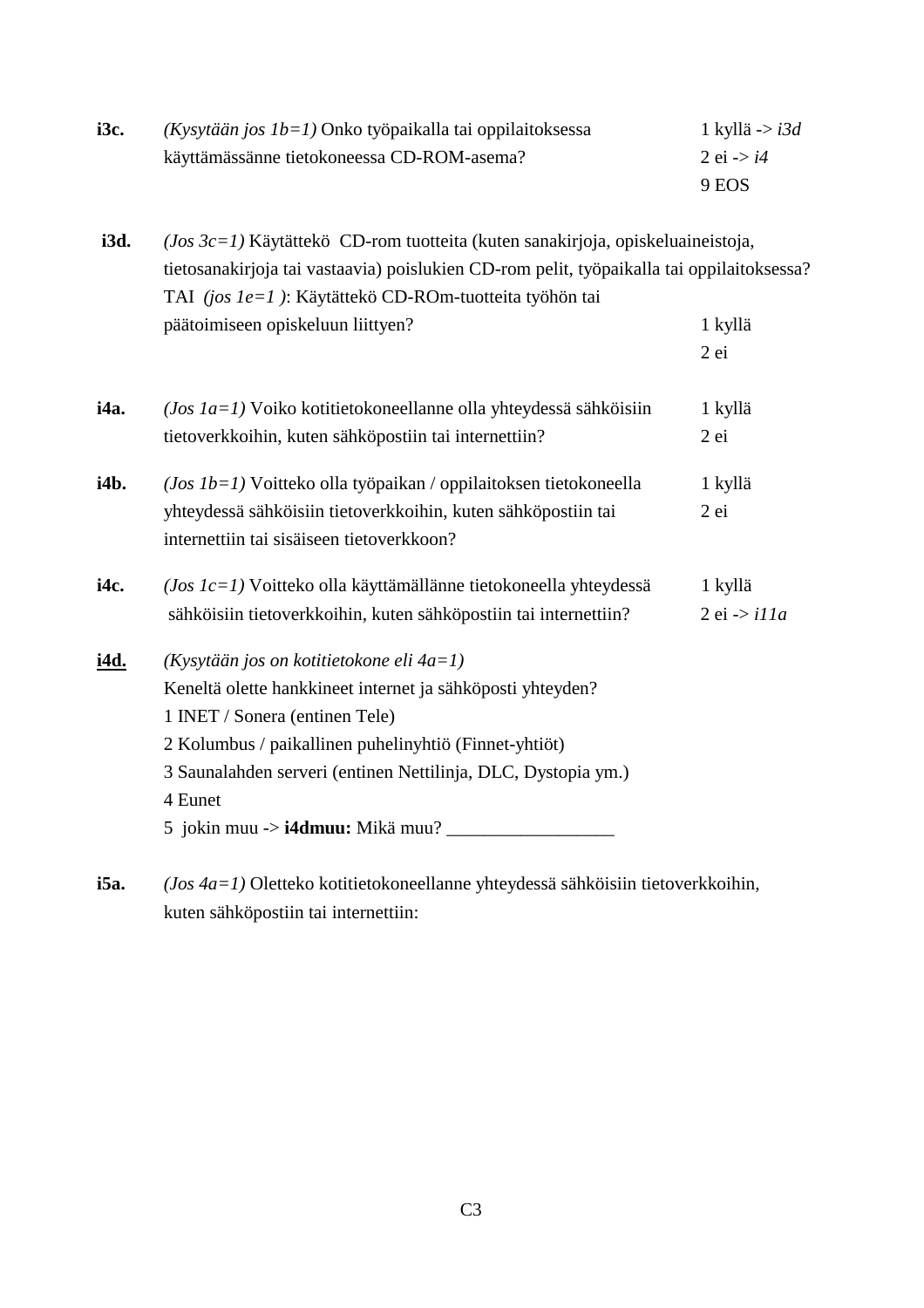| i3c.        | $(Kysytään jos Ib=1)$ Onko työpaikalla tai oppilaitoksessa                                | 1 kyllä -> $i3d$           |
|-------------|-------------------------------------------------------------------------------------------|----------------------------|
|             | käyttämässänne tietokoneessa CD-ROM-asema?                                                | 2 ei $\rightarrow i4$      |
|             |                                                                                           | 9 EOS                      |
| i3d.        | $(Jos \, 3c=1)$ Käytättekö CD-rom tuotteita (kuten sanakirjoja, opiskeluaineistoja,       |                            |
|             | tietosanakirjoja tai vastaavia) poislukien CD-rom pelit, työpaikalla tai oppilaitoksessa? |                            |
|             | TAI (jos le=1): Käytättekö CD-ROm-tuotteita työhön tai                                    |                            |
|             | päätoimiseen opiskeluun liittyen?                                                         | 1 kyllä                    |
|             |                                                                                           | 2 ei                       |
| i4a.        | $(Jos \ Ia=1)$ Voiko kotitietokoneellanne olla yhteydessä sähköisiin                      | 1 kyllä                    |
|             | tietoverkkoihin, kuten sähköpostiin tai internettiin?                                     | $2$ ei                     |
| i4b.        | $(Jos \ Ib = 1)$ Voitteko olla työpaikan / oppilaitoksen tietokoneella                    | 1 kyllä                    |
|             | yhteydessä sähköisiin tietoverkkoihin, kuten sähköpostiin tai                             | 2ei                        |
|             | internettiin tai sisäiseen tietoverkkoon?                                                 |                            |
| i4c.        | $(Jos~Ic=1)$ Voitteko olla käyttämällänne tietokoneella yhteydessä                        | 1 kyllä                    |
|             | sähköisiin tietoverkkoihin, kuten sähköpostiin tai internettiin?                          | $2$ ei $\rightarrow$ il la |
| <u>i4d.</u> | $(K$ ysytään jos on kotitietokone eli 4a=1)                                               |                            |
|             | Keneltä olette hankkineet internet ja sähköposti yhteyden?                                |                            |
|             | 1 INET / Sonera (entinen Tele)                                                            |                            |
|             | 2 Kolumbus / paikallinen puhelinyhtiö (Finnet-yhtiöt)                                     |                            |
|             | 3 Saunalahden serveri (entinen Nettilinja, DLC, Dystopia ym.)                             |                            |
|             | 4 Eunet                                                                                   |                            |
|             |                                                                                           |                            |
|             |                                                                                           |                            |

**i5a.** *(Jos 4a=1)* Oletteko kotitietokoneellanne yhteydessä sähköisiin tietoverkkoihin, kuten sähköpostiin tai internettiin: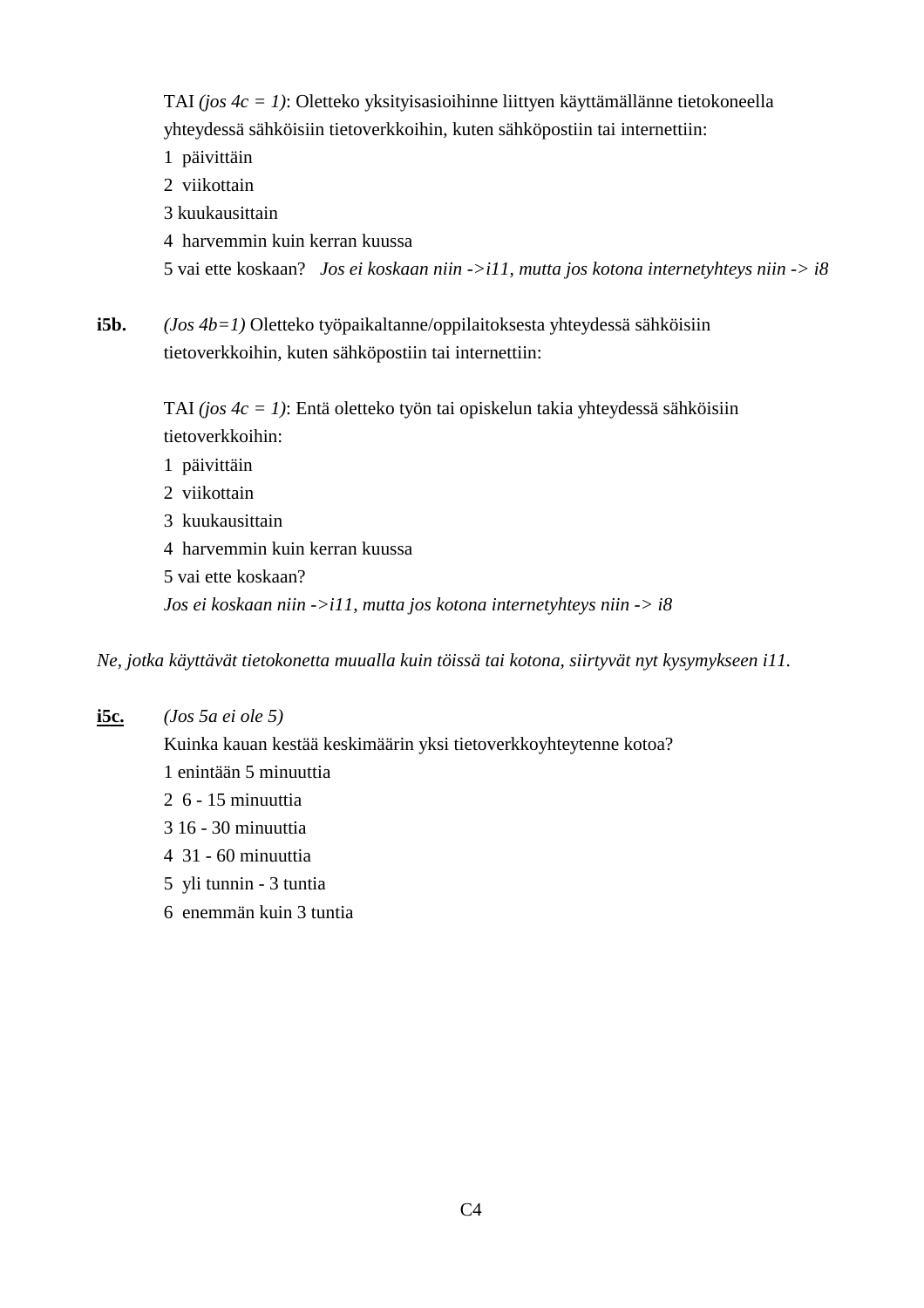TAI *(jos 4c = 1)*: Oletteko yksityisasioihinne liittyen käyttämällänne tietokoneella yhteydessä sähköisiin tietoverkkoihin, kuten sähköpostiin tai internettiin:

1 päivittäin

2 viikottain

- 3 kuukausittain
- 4 harvemmin kuin kerran kuussa

5 vai ette koskaan? *Jos ei koskaan niin ->i11, mutta jos kotona internetyhteys niin -> i8*

**i5b.** *(Jos 4b=1)* Oletteko työpaikaltanne/oppilaitoksesta yhteydessä sähköisiin tietoverkkoihin, kuten sähköpostiin tai internettiin:

> TAI *(jos 4c = 1)*: Entä oletteko työn tai opiskelun takia yhteydessä sähköisiin tietoverkkoihin:

- 1 päivittäin
- 2 viikottain
- 3 kuukausittain
- 4 harvemmin kuin kerran kuussa
- 5 vai ette koskaan?

*Jos ei koskaan niin ->i11, mutta jos kotona internetyhteys niin -> i8*

*Ne, jotka käyttävät tietokonetta muualla kuin töissä tai kotona, siirtyvät nyt kysymykseen i11.*

**i5c.** *(Jos 5a ei ole 5)*

Kuinka kauan kestää keskimäärin yksi tietoverkkoyhteytenne kotoa? 1 enintään 5 minuuttia 2 6 - 15 minuuttia

- 3 16 30 minuuttia
- 4 31 60 minuuttia
- 5 yli tunnin 3 tuntia
- 6 enemmän kuin 3 tuntia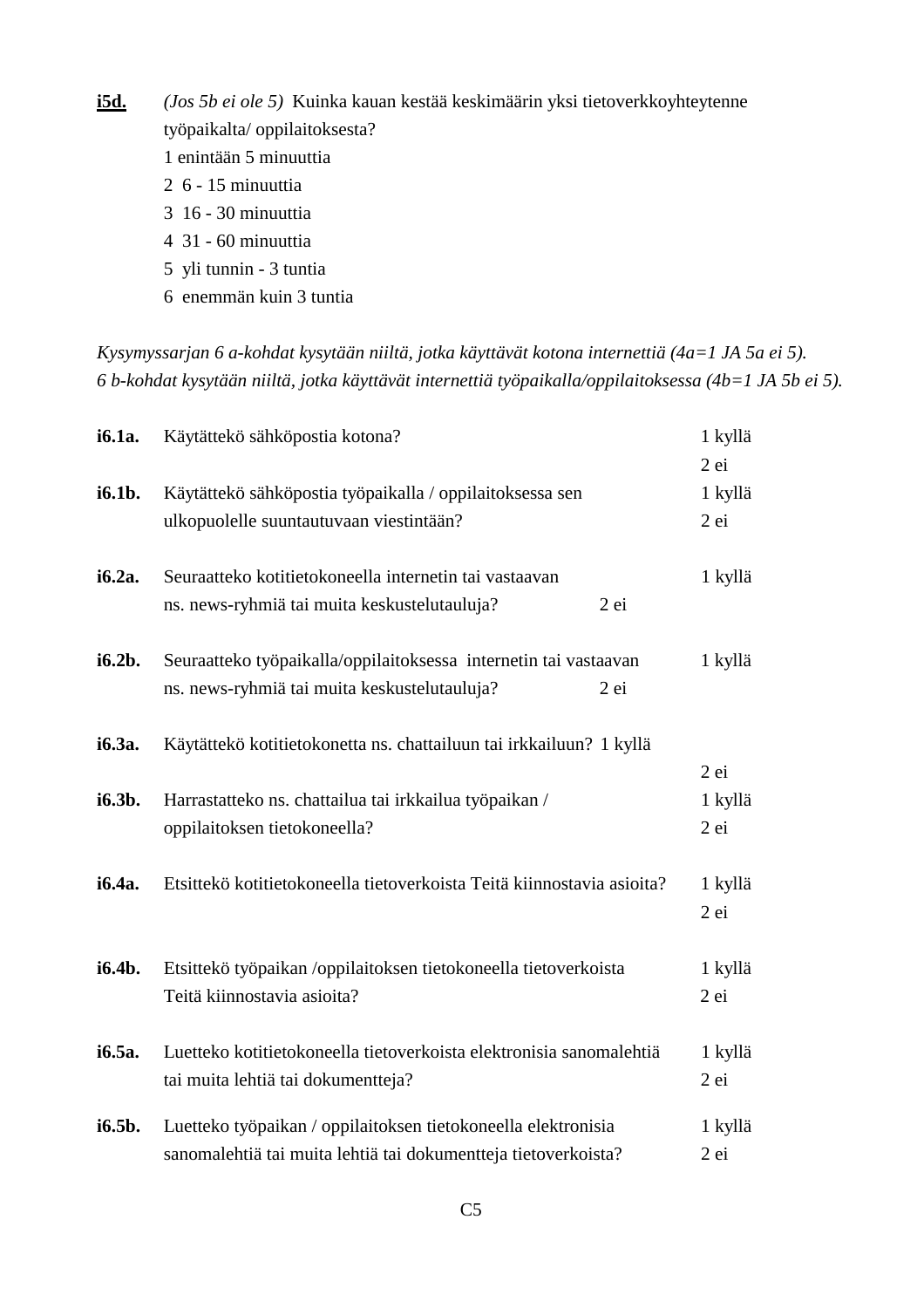**i5d.** *(Jos 5b ei ole 5)* Kuinka kauan kestää keskimäärin yksi tietoverkkoyhteytenne työpaikalta/ oppilaitoksesta? 1 enintään 5 minuuttia 2 6 - 15 minuuttia 3 16 - 30 minuuttia 4 31 - 60 minuuttia 5 yli tunnin - 3 tuntia 6 enemmän kuin 3 tuntia

*Kysymyssarjan 6 a-kohdat kysytään niiltä, jotka käyttävät kotona internettiä (4a=1 JA 5a ei 5). 6 b-kohdat kysytään niiltä, jotka käyttävät internettiä työpaikalla/oppilaitoksessa (4b=1 JA 5b ei 5).*

| i6.1a. | Käytättekö sähköpostia kotona?                                                                                                  | 1 kyllä                     |
|--------|---------------------------------------------------------------------------------------------------------------------------------|-----------------------------|
| i6.1b. | Käytättekö sähköpostia työpaikalla / oppilaitoksessa sen<br>ulkopuolelle suuntautuvaan viestintään?                             | $2$ ei<br>1 kyllä<br>$2$ ei |
| i6.2a. | Seuraatteko kotitietokoneella internetin tai vastaavan<br>ns. news-ryhmiä tai muita keskustelutauluja?<br>$2$ ei                | 1 kyllä                     |
| i6.2b. | Seuraatteko työpaikalla/oppilaitoksessa internetin tai vastaavan<br>ns. news-ryhmiä tai muita keskustelutauluja?<br>2ei         | 1 kyllä                     |
| i6.3a. | Käytättekö kotitietokonetta ns. chattailuun tai irkkailuun? 1 kyllä                                                             |                             |
| i6.3b. | Harrastatteko ns. chattailua tai irkkailua työpaikan /<br>oppilaitoksen tietokoneella?                                          | $2$ ei<br>1 kyllä<br>$2$ ei |
| i6.4a. | Etsittekö kotitietokoneella tietoverkoista Teitä kiinnostavia asioita?                                                          | 1 kyllä<br>$2$ ei           |
| i6.4b. | Etsittekö työpaikan /oppilaitoksen tietokoneella tietoverkoista<br>Teitä kiinnostavia asioita?                                  | 1 kyllä<br>2 ei             |
| i6.5a. | Luetteko kotitietokoneella tietoverkoista elektronisia sanomalehtiä<br>tai muita lehtiä tai dokumentteja?                       | 1 kyllä<br>2ei              |
| i6.5b. | Luetteko työpaikan / oppilaitoksen tietokoneella elektronisia<br>sanomalehtiä tai muita lehtiä tai dokumentteja tietoverkoista? | 1 kyllä<br>$2$ ei           |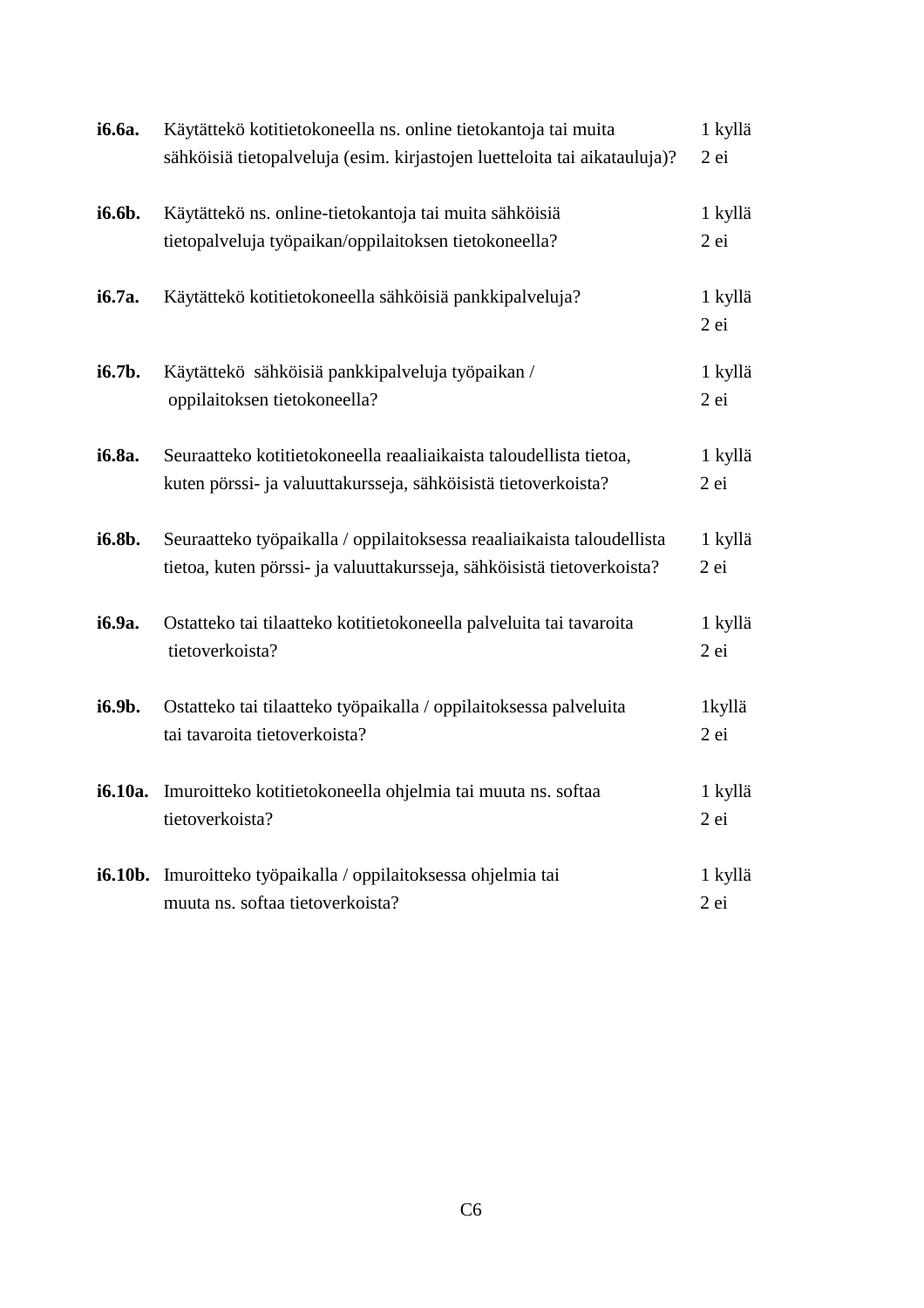| i6.6a.  | Käytättekö kotitietokoneella ns. online tietokantoja tai muita            | 1 kyllä           |
|---------|---------------------------------------------------------------------------|-------------------|
|         | sähköisiä tietopalveluja (esim. kirjastojen luetteloita tai aikatauluja)? | 2 ei              |
| i6.6b.  | Käytättekö ns. online-tietokantoja tai muita sähköisiä                    | 1 kyllä           |
|         | tietopalveluja työpaikan/oppilaitoksen tietokoneella?                     | 2 ei              |
| i6.7a.  | Käytättekö kotitietokoneella sähköisiä pankkipalveluja?                   | 1 kyllä<br>$2$ ei |
| i6.7b.  | Käytättekö sähköisiä pankkipalveluja työpaikan /                          | 1 kyllä           |
|         | oppilaitoksen tietokoneella?                                              | 2 ei              |
| i6.8a.  | Seuraatteko kotitietokoneella reaaliaikaista taloudellista tietoa,        | 1 kyllä           |
|         | kuten pörssi- ja valuuttakursseja, sähköisistä tietoverkoista?            | $2$ ei            |
| i6.8b.  | Seuraatteko työpaikalla / oppilaitoksessa reaaliaikaista taloudellista    | 1 kyllä           |
|         | tietoa, kuten pörssi- ja valuuttakursseja, sähköisistä tietoverkoista?    | 2 ei              |
| i6.9a.  | Ostatteko tai tilaatteko kotitietokoneella palveluita tai tavaroita       | 1 kyllä           |
|         | tietoverkoista?                                                           | 2ei               |
| i6.9b.  | Ostatteko tai tilaatteko työpaikalla / oppilaitoksessa palveluita         | 1kyllä            |
|         | tai tavaroita tietoverkoista?                                             | 2 ei              |
| i6.10a. | Imuroitteko kotitietokoneella ohjelmia tai muuta ns. softaa               | 1 kyllä           |
|         | tietoverkoista?                                                           | $2$ ei            |
| i6.10b. | Imuroitteko työpaikalla / oppilaitoksessa ohjelmia tai                    | 1 kyllä           |
|         | muuta ns. softaa tietoverkoista?                                          | 2 ei              |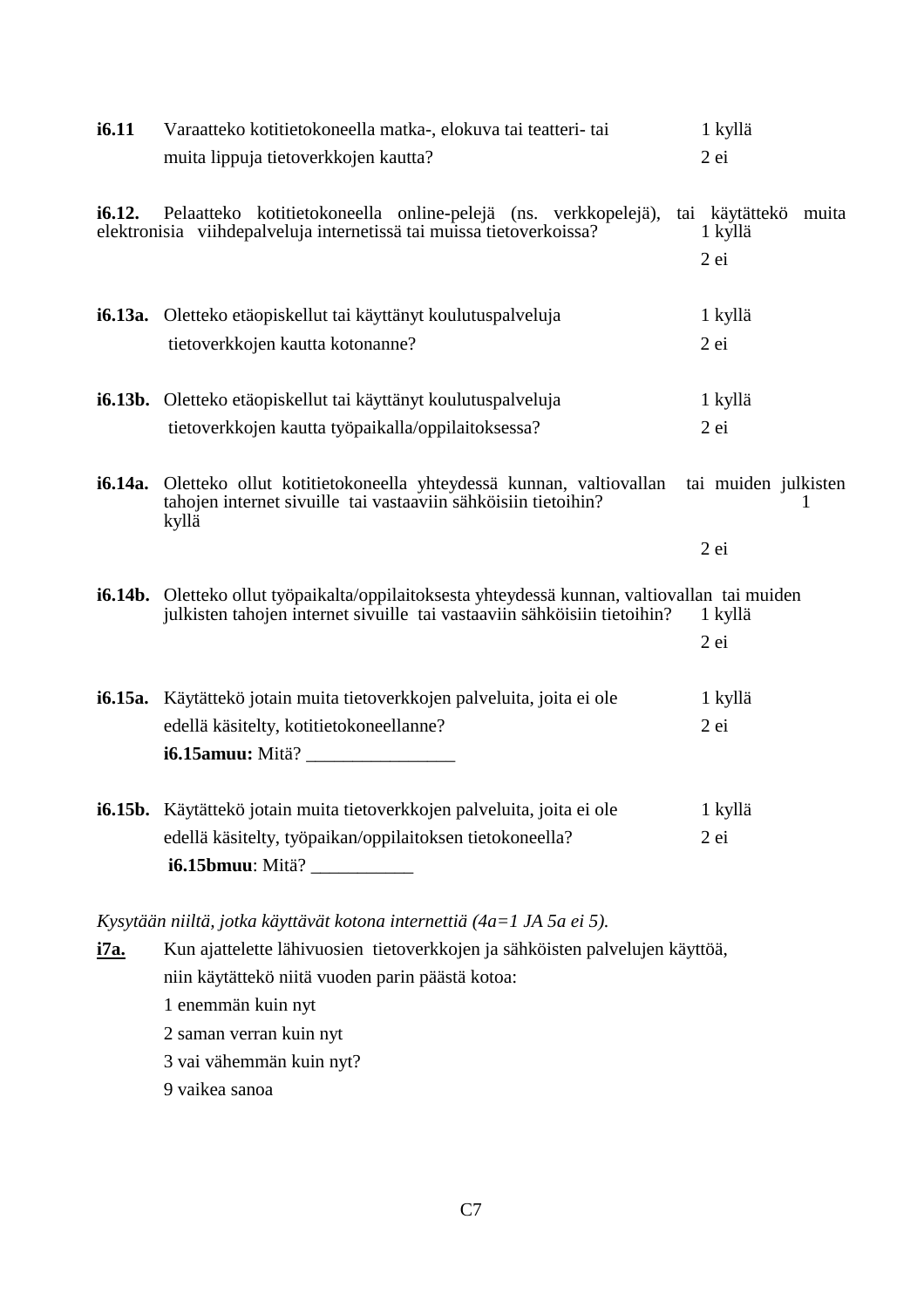| i6.11   | Varaatteko kotitietokoneella matka-, elokuva tai teatteri- tai                                                                                                                   | 1 kyllä                         |   |
|---------|----------------------------------------------------------------------------------------------------------------------------------------------------------------------------------|---------------------------------|---|
|         | muita lippuja tietoverkkojen kautta?                                                                                                                                             | 2 ei                            |   |
| i6.12.  | Pelaatteko kotitietokoneella online-pelejä (ns. verkkopelejä),<br>elektronisia viihdepalveluja internetissä tai muissa tietoverkoissa?                                           | tai käytättekö muita<br>1 kyllä |   |
|         |                                                                                                                                                                                  | $2$ ei                          |   |
|         | <b>i6.13a.</b> Oletteko etäopiskellut tai käyttänyt koulutuspalveluja                                                                                                            | 1 kyllä                         |   |
|         | tietoverkkojen kautta kotonanne?                                                                                                                                                 | $2$ ei                          |   |
|         | <b>i6.13b.</b> Oletteko etäopiskellut tai käyttänyt koulutuspalveluja                                                                                                            | 1 kyllä                         |   |
|         | tietoverkkojen kautta työpaikalla/oppilaitoksessa?                                                                                                                               | 2 ei                            |   |
| i6.14a. | Oletteko ollut kotitietokoneella yhteydessä kunnan, valtiovallan<br>tahojen internet sivuille tai vastaaviin sähköisiin tietoihin?<br>kyllä                                      | tai muiden julkisten            | 1 |
|         |                                                                                                                                                                                  | 2 ei                            |   |
|         | <b>i6.14b.</b> Oletteko ollut työpaikalta/oppilaitoksesta yhteydessä kunnan, valtiovallan tai muiden<br>julkisten tahojen internet sivuille tai vastaaviin sähköisiin tietoihin? | 1 kyllä                         |   |
|         |                                                                                                                                                                                  | 2 ei                            |   |
|         | i6.15a. Käytättekö jotain muita tietoverkkojen palveluita, joita ei ole                                                                                                          | 1 kyllä                         |   |
|         | edellä käsitelty, kotitietokoneellanne?                                                                                                                                          | 2 ei                            |   |
|         | i6.15amuu: Mitä? ___________________                                                                                                                                             |                                 |   |
|         | <b>i6.15b.</b> Käytättekö jotain muita tietoverkkojen palveluita, joita ei ole                                                                                                   | 1 kyllä                         |   |
|         | edellä käsitelty, työpaikan/oppilaitoksen tietokoneella?<br>i6.15bmuu: Mitä? ___________                                                                                         | $2$ ei                          |   |
|         |                                                                                                                                                                                  |                                 |   |

*Kysytään niiltä, jotka käyttävät kotona internettiä (4a=1 JA 5a ei 5).*

**i7a.** Kun ajattelette lähivuosien tietoverkkojen ja sähköisten palvelujen käyttöä, niin käytättekö niitä vuoden parin päästä kotoa: 1 enemmän kuin nyt 2 saman verran kuin nyt 3 vai vähemmän kuin nyt? 9 vaikea sanoa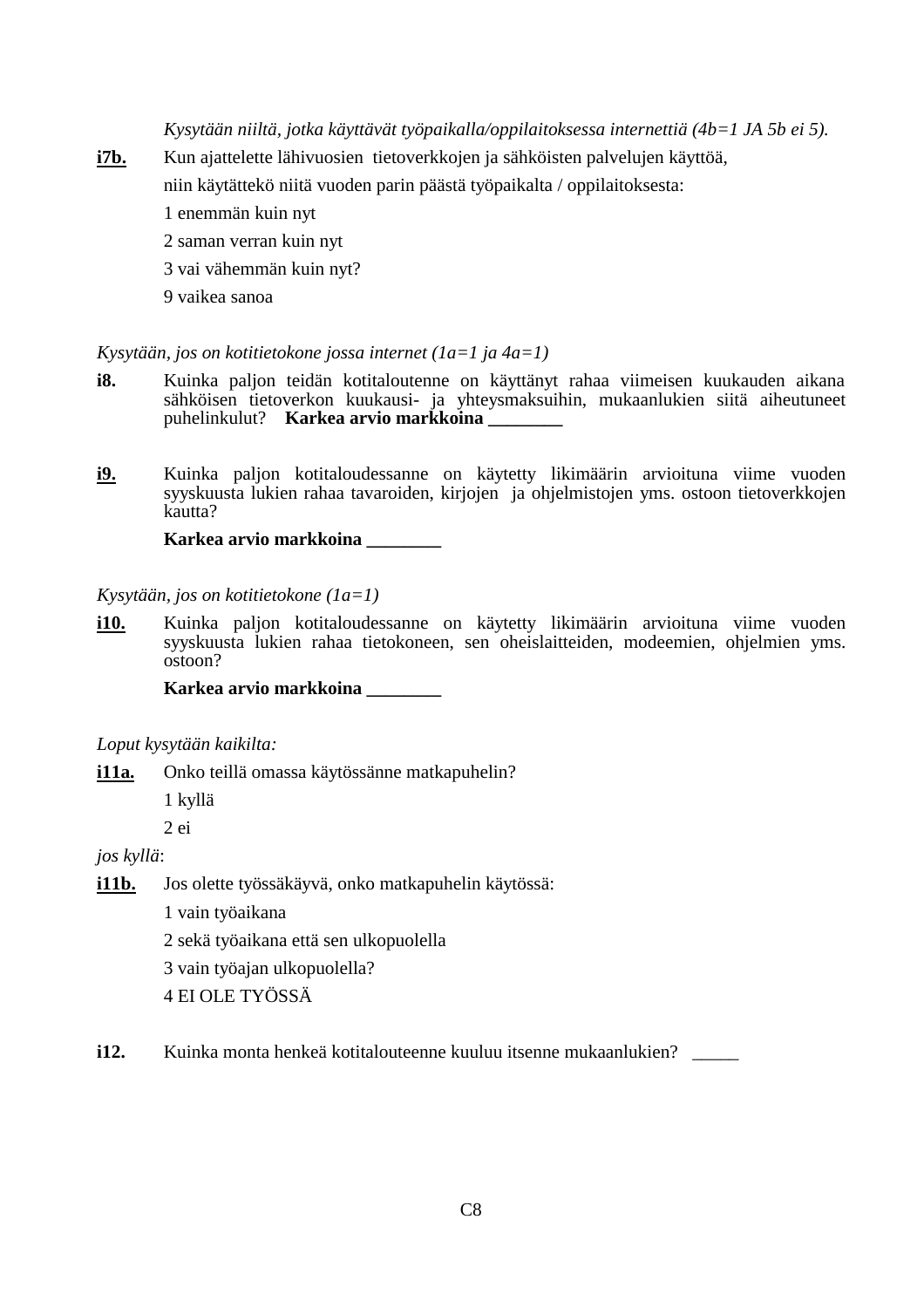*Kysytään niiltä, jotka käyttävät työpaikalla/oppilaitoksessa internettiä (4b=1 JA 5b ei 5).*

- **i7b.** Kun ajattelette lähivuosien tietoverkkojen ja sähköisten palvelujen käyttöä,
	- niin käytättekö niitä vuoden parin päästä työpaikalta / oppilaitoksesta:
	- 1 enemmän kuin nyt
	- 2 saman verran kuin nyt
	- 3 vai vähemmän kuin nyt?
	- 9 vaikea sanoa

#### *Kysytään, jos on kotitietokone jossa internet (1a=1 ja 4a=1)*

- **i8.** Kuinka paljon teidän kotitaloutenne on käyttänyt rahaa viimeisen kuukauden aikana sähköisen tietoverkon kuukausi- ja yhteysmaksuihin, mukaanlukien siitä aiheutuneet puhelinkulut? **Karkea arvio markkoina**
- **i9.** Kuinka paljon kotitaloudessanne on käytetty likimäärin arvioituna viime vuoden syyskuusta lukien rahaa tavaroiden, kirjojen ja ohjelmistojen yms. ostoon tietoverkkojen kautta?

**Karkea arvio markkoina \_\_\_\_\_\_\_\_**

#### *Kysytään, jos on kotitietokone (1a=1)*

**i10.** Kuinka paljon kotitaloudessanne on käytetty likimäärin arvioituna viime vuoden syyskuusta lukien rahaa tietokoneen, sen oheislaitteiden, modeemien, ohjelmien yms. ostoon?

**Karkea arvio markkoina \_\_\_\_\_\_\_\_**

#### *Loput kysytään kaikilta:*

**i11a.** Onko teillä omassa käytössänne matkapuhelin?

1 kyllä

2 ei

*jos kyllä*:

**i11b.** Jos olette työssäkäyvä, onko matkapuhelin käytössä:

1 vain työaikana

2 sekä työaikana että sen ulkopuolella

3 vain työajan ulkopuolella?

4 EI OLE TYÖSSÄ

**i12.** Kuinka monta henkeä kotitalouteenne kuuluu itsenne mukaanlukien?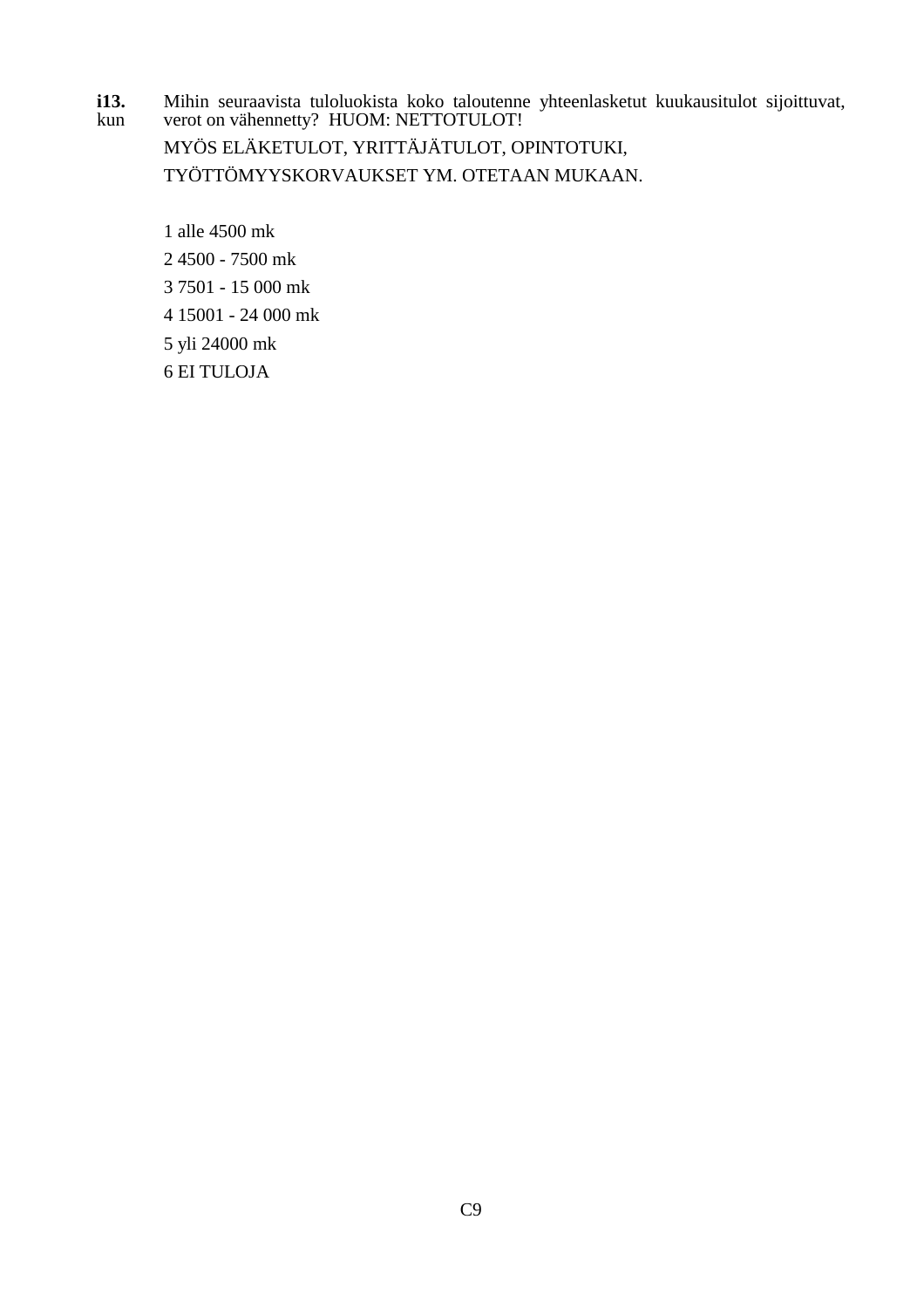**i13.** Mihin seuraavista tuloluokista koko taloutenne yhteenlasketut kuukausitulot sijoittuvat, kun verot on vähennetty? HUOM: NETTOTULOT!

MYÖS ELÄKETULOT, YRITTÄJÄTULOT, OPINTOTUKI, TYÖTTÖMYYSKORVAUKSET YM. OTETAAN MUKAAN.

1 alle 4500 mk 2 4500 - 7500 mk 3 7501 - 15 000 mk 4 15001 - 24 000 mk 5 yli 24000 mk 6 EI TULOJA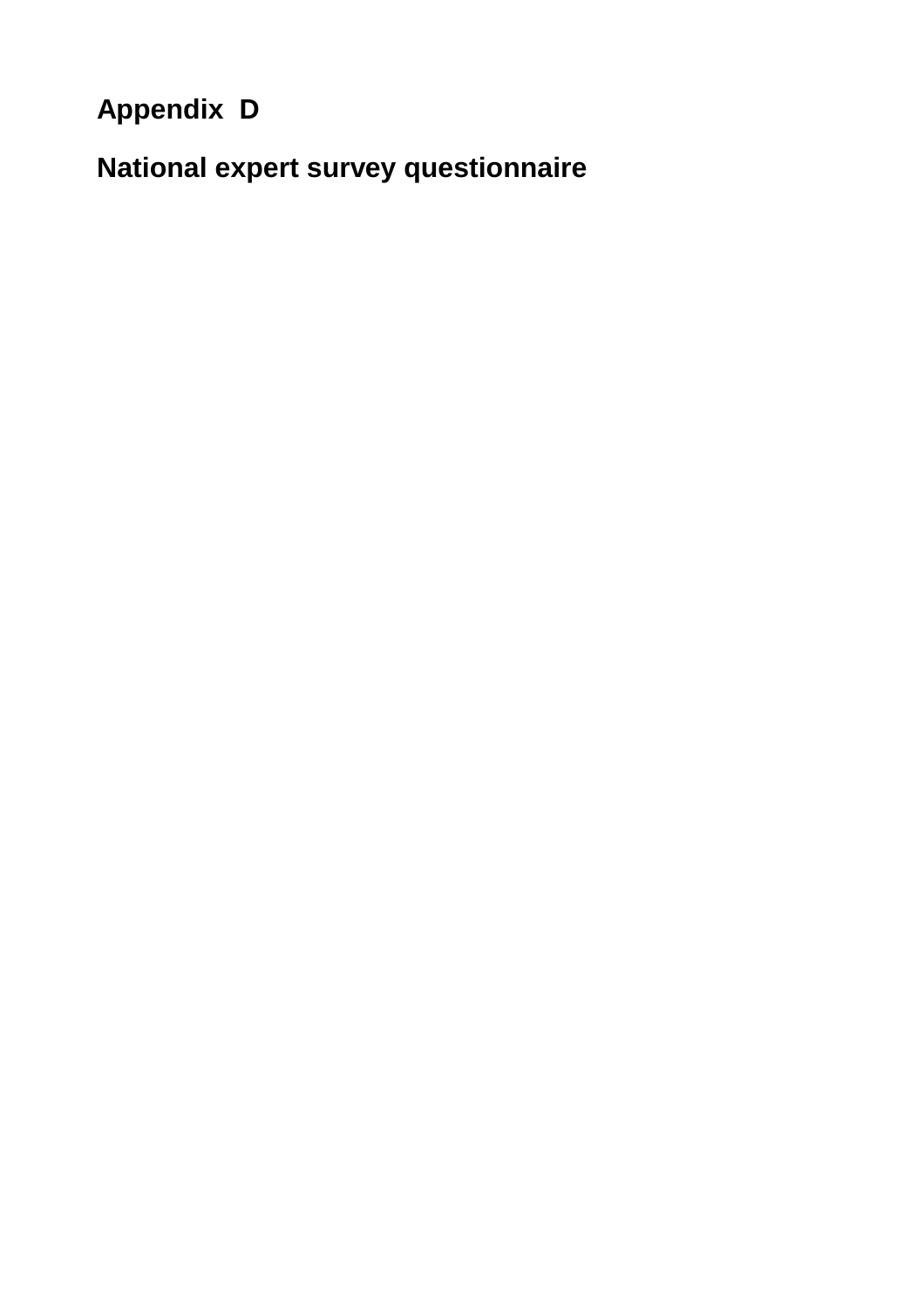# **Appendix D**

**National expert survey questionnaire**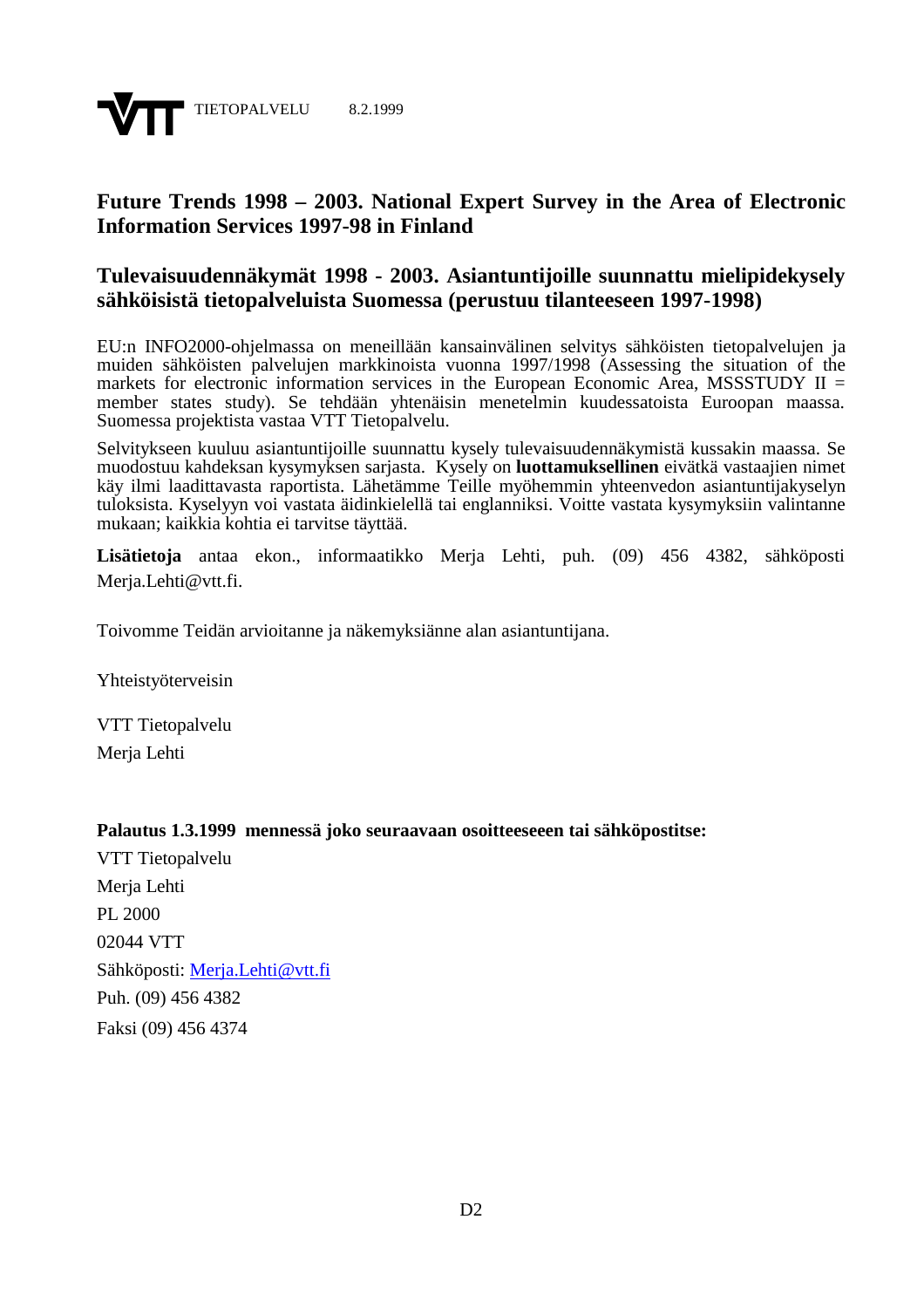

## **Future Trends 1998 – 2003. National Expert Survey in the Area of Electronic Information Services 1997-98 in Finland**

### **Tulevaisuudennäkymät 1998 - 2003. Asiantuntijoille suunnattu mielipidekysely sähköisistä tietopalveluista Suomessa (perustuu tilanteeseen 1997-1998)**

EU:n INFO2000-ohjelmassa on meneillään kansainvälinen selvitys sähköisten tietopalvelujen ja muiden sähköisten palvelujen markkinoista vuonna 1997/1998 (Assessing the situation of the markets for electronic information services in the European Economic Area, MSSSTUDY  $II =$ member states study). Se tehdään yhtenäisin menetelmin kuudessatoista Euroopan maassa. Suomessa projektista vastaa VTT Tietopalvelu.

Selvitykseen kuuluu asiantuntijoille suunnattu kysely tulevaisuudennäkymistä kussakin maassa. Se muodostuu kahdeksan kysymyksen sarjasta. Kysely on **luottamuksellinen** eivätkä vastaajien nimet käy ilmi laadittavasta raportista. Lähetämme Teille myöhemmin yhteenvedon asiantuntijakyselyn tuloksista. Kyselyyn voi vastata äidinkielellä tai englanniksi. Voitte vastata kysymyksiin valintanne mukaan; kaikkia kohtia ei tarvitse täyttää.

**Lisätietoja** antaa ekon., informaatikko Merja Lehti, puh. (09) 456 4382, sähköposti Merja.Lehti@vtt.fi.

Toivomme Teidän arvioitanne ja näkemyksiänne alan asiantuntijana.

Yhteistyöterveisin

VTT Tietopalvelu Merja Lehti

#### **Palautus 1.3.1999 mennessä joko seuraavaan osoitteeseeen tai sähköpostitse:**

VTT Tietopalvelu Merja Lehti PL 2000 02044 VTT Sähköposti: Merja.Lehti@vtt.fi Puh. (09) 456 4382 Faksi (09) 456 4374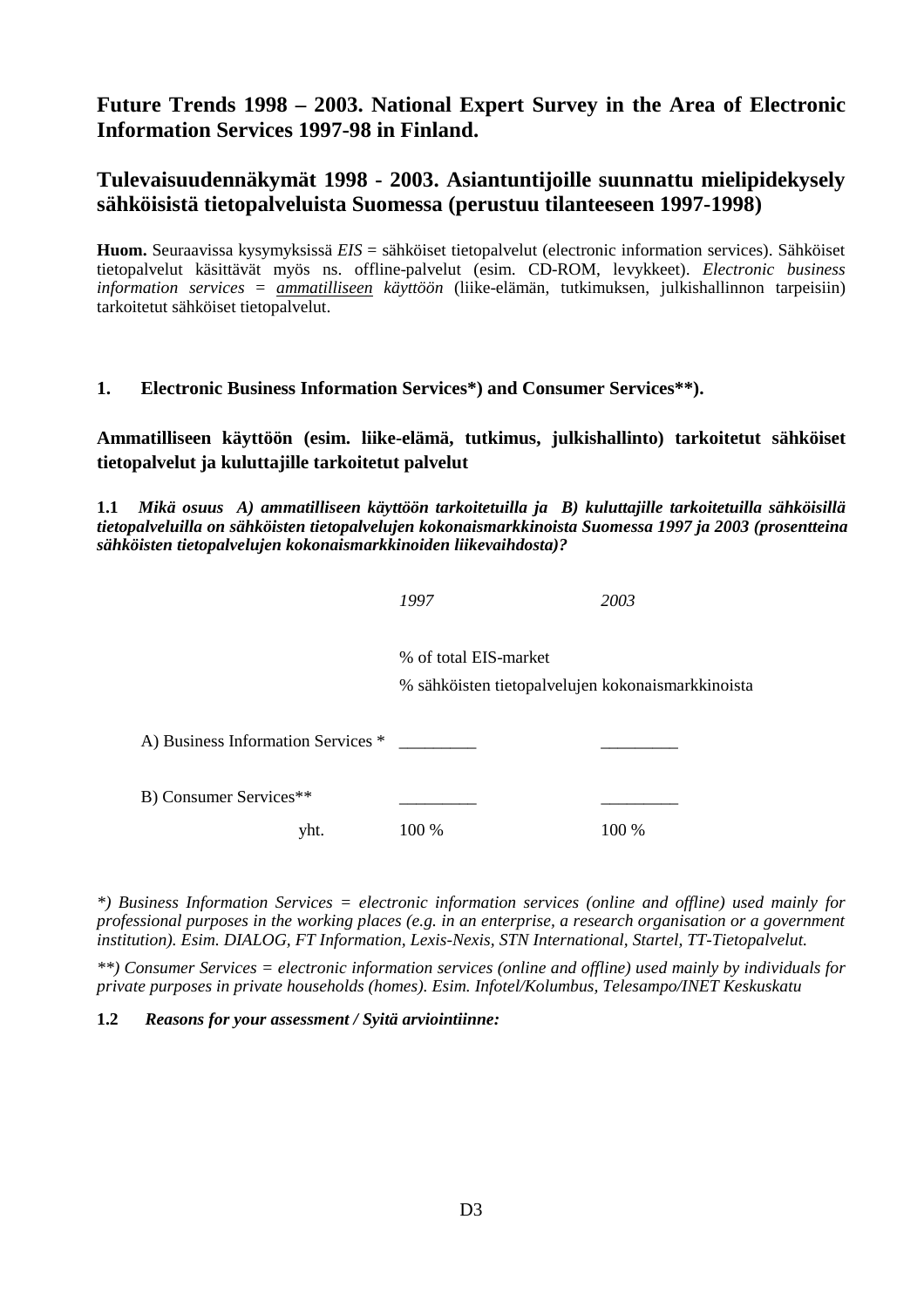## **Future Trends 1998 – 2003. National Expert Survey in the Area of Electronic Information Services 1997-98 in Finland.**

## **Tulevaisuudennäkymät 1998 - 2003. Asiantuntijoille suunnattu mielipidekysely sähköisistä tietopalveluista Suomessa (perustuu tilanteeseen 1997-1998)**

**Huom.** Seuraavissa kysymyksissä *EIS* = sähköiset tietopalvelut (electronic information services). Sähköiset tietopalvelut käsittävät myös ns. offline-palvelut (esim. CD-ROM, levykkeet). *Electronic business information services* = *ammatilliseen käyttöön* (liike-elämän, tutkimuksen, julkishallinnon tarpeisiin) tarkoitetut sähköiset tietopalvelut.

#### **1. Electronic Business Information Services\*) and Consumer Services\*\*).**

**Ammatilliseen käyttöön (esim. liike-elämä, tutkimus, julkishallinto) tarkoitetut sähköiset tietopalvelut ja kuluttajille tarkoitetut palvelut**

**1.1** *Mikä osuus A) ammatilliseen käyttöön tarkoitetuilla ja B) kuluttajille tarkoitetuilla sähköisillä tietopalveluilla on sähköisten tietopalvelujen kokonaismarkkinoista Suomessa 1997 ja 2003 (prosentteina sähköisten tietopalvelujen kokonaismarkkinoiden liikevaihdosta)?*

|                                    | 1997                                                                       | 2003  |
|------------------------------------|----------------------------------------------------------------------------|-------|
|                                    | % of total EIS-market<br>% sähköisten tietopalvelujen kokonaismarkkinoista |       |
| A) Business Information Services * |                                                                            |       |
| B) Consumer Services**             |                                                                            |       |
| yht.                               | 100 %                                                                      | 100 % |

*\*) Business Information Services = electronic information services (online and offline) used mainly for professional purposes in the working places (e.g. in an enterprise, a research organisation or a government institution). Esim. DIALOG, FT Information, Lexis-Nexis, STN International, Startel, TT-Tietopalvelut.*

*\*\*) Consumer Services = electronic information services (online and offline) used mainly by individuals for private purposes in private households (homes). Esim. Infotel/Kolumbus, Telesampo/INET Keskuskatu*

**1.2** *Reasons for your assessment / Syitä arviointiinne:*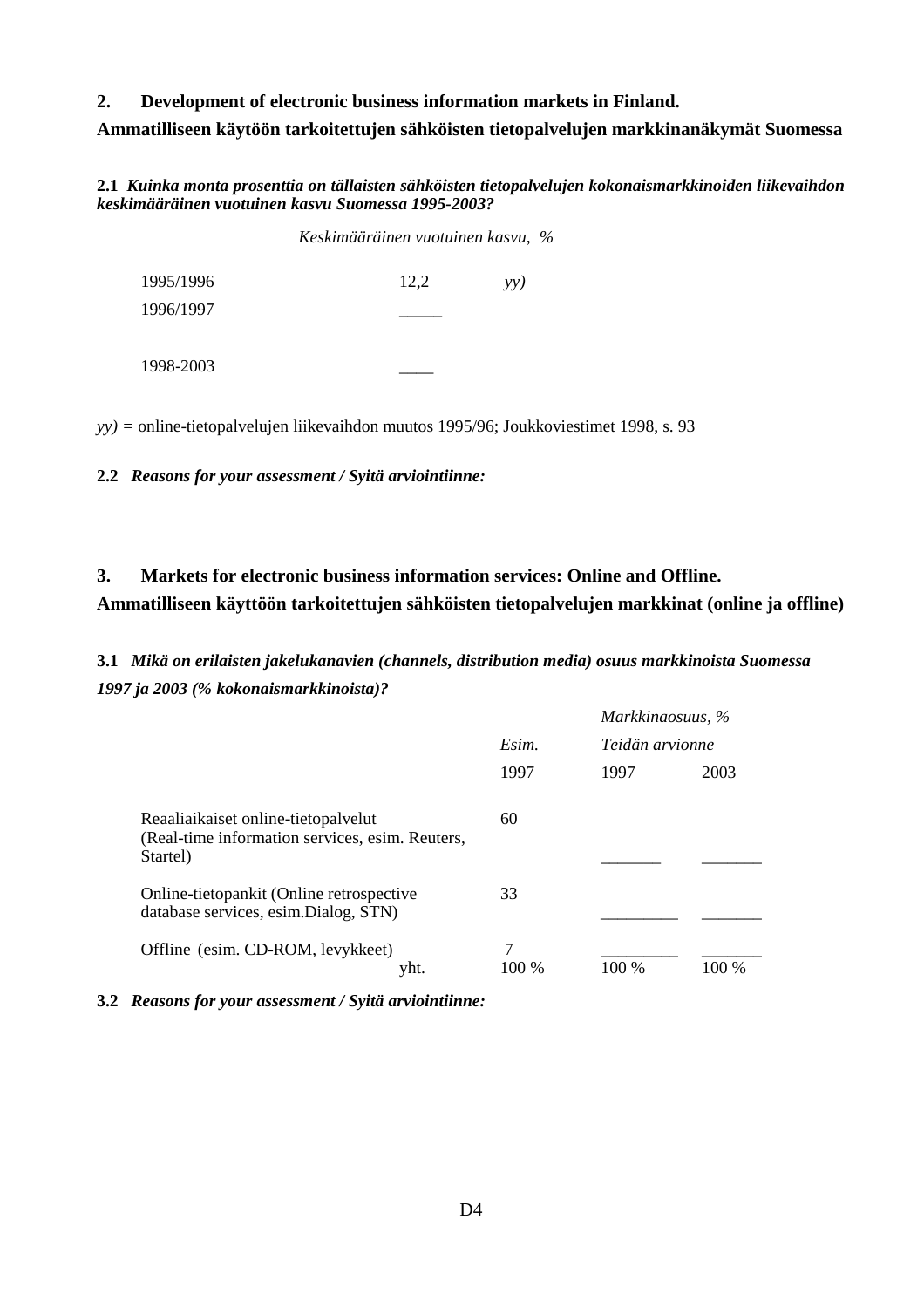#### **2. Development of electronic business information markets in Finland.**

**Ammatilliseen käytöön tarkoitettujen sähköisten tietopalvelujen markkinanäkymät Suomessa**

**2.1** *Kuinka monta prosenttia on tällaisten sähköisten tietopalvelujen kokonaismarkkinoiden liikevaihdon keskimääräinen vuotuinen kasvu Suomessa 1995-2003?*

|           | Keskimääräinen vuotuinen kasvu, % |     |  |
|-----------|-----------------------------------|-----|--|
| 1995/1996 | 12,2                              | yy) |  |
| 1996/1997 |                                   |     |  |
| 1998-2003 |                                   |     |  |

*yy) =* online-tietopalvelujen liikevaihdon muutos 1995/96; Joukkoviestimet 1998, s. 93

**2.2** *Reasons for your assessment / Syitä arviointiinne:*

## **3. Markets for electronic business information services: Online and Offline. Ammatilliseen käyttöön tarkoitettujen sähköisten tietopalvelujen markkinat (online ja offline)**

**3.1** *Mikä on erilaisten jakelukanavien (channels, distribution media) osuus markkinoista Suomessa 1997 ja 2003 (% kokonaismarkkinoista)?*

|                                                                                                    |       | Markkinaosuus, %<br>Teidän arvionne |       |
|----------------------------------------------------------------------------------------------------|-------|-------------------------------------|-------|
|                                                                                                    | Esim. |                                     |       |
|                                                                                                    | 1997  | 1997                                | 2003  |
| Reaaliaikaiset online-tietopalvelut<br>(Real-time information services, esim. Reuters,<br>Startel) | 60    |                                     |       |
| Online-tietopankit (Online retrospective<br>database services, esim.Dialog, STN)                   | 33    |                                     |       |
| Offline (esim. CD-ROM, levykkeet)<br>yht.                                                          | 100 % | 100 %                               | 100 % |

**3.2** *Reasons for your assessment / Syitä arviointiinne:*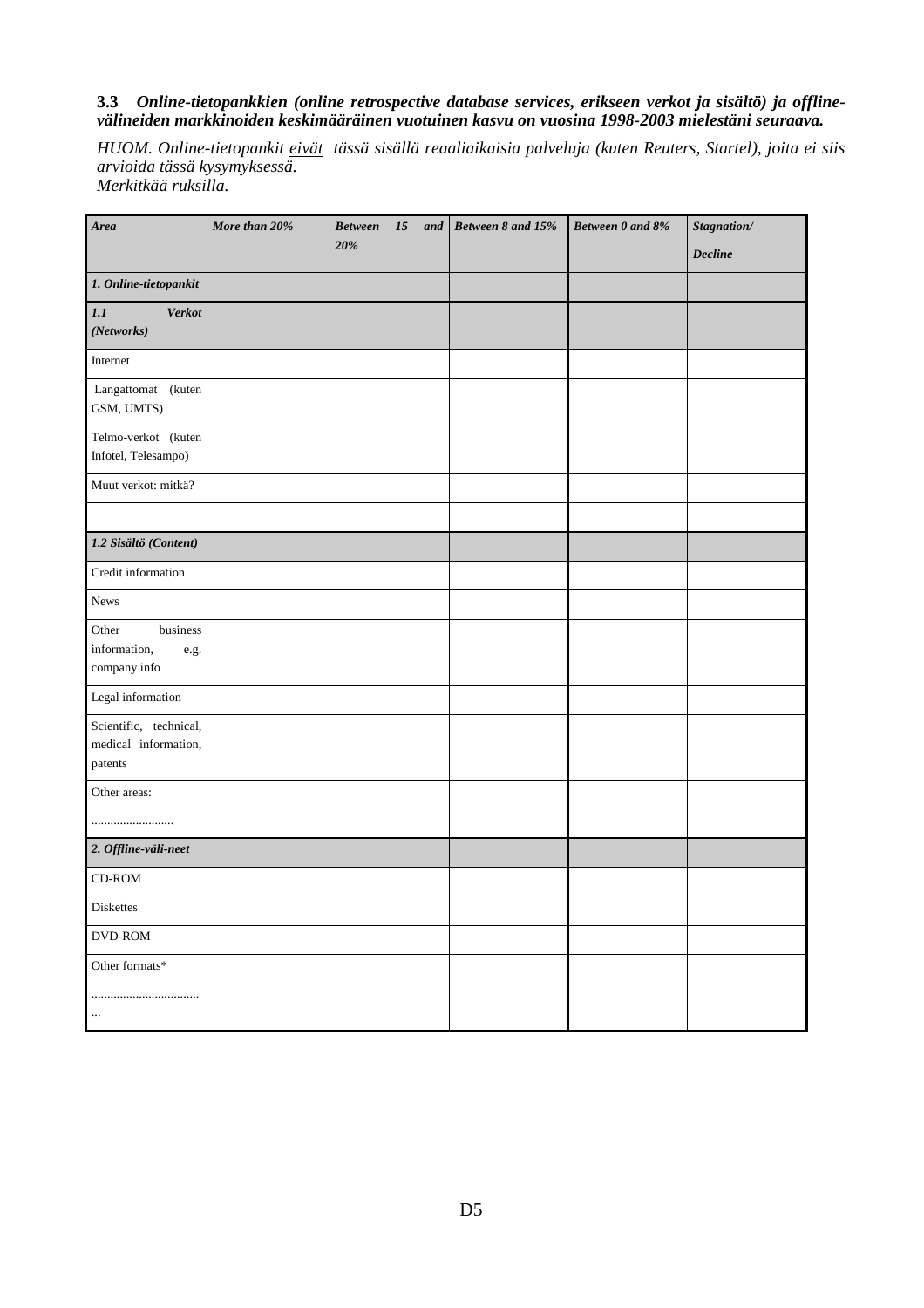#### **3.3** *Online-tietopankkien (online retrospective database services, erikseen verkot ja sisältö) ja offlinevälineiden markkinoiden keskimääräinen vuotuinen kasvu on vuosina 1998-2003 mielestäni seuraava.*

*HUOM. Online-tietopankit eivät tässä sisällä reaaliaikaisia palveluja (kuten Reuters, Startel), joita ei siis arvioida tässä kysymyksessä. Merkitkää ruksilla.*

| Area                                                            | More than 20% | <b>Between</b><br>15<br>and<br>20% | Between 8 and 15% | Between 0 and 8% | Stagnation/    |
|-----------------------------------------------------------------|---------------|------------------------------------|-------------------|------------------|----------------|
|                                                                 |               |                                    |                   |                  | <b>Decline</b> |
| $1. On line-tieto pankit$                                       |               |                                    |                   |                  |                |
| 1.1<br><b>Verkot</b><br>(Networks)                              |               |                                    |                   |                  |                |
| Internet                                                        |               |                                    |                   |                  |                |
| Langattomat (kuten<br>GSM, UMTS)                                |               |                                    |                   |                  |                |
| Telmo-verkot (kuten<br>Infotel, Telesampo)                      |               |                                    |                   |                  |                |
| Muut verkot: mitkä?                                             |               |                                    |                   |                  |                |
|                                                                 |               |                                    |                   |                  |                |
| 1.2 Sisältö (Content)                                           |               |                                    |                   |                  |                |
| Credit information                                              |               |                                    |                   |                  |                |
| News                                                            |               |                                    |                   |                  |                |
| business<br>Other<br>information,<br>$\rm e.g.$<br>company info |               |                                    |                   |                  |                |
| Legal information                                               |               |                                    |                   |                  |                |
| Scientific, technical,<br>medical information,<br>patents       |               |                                    |                   |                  |                |
| Other areas:                                                    |               |                                    |                   |                  |                |
| 2. Offline-väli-neet                                            |               |                                    |                   |                  |                |
| CD-ROM                                                          |               |                                    |                   |                  |                |
| Diskettes                                                       |               |                                    |                   |                  |                |
| DVD-ROM                                                         |               |                                    |                   |                  |                |
| Other formats*<br><br>$\ldots$                                  |               |                                    |                   |                  |                |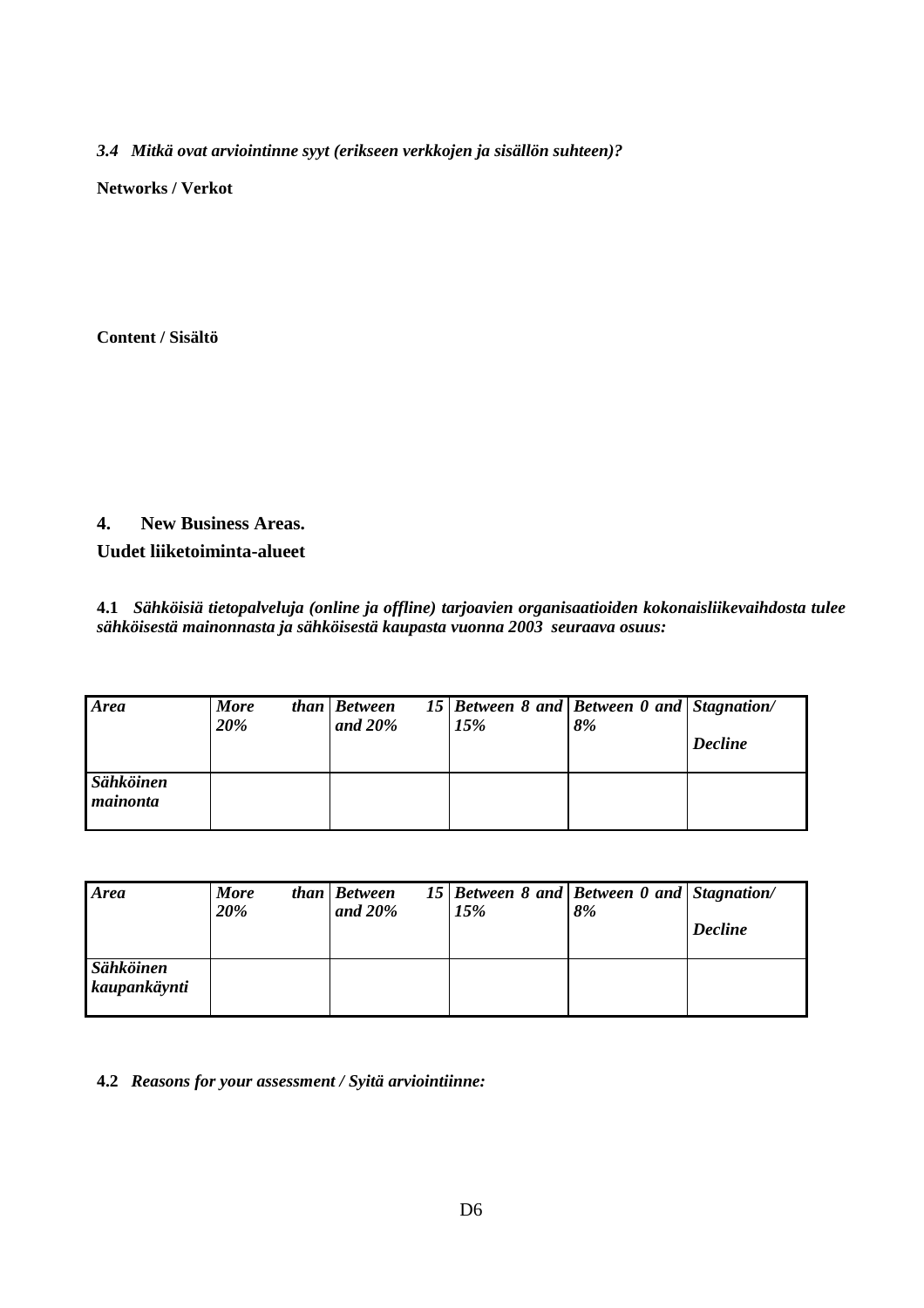*3.4 Mitkä ovat arviointinne syyt (erikseen verkkojen ja sisällön suhteen)?*

**Networks / Verkot**

**Content / Sisältö**

## **4. New Business Areas.**

**Uudet liiketoiminta-alueet**

**4.1** *Sähköisiä tietopalveluja (online ja offline) tarjoavien organisaatioiden kokonaisliikevaihdosta tulee sähköisestä mainonnasta ja sähköisestä kaupasta vuonna 2003 seuraava osuus:*

| <b>Area</b>           | <b>More</b><br>20% | than Between<br>and $20\%$ | 15 Between 8 and Between 0 and Stagnation/<br>15% | 8% | <b>Decline</b> |
|-----------------------|--------------------|----------------------------|---------------------------------------------------|----|----------------|
| Sähköinen<br>mainonta |                    |                            |                                                   |    |                |

| <b>Area</b>               | <b>More</b><br>20% | than Between<br>and $20\%$ | 15 Between 8 and Between 0 and Stagnation/<br>15% | 8% | <b>Decline</b> |
|---------------------------|--------------------|----------------------------|---------------------------------------------------|----|----------------|
| Sähköinen<br>kaupankäynti |                    |                            |                                                   |    |                |

**4.2** *Reasons for your assessment / Syitä arviointiinne:*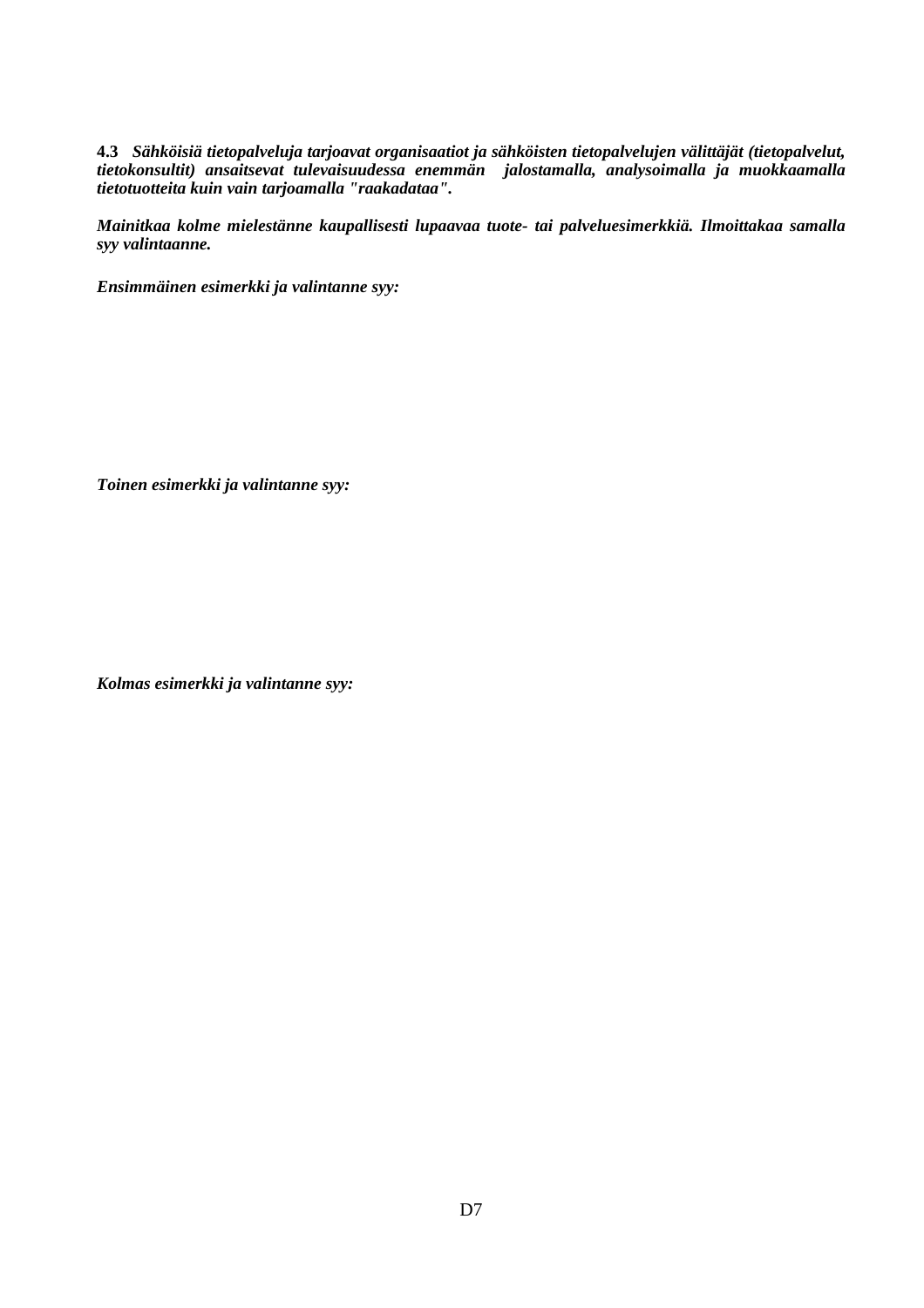**4.3** *Sähköisiä tietopalveluja tarjoavat organisaatiot ja sähköisten tietopalvelujen välittäjät (tietopalvelut, tietokonsultit) ansaitsevat tulevaisuudessa enemmän jalostamalla, analysoimalla ja muokkaamalla tietotuotteita kuin vain tarjoamalla "raakadataa".*

*Mainitkaa kolme mielestänne kaupallisesti lupaavaa tuote- tai palveluesimerkkiä. Ilmoittakaa samalla syy valintaanne.*

*Ensimmäinen esimerkki ja valintanne syy:*

*Toinen esimerkki ja valintanne syy:*

*Kolmas esimerkki ja valintanne syy:*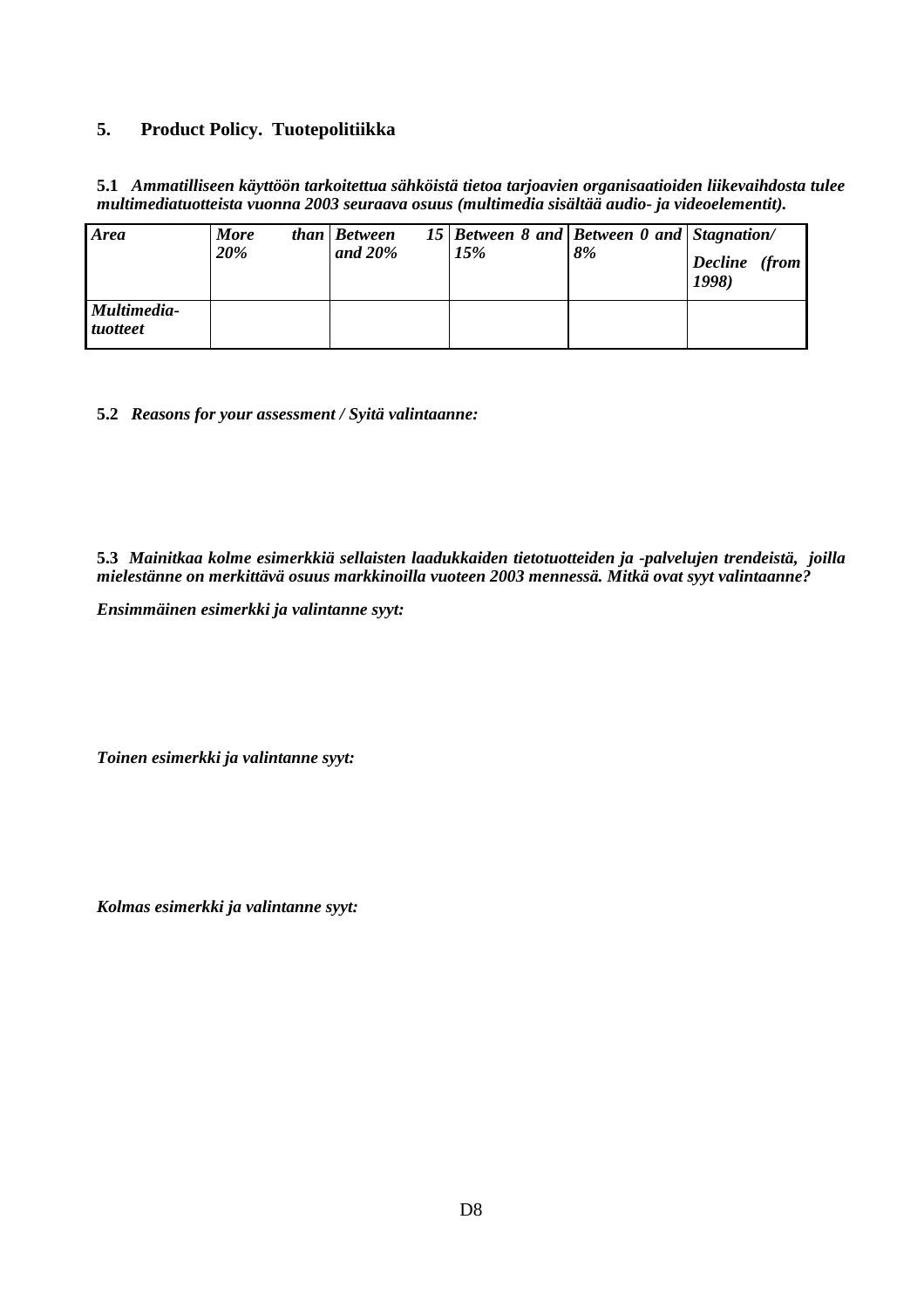#### **5. Product Policy. Tuotepolitiikka**

**5.1** *Ammatilliseen käyttöön tarkoitettua sähköistä tietoa tarjoavien organisaatioiden liikevaihdosta tulee multimediatuotteista vuonna 2003 seuraava osuus (multimedia sisältää audio- ja videoelementit).*

| <b>Area</b>                    | <b>More</b><br>20% | than Between<br>and $20\%$ | 15 Between 8 and Between 0 and Stagnation/<br>15% | 8% | Decline (from<br>1998) |
|--------------------------------|--------------------|----------------------------|---------------------------------------------------|----|------------------------|
| Multimedia-<br><i>tuotteet</i> |                    |                            |                                                   |    |                        |

**5.2** *Reasons for your assessment / Syitä valintaanne:*

**5.3** *Mainitkaa kolme esimerkkiä sellaisten laadukkaiden tietotuotteiden ja -palvelujen trendeistä, joilla mielestänne on merkittävä osuus markkinoilla vuoteen 2003 mennessä. Mitkä ovat syyt valintaanne?*

*Ensimmäinen esimerkki ja valintanne syyt:*

*Toinen esimerkki ja valintanne syyt:*

*Kolmas esimerkki ja valintanne syyt:*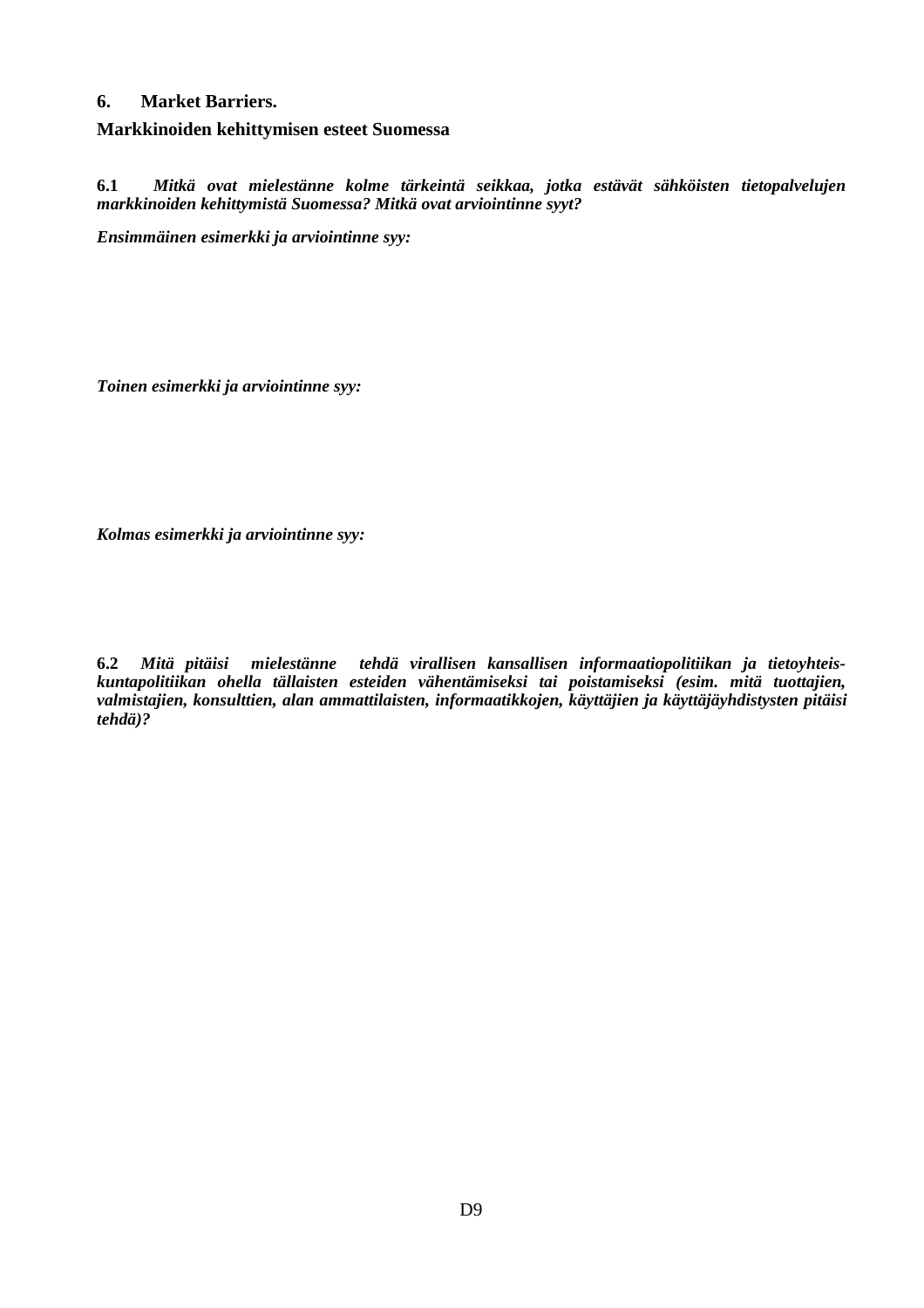## **6. Market Barriers.**

**Markkinoiden kehittymisen esteet Suomessa**

**6.1** *Mitkä ovat mielestänne kolme tärkeintä seikkaa, jotka estävät sähköisten tietopalvelujen markkinoiden kehittymistä Suomessa? Mitkä ovat arviointinne syyt?*

*Ensimmäinen esimerkki ja arviointinne syy:*

*Toinen esimerkki ja arviointinne syy:*

*Kolmas esimerkki ja arviointinne syy:*

**6.2** *Mitä pitäisi mielestänne tehdä virallisen kansallisen informaatiopolitiikan ja tietoyhteiskuntapolitiikan ohella tällaisten esteiden vähentämiseksi tai poistamiseksi (esim. mitä tuottajien, valmistajien, konsulttien, alan ammattilaisten, informaatikkojen, käyttäjien ja käyttäjäyhdistysten pitäisi tehdä)?*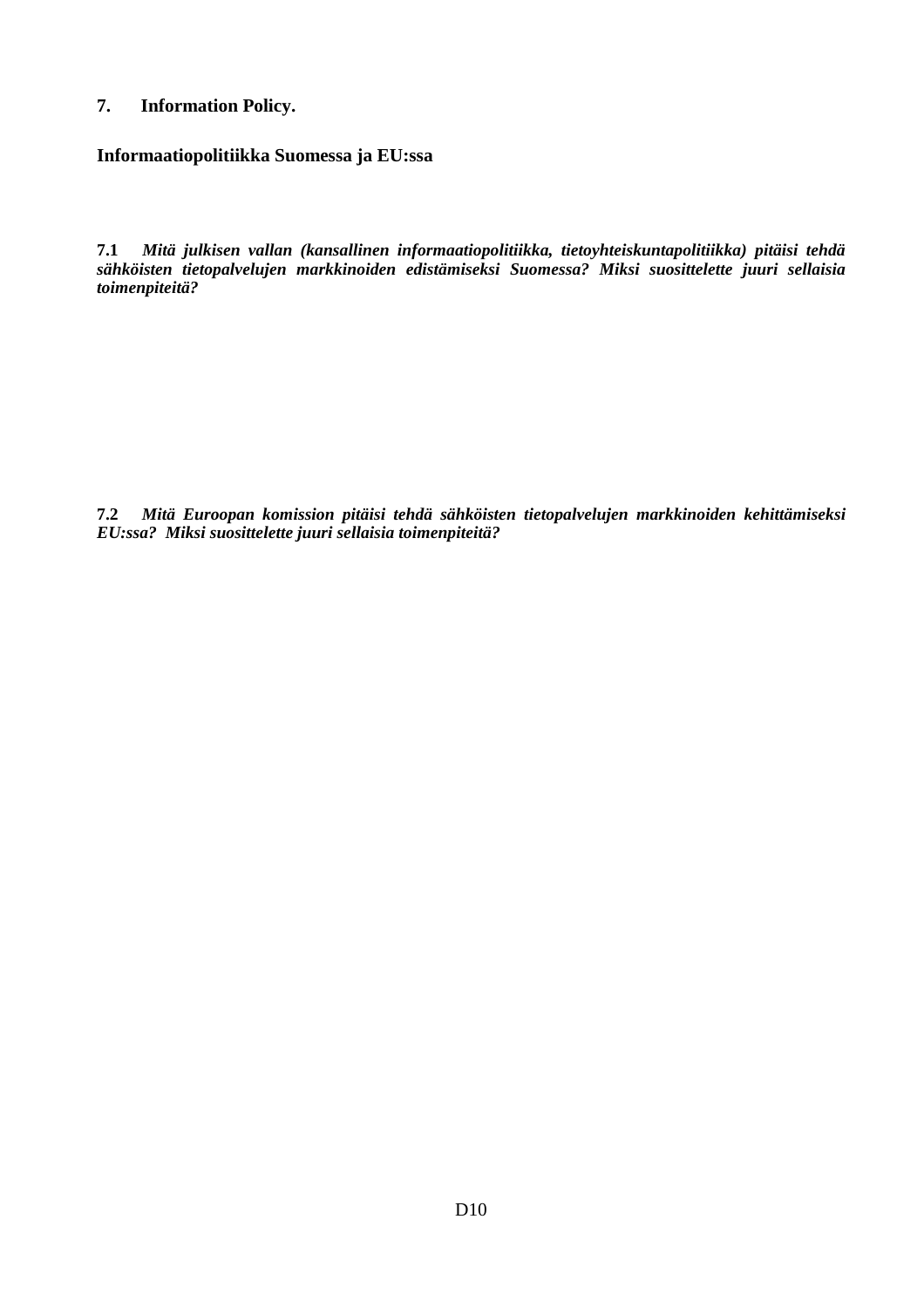# **7. Information Policy.**

**Informaatiopolitiikka Suomessa ja EU:ssa**

**7.1** *Mitä julkisen vallan (kansallinen informaatiopolitiikka, tietoyhteiskuntapolitiikka) pitäisi tehdä sähköisten tietopalvelujen markkinoiden edistämiseksi Suomessa? Miksi suosittelette juuri sellaisia toimenpiteitä?*

**7.2** *Mitä Euroopan komission pitäisi tehdä sähköisten tietopalvelujen markkinoiden kehittämiseksi EU:ssa? Miksi suosittelette juuri sellaisia toimenpiteitä?*